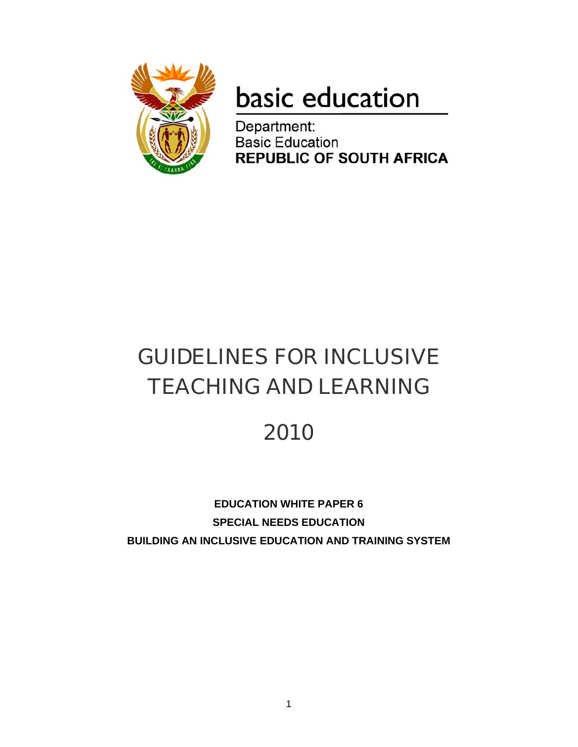

# basic education

Department: **Basic Education REPUBLIC OF SOUTH AFRICA** 

# GUIDELINES FOR INCLUSIVE TEACHING AND LEARNING

# 2010

**EDUCATION WHITE PAPER 6 SPECIAL NEEDS EDUCATION BUILDING AN INCLUSIVE EDUCATION AND TRAINING SYSTEM**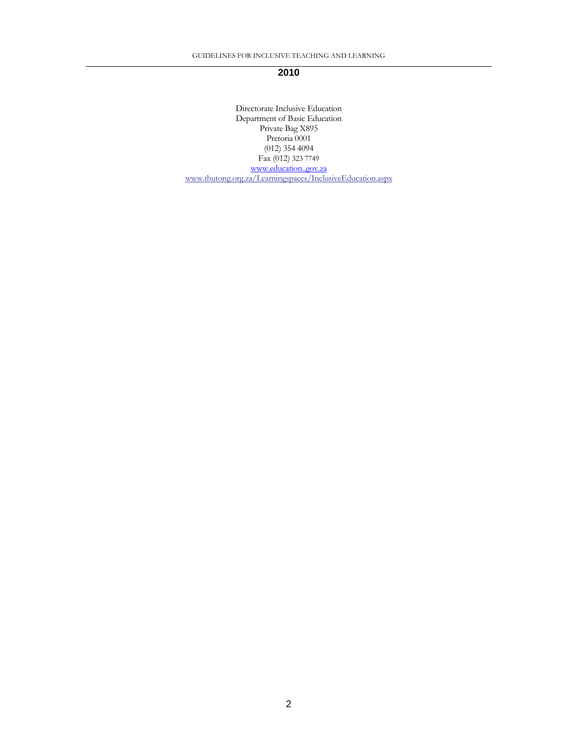#### **2010**

Directorate Inclusive Education Department of Basic Education Private Bag X895 Pretoria 0001 (012) 354 4094 Fax (012) 323 7749 www.education..gov.za www.thutong.org.za/Learningspaces/InclusiveEducation.aspx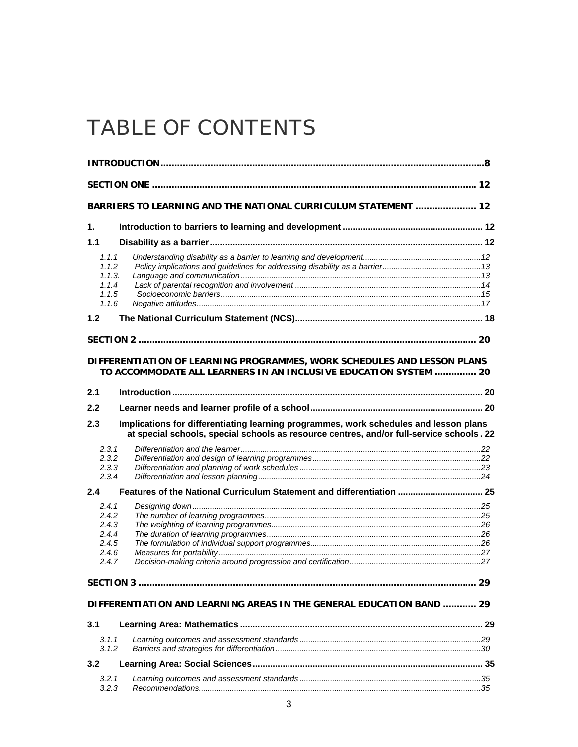# TABLE OF CONTENTS

|                | BARRIERS TO LEARNING AND THE NATIONAL CURRICULUM STATEMENT  12                           |  |
|----------------|------------------------------------------------------------------------------------------|--|
| 1.             |                                                                                          |  |
| 1.1            |                                                                                          |  |
| 1.1.1          |                                                                                          |  |
| 1.1.2          |                                                                                          |  |
| 1.1.3.         |                                                                                          |  |
| 1.1.4          |                                                                                          |  |
| 1.1.5          |                                                                                          |  |
| 1.1.6          |                                                                                          |  |
| 1.2            |                                                                                          |  |
|                |                                                                                          |  |
|                |                                                                                          |  |
|                | DIFFERENTIATION OF LEARNING PROGRAMMES, WORK SCHEDULES AND LESSON PLANS                  |  |
|                | TO ACCOMMODATE ALL LEARNERS IN AN INCLUSIVE EDUCATION SYSTEM  20                         |  |
| 2.1            |                                                                                          |  |
| 2.2            |                                                                                          |  |
|                |                                                                                          |  |
| 2.3            | Implications for differentiating learning programmes, work schedules and lesson plans    |  |
|                | at special schools, special schools as resource centres, and/or full-service schools. 22 |  |
| 2.3.1          |                                                                                          |  |
| 2.3.2          |                                                                                          |  |
| 2.3.3          |                                                                                          |  |
| 2.3.4          |                                                                                          |  |
| 2.4            | Features of the National Curriculum Statement and differentiation  25                    |  |
| 2.4.1          |                                                                                          |  |
| 2.4.2          |                                                                                          |  |
| 2.4.3          |                                                                                          |  |
| 2.4.4          |                                                                                          |  |
| 2.4.5<br>2.4.6 |                                                                                          |  |
| 2.4.7          |                                                                                          |  |
|                |                                                                                          |  |
|                |                                                                                          |  |
|                | DIFFERENTIATION AND LEARNING AREAS IN THE GENERAL EDUCATION BAND  29                     |  |
|                |                                                                                          |  |
| 3.1            |                                                                                          |  |
| 3.1.1          |                                                                                          |  |
| 3.1.2          |                                                                                          |  |
|                |                                                                                          |  |
| 3.2            |                                                                                          |  |
| 3.2.1<br>3.2.3 |                                                                                          |  |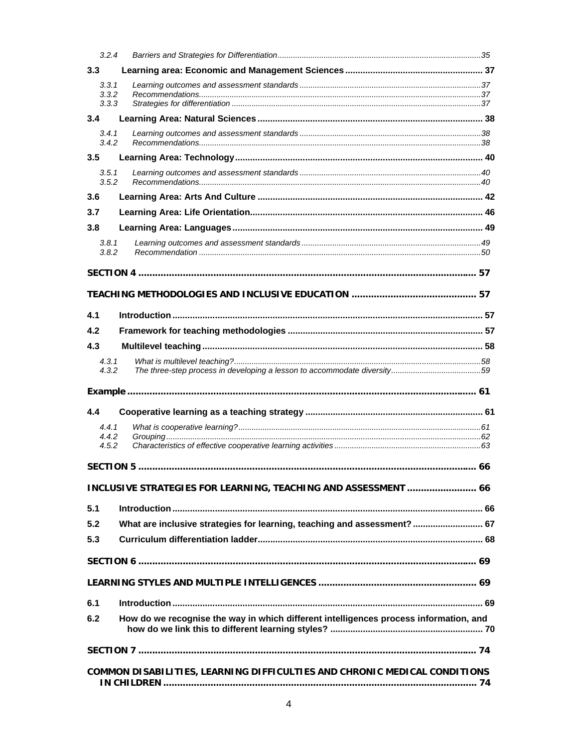| 3.2.4          |                                                                                       |  |
|----------------|---------------------------------------------------------------------------------------|--|
| 3.3            |                                                                                       |  |
| 3.3.1          |                                                                                       |  |
| 3.3.2<br>3.3.3 |                                                                                       |  |
| 3.4            |                                                                                       |  |
| 3.4.1          |                                                                                       |  |
| 3.4.2          |                                                                                       |  |
| 3.5            |                                                                                       |  |
| 3.5.1<br>3.5.2 |                                                                                       |  |
| 3.6            |                                                                                       |  |
| 3.7            |                                                                                       |  |
| 3.8            |                                                                                       |  |
| 3.8.1          |                                                                                       |  |
| 3.8.2          |                                                                                       |  |
|                |                                                                                       |  |
|                |                                                                                       |  |
|                |                                                                                       |  |
| 4.1            |                                                                                       |  |
| 4.2            |                                                                                       |  |
| 4.3            |                                                                                       |  |
| 4.3.1          |                                                                                       |  |
| 4.3.2          |                                                                                       |  |
|                |                                                                                       |  |
|                |                                                                                       |  |
| 4.4            |                                                                                       |  |
| 4.4.1          |                                                                                       |  |
| 4.4.2<br>4.5.2 |                                                                                       |  |
|                |                                                                                       |  |
|                |                                                                                       |  |
|                | INCLUSIVE STRATEGIES FOR LEARNING, TEACHING AND ASSESSMENT  66                        |  |
| 5.1            |                                                                                       |  |
| 5.2            | What are inclusive strategies for learning, teaching and assessment?  67              |  |
|                |                                                                                       |  |
| 5.3            |                                                                                       |  |
|                |                                                                                       |  |
|                |                                                                                       |  |
|                |                                                                                       |  |
| 6.1            |                                                                                       |  |
| 6.2            | How do we recognise the way in which different intelligences process information, and |  |
|                |                                                                                       |  |
|                |                                                                                       |  |
|                |                                                                                       |  |
|                | COMMON DISABILITIES, LEARNING DIFFICULTIES AND CHRONIC MEDICAL CONDITIONS             |  |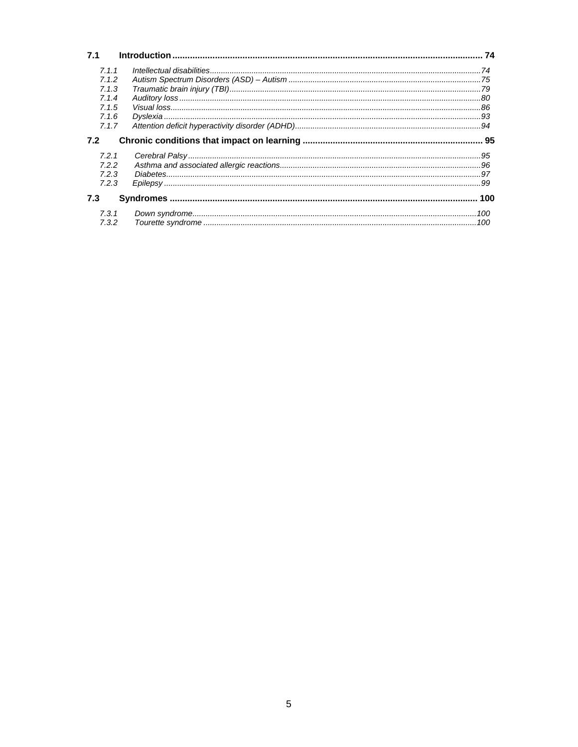| 7.1   |  |
|-------|--|
| 7.1.1 |  |
| 7.1.2 |  |
| 7.1.3 |  |
| 7.1.4 |  |
| 7.1.5 |  |
| 7.16  |  |
| 7.1.7 |  |
| 7.2   |  |
|       |  |
| 7.2.1 |  |
| 7.2.2 |  |
| 7.2.3 |  |
| 7.2.3 |  |
| 7.3   |  |
| 7.3.1 |  |
| 7.3.2 |  |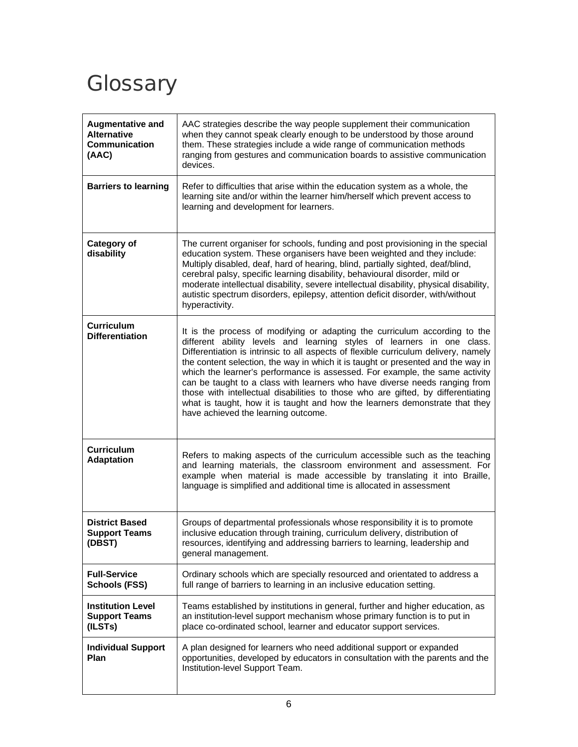# **Glossary**

| Augmentative and<br><b>Alternative</b><br><b>Communication</b><br>(AAC) | AAC strategies describe the way people supplement their communication<br>when they cannot speak clearly enough to be understood by those around<br>them. These strategies include a wide range of communication methods<br>ranging from gestures and communication boards to assistive communication<br>devices.                                                                                                                                                                                                                                                                                                                                                                                       |
|-------------------------------------------------------------------------|--------------------------------------------------------------------------------------------------------------------------------------------------------------------------------------------------------------------------------------------------------------------------------------------------------------------------------------------------------------------------------------------------------------------------------------------------------------------------------------------------------------------------------------------------------------------------------------------------------------------------------------------------------------------------------------------------------|
| <b>Barriers to learning</b>                                             | Refer to difficulties that arise within the education system as a whole, the<br>learning site and/or within the learner him/herself which prevent access to<br>learning and development for learners.                                                                                                                                                                                                                                                                                                                                                                                                                                                                                                  |
| <b>Category of</b><br>disability                                        | The current organiser for schools, funding and post provisioning in the special<br>education system. These organisers have been weighted and they include:<br>Multiply disabled, deaf, hard of hearing, blind, partially sighted, deaf/blind,<br>cerebral palsy, specific learning disability, behavioural disorder, mild or<br>moderate intellectual disability, severe intellectual disability, physical disability,<br>autistic spectrum disorders, epilepsy, attention deficit disorder, with/without<br>hyperactivity.                                                                                                                                                                            |
| Curriculum<br><b>Differentiation</b>                                    | It is the process of modifying or adapting the curriculum according to the<br>different ability levels and learning styles of learners in one class.<br>Differentiation is intrinsic to all aspects of flexible curriculum delivery, namely<br>the content selection, the way in which it is taught or presented and the way in<br>which the learner's performance is assessed. For example, the same activity<br>can be taught to a class with learners who have diverse needs ranging from<br>those with intellectual disabilities to those who are gifted, by differentiating<br>what is taught, how it is taught and how the learners demonstrate that they<br>have achieved the learning outcome. |
| <b>Curriculum</b><br><b>Adaptation</b>                                  | Refers to making aspects of the curriculum accessible such as the teaching<br>and learning materials, the classroom environment and assessment. For<br>example when material is made accessible by translating it into Braille,<br>language is simplified and additional time is allocated in assessment                                                                                                                                                                                                                                                                                                                                                                                               |
| <b>District Based</b><br><b>Support Teams</b><br>(DBST)                 | Groups of departmental professionals whose responsibility it is to promote<br>inclusive education through training, curriculum delivery, distribution of<br>resources, identifying and addressing barriers to learning, leadership and<br>general management.                                                                                                                                                                                                                                                                                                                                                                                                                                          |
| <b>Full-Service</b><br><b>Schools (FSS)</b>                             | Ordinary schools which are specially resourced and orientated to address a<br>full range of barriers to learning in an inclusive education setting.                                                                                                                                                                                                                                                                                                                                                                                                                                                                                                                                                    |
| <b>Institution Level</b><br><b>Support Teams</b><br>(ILSTs)             | Teams established by institutions in general, further and higher education, as<br>an institution-level support mechanism whose primary function is to put in<br>place co-ordinated school, learner and educator support services.                                                                                                                                                                                                                                                                                                                                                                                                                                                                      |
| <b>Individual Support</b><br><b>Plan</b>                                | A plan designed for learners who need additional support or expanded<br>opportunities, developed by educators in consultation with the parents and the<br>Institution-level Support Team.                                                                                                                                                                                                                                                                                                                                                                                                                                                                                                              |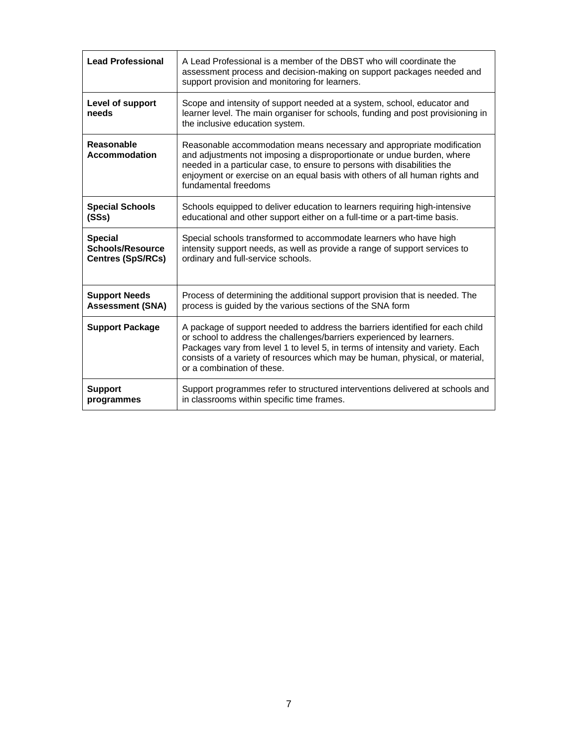| <b>Lead Professional</b>    | A Lead Professional is a member of the DBST who will coordinate the<br>assessment process and decision-making on support packages needed and<br>support provision and monitoring for learners.                                                                                                                                                          |
|-----------------------------|---------------------------------------------------------------------------------------------------------------------------------------------------------------------------------------------------------------------------------------------------------------------------------------------------------------------------------------------------------|
| Level of support<br>needs   | Scope and intensity of support needed at a system, school, educator and<br>learner level. The main organiser for schools, funding and post provisioning in<br>the inclusive education system.                                                                                                                                                           |
| Reasonable<br>Accommodation | Reasonable accommodation means necessary and appropriate modification<br>and adjustments not imposing a disproportionate or undue burden, where<br>needed in a particular case, to ensure to persons with disabilities the<br>enjoyment or exercise on an equal basis with others of all human rights and<br>fundamental freedoms                       |
| <b>Special Schools</b>      | Schools equipped to deliver education to learners requiring high-intensive                                                                                                                                                                                                                                                                              |
| (SSs)                       | educational and other support either on a full-time or a part-time basis.                                                                                                                                                                                                                                                                               |
| <b>Special</b>              | Special schools transformed to accommodate learners who have high                                                                                                                                                                                                                                                                                       |
| <b>Schools/Resource</b>     | intensity support needs, as well as provide a range of support services to                                                                                                                                                                                                                                                                              |
| <b>Centres (SpS/RCs)</b>    | ordinary and full-service schools.                                                                                                                                                                                                                                                                                                                      |
| <b>Support Needs</b>        | Process of determining the additional support provision that is needed. The                                                                                                                                                                                                                                                                             |
| <b>Assessment (SNA)</b>     | process is guided by the various sections of the SNA form                                                                                                                                                                                                                                                                                               |
| <b>Support Package</b>      | A package of support needed to address the barriers identified for each child<br>or school to address the challenges/barriers experienced by learners.<br>Packages vary from level 1 to level 5, in terms of intensity and variety. Each<br>consists of a variety of resources which may be human, physical, or material,<br>or a combination of these. |
| <b>Support</b>              | Support programmes refer to structured interventions delivered at schools and                                                                                                                                                                                                                                                                           |
| programmes                  | in classrooms within specific time frames.                                                                                                                                                                                                                                                                                                              |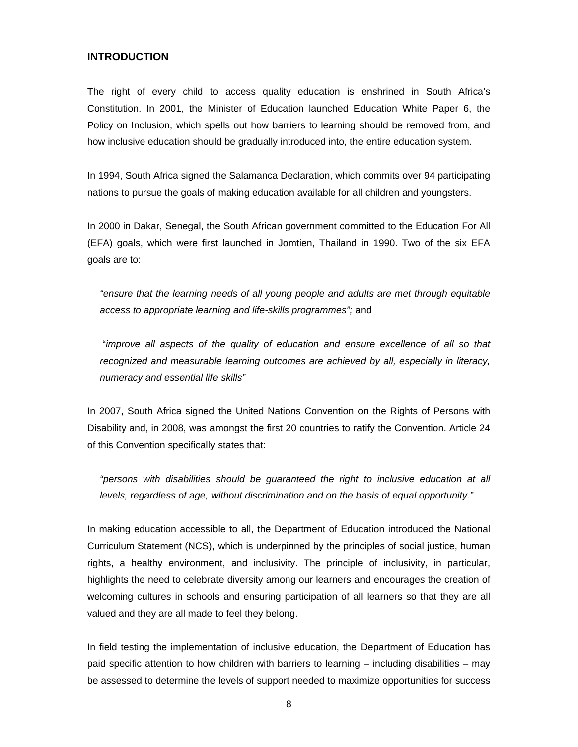#### **INTRODUCTION**

The right of every child to access quality education is enshrined in South Africa's Constitution. In 2001, the Minister of Education launched Education White Paper 6, the Policy on Inclusion, which spells out how barriers to learning should be removed from, and how inclusive education should be gradually introduced into, the entire education system.

In 1994, South Africa signed the Salamanca Declaration, which commits over 94 participating nations to pursue the goals of making education available for all children and youngsters.

In 2000 in Dakar, Senegal, the South African government committed to the Education For All (EFA) goals, which were first launched in Jomtien, Thailand in 1990. Two of the six EFA goals are to:

*"ensure that the learning needs of all young people and adults are met through equitable access to appropriate learning and life-skills programmes";* and

"*improve all aspects of the quality of education and ensure excellence of all so that recognized and measurable learning outcomes are achieved by all, especially in literacy, numeracy and essential life skills"* 

In 2007, South Africa signed the United Nations Convention on the Rights of Persons with Disability and, in 2008, was amongst the first 20 countries to ratify the Convention. Article 24 of this Convention specifically states that:

*"persons with disabilities should be guaranteed the right to inclusive education at all levels, regardless of age, without discrimination and on the basis of equal opportunity."*

In making education accessible to all, the Department of Education introduced the National Curriculum Statement (NCS), which is underpinned by the principles of social justice, human rights, a healthy environment, and inclusivity. The principle of inclusivity, in particular, highlights the need to celebrate diversity among our learners and encourages the creation of welcoming cultures in schools and ensuring participation of all learners so that they are all valued and they are all made to feel they belong.

In field testing the implementation of inclusive education, the Department of Education has paid specific attention to how children with barriers to learning – including disabilities – may be assessed to determine the levels of support needed to maximize opportunities for success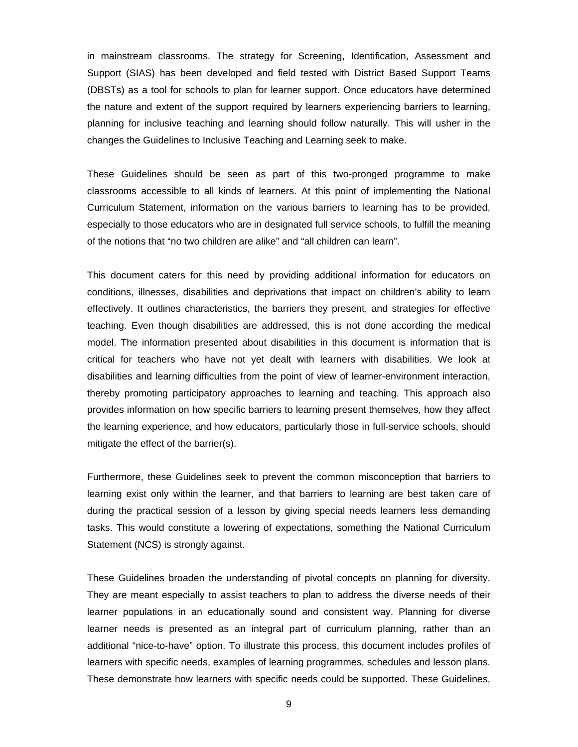in mainstream classrooms. The strategy for Screening, Identification, Assessment and Support (SIAS) has been developed and field tested with District Based Support Teams (DBSTs) as a tool for schools to plan for learner support. Once educators have determined the nature and extent of the support required by learners experiencing barriers to learning, planning for inclusive teaching and learning should follow naturally. This will usher in the changes the Guidelines to Inclusive Teaching and Learning seek to make.

These Guidelines should be seen as part of this two-pronged programme to make classrooms accessible to all kinds of learners. At this point of implementing the National Curriculum Statement, information on the various barriers to learning has to be provided, especially to those educators who are in designated full service schools, to fulfill the meaning of the notions that "no two children are alike" and "all children can learn".

This document caters for this need by providing additional information for educators on conditions, illnesses, disabilities and deprivations that impact on children's ability to learn effectively. It outlines characteristics, the barriers they present, and strategies for effective teaching. Even though disabilities are addressed, this is not done according the medical model. The information presented about disabilities in this document is information that is critical for teachers who have not yet dealt with learners with disabilities. We look at disabilities and learning difficulties from the point of view of learner-environment interaction, thereby promoting participatory approaches to learning and teaching. This approach also provides information on how specific barriers to learning present themselves, how they affect the learning experience, and how educators, particularly those in full-service schools, should mitigate the effect of the barrier(s).

Furthermore, these Guidelines seek to prevent the common misconception that barriers to learning exist only within the learner, and that barriers to learning are best taken care of during the practical session of a lesson by giving special needs learners less demanding tasks. This would constitute a lowering of expectations, something the National Curriculum Statement (NCS) is strongly against.

These Guidelines broaden the understanding of pivotal concepts on planning for diversity. They are meant especially to assist teachers to plan to address the diverse needs of their learner populations in an educationally sound and consistent way. Planning for diverse learner needs is presented as an integral part of curriculum planning, rather than an additional "nice-to-have" option. To illustrate this process, this document includes profiles of learners with specific needs, examples of learning programmes, schedules and lesson plans. These demonstrate how learners with specific needs could be supported. These Guidelines,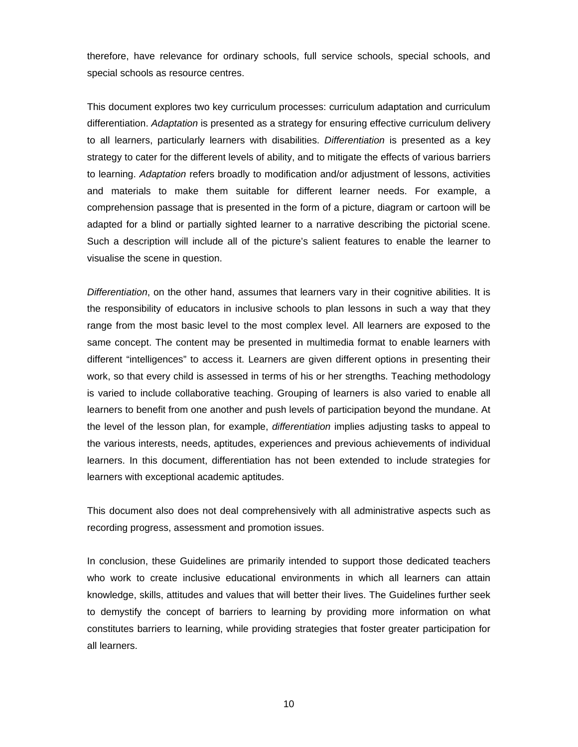therefore, have relevance for ordinary schools, full service schools, special schools, and special schools as resource centres.

This document explores two key curriculum processes: curriculum adaptation and curriculum differentiation. *Adaptation* is presented as a strategy for ensuring effective curriculum delivery to all learners, particularly learners with disabilities. *Differentiation* is presented as a key strategy to cater for the different levels of ability, and to mitigate the effects of various barriers to learning. *Adaptation* refers broadly to modification and/or adjustment of lessons, activities and materials to make them suitable for different learner needs. For example, a comprehension passage that is presented in the form of a picture, diagram or cartoon will be adapted for a blind or partially sighted learner to a narrative describing the pictorial scene. Such a description will include all of the picture's salient features to enable the learner to visualise the scene in question.

*Differentiation*, on the other hand, assumes that learners vary in their cognitive abilities. It is the responsibility of educators in inclusive schools to plan lessons in such a way that they range from the most basic level to the most complex level. All learners are exposed to the same concept. The content may be presented in multimedia format to enable learners with different "intelligences" to access it. Learners are given different options in presenting their work, so that every child is assessed in terms of his or her strengths. Teaching methodology is varied to include collaborative teaching. Grouping of learners is also varied to enable all learners to benefit from one another and push levels of participation beyond the mundane. At the level of the lesson plan, for example, *differentiation* implies adjusting tasks to appeal to the various interests, needs, aptitudes, experiences and previous achievements of individual learners. In this document, differentiation has not been extended to include strategies for learners with exceptional academic aptitudes.

This document also does not deal comprehensively with all administrative aspects such as recording progress, assessment and promotion issues.

In conclusion, these Guidelines are primarily intended to support those dedicated teachers who work to create inclusive educational environments in which all learners can attain knowledge, skills, attitudes and values that will better their lives. The Guidelines further seek to demystify the concept of barriers to learning by providing more information on what constitutes barriers to learning, while providing strategies that foster greater participation for all learners.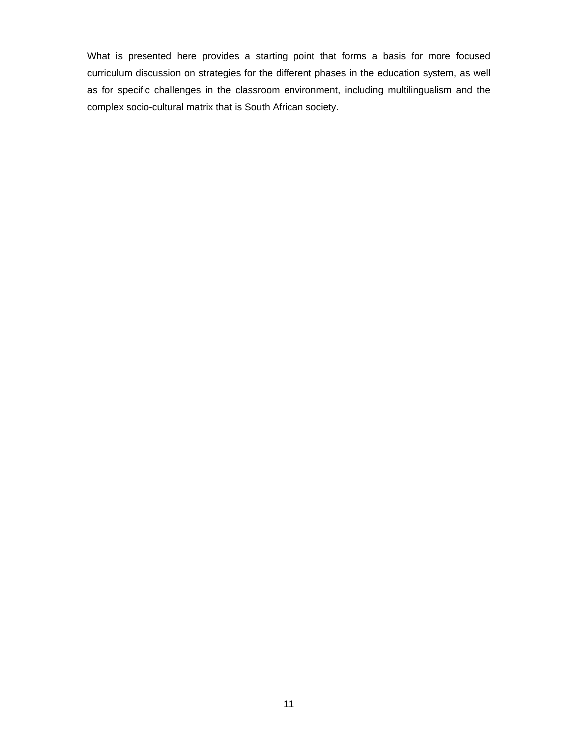What is presented here provides a starting point that forms a basis for more focused curriculum discussion on strategies for the different phases in the education system, as well as for specific challenges in the classroom environment, including multilingualism and the complex socio-cultural matrix that is South African society.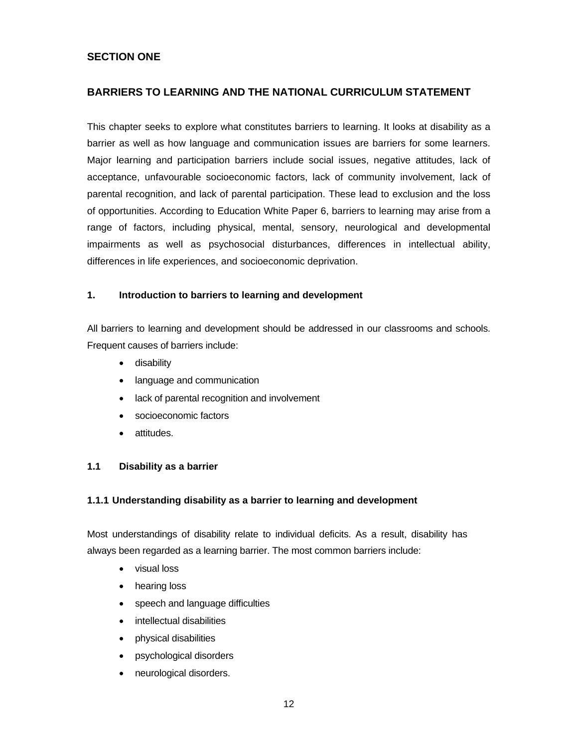#### **SECTION ONE**

#### **BARRIERS TO LEARNING AND THE NATIONAL CURRICULUM STATEMENT**

This chapter seeks to explore what constitutes barriers to learning. It looks at disability as a barrier as well as how language and communication issues are barriers for some learners. Major learning and participation barriers include social issues, negative attitudes, lack of acceptance, unfavourable socioeconomic factors, lack of community involvement, lack of parental recognition, and lack of parental participation. These lead to exclusion and the loss of opportunities. According to Education White Paper 6, barriers to learning may arise from a range of factors, including physical, mental, sensory, neurological and developmental impairments as well as psychosocial disturbances, differences in intellectual ability, differences in life experiences, and socioeconomic deprivation.

#### **1. Introduction to barriers to learning and development**

All barriers to learning and development should be addressed in our classrooms and schools. Frequent causes of barriers include:

- disability
- language and communication
- lack of parental recognition and involvement
- socioeconomic factors
- attitudes.

#### **1.1 Disability as a barrier**

#### **1.1.1 Understanding disability as a barrier to learning and development**

Most understandings of disability relate to individual deficits. As a result, disability has always been regarded as a learning barrier. The most common barriers include:

- visual loss
- hearing loss
- speech and language difficulties
- intellectual disabilities
- physical disabilities
- psychological disorders
- neurological disorders.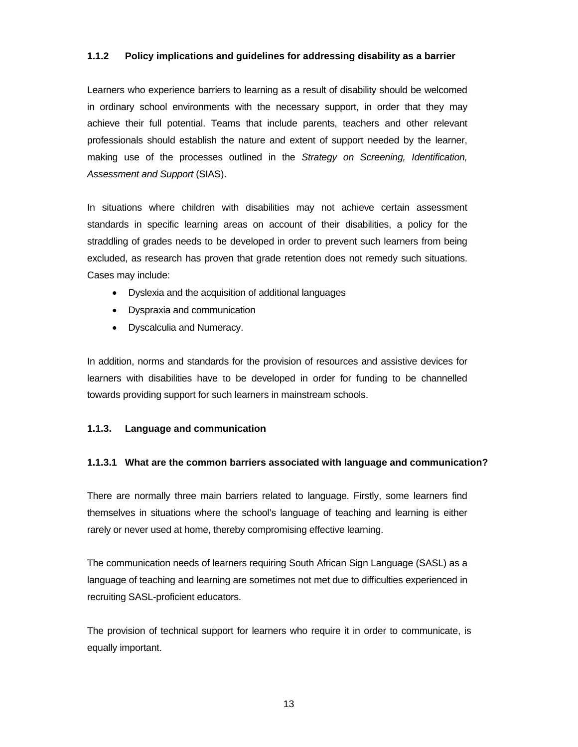#### **1.1.2 Policy implications and guidelines for addressing disability as a barrier**

Learners who experience barriers to learning as a result of disability should be welcomed in ordinary school environments with the necessary support, in order that they may achieve their full potential. Teams that include parents, teachers and other relevant professionals should establish the nature and extent of support needed by the learner, making use of the processes outlined in the *Strategy on Screening, Identification, Assessment and Support* (SIAS).

In situations where children with disabilities may not achieve certain assessment standards in specific learning areas on account of their disabilities, a policy for the straddling of grades needs to be developed in order to prevent such learners from being excluded, as research has proven that grade retention does not remedy such situations. Cases may include:

- Dyslexia and the acquisition of additional languages
- Dyspraxia and communication
- Dyscalculia and Numeracy.

In addition, norms and standards for the provision of resources and assistive devices for learners with disabilities have to be developed in order for funding to be channelled towards providing support for such learners in mainstream schools.

#### **1.1.3. Language and communication**

#### **1.1.3.1 What are the common barriers associated with language and communication?**

There are normally three main barriers related to language. Firstly, some learners find themselves in situations where the school's language of teaching and learning is either rarely or never used at home, thereby compromising effective learning.

The communication needs of learners requiring South African Sign Language (SASL) as a language of teaching and learning are sometimes not met due to difficulties experienced in recruiting SASL-proficient educators.

The provision of technical support for learners who require it in order to communicate, is equally important.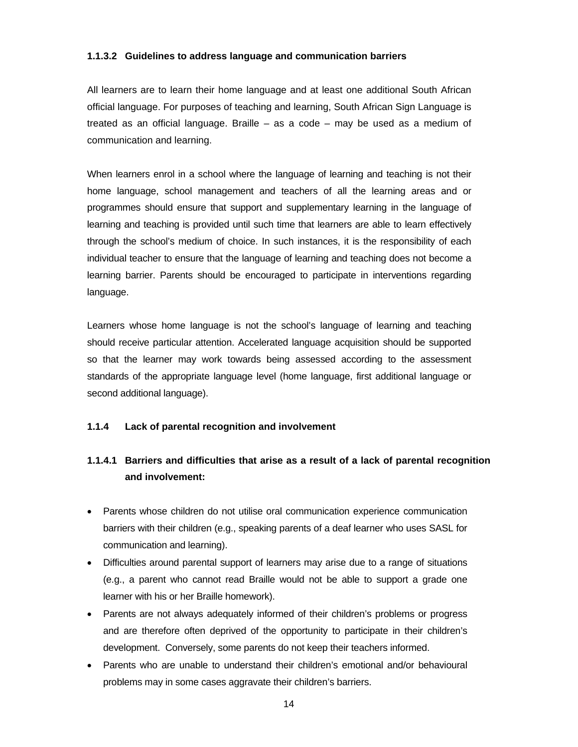#### **1.1.3.2 Guidelines to address language and communication barriers**

All learners are to learn their home language and at least one additional South African official language. For purposes of teaching and learning, South African Sign Language is treated as an official language. Braille – as a code – may be used as a medium of communication and learning.

When learners enrol in a school where the language of learning and teaching is not their home language, school management and teachers of all the learning areas and or programmes should ensure that support and supplementary learning in the language of learning and teaching is provided until such time that learners are able to learn effectively through the school's medium of choice. In such instances, it is the responsibility of each individual teacher to ensure that the language of learning and teaching does not become a learning barrier. Parents should be encouraged to participate in interventions regarding language.

Learners whose home language is not the school's language of learning and teaching should receive particular attention. Accelerated language acquisition should be supported so that the learner may work towards being assessed according to the assessment standards of the appropriate language level (home language, first additional language or second additional language).

#### **1.1.4 Lack of parental recognition and involvement**

### **1.1.4.1 Barriers and difficulties that arise as a result of a lack of parental recognition and involvement:**

- Parents whose children do not utilise oral communication experience communication barriers with their children (e.g., speaking parents of a deaf learner who uses SASL for communication and learning).
- Difficulties around parental support of learners may arise due to a range of situations (e.g., a parent who cannot read Braille would not be able to support a grade one learner with his or her Braille homework).
- Parents are not always adequately informed of their children's problems or progress and are therefore often deprived of the opportunity to participate in their children's development. Conversely, some parents do not keep their teachers informed.
- Parents who are unable to understand their children's emotional and/or behavioural problems may in some cases aggravate their children's barriers.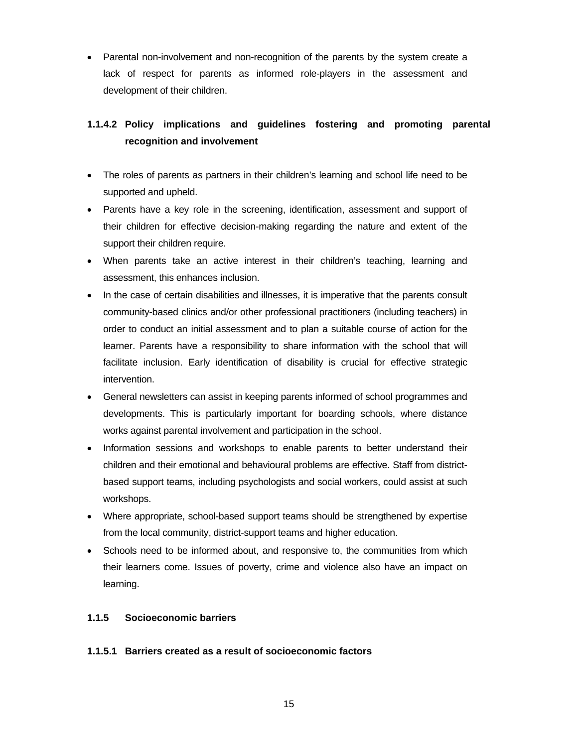• Parental non-involvement and non-recognition of the parents by the system create a lack of respect for parents as informed role-players in the assessment and development of their children.

### **1.1.4.2 Policy implications and guidelines fostering and promoting parental recognition and involvement**

- The roles of parents as partners in their children's learning and school life need to be supported and upheld.
- Parents have a key role in the screening, identification, assessment and support of their children for effective decision-making regarding the nature and extent of the support their children require.
- When parents take an active interest in their children's teaching, learning and assessment, this enhances inclusion.
- In the case of certain disabilities and illnesses, it is imperative that the parents consult community-based clinics and/or other professional practitioners (including teachers) in order to conduct an initial assessment and to plan a suitable course of action for the learner. Parents have a responsibility to share information with the school that will facilitate inclusion. Early identification of disability is crucial for effective strategic intervention.
- General newsletters can assist in keeping parents informed of school programmes and developments. This is particularly important for boarding schools, where distance works against parental involvement and participation in the school.
- Information sessions and workshops to enable parents to better understand their children and their emotional and behavioural problems are effective. Staff from districtbased support teams, including psychologists and social workers, could assist at such workshops.
- Where appropriate, school-based support teams should be strengthened by expertise from the local community, district-support teams and higher education.
- Schools need to be informed about, and responsive to, the communities from which their learners come. Issues of poverty, crime and violence also have an impact on learning.

#### **1.1.5 Socioeconomic barriers**

#### **1.1.5.1 Barriers created as a result of socioeconomic factors**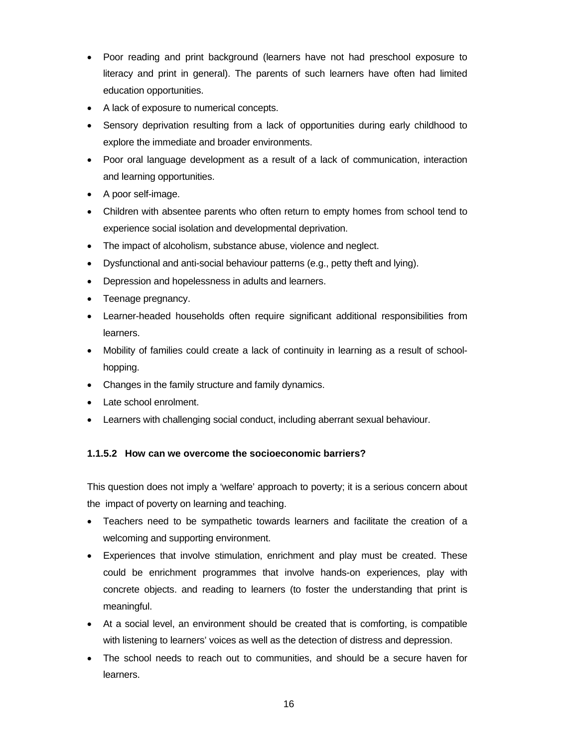- Poor reading and print background (learners have not had preschool exposure to literacy and print in general). The parents of such learners have often had limited education opportunities.
- A lack of exposure to numerical concepts.
- Sensory deprivation resulting from a lack of opportunities during early childhood to explore the immediate and broader environments.
- Poor oral language development as a result of a lack of communication, interaction and learning opportunities.
- A poor self-image.
- Children with absentee parents who often return to empty homes from school tend to experience social isolation and developmental deprivation.
- The impact of alcoholism, substance abuse, violence and neglect.
- Dysfunctional and anti-social behaviour patterns (e.g., petty theft and lying).
- Depression and hopelessness in adults and learners.
- Teenage pregnancy.
- Learner-headed households often require significant additional responsibilities from learners.
- Mobility of families could create a lack of continuity in learning as a result of schoolhopping.
- Changes in the family structure and family dynamics.
- Late school enrolment.
- Learners with challenging social conduct, including aberrant sexual behaviour.

#### **1.1.5.2 How can we overcome the socioeconomic barriers?**

This question does not imply a 'welfare' approach to poverty; it is a serious concern about the impact of poverty on learning and teaching.

- Teachers need to be sympathetic towards learners and facilitate the creation of a welcoming and supporting environment.
- Experiences that involve stimulation, enrichment and play must be created. These could be enrichment programmes that involve hands-on experiences, play with concrete objects. and reading to learners (to foster the understanding that print is meaningful.
- At a social level, an environment should be created that is comforting, is compatible with listening to learners' voices as well as the detection of distress and depression.
- The school needs to reach out to communities, and should be a secure haven for learners.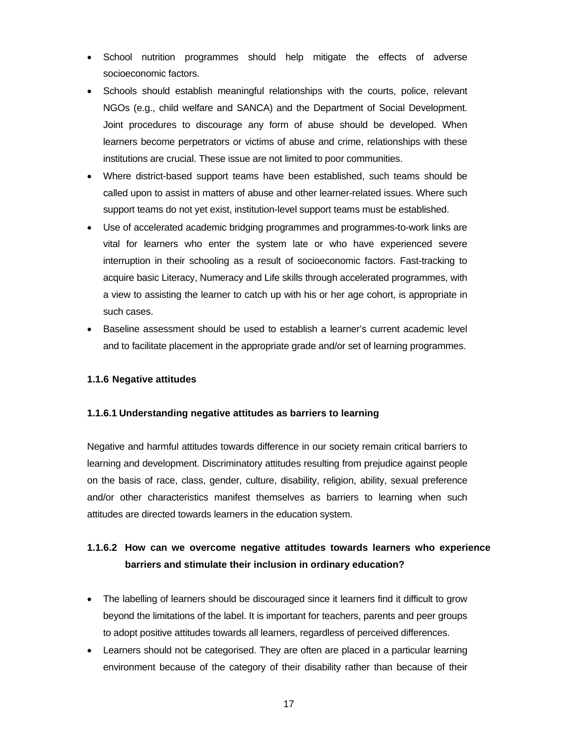- School nutrition programmes should help mitigate the effects of adverse socioeconomic factors.
- Schools should establish meaningful relationships with the courts, police, relevant NGOs (e.g., child welfare and SANCA) and the Department of Social Development. Joint procedures to discourage any form of abuse should be developed. When learners become perpetrators or victims of abuse and crime, relationships with these institutions are crucial. These issue are not limited to poor communities.
- Where district-based support teams have been established, such teams should be called upon to assist in matters of abuse and other learner-related issues. Where such support teams do not yet exist, institution-level support teams must be established.
- Use of accelerated academic bridging programmes and programmes-to-work links are vital for learners who enter the system late or who have experienced severe interruption in their schooling as a result of socioeconomic factors. Fast-tracking to acquire basic Literacy, Numeracy and Life skills through accelerated programmes, with a view to assisting the learner to catch up with his or her age cohort, is appropriate in such cases.
- Baseline assessment should be used to establish a learner's current academic level and to facilitate placement in the appropriate grade and/or set of learning programmes.

#### **1.1.6 Negative attitudes**

#### **1.1.6.1 Understanding negative attitudes as barriers to learning**

Negative and harmful attitudes towards difference in our society remain critical barriers to learning and development. Discriminatory attitudes resulting from prejudice against people on the basis of race, class, gender, culture, disability, religion, ability, sexual preference and/or other characteristics manifest themselves as barriers to learning when such attitudes are directed towards learners in the education system.

### **1.1.6.2 How can we overcome negative attitudes towards learners who experience barriers and stimulate their inclusion in ordinary education?**

- The labelling of learners should be discouraged since it learners find it difficult to grow beyond the limitations of the label. It is important for teachers, parents and peer groups to adopt positive attitudes towards all learners, regardless of perceived differences.
- Learners should not be categorised. They are often are placed in a particular learning environment because of the category of their disability rather than because of their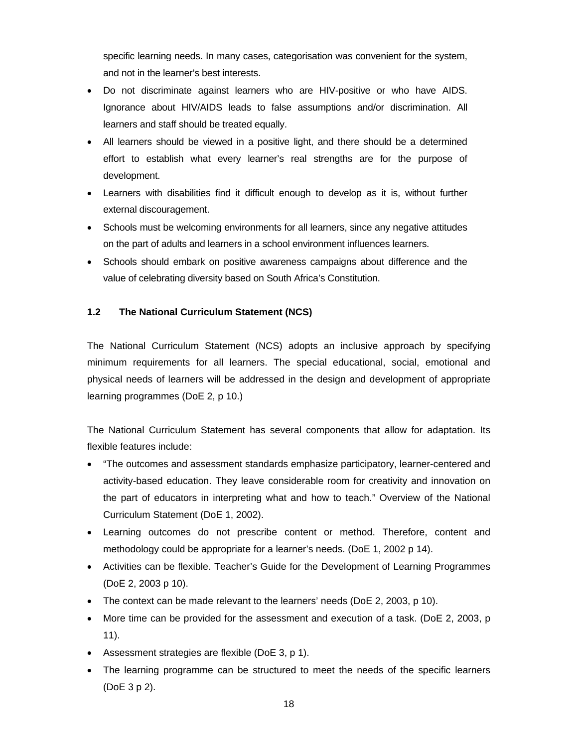specific learning needs. In many cases, categorisation was convenient for the system, and not in the learner's best interests.

- Do not discriminate against learners who are HIV-positive or who have AIDS. Ignorance about HIV/AIDS leads to false assumptions and/or discrimination. All learners and staff should be treated equally.
- All learners should be viewed in a positive light, and there should be a determined effort to establish what every learner's real strengths are for the purpose of development.
- Learners with disabilities find it difficult enough to develop as it is, without further external discouragement.
- Schools must be welcoming environments for all learners, since any negative attitudes on the part of adults and learners in a school environment influences learners.
- Schools should embark on positive awareness campaigns about difference and the value of celebrating diversity based on South Africa's Constitution.

#### **1.2 The National Curriculum Statement (NCS)**

The National Curriculum Statement (NCS) adopts an inclusive approach by specifying minimum requirements for all learners. The special educational, social, emotional and physical needs of learners will be addressed in the design and development of appropriate learning programmes (DoE 2, p 10.)

The National Curriculum Statement has several components that allow for adaptation. Its flexible features include:

- "The outcomes and assessment standards emphasize participatory, learner-centered and activity-based education. They leave considerable room for creativity and innovation on the part of educators in interpreting what and how to teach." Overview of the National Curriculum Statement (DoE 1, 2002).
- Learning outcomes do not prescribe content or method. Therefore, content and methodology could be appropriate for a learner's needs. (DoE 1, 2002 p 14).
- Activities can be flexible. Teacher's Guide for the Development of Learning Programmes (DoE 2, 2003 p 10).
- The context can be made relevant to the learners' needs (DoE 2, 2003, p 10).
- More time can be provided for the assessment and execution of a task. (DoE 2, 2003, p 11).
- Assessment strategies are flexible (DoE 3, p 1).
- The learning programme can be structured to meet the needs of the specific learners (DoE 3 p 2).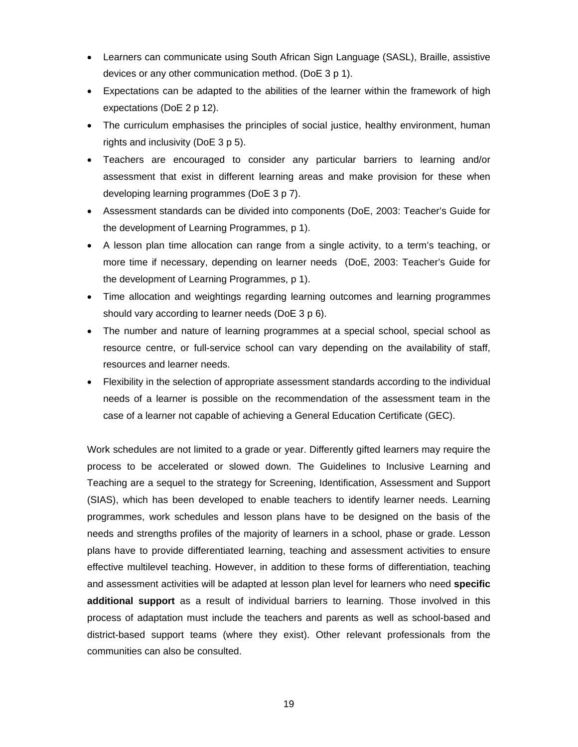- Learners can communicate using South African Sign Language (SASL), Braille, assistive devices or any other communication method. (DoE 3 p 1).
- Expectations can be adapted to the abilities of the learner within the framework of high expectations (DoE 2 p 12).
- The curriculum emphasises the principles of social justice, healthy environment, human rights and inclusivity (DoE 3 p 5).
- Teachers are encouraged to consider any particular barriers to learning and/or assessment that exist in different learning areas and make provision for these when developing learning programmes (DoE 3 p 7).
- Assessment standards can be divided into components (DoE, 2003: Teacher's Guide for the development of Learning Programmes, p 1).
- A lesson plan time allocation can range from a single activity, to a term's teaching, or more time if necessary, depending on learner needs (DoE, 2003: Teacher's Guide for the development of Learning Programmes, p 1).
- Time allocation and weightings regarding learning outcomes and learning programmes should vary according to learner needs (DoE 3 p 6).
- The number and nature of learning programmes at a special school, special school as resource centre, or full-service school can vary depending on the availability of staff, resources and learner needs.
- Flexibility in the selection of appropriate assessment standards according to the individual needs of a learner is possible on the recommendation of the assessment team in the case of a learner not capable of achieving a General Education Certificate (GEC).

Work schedules are not limited to a grade or year. Differently gifted learners may require the process to be accelerated or slowed down. The Guidelines to Inclusive Learning and Teaching are a sequel to the strategy for Screening, Identification, Assessment and Support (SIAS), which has been developed to enable teachers to identify learner needs. Learning programmes, work schedules and lesson plans have to be designed on the basis of the needs and strengths profiles of the majority of learners in a school, phase or grade. Lesson plans have to provide differentiated learning, teaching and assessment activities to ensure effective multilevel teaching. However, in addition to these forms of differentiation, teaching and assessment activities will be adapted at lesson plan level for learners who need **specific additional support** as a result of individual barriers to learning. Those involved in this process of adaptation must include the teachers and parents as well as school-based and district-based support teams (where they exist). Other relevant professionals from the communities can also be consulted.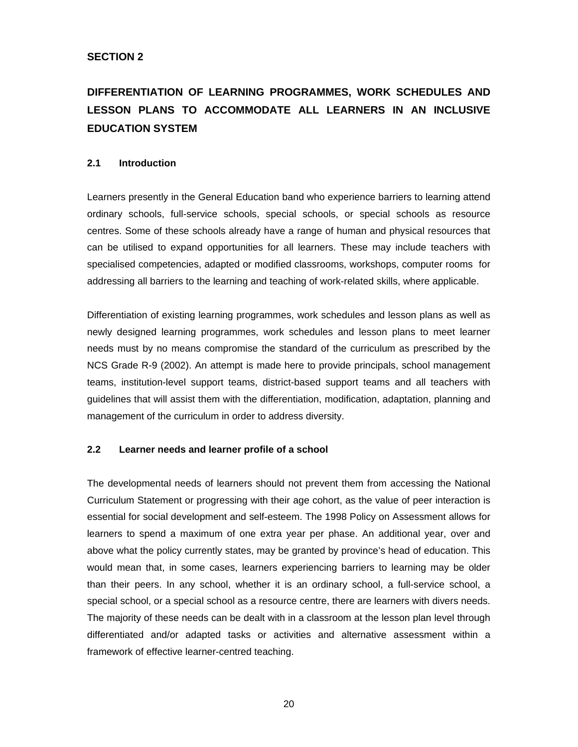## **DIFFERENTIATION OF LEARNING PROGRAMMES, WORK SCHEDULES AND LESSON PLANS TO ACCOMMODATE ALL LEARNERS IN AN INCLUSIVE EDUCATION SYSTEM**

#### **2.1 Introduction**

Learners presently in the General Education band who experience barriers to learning attend ordinary schools, full-service schools, special schools, or special schools as resource centres. Some of these schools already have a range of human and physical resources that can be utilised to expand opportunities for all learners. These may include teachers with specialised competencies, adapted or modified classrooms, workshops, computer rooms for addressing all barriers to the learning and teaching of work-related skills, where applicable.

Differentiation of existing learning programmes, work schedules and lesson plans as well as newly designed learning programmes, work schedules and lesson plans to meet learner needs must by no means compromise the standard of the curriculum as prescribed by the NCS Grade R-9 (2002). An attempt is made here to provide principals, school management teams, institution-level support teams, district-based support teams and all teachers with guidelines that will assist them with the differentiation, modification, adaptation, planning and management of the curriculum in order to address diversity.

#### **2.2 Learner needs and learner profile of a school**

The developmental needs of learners should not prevent them from accessing the National Curriculum Statement or progressing with their age cohort, as the value of peer interaction is essential for social development and self-esteem. The 1998 Policy on Assessment allows for learners to spend a maximum of one extra year per phase. An additional year, over and above what the policy currently states, may be granted by province's head of education. This would mean that, in some cases, learners experiencing barriers to learning may be older than their peers. In any school, whether it is an ordinary school, a full-service school, a special school, or a special school as a resource centre, there are learners with divers needs. The majority of these needs can be dealt with in a classroom at the lesson plan level through differentiated and/or adapted tasks or activities and alternative assessment within a framework of effective learner-centred teaching.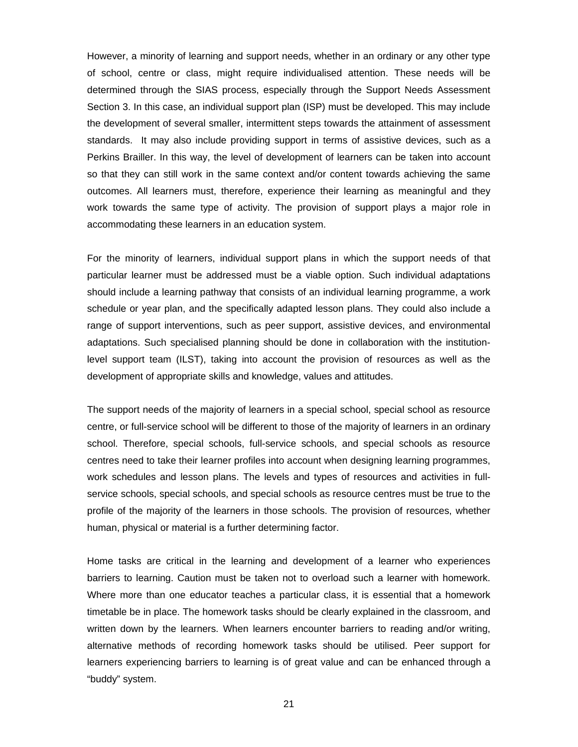However, a minority of learning and support needs, whether in an ordinary or any other type of school, centre or class, might require individualised attention. These needs will be determined through the SIAS process, especially through the Support Needs Assessment Section 3. In this case, an individual support plan (ISP) must be developed. This may include the development of several smaller, intermittent steps towards the attainment of assessment standards. It may also include providing support in terms of assistive devices, such as a Perkins Brailler. In this way, the level of development of learners can be taken into account so that they can still work in the same context and/or content towards achieving the same outcomes. All learners must, therefore, experience their learning as meaningful and they work towards the same type of activity. The provision of support plays a major role in accommodating these learners in an education system.

For the minority of learners, individual support plans in which the support needs of that particular learner must be addressed must be a viable option. Such individual adaptations should include a learning pathway that consists of an individual learning programme, a work schedule or year plan, and the specifically adapted lesson plans. They could also include a range of support interventions, such as peer support, assistive devices, and environmental adaptations. Such specialised planning should be done in collaboration with the institutionlevel support team (ILST), taking into account the provision of resources as well as the development of appropriate skills and knowledge, values and attitudes.

The support needs of the majority of learners in a special school, special school as resource centre, or full-service school will be different to those of the majority of learners in an ordinary school. Therefore, special schools, full-service schools, and special schools as resource centres need to take their learner profiles into account when designing learning programmes, work schedules and lesson plans. The levels and types of resources and activities in fullservice schools, special schools, and special schools as resource centres must be true to the profile of the majority of the learners in those schools. The provision of resources, whether human, physical or material is a further determining factor.

Home tasks are critical in the learning and development of a learner who experiences barriers to learning. Caution must be taken not to overload such a learner with homework. Where more than one educator teaches a particular class, it is essential that a homework timetable be in place. The homework tasks should be clearly explained in the classroom, and written down by the learners. When learners encounter barriers to reading and/or writing, alternative methods of recording homework tasks should be utilised. Peer support for learners experiencing barriers to learning is of great value and can be enhanced through a "buddy" system.

<u>21 and 21</u>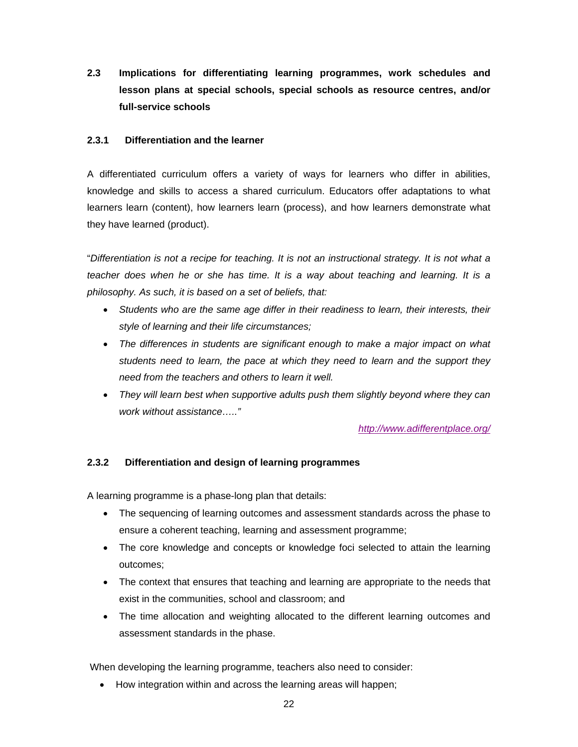**2.3 Implications for differentiating learning programmes, work schedules and lesson plans at special schools, special schools as resource centres, and/or full-service schools** 

#### **2.3.1 Differentiation and the learner**

A differentiated curriculum offers a variety of ways for learners who differ in abilities, knowledge and skills to access a shared curriculum. Educators offer adaptations to what learners learn (content), how learners learn (process), and how learners demonstrate what they have learned (product).

"*Differentiation is not a recipe for teaching. It is not an instructional strategy. It is not what a teacher does when he or she has time. It is a way about teaching and learning. It is a philosophy. As such, it is based on a set of beliefs, that:* 

- *Students who are the same age differ in their readiness to learn, their interests, their style of learning and their life circumstances;*
- *The differences in students are significant enough to make a major impact on what students need to learn, the pace at which they need to learn and the support they need from the teachers and others to learn it well.*
- *They will learn best when supportive adults push them slightly beyond where they can work without assistance….."*

*http://www.adifferentplace.org/*

#### **2.3.2 Differentiation and design of learning programmes**

A learning programme is a phase-long plan that details:

- The sequencing of learning outcomes and assessment standards across the phase to ensure a coherent teaching, learning and assessment programme;
- The core knowledge and concepts or knowledge foci selected to attain the learning outcomes;
- The context that ensures that teaching and learning are appropriate to the needs that exist in the communities, school and classroom; and
- The time allocation and weighting allocated to the different learning outcomes and assessment standards in the phase.

When developing the learning programme, teachers also need to consider:

• How integration within and across the learning areas will happen;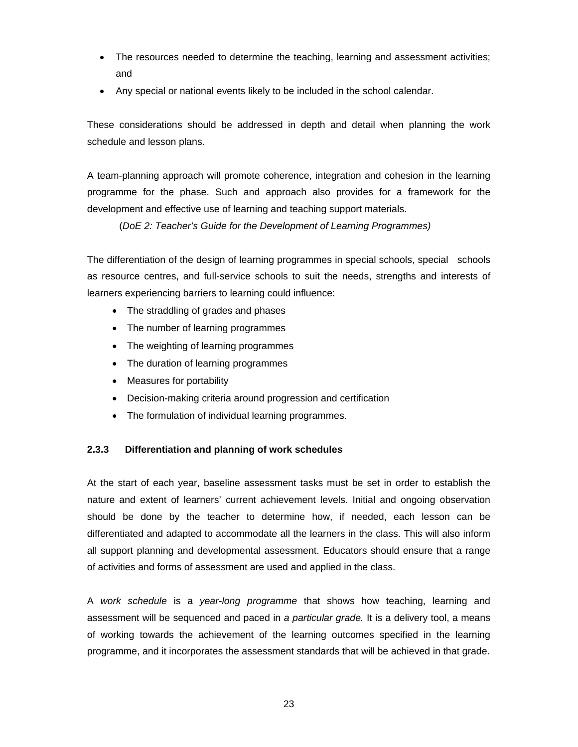- The resources needed to determine the teaching, learning and assessment activities; and
- Any special or national events likely to be included in the school calendar.

These considerations should be addressed in depth and detail when planning the work schedule and lesson plans.

A team-planning approach will promote coherence, integration and cohesion in the learning programme for the phase. Such and approach also provides for a framework for the development and effective use of learning and teaching support materials.

(*DoE 2: Teacher's Guide for the Development of Learning Programmes)*

The differentiation of the design of learning programmes in special schools, special schools as resource centres, and full-service schools to suit the needs, strengths and interests of learners experiencing barriers to learning could influence:

- The straddling of grades and phases
- The number of learning programmes
- The weighting of learning programmes
- The duration of learning programmes
- Measures for portability
- Decision-making criteria around progression and certification
- The formulation of individual learning programmes.

#### **2.3.3 Differentiation and planning of work schedules**

At the start of each year, baseline assessment tasks must be set in order to establish the nature and extent of learners' current achievement levels. Initial and ongoing observation should be done by the teacher to determine how, if needed, each lesson can be differentiated and adapted to accommodate all the learners in the class. This will also inform all support planning and developmental assessment. Educators should ensure that a range of activities and forms of assessment are used and applied in the class.

A *work schedule* is a *year-long programme* that shows how teaching, learning and assessment will be sequenced and paced in *a particular grade.* It is a delivery tool, a means of working towards the achievement of the learning outcomes specified in the learning programme, and it incorporates the assessment standards that will be achieved in that grade.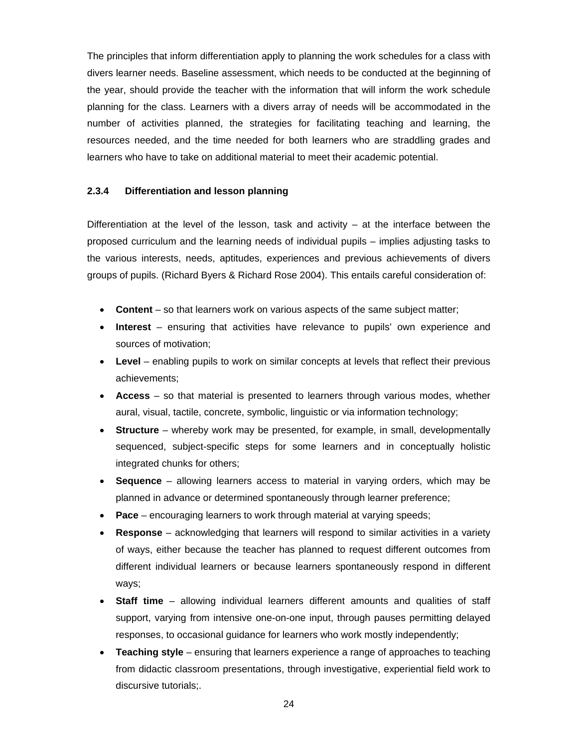The principles that inform differentiation apply to planning the work schedules for a class with divers learner needs. Baseline assessment, which needs to be conducted at the beginning of the year, should provide the teacher with the information that will inform the work schedule planning for the class. Learners with a divers array of needs will be accommodated in the number of activities planned, the strategies for facilitating teaching and learning, the resources needed, and the time needed for both learners who are straddling grades and learners who have to take on additional material to meet their academic potential.

#### **2.3.4 Differentiation and lesson planning**

Differentiation at the level of the lesson, task and activity – at the interface between the proposed curriculum and the learning needs of individual pupils – implies adjusting tasks to the various interests, needs, aptitudes, experiences and previous achievements of divers groups of pupils. (Richard Byers & Richard Rose 2004). This entails careful consideration of:

- **Content** so that learners work on various aspects of the same subject matter;
- **Interest** ensuring that activities have relevance to pupils' own experience and sources of motivation;
- **Level** enabling pupils to work on similar concepts at levels that reflect their previous achievements;
- **Access**  so that material is presented to learners through various modes, whether aural, visual, tactile, concrete, symbolic, linguistic or via information technology;
- **Structure**  whereby work may be presented, for example, in small, developmentally sequenced, subject-specific steps for some learners and in conceptually holistic integrated chunks for others;
- **Sequence**  allowing learners access to material in varying orders, which may be planned in advance or determined spontaneously through learner preference;
- **Pace** encouraging learners to work through material at varying speeds;
- **Response**  acknowledging that learners will respond to similar activities in a variety of ways, either because the teacher has planned to request different outcomes from different individual learners or because learners spontaneously respond in different ways;
- **Staff time**  allowing individual learners different amounts and qualities of staff support, varying from intensive one-on-one input, through pauses permitting delayed responses, to occasional guidance for learners who work mostly independently;
- **Teaching style**  ensuring that learners experience a range of approaches to teaching from didactic classroom presentations, through investigative, experiential field work to discursive tutorials;.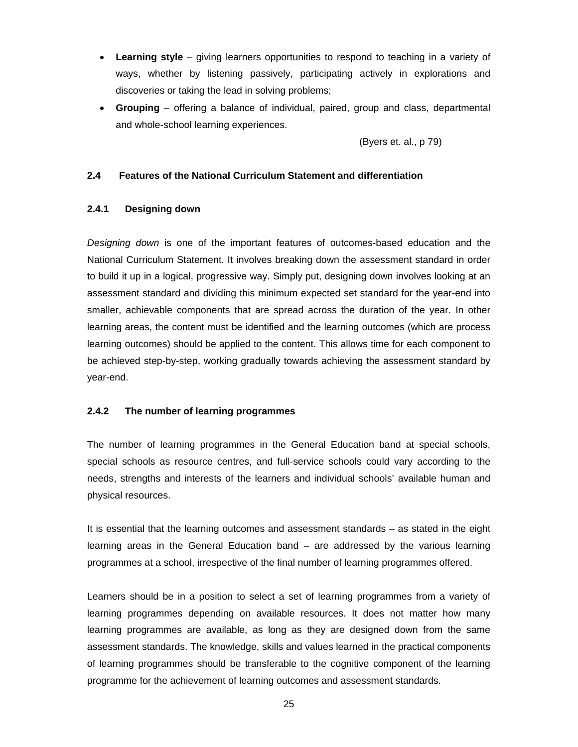- **Learning style**  giving learners opportunities to respond to teaching in a variety of ways, whether by listening passively, participating actively in explorations and discoveries or taking the lead in solving problems;
- **Grouping**  offering a balance of individual, paired, group and class, departmental and whole-school learning experiences.

(Byers et. al., p 79)

#### **2.4 Features of the National Curriculum Statement and differentiation**

#### **2.4.1 Designing down**

*Designing down* is one of the important features of outcomes-based education and the National Curriculum Statement. It involves breaking down the assessment standard in order to build it up in a logical, progressive way. Simply put, designing down involves looking at an assessment standard and dividing this minimum expected set standard for the year-end into smaller, achievable components that are spread across the duration of the year. In other learning areas, the content must be identified and the learning outcomes (which are process learning outcomes) should be applied to the content. This allows time for each component to be achieved step-by-step, working gradually towards achieving the assessment standard by year-end.

#### **2.4.2 The number of learning programmes**

The number of learning programmes in the General Education band at special schools, special schools as resource centres, and full-service schools could vary according to the needs, strengths and interests of the learners and individual schools' available human and physical resources.

It is essential that the learning outcomes and assessment standards – as stated in the eight learning areas in the General Education band – are addressed by the various learning programmes at a school, irrespective of the final number of learning programmes offered.

Learners should be in a position to select a set of learning programmes from a variety of learning programmes depending on available resources. It does not matter how many learning programmes are available, as long as they are designed down from the same assessment standards. The knowledge, skills and values learned in the practical components of learning programmes should be transferable to the cognitive component of the learning programme for the achievement of learning outcomes and assessment standards.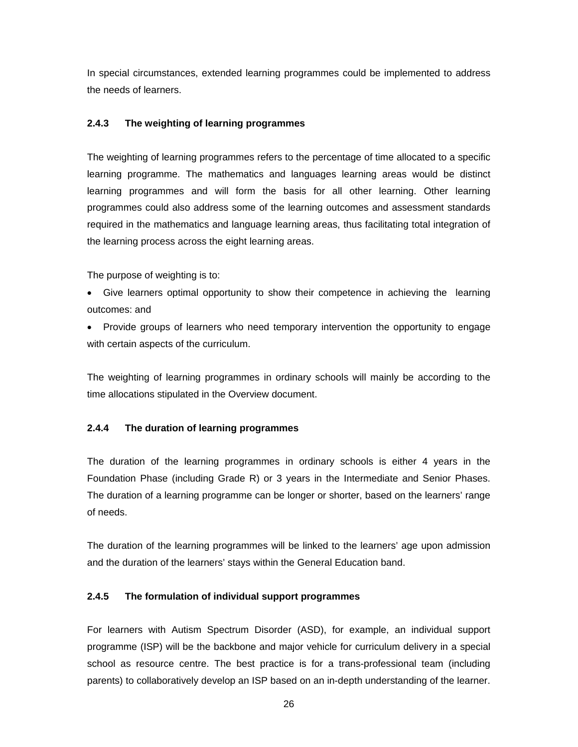In special circumstances, extended learning programmes could be implemented to address the needs of learners.

#### **2.4.3 The weighting of learning programmes**

The weighting of learning programmes refers to the percentage of time allocated to a specific learning programme. The mathematics and languages learning areas would be distinct learning programmes and will form the basis for all other learning. Other learning programmes could also address some of the learning outcomes and assessment standards required in the mathematics and language learning areas, thus facilitating total integration of the learning process across the eight learning areas.

The purpose of weighting is to:

- Give learners optimal opportunity to show their competence in achieving the learning outcomes: and
- Provide groups of learners who need temporary intervention the opportunity to engage with certain aspects of the curriculum.

The weighting of learning programmes in ordinary schools will mainly be according to the time allocations stipulated in the Overview document.

#### **2.4.4 The duration of learning programmes**

The duration of the learning programmes in ordinary schools is either 4 years in the Foundation Phase (including Grade R) or 3 years in the Intermediate and Senior Phases. The duration of a learning programme can be longer or shorter, based on the learners' range of needs.

The duration of the learning programmes will be linked to the learners' age upon admission and the duration of the learners' stays within the General Education band.

#### **2.4.5 The formulation of individual support programmes**

For learners with Autism Spectrum Disorder (ASD), for example, an individual support programme (ISP) will be the backbone and major vehicle for curriculum delivery in a special school as resource centre. The best practice is for a trans-professional team (including parents) to collaboratively develop an ISP based on an in-depth understanding of the learner.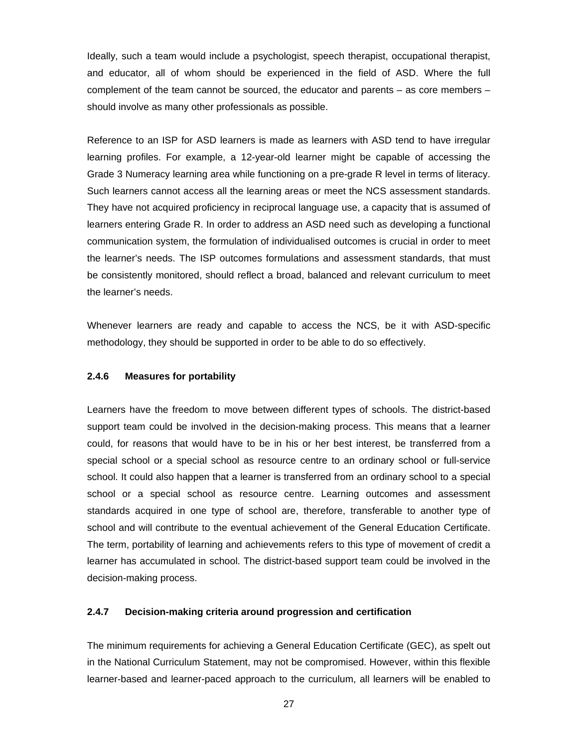Ideally, such a team would include a psychologist, speech therapist, occupational therapist, and educator, all of whom should be experienced in the field of ASD. Where the full complement of the team cannot be sourced, the educator and parents – as core members – should involve as many other professionals as possible.

Reference to an ISP for ASD learners is made as learners with ASD tend to have irregular learning profiles. For example, a 12-year-old learner might be capable of accessing the Grade 3 Numeracy learning area while functioning on a pre-grade R level in terms of literacy. Such learners cannot access all the learning areas or meet the NCS assessment standards. They have not acquired proficiency in reciprocal language use, a capacity that is assumed of learners entering Grade R. In order to address an ASD need such as developing a functional communication system, the formulation of individualised outcomes is crucial in order to meet the learner's needs. The ISP outcomes formulations and assessment standards, that must be consistently monitored, should reflect a broad, balanced and relevant curriculum to meet the learner's needs.

Whenever learners are ready and capable to access the NCS, be it with ASD-specific methodology, they should be supported in order to be able to do so effectively.

#### **2.4.6 Measures for portability**

Learners have the freedom to move between different types of schools. The district-based support team could be involved in the decision-making process. This means that a learner could, for reasons that would have to be in his or her best interest, be transferred from a special school or a special school as resource centre to an ordinary school or full-service school. It could also happen that a learner is transferred from an ordinary school to a special school or a special school as resource centre. Learning outcomes and assessment standards acquired in one type of school are, therefore, transferable to another type of school and will contribute to the eventual achievement of the General Education Certificate. The term, portability of learning and achievements refers to this type of movement of credit a learner has accumulated in school. The district-based support team could be involved in the decision-making process.

#### **2.4.7 Decision-making criteria around progression and certification**

The minimum requirements for achieving a General Education Certificate (GEC), as spelt out in the National Curriculum Statement, may not be compromised. However, within this flexible learner-based and learner-paced approach to the curriculum, all learners will be enabled to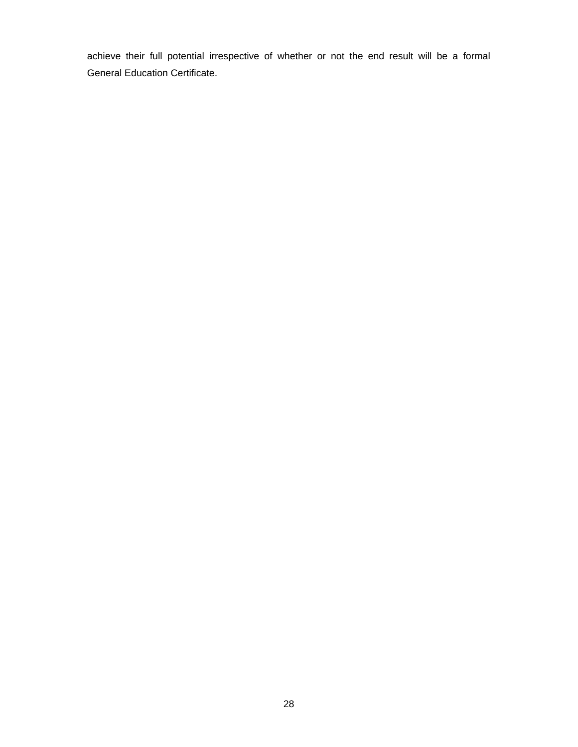achieve their full potential irrespective of whether or not the end result will be a formal General Education Certificate.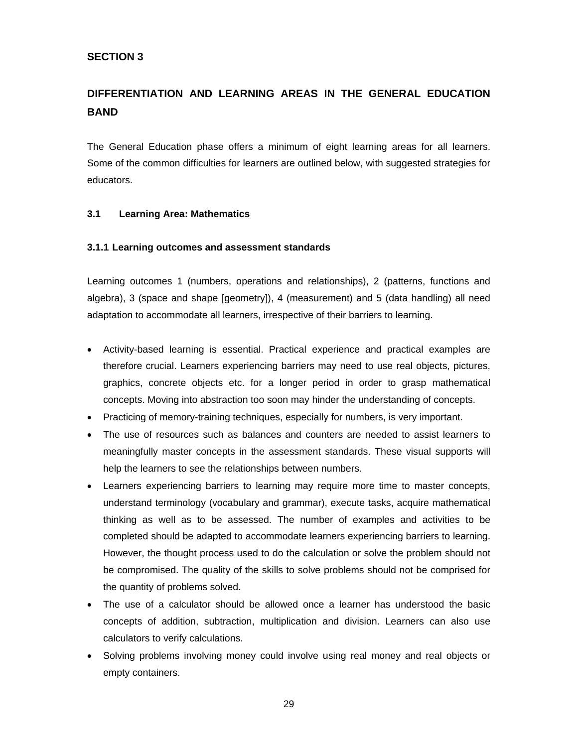#### **SECTION 3**

### **DIFFERENTIATION AND LEARNING AREAS IN THE GENERAL EDUCATION BAND**

The General Education phase offers a minimum of eight learning areas for all learners. Some of the common difficulties for learners are outlined below, with suggested strategies for educators.

#### **3.1 Learning Area: Mathematics**

#### **3.1.1 Learning outcomes and assessment standards**

Learning outcomes 1 (numbers, operations and relationships), 2 (patterns, functions and algebra), 3 (space and shape [geometry]), 4 (measurement) and 5 (data handling) all need adaptation to accommodate all learners, irrespective of their barriers to learning.

- Activity-based learning is essential. Practical experience and practical examples are therefore crucial. Learners experiencing barriers may need to use real objects, pictures, graphics, concrete objects etc. for a longer period in order to grasp mathematical concepts. Moving into abstraction too soon may hinder the understanding of concepts.
- Practicing of memory-training techniques, especially for numbers, is very important.
- The use of resources such as balances and counters are needed to assist learners to meaningfully master concepts in the assessment standards. These visual supports will help the learners to see the relationships between numbers.
- Learners experiencing barriers to learning may require more time to master concepts, understand terminology (vocabulary and grammar), execute tasks, acquire mathematical thinking as well as to be assessed. The number of examples and activities to be completed should be adapted to accommodate learners experiencing barriers to learning. However, the thought process used to do the calculation or solve the problem should not be compromised. The quality of the skills to solve problems should not be comprised for the quantity of problems solved.
- The use of a calculator should be allowed once a learner has understood the basic concepts of addition, subtraction, multiplication and division. Learners can also use calculators to verify calculations.
- Solving problems involving money could involve using real money and real objects or empty containers.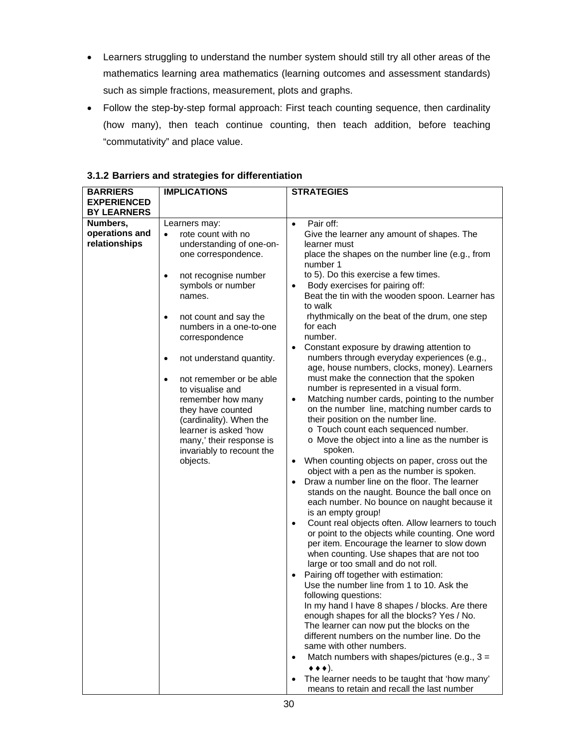- Learners struggling to understand the number system should still try all other areas of the mathematics learning area mathematics (learning outcomes and assessment standards) such as simple fractions, measurement, plots and graphs.
- Follow the step-by-step formal approach: First teach counting sequence, then cardinality (how many), then teach continue counting, then teach addition, before teaching "commutativity" and place value.

| <b>BARRIERS</b>    | <b>IMPLICATIONS</b>                   | <b>STRATEGIES</b>                                                                                    |
|--------------------|---------------------------------------|------------------------------------------------------------------------------------------------------|
| <b>EXPERIENCED</b> |                                       |                                                                                                      |
| <b>BY LEARNERS</b> |                                       |                                                                                                      |
| Numbers,           | Learners may:                         | Pair off:<br>$\bullet$                                                                               |
| operations and     | rote count with no<br>$\bullet$       | Give the learner any amount of shapes. The                                                           |
| relationships      | understanding of one-on-              | learner must                                                                                         |
|                    | one correspondence.                   | place the shapes on the number line (e.g., from                                                      |
|                    |                                       | number 1                                                                                             |
|                    | not recognise number                  | to 5). Do this exercise a few times.                                                                 |
|                    | symbols or number                     | Body exercises for pairing off:                                                                      |
|                    | names.                                | Beat the tin with the wooden spoon. Learner has                                                      |
|                    |                                       | to walk                                                                                              |
|                    | not count and say the                 | rhythmically on the beat of the drum, one step                                                       |
|                    | numbers in a one-to-one               | for each                                                                                             |
|                    | correspondence                        | number.                                                                                              |
|                    |                                       | Constant exposure by drawing attention to                                                            |
|                    | not understand quantity.<br>$\bullet$ | numbers through everyday experiences (e.g.,                                                          |
|                    |                                       | age, house numbers, clocks, money). Learners                                                         |
|                    | not remember or be able<br>$\bullet$  | must make the connection that the spoken                                                             |
|                    | to visualise and                      | number is represented in a visual form.                                                              |
|                    | remember how many                     | Matching number cards, pointing to the number<br>$\bullet$                                           |
|                    | they have counted                     | on the number line, matching number cards to                                                         |
|                    | (cardinality). When the               | their position on the number line.                                                                   |
|                    | learner is asked 'how                 | o Touch count each sequenced number.                                                                 |
|                    | many,' their response is              | o Move the object into a line as the number is                                                       |
|                    | invariably to recount the             | spoken.                                                                                              |
|                    | objects.                              | When counting objects on paper, cross out the<br>$\bullet$                                           |
|                    |                                       | object with a pen as the number is spoken.                                                           |
|                    |                                       | Draw a number line on the floor. The learner<br>$\bullet$                                            |
|                    |                                       | stands on the naught. Bounce the ball once on                                                        |
|                    |                                       | each number. No bounce on naught because it                                                          |
|                    |                                       | is an empty group!                                                                                   |
|                    |                                       | Count real objects often. Allow learners to touch<br>$\bullet$                                       |
|                    |                                       | or point to the objects while counting. One word                                                     |
|                    |                                       | per item. Encourage the learner to slow down                                                         |
|                    |                                       | when counting. Use shapes that are not too                                                           |
|                    |                                       | large or too small and do not roll.                                                                  |
|                    |                                       | Pairing off together with estimation:<br>$\bullet$                                                   |
|                    |                                       | Use the number line from 1 to 10. Ask the                                                            |
|                    |                                       | following questions:                                                                                 |
|                    |                                       | In my hand I have 8 shapes / blocks. Are there                                                       |
|                    |                                       | enough shapes for all the blocks? Yes / No.                                                          |
|                    |                                       | The learner can now put the blocks on the                                                            |
|                    |                                       | different numbers on the number line. Do the<br>same with other numbers.                             |
|                    |                                       |                                                                                                      |
|                    |                                       | Match numbers with shapes/pictures (e.g., $3 =$<br>$\bullet$<br>$\leftrightarrow \leftrightarrow$ ). |
|                    |                                       |                                                                                                      |
|                    |                                       | The learner needs to be taught that 'how many'<br>means to retain and recall the last number         |

#### **3.1.2 Barriers and strategies for differentiation**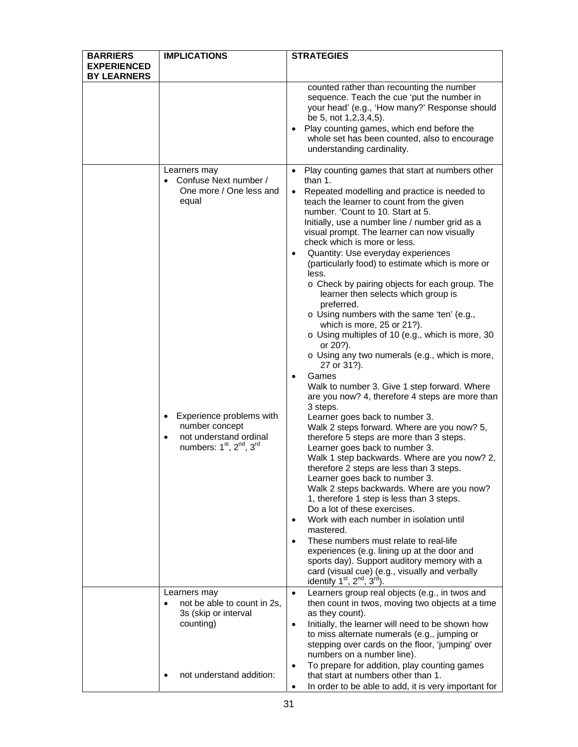| <b>BARRIERS</b>                          | <b>IMPLICATIONS</b>                                                                                                                                                                                                         | <b>STRATEGIES</b>                                                                                                                                                                                                                                                                                                                                                                                                                                                                                                                                                                                                                                                                                                                                                                                                                                                                                                                                                                                                                                                                                                                                                                                                                                                                                                                                                                                                                                                                                                   |
|------------------------------------------|-----------------------------------------------------------------------------------------------------------------------------------------------------------------------------------------------------------------------------|---------------------------------------------------------------------------------------------------------------------------------------------------------------------------------------------------------------------------------------------------------------------------------------------------------------------------------------------------------------------------------------------------------------------------------------------------------------------------------------------------------------------------------------------------------------------------------------------------------------------------------------------------------------------------------------------------------------------------------------------------------------------------------------------------------------------------------------------------------------------------------------------------------------------------------------------------------------------------------------------------------------------------------------------------------------------------------------------------------------------------------------------------------------------------------------------------------------------------------------------------------------------------------------------------------------------------------------------------------------------------------------------------------------------------------------------------------------------------------------------------------------------|
| <b>EXPERIENCED</b><br><b>BY LEARNERS</b> |                                                                                                                                                                                                                             |                                                                                                                                                                                                                                                                                                                                                                                                                                                                                                                                                                                                                                                                                                                                                                                                                                                                                                                                                                                                                                                                                                                                                                                                                                                                                                                                                                                                                                                                                                                     |
|                                          |                                                                                                                                                                                                                             | counted rather than recounting the number<br>sequence. Teach the cue 'put the number in<br>your head' (e.g., 'How many?' Response should<br>be 5, not 1,2,3,4,5).<br>Play counting games, which end before the<br>whole set has been counted, also to encourage<br>understanding cardinality.                                                                                                                                                                                                                                                                                                                                                                                                                                                                                                                                                                                                                                                                                                                                                                                                                                                                                                                                                                                                                                                                                                                                                                                                                       |
|                                          | Learners may<br>Confuse Next number /<br>One more / One less and<br>equal<br>Experience problems with<br>٠<br>number concept<br>not understand ordinal<br>٠<br>numbers: 1 <sup>st</sup> , 2 <sup>nd</sup> , 3 <sup>rd</sup> | Play counting games that start at numbers other<br>$\bullet$<br>than 1.<br>Repeated modelling and practice is needed to<br>teach the learner to count from the given<br>number. 'Count to 10. Start at 5.<br>Initially, use a number line / number grid as a<br>visual prompt. The learner can now visually<br>check which is more or less.<br>Quantity: Use everyday experiences<br>(particularly food) to estimate which is more or<br>less.<br>o Check by pairing objects for each group. The<br>learner then selects which group is<br>preferred.<br>o Using numbers with the same 'ten' (e.g.,<br>which is more, 25 or 21?).<br>o Using multiples of 10 (e.g., which is more, 30<br>or 20?).<br>o Using any two numerals (e.g., which is more,<br>27 or 31?).<br>Games<br>Walk to number 3. Give 1 step forward. Where<br>are you now? 4, therefore 4 steps are more than<br>3 steps.<br>Learner goes back to number 3.<br>Walk 2 steps forward. Where are you now? 5,<br>therefore 5 steps are more than 3 steps.<br>Learner goes back to number 3.<br>Walk 1 step backwards. Where are you now? 2,<br>therefore 2 steps are less than 3 steps.<br>Learner goes back to number 3.<br>Walk 2 steps backwards. Where are you now?<br>1, therefore 1 step is less than 3 steps.<br>Do a lot of these exercises.<br>Work with each number in isolation until<br>mastered.<br>These numbers must relate to real-life<br>experiences (e.g. lining up at the door and<br>sports day). Support auditory memory with a |
|                                          | Learners may<br>not be able to count in 2s,                                                                                                                                                                                 | card (visual cue) (e.g., visually and verbally<br>identify $1st$ , $2nd$ , $3rd$<br>Learners group real objects (e.g., in twos and<br>$\bullet$<br>then count in twos, moving two objects at a time                                                                                                                                                                                                                                                                                                                                                                                                                                                                                                                                                                                                                                                                                                                                                                                                                                                                                                                                                                                                                                                                                                                                                                                                                                                                                                                 |
|                                          | 3s (skip or interval<br>counting)                                                                                                                                                                                           | as they count).<br>Initially, the learner will need to be shown how<br>$\bullet$<br>to miss alternate numerals (e.g., jumping or<br>stepping over cards on the floor, 'jumping' over<br>numbers on a number line).<br>To prepare for addition, play counting games<br>٠                                                                                                                                                                                                                                                                                                                                                                                                                                                                                                                                                                                                                                                                                                                                                                                                                                                                                                                                                                                                                                                                                                                                                                                                                                             |
|                                          | not understand addition:                                                                                                                                                                                                    | that start at numbers other than 1.<br>In order to be able to add, it is very important for                                                                                                                                                                                                                                                                                                                                                                                                                                                                                                                                                                                                                                                                                                                                                                                                                                                                                                                                                                                                                                                                                                                                                                                                                                                                                                                                                                                                                         |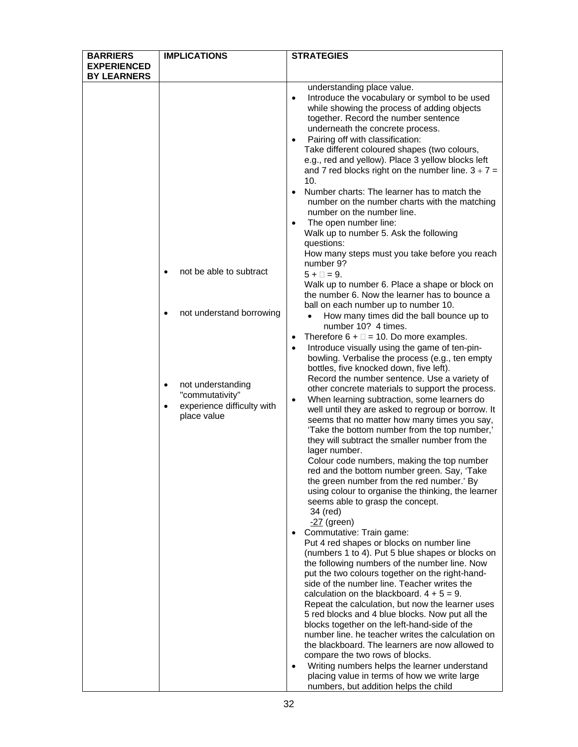| <b>BARRIERS</b>    | <b>IMPLICATIONS</b>                               | <b>STRATEGIES</b>                                                                                         |
|--------------------|---------------------------------------------------|-----------------------------------------------------------------------------------------------------------|
| <b>EXPERIENCED</b> |                                                   |                                                                                                           |
| <b>BY LEARNERS</b> |                                                   |                                                                                                           |
|                    |                                                   | understanding place value.                                                                                |
|                    |                                                   | Introduce the vocabulary or symbol to be used<br>$\bullet$                                                |
|                    |                                                   | while showing the process of adding objects                                                               |
|                    |                                                   | together. Record the number sentence                                                                      |
|                    |                                                   | underneath the concrete process.                                                                          |
|                    |                                                   | Pairing off with classification:                                                                          |
|                    |                                                   | Take different coloured shapes (two colours,                                                              |
|                    |                                                   | e.g., red and yellow). Place 3 yellow blocks left                                                         |
|                    |                                                   | and 7 red blocks right on the number line. $3 + 7 =$                                                      |
|                    |                                                   | 10.                                                                                                       |
|                    |                                                   | Number charts: The learner has to match the<br>$\bullet$<br>number on the number charts with the matching |
|                    |                                                   | number on the number line.                                                                                |
|                    |                                                   | The open number line:                                                                                     |
|                    |                                                   | $\bullet$<br>Walk up to number 5. Ask the following                                                       |
|                    |                                                   | questions:                                                                                                |
|                    |                                                   | How many steps must you take before you reach                                                             |
|                    |                                                   | number 9?                                                                                                 |
|                    | not be able to subtract                           | $5 + \square = 9$ .                                                                                       |
|                    |                                                   | Walk up to number 6. Place a shape or block on                                                            |
|                    |                                                   | the number 6. Now the learner has to bounce a                                                             |
|                    |                                                   | ball on each number up to number 10.                                                                      |
|                    | not understand borrowing                          | How many times did the ball bounce up to<br>$\bullet$                                                     |
|                    |                                                   | number 10? 4 times.                                                                                       |
|                    |                                                   | Therefore $6 + \square = 10$ . Do more examples.<br>$\bullet$                                             |
|                    |                                                   | Introduce visually using the game of ten-pin-<br>$\bullet$                                                |
|                    |                                                   | bowling. Verbalise the process (e.g., ten empty                                                           |
|                    |                                                   | bottles, five knocked down, five left).                                                                   |
|                    |                                                   | Record the number sentence. Use a variety of                                                              |
|                    | not understanding<br>$\bullet$<br>"commutativity" | other concrete materials to support the process.                                                          |
|                    | experience difficulty with                        | When learning subtraction, some learners do<br>$\bullet$                                                  |
|                    | place value                                       | well until they are asked to regroup or borrow. It                                                        |
|                    |                                                   | seems that no matter how many times you say,                                                              |
|                    |                                                   | 'Take the bottom number from the top number,'<br>they will subtract the smaller number from the           |
|                    |                                                   | lager number.                                                                                             |
|                    |                                                   | Colour code numbers, making the top number                                                                |
|                    |                                                   | red and the bottom number green. Say, 'Take                                                               |
|                    |                                                   | the green number from the red number.' By                                                                 |
|                    |                                                   | using colour to organise the thinking, the learner                                                        |
|                    |                                                   | seems able to grasp the concept.                                                                          |
|                    |                                                   | 34 (red)                                                                                                  |
|                    |                                                   | -27 (green)                                                                                               |
|                    |                                                   | Commutative: Train game:<br>$\bullet$                                                                     |
|                    |                                                   | Put 4 red shapes or blocks on number line                                                                 |
|                    |                                                   | (numbers 1 to 4). Put 5 blue shapes or blocks on                                                          |
|                    |                                                   | the following numbers of the number line. Now                                                             |
|                    |                                                   | put the two colours together on the right-hand-<br>side of the number line. Teacher writes the            |
|                    |                                                   | calculation on the blackboard. $4 + 5 = 9$ .                                                              |
|                    |                                                   | Repeat the calculation, but now the learner uses                                                          |
|                    |                                                   | 5 red blocks and 4 blue blocks. Now put all the                                                           |
|                    |                                                   | blocks together on the left-hand-side of the                                                              |
|                    |                                                   | number line. he teacher writes the calculation on                                                         |
|                    |                                                   | the blackboard. The learners are now allowed to                                                           |
|                    |                                                   | compare the two rows of blocks.                                                                           |
|                    |                                                   | Writing numbers helps the learner understand<br>$\bullet$                                                 |
|                    |                                                   | placing value in terms of how we write large                                                              |
|                    |                                                   | numbers, but addition helps the child                                                                     |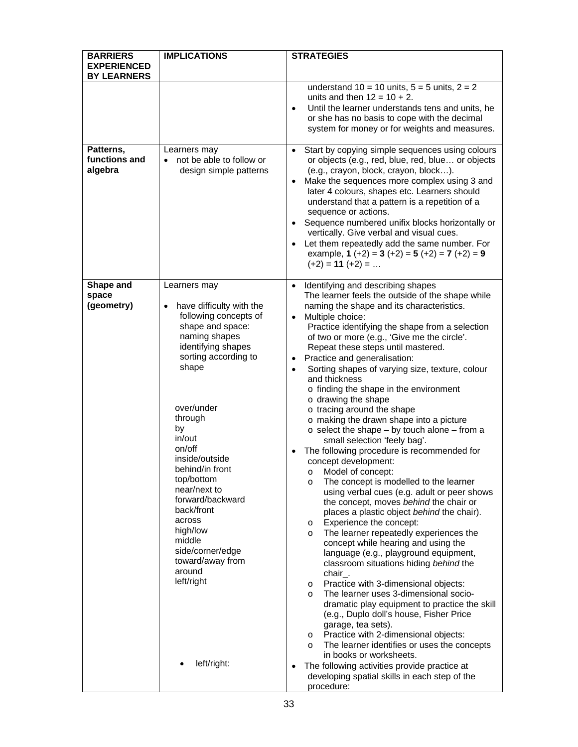| <b>BY LEARNERS</b><br>understand $10 = 10$ units, $5 = 5$ units, $2 = 2$<br>units and then $12 = 10 + 2$ .<br>$\bullet$<br>or she has no basis to cope with the decimal<br>Patterns,<br>Learners may<br>$\bullet$<br>functions and<br>not be able to follow or<br>$\bullet$<br>algebra<br>design simple patterns<br>(e.g., crayon, block, crayon, block).<br>$\bullet$<br>later 4 colours, shapes etc. Learners should<br>understand that a pattern is a repetition of a<br>sequence or actions.<br>$\bullet$<br>vertically. Give verbal and visual cues.<br>$\bullet$<br>example, $1 (+2) = 3 (+2) = 5 (+2) = 7 (+2) = 9$<br>$(+2) = 11 (+2) = $<br>Shape and<br>Learners may<br>Identifying and describing shapes<br>$\bullet$<br>space<br>(geometry)<br>have difficulty with the<br>naming the shape and its characteristics.<br>following concepts of<br>Multiple choice:<br>$\bullet$<br>shape and space:<br>naming shapes<br>of two or more (e.g., 'Give me the circle'.<br>identifying shapes<br>Repeat these steps until mastered.<br>sorting according to<br>Practice and generalisation:<br>٠<br>shape<br>$\bullet$<br>and thickness<br>o finding the shape in the environment<br>o drawing the shape<br>over/under<br>o tracing around the shape<br>through<br>o making the drawn shape into a picture<br>by<br>$\circ$ select the shape – by touch alone – from a<br>in/out<br>small selection 'feely bag'.<br>on/off<br>The following procedure is recommended for<br>٠<br>inside/outside<br>concept development:<br>behind/in front<br>o Model of concept:<br>top/bottom<br>The concept is modelled to the learner<br>$\circ$<br>near/next to<br>forward/backward<br>the concept, moves behind the chair or<br>back/front<br>places a plastic object behind the chair).<br>across<br>Experience the concept:<br>O<br>high/low<br>The learner repeatedly experiences the<br>$\circ$<br>middle | <b>BARRIERS</b><br><b>EXPERIENCED</b> | <b>IMPLICATIONS</b> | <b>STRATEGIES</b>                                                                                                                                                                                                                                                                                                                            |
|------------------------------------------------------------------------------------------------------------------------------------------------------------------------------------------------------------------------------------------------------------------------------------------------------------------------------------------------------------------------------------------------------------------------------------------------------------------------------------------------------------------------------------------------------------------------------------------------------------------------------------------------------------------------------------------------------------------------------------------------------------------------------------------------------------------------------------------------------------------------------------------------------------------------------------------------------------------------------------------------------------------------------------------------------------------------------------------------------------------------------------------------------------------------------------------------------------------------------------------------------------------------------------------------------------------------------------------------------------------------------------------------------------------------------------------------------------------------------------------------------------------------------------------------------------------------------------------------------------------------------------------------------------------------------------------------------------------------------------------------------------------------------------------------------------------------------------------------------------------------------------------------------------|---------------------------------------|---------------------|----------------------------------------------------------------------------------------------------------------------------------------------------------------------------------------------------------------------------------------------------------------------------------------------------------------------------------------------|
|                                                                                                                                                                                                                                                                                                                                                                                                                                                                                                                                                                                                                                                                                                                                                                                                                                                                                                                                                                                                                                                                                                                                                                                                                                                                                                                                                                                                                                                                                                                                                                                                                                                                                                                                                                                                                                                                                                            |                                       |                     |                                                                                                                                                                                                                                                                                                                                              |
|                                                                                                                                                                                                                                                                                                                                                                                                                                                                                                                                                                                                                                                                                                                                                                                                                                                                                                                                                                                                                                                                                                                                                                                                                                                                                                                                                                                                                                                                                                                                                                                                                                                                                                                                                                                                                                                                                                            |                                       |                     | Until the learner understands tens and units, he<br>system for money or for weights and measures.                                                                                                                                                                                                                                            |
|                                                                                                                                                                                                                                                                                                                                                                                                                                                                                                                                                                                                                                                                                                                                                                                                                                                                                                                                                                                                                                                                                                                                                                                                                                                                                                                                                                                                                                                                                                                                                                                                                                                                                                                                                                                                                                                                                                            |                                       |                     | Start by copying simple sequences using colours<br>or objects (e.g., red, blue, red, blue or objects<br>Make the sequences more complex using 3 and<br>Sequence numbered unifix blocks horizontally or<br>Let them repeatedly add the same number. For                                                                                       |
| side/corner/edge<br>language (e.g., playground equipment,<br>toward/away from<br>classroom situations hiding behind the<br>around<br>chair.<br>left/right<br>Practice with 3-dimensional objects:<br>$\circ$<br>The learner uses 3-dimensional socio-<br>$\circ$<br>(e.g., Duplo doll's house, Fisher Price<br>garage, tea sets).<br>Practice with 2-dimensional objects:<br>$\circ$<br>$\circ$<br>in books or worksheets.<br>left/right:<br>The following activities provide practice at<br>٠<br>developing spatial skills in each step of the                                                                                                                                                                                                                                                                                                                                                                                                                                                                                                                                                                                                                                                                                                                                                                                                                                                                                                                                                                                                                                                                                                                                                                                                                                                                                                                                                            |                                       |                     | The learner feels the outside of the shape while<br>Practice identifying the shape from a selection<br>Sorting shapes of varying size, texture, colour<br>using verbal cues (e.g. adult or peer shows<br>concept while hearing and using the<br>dramatic play equipment to practice the skill<br>The learner identifies or uses the concepts |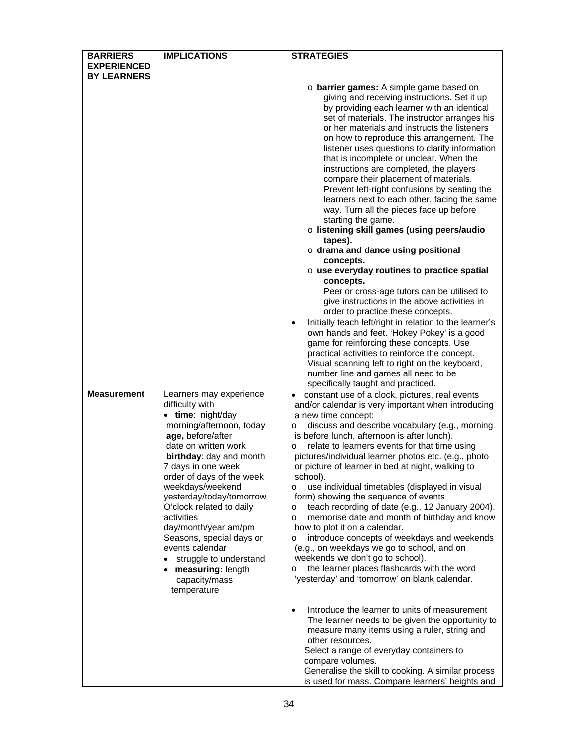| <b>BARRIERS</b>                          | <b>IMPLICATIONS</b>                                                                                                                                                                                                                                                                                                                                                                                                                                                      | <b>STRATEGIES</b>                                                                                                                                                                                                                                                                                                                                                                                                                                                                                                                                                                                                                                                                                                                                                                                                                                                                                                                  |
|------------------------------------------|--------------------------------------------------------------------------------------------------------------------------------------------------------------------------------------------------------------------------------------------------------------------------------------------------------------------------------------------------------------------------------------------------------------------------------------------------------------------------|------------------------------------------------------------------------------------------------------------------------------------------------------------------------------------------------------------------------------------------------------------------------------------------------------------------------------------------------------------------------------------------------------------------------------------------------------------------------------------------------------------------------------------------------------------------------------------------------------------------------------------------------------------------------------------------------------------------------------------------------------------------------------------------------------------------------------------------------------------------------------------------------------------------------------------|
|                                          |                                                                                                                                                                                                                                                                                                                                                                                                                                                                          |                                                                                                                                                                                                                                                                                                                                                                                                                                                                                                                                                                                                                                                                                                                                                                                                                                                                                                                                    |
| <b>EXPERIENCED</b><br><b>BY LEARNERS</b> |                                                                                                                                                                                                                                                                                                                                                                                                                                                                          | o barrier games: A simple game based on<br>giving and receiving instructions. Set it up<br>by providing each learner with an identical<br>set of materials. The instructor arranges his<br>or her materials and instructs the listeners<br>on how to reproduce this arrangement. The<br>listener uses questions to clarify information<br>that is incomplete or unclear. When the<br>instructions are completed, the players<br>compare their placement of materials.<br>Prevent left-right confusions by seating the<br>learners next to each other, facing the same<br>way. Turn all the pieces face up before<br>starting the game.<br>o listening skill games (using peers/audio<br>tapes).<br>$\circ$ drama and dance using positional<br>concepts.<br>o use everyday routines to practice spatial<br>concepts.<br>Peer or cross-age tutors can be utilised to<br>give instructions in the above activities in                |
|                                          |                                                                                                                                                                                                                                                                                                                                                                                                                                                                          | order to practice these concepts.<br>Initially teach left/right in relation to the learner's<br>٠<br>own hands and feet. 'Hokey Pokey' is a good<br>game for reinforcing these concepts. Use<br>practical activities to reinforce the concept.<br>Visual scanning left to right on the keyboard,<br>number line and games all need to be<br>specifically taught and practiced.                                                                                                                                                                                                                                                                                                                                                                                                                                                                                                                                                     |
| <b>Measurement</b>                       | Learners may experience<br>difficulty with<br>• time: night/day<br>morning/afternoon, today<br>age, before/after<br>date on written work<br>birthday: day and month<br>7 days in one week<br>order of days of the week<br>weekdays/weekend<br>yesterday/today/tomorrow<br>O'clock related to daily<br>activities<br>day/month/year am/pm<br>Seasons, special days or<br>events calendar<br>struggle to understand<br>• measuring: length<br>capacity/mass<br>temperature | constant use of a clock, pictures, real events<br>and/or calendar is very important when introducing<br>a new time concept:<br>discuss and describe vocabulary (e.g., morning<br>O<br>is before lunch, afternoon is after lunch).<br>relate to learners events for that time using<br>$\circ$<br>pictures/individual learner photos etc. (e.g., photo<br>or picture of learner in bed at night, walking to<br>school).<br>use individual timetables (displayed in visual<br>$\circ$<br>form) showing the sequence of events<br>teach recording of date (e.g., 12 January 2004).<br>$\circ$<br>memorise date and month of birthday and know<br>$\circ$<br>how to plot it on a calendar.<br>introduce concepts of weekdays and weekends<br>$\circ$<br>(e.g., on weekdays we go to school, and on<br>weekends we don't go to school).<br>the learner places flashcards with the word<br>'yesterday' and 'tomorrow' on blank calendar. |
|                                          |                                                                                                                                                                                                                                                                                                                                                                                                                                                                          | Introduce the learner to units of measurement<br>٠<br>The learner needs to be given the opportunity to<br>measure many items using a ruler, string and<br>other resources.<br>Select a range of everyday containers to<br>compare volumes.<br>Generalise the skill to cooking. A similar process<br>is used for mass. Compare learners' heights and                                                                                                                                                                                                                                                                                                                                                                                                                                                                                                                                                                                |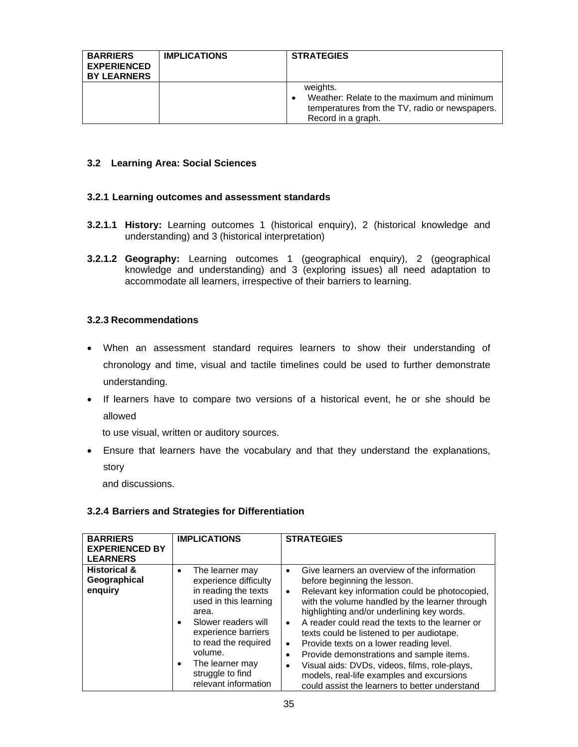| <b>BARRIERS</b><br><b>EXPERIENCED</b><br><b>BY LEARNERS</b> | <b>IMPLICATIONS</b> | <b>STRATEGIES</b>                                                                                                              |
|-------------------------------------------------------------|---------------------|--------------------------------------------------------------------------------------------------------------------------------|
|                                                             |                     | weights.<br>Weather: Relate to the maximum and minimum<br>temperatures from the TV, radio or newspapers.<br>Record in a graph. |

#### **3.2 Learning Area: Social Sciences**

#### **3.2.1 Learning outcomes and assessment standards**

- **3.2.1.1 History:** Learning outcomes 1 (historical enquiry), 2 (historical knowledge and understanding) and 3 (historical interpretation)
- **3.2.1.2 Geography:** Learning outcomes 1 (geographical enquiry), 2 (geographical knowledge and understanding) and 3 (exploring issues) all need adaptation to accommodate all learners, irrespective of their barriers to learning.

#### **3.2.3 Recommendations**

- When an assessment standard requires learners to show their understanding of chronology and time, visual and tactile timelines could be used to further demonstrate understanding.
- If learners have to compare two versions of a historical event, he or she should be allowed

to use visual, written or auditory sources.

 Ensure that learners have the vocabulary and that they understand the explanations, story

and discussions.

#### **3.2.4 Barriers and Strategies for Differentiation**

| <b>BARRIERS</b><br><b>EXPERIENCED BY</b><br><b>LEARNERS</b> | <b>IMPLICATIONS</b>                                                                                                                                                                                                                                                                       | <b>STRATEGIES</b>                                                                                                                                                                                                                                                                                                                                                                                                                                                                                                                                                                                              |
|-------------------------------------------------------------|-------------------------------------------------------------------------------------------------------------------------------------------------------------------------------------------------------------------------------------------------------------------------------------------|----------------------------------------------------------------------------------------------------------------------------------------------------------------------------------------------------------------------------------------------------------------------------------------------------------------------------------------------------------------------------------------------------------------------------------------------------------------------------------------------------------------------------------------------------------------------------------------------------------------|
| <b>Historical &amp;</b><br>Geographical<br>enquiry          | The learner may<br>$\bullet$<br>experience difficulty<br>in reading the texts<br>used in this learning<br>area.<br>Slower readers will<br>$\bullet$<br>experience barriers<br>to read the required<br>volume.<br>The learner may<br>$\bullet$<br>struggle to find<br>relevant information | Give learners an overview of the information<br>٠<br>before beginning the lesson.<br>Relevant key information could be photocopied,<br>$\bullet$<br>with the volume handled by the learner through<br>highlighting and/or underlining key words.<br>A reader could read the texts to the learner or<br>$\bullet$<br>texts could be listened to per audiotape.<br>Provide texts on a lower reading level.<br>٠<br>Provide demonstrations and sample items.<br>Visual aids: DVDs, videos, films, role-plays,<br>٠<br>models, real-life examples and excursions<br>could assist the learners to better understand |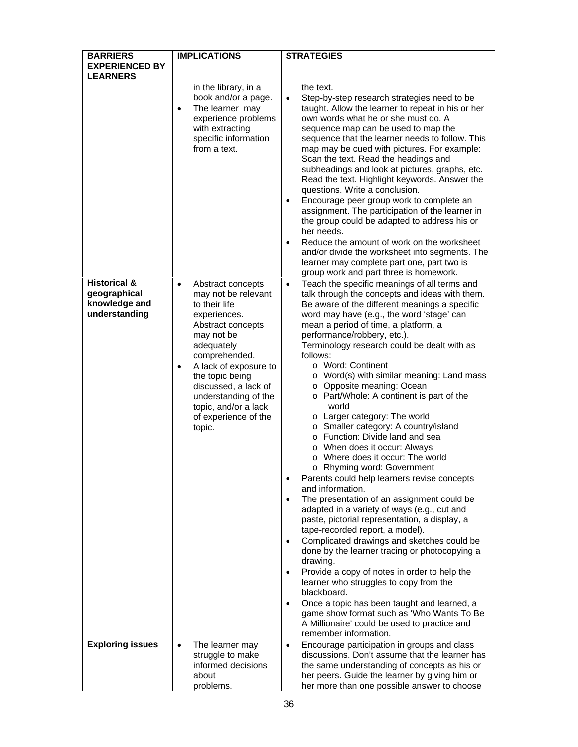| <b>BARRIERS</b>                                                           | <b>IMPLICATIONS</b>                                                                                                                                                                                                                                                                                                 | <b>STRATEGIES</b>                                                                                                                                                                                                                                                                                                                                                                                                                                                                                                                                                                                                                                                                                                                                                                                                                                                                                                                                                                                                                                                                                                                                                                                                                                                                                                                                                                                                          |
|---------------------------------------------------------------------------|---------------------------------------------------------------------------------------------------------------------------------------------------------------------------------------------------------------------------------------------------------------------------------------------------------------------|----------------------------------------------------------------------------------------------------------------------------------------------------------------------------------------------------------------------------------------------------------------------------------------------------------------------------------------------------------------------------------------------------------------------------------------------------------------------------------------------------------------------------------------------------------------------------------------------------------------------------------------------------------------------------------------------------------------------------------------------------------------------------------------------------------------------------------------------------------------------------------------------------------------------------------------------------------------------------------------------------------------------------------------------------------------------------------------------------------------------------------------------------------------------------------------------------------------------------------------------------------------------------------------------------------------------------------------------------------------------------------------------------------------------------|
| <b>EXPERIENCED BY</b>                                                     |                                                                                                                                                                                                                                                                                                                     |                                                                                                                                                                                                                                                                                                                                                                                                                                                                                                                                                                                                                                                                                                                                                                                                                                                                                                                                                                                                                                                                                                                                                                                                                                                                                                                                                                                                                            |
| <b>LEARNERS</b>                                                           | in the library, in a                                                                                                                                                                                                                                                                                                | the text.                                                                                                                                                                                                                                                                                                                                                                                                                                                                                                                                                                                                                                                                                                                                                                                                                                                                                                                                                                                                                                                                                                                                                                                                                                                                                                                                                                                                                  |
|                                                                           | book and/or a page.<br>The learner may<br>$\bullet$<br>experience problems<br>with extracting<br>specific information<br>from a text.                                                                                                                                                                               | Step-by-step research strategies need to be<br>$\bullet$<br>taught. Allow the learner to repeat in his or her<br>own words what he or she must do. A<br>sequence map can be used to map the<br>sequence that the learner needs to follow. This<br>map may be cued with pictures. For example:<br>Scan the text. Read the headings and<br>subheadings and look at pictures, graphs, etc.<br>Read the text. Highlight keywords. Answer the                                                                                                                                                                                                                                                                                                                                                                                                                                                                                                                                                                                                                                                                                                                                                                                                                                                                                                                                                                                   |
|                                                                           |                                                                                                                                                                                                                                                                                                                     | questions. Write a conclusion.<br>Encourage peer group work to complete an<br>$\bullet$<br>assignment. The participation of the learner in<br>the group could be adapted to address his or<br>her needs.<br>Reduce the amount of work on the worksheet<br>$\bullet$<br>and/or divide the worksheet into segments. The<br>learner may complete part one, part two is                                                                                                                                                                                                                                                                                                                                                                                                                                                                                                                                                                                                                                                                                                                                                                                                                                                                                                                                                                                                                                                        |
|                                                                           |                                                                                                                                                                                                                                                                                                                     | group work and part three is homework.                                                                                                                                                                                                                                                                                                                                                                                                                                                                                                                                                                                                                                                                                                                                                                                                                                                                                                                                                                                                                                                                                                                                                                                                                                                                                                                                                                                     |
| <b>Historical &amp;</b><br>geographical<br>knowledge and<br>understanding | Abstract concepts<br>$\bullet$<br>may not be relevant<br>to their life<br>experiences.<br>Abstract concepts<br>may not be<br>adequately<br>comprehended.<br>A lack of exposure to<br>٠<br>the topic being<br>discussed, a lack of<br>understanding of the<br>topic, and/or a lack<br>of experience of the<br>topic. | Teach the specific meanings of all terms and<br>$\bullet$<br>talk through the concepts and ideas with them.<br>Be aware of the different meanings a specific<br>word may have (e.g., the word 'stage' can<br>mean a period of time, a platform, a<br>performance/robbery, etc.).<br>Terminology research could be dealt with as<br>follows:<br>o Word: Continent<br>o Word(s) with similar meaning: Land mass<br>o Opposite meaning: Ocean<br>o Part/Whole: A continent is part of the<br>world<br>o Larger category: The world<br>o Smaller category: A country/island<br>o Function: Divide land and sea<br>o When does it occur: Always<br>o Where does it occur: The world<br>o Rhyming word: Government<br>Parents could help learners revise concepts<br>$\bullet$<br>and information.<br>The presentation of an assignment could be<br>$\bullet$<br>adapted in a variety of ways (e.g., cut and<br>paste, pictorial representation, a display, a<br>tape-recorded report, a model).<br>Complicated drawings and sketches could be<br>$\bullet$<br>done by the learner tracing or photocopying a<br>drawing.<br>Provide a copy of notes in order to help the<br>$\bullet$<br>learner who struggles to copy from the<br>blackboard.<br>Once a topic has been taught and learned, a<br>$\bullet$<br>game show format such as 'Who Wants To Be<br>A Millionaire' could be used to practice and<br>remember information. |
| <b>Exploring issues</b>                                                   | The learner may<br>$\bullet$<br>struggle to make<br>informed decisions<br>about<br>problems.                                                                                                                                                                                                                        | Encourage participation in groups and class<br>$\bullet$<br>discussions. Don't assume that the learner has<br>the same understanding of concepts as his or<br>her peers. Guide the learner by giving him or<br>her more than one possible answer to choose                                                                                                                                                                                                                                                                                                                                                                                                                                                                                                                                                                                                                                                                                                                                                                                                                                                                                                                                                                                                                                                                                                                                                                 |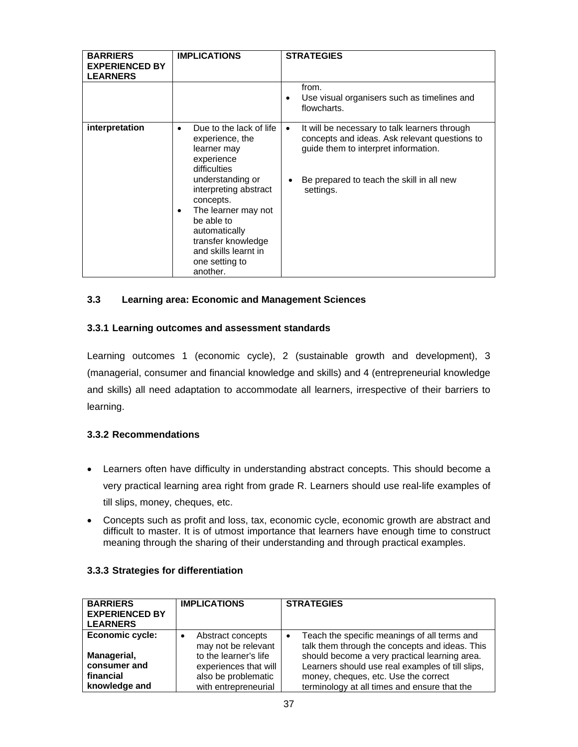| <b>BARRIERS</b><br><b>EXPERIENCED BY</b><br><b>LEARNERS</b> | <b>IMPLICATIONS</b>                                                                                                                                                                                                                                                                 | <b>STRATEGIES</b>                                                                                                                                                                                             |
|-------------------------------------------------------------|-------------------------------------------------------------------------------------------------------------------------------------------------------------------------------------------------------------------------------------------------------------------------------------|---------------------------------------------------------------------------------------------------------------------------------------------------------------------------------------------------------------|
|                                                             |                                                                                                                                                                                                                                                                                     | from.<br>Use visual organisers such as timelines and<br>٠<br>flowcharts.                                                                                                                                      |
| interpretation                                              | Due to the lack of life<br>experience, the<br>learner may<br>experience<br>difficulties<br>understanding or<br>interpreting abstract<br>concepts.<br>The learner may not<br>be able to<br>automatically<br>transfer knowledge<br>and skills learnt in<br>one setting to<br>another. | It will be necessary to talk learners through<br>$\bullet$<br>concepts and ideas. Ask relevant questions to<br>guide them to interpret information.<br>Be prepared to teach the skill in all new<br>settings. |

# **3.3 Learning area: Economic and Management Sciences**

# **3.3.1 Learning outcomes and assessment standards**

Learning outcomes 1 (economic cycle), 2 (sustainable growth and development), 3 (managerial, consumer and financial knowledge and skills) and 4 (entrepreneurial knowledge and skills) all need adaptation to accommodate all learners, irrespective of their barriers to learning.

# **3.3.2 Recommendations**

- Learners often have difficulty in understanding abstract concepts. This should become a very practical learning area right from grade R. Learners should use real-life examples of till slips, money, cheques, etc.
- Concepts such as profit and loss, tax, economic cycle, economic growth are abstract and difficult to master. It is of utmost importance that learners have enough time to construct meaning through the sharing of their understanding and through practical examples.

| <b>BARRIERS</b><br><b>EXPERIENCED BY</b><br><b>LEARNERS</b> | <b>IMPLICATIONS</b>                           | <b>STRATEGIES</b>                                                                                           |
|-------------------------------------------------------------|-----------------------------------------------|-------------------------------------------------------------------------------------------------------------|
| Economic cycle:                                             | Abstract concepts<br>٠<br>may not be relevant | Teach the specific meanings of all terms and<br>$\bullet$<br>talk them through the concepts and ideas. This |
| Managerial,                                                 | to the learner's life                         | should become a very practical learning area.                                                               |
| consumer and                                                | experiences that will                         | Learners should use real examples of till slips,                                                            |
| financial                                                   | also be problematic                           | money, cheques, etc. Use the correct                                                                        |
| knowledge and                                               | with entrepreneurial                          | terminology at all times and ensure that the                                                                |

# **3.3.3 Strategies for differentiation**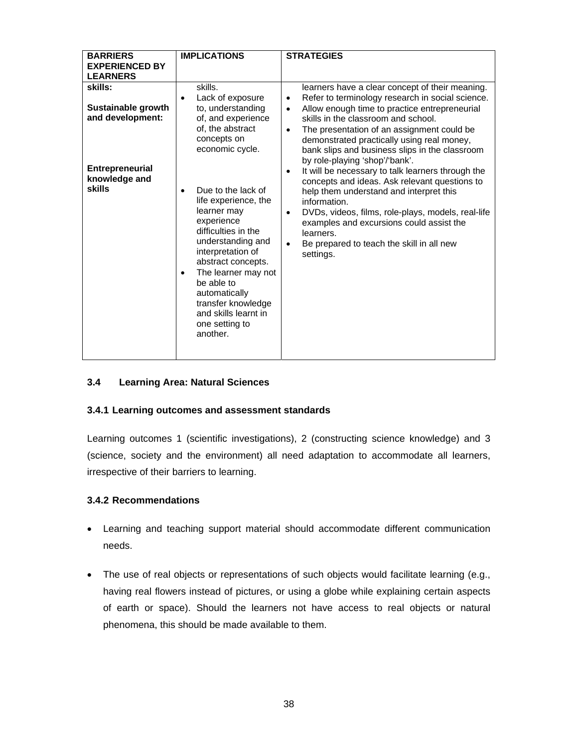| <b>EXPERIENCED BY</b><br><b>LEARNERS</b><br>skills.<br>skills:                                                                                                                                                                                                                                                                                                                                                                                                                                                                                                                                                                                                                                                                                                                                                                                                                                                                                                                                         | <b>BARRIERS</b> | <b>IMPLICATIONS</b> | <b>STRATEGIES</b>                                                                                                                                                                                                                                                                                                 |
|--------------------------------------------------------------------------------------------------------------------------------------------------------------------------------------------------------------------------------------------------------------------------------------------------------------------------------------------------------------------------------------------------------------------------------------------------------------------------------------------------------------------------------------------------------------------------------------------------------------------------------------------------------------------------------------------------------------------------------------------------------------------------------------------------------------------------------------------------------------------------------------------------------------------------------------------------------------------------------------------------------|-----------------|---------------------|-------------------------------------------------------------------------------------------------------------------------------------------------------------------------------------------------------------------------------------------------------------------------------------------------------------------|
|                                                                                                                                                                                                                                                                                                                                                                                                                                                                                                                                                                                                                                                                                                                                                                                                                                                                                                                                                                                                        |                 |                     |                                                                                                                                                                                                                                                                                                                   |
|                                                                                                                                                                                                                                                                                                                                                                                                                                                                                                                                                                                                                                                                                                                                                                                                                                                                                                                                                                                                        |                 |                     |                                                                                                                                                                                                                                                                                                                   |
| Lack of exposure<br>$\bullet$<br>Sustainable growth<br>to, understanding<br>Allow enough time to practice entrepreneurial<br>$\bullet$<br>and development:<br>of, and experience<br>skills in the classroom and school.<br>of, the abstract<br>The presentation of an assignment could be<br>$\bullet$<br>concepts on<br>demonstrated practically using real money,<br>economic cycle.<br>by role-playing 'shop'/'bank'.<br><b>Entrepreneurial</b><br>$\bullet$<br>knowledge and<br>skills<br>Due to the lack of<br>help them understand and interpret this<br>life experience, the<br>information.<br>learner may<br>$\bullet$<br>experience<br>examples and excursions could assist the<br>difficulties in the<br>learners.<br>understanding and<br>Be prepared to teach the skill in all new<br>$\bullet$<br>interpretation of<br>settings.<br>abstract concepts.<br>The learner may not<br>be able to<br>automatically<br>transfer knowledge<br>and skills learnt in<br>one setting to<br>another. |                 |                     | learners have a clear concept of their meaning.<br>Refer to terminology research in social science.<br>bank slips and business slips in the classroom<br>It will be necessary to talk learners through the<br>concepts and ideas. Ask relevant questions to<br>DVDs, videos, films, role-plays, models, real-life |

# **3.4 Learning Area: Natural Sciences**

# **3.4.1 Learning outcomes and assessment standards**

Learning outcomes 1 (scientific investigations), 2 (constructing science knowledge) and 3 (science, society and the environment) all need adaptation to accommodate all learners, irrespective of their barriers to learning.

#### **3.4.2 Recommendations**

- Learning and teaching support material should accommodate different communication needs.
- The use of real objects or representations of such objects would facilitate learning (e.g., having real flowers instead of pictures, or using a globe while explaining certain aspects of earth or space). Should the learners not have access to real objects or natural phenomena, this should be made available to them.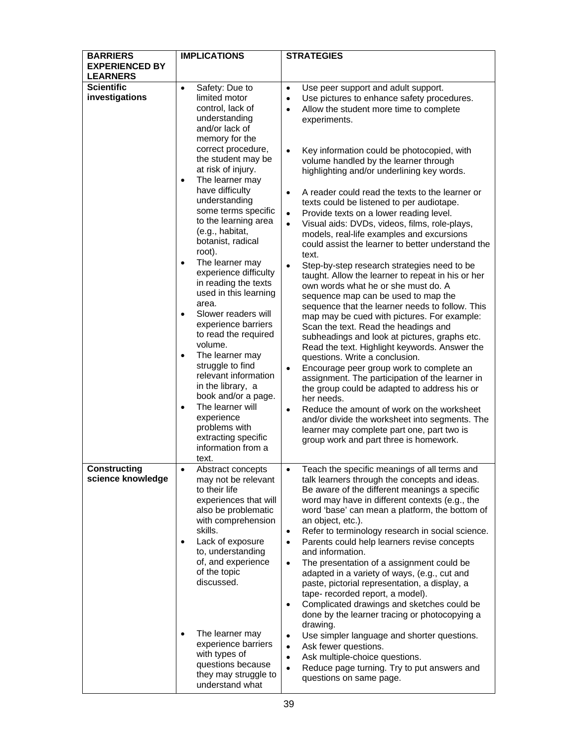| <b>BARRIERS</b><br><b>EXPERIENCED BY</b> | <b>IMPLICATIONS</b>                                                                                                                                                                                                                                                                                                                                                                                                                                                                                   | <b>STRATEGIES</b>                                                                                                                                                                                                                                                                                                                                                                                                                                                                                                                                                                                                                                                                                                                                                                                                                                                                                |
|------------------------------------------|-------------------------------------------------------------------------------------------------------------------------------------------------------------------------------------------------------------------------------------------------------------------------------------------------------------------------------------------------------------------------------------------------------------------------------------------------------------------------------------------------------|--------------------------------------------------------------------------------------------------------------------------------------------------------------------------------------------------------------------------------------------------------------------------------------------------------------------------------------------------------------------------------------------------------------------------------------------------------------------------------------------------------------------------------------------------------------------------------------------------------------------------------------------------------------------------------------------------------------------------------------------------------------------------------------------------------------------------------------------------------------------------------------------------|
| <b>LEARNERS</b>                          |                                                                                                                                                                                                                                                                                                                                                                                                                                                                                                       |                                                                                                                                                                                                                                                                                                                                                                                                                                                                                                                                                                                                                                                                                                                                                                                                                                                                                                  |
| <b>Scientific</b><br>investigations      | Safety: Due to<br>$\bullet$<br>limited motor                                                                                                                                                                                                                                                                                                                                                                                                                                                          | Use peer support and adult support.<br>$\bullet$<br>Use pictures to enhance safety procedures.<br>٠                                                                                                                                                                                                                                                                                                                                                                                                                                                                                                                                                                                                                                                                                                                                                                                              |
|                                          | control, lack of<br>understanding<br>and/or lack of<br>memory for the<br>correct procedure,<br>the student may be<br>at risk of injury.<br>The learner may<br>$\bullet$<br>have difficulty<br>understanding<br>some terms specific<br>to the learning area<br>(e.g., habitat,<br>botanist, radical<br>root).<br>The learner may<br>experience difficulty<br>in reading the texts<br>used in this learning<br>area.<br>Slower readers will<br>$\bullet$<br>experience barriers<br>to read the required | Allow the student more time to complete<br>$\bullet$<br>experiments.<br>Key information could be photocopied, with<br>volume handled by the learner through<br>highlighting and/or underlining key words.<br>A reader could read the texts to the learner or<br>$\bullet$<br>texts could be listened to per audiotape.<br>Provide texts on a lower reading level.<br>$\bullet$<br>Visual aids: DVDs, videos, films, role-plays,<br>$\bullet$<br>models, real-life examples and excursions<br>could assist the learner to better understand the<br>text.<br>Step-by-step research strategies need to be<br>$\bullet$<br>taught. Allow the learner to repeat in his or her<br>own words what he or she must do. A<br>sequence map can be used to map the<br>sequence that the learner needs to follow. This<br>map may be cued with pictures. For example:<br>Scan the text. Read the headings and |
|                                          | volume.<br>The learner may<br>$\bullet$<br>struggle to find<br>relevant information<br>in the library, a<br>book and/or a page.<br>The learner will<br>$\bullet$<br>experience<br>problems with<br>extracting specific<br>information from a<br>text.                                                                                                                                                                                                                                                 | subheadings and look at pictures, graphs etc.<br>Read the text. Highlight keywords. Answer the<br>questions. Write a conclusion.<br>Encourage peer group work to complete an<br>$\bullet$<br>assignment. The participation of the learner in<br>the group could be adapted to address his or<br>her needs.<br>Reduce the amount of work on the worksheet<br>and/or divide the worksheet into segments. The<br>learner may complete part one, part two is<br>group work and part three is homework.                                                                                                                                                                                                                                                                                                                                                                                               |
| <b>Constructing</b><br>science knowledge | Abstract concepts<br>may not be relevant<br>to their life<br>experiences that will<br>also be problematic<br>with comprehension<br>skills.<br>Lack of exposure<br>$\bullet$<br>to, understanding<br>of, and experience<br>of the topic<br>discussed.                                                                                                                                                                                                                                                  | Teach the specific meanings of all terms and<br>talk learners through the concepts and ideas.<br>Be aware of the different meanings a specific<br>word may have in different contexts (e.g., the<br>word 'base' can mean a platform, the bottom of<br>an object, etc.).<br>Refer to terminology research in social science.<br>$\bullet$<br>Parents could help learners revise concepts<br>$\bullet$<br>and information.<br>The presentation of a assignment could be<br>$\bullet$<br>adapted in a variety of ways, (e.g., cut and<br>paste, pictorial representation, a display, a<br>tape- recorded report, a model).<br>Complicated drawings and sketches could be<br>$\bullet$<br>done by the learner tracing or photocopying a<br>drawing.                                                                                                                                                  |
|                                          | The learner may<br>$\bullet$<br>experience barriers<br>with types of<br>questions because<br>they may struggle to<br>understand what                                                                                                                                                                                                                                                                                                                                                                  | Use simpler language and shorter questions.<br>$\bullet$<br>Ask fewer questions.<br>$\bullet$<br>Ask multiple-choice questions.<br>$\bullet$<br>Reduce page turning. Try to put answers and<br>$\bullet$<br>questions on same page.                                                                                                                                                                                                                                                                                                                                                                                                                                                                                                                                                                                                                                                              |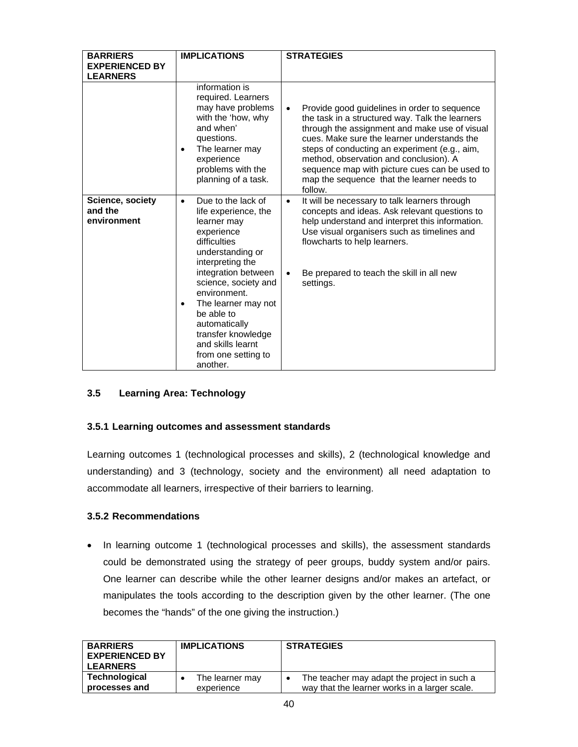| <b>BARRIERS</b><br><b>EXPERIENCED BY</b><br><b>LEARNERS</b> | <b>IMPLICATIONS</b>                                                                                                                                                                                                                                                                                                                                          | <b>STRATEGIES</b>                                                                                                                                                                                                                                                                                                                                                                                                 |
|-------------------------------------------------------------|--------------------------------------------------------------------------------------------------------------------------------------------------------------------------------------------------------------------------------------------------------------------------------------------------------------------------------------------------------------|-------------------------------------------------------------------------------------------------------------------------------------------------------------------------------------------------------------------------------------------------------------------------------------------------------------------------------------------------------------------------------------------------------------------|
|                                                             | information is<br>required. Learners<br>may have problems<br>with the 'how, why<br>and when'<br>questions.<br>The learner may<br>$\bullet$<br>experience<br>problems with the<br>planning of a task.                                                                                                                                                         | Provide good guidelines in order to sequence<br>$\bullet$<br>the task in a structured way. Talk the learners<br>through the assignment and make use of visual<br>cues. Make sure the learner understands the<br>steps of conducting an experiment (e.g., aim,<br>method, observation and conclusion). A<br>sequence map with picture cues can be used to<br>map the sequence that the learner needs to<br>follow. |
| <b>Science, society</b><br>and the<br>environment           | Due to the lack of<br>$\bullet$<br>life experience, the<br>learner may<br>experience<br>difficulties<br>understanding or<br>interpreting the<br>integration between<br>science, society and<br>environment.<br>The learner may not<br>$\bullet$<br>be able to<br>automatically<br>transfer knowledge<br>and skills learnt<br>from one setting to<br>another. | It will be necessary to talk learners through<br>$\bullet$<br>concepts and ideas. Ask relevant questions to<br>help understand and interpret this information.<br>Use visual organisers such as timelines and<br>flowcharts to help learners.<br>Be prepared to teach the skill in all new<br>$\bullet$<br>settings.                                                                                              |

# **3.5 Learning Area: Technology**

# **3.5.1 Learning outcomes and assessment standards**

Learning outcomes 1 (technological processes and skills), 2 (technological knowledge and understanding) and 3 (technology, society and the environment) all need adaptation to accommodate all learners, irrespective of their barriers to learning.

# **3.5.2 Recommendations**

• In learning outcome 1 (technological processes and skills), the assessment standards could be demonstrated using the strategy of peer groups, buddy system and/or pairs. One learner can describe while the other learner designs and/or makes an artefact, or manipulates the tools according to the description given by the other learner. (The one becomes the "hands" of the one giving the instruction.)

| <b>BARRIERS</b><br><b>EXPERIENCED BY</b><br><b>LEARNERS</b> | <b>IMPLICATIONS</b> | <b>STRATEGIES</b>                             |
|-------------------------------------------------------------|---------------------|-----------------------------------------------|
| <b>Technological</b>                                        | The learner may     | The teacher may adapt the project in such a   |
| processes and                                               | experience          | way that the learner works in a larger scale. |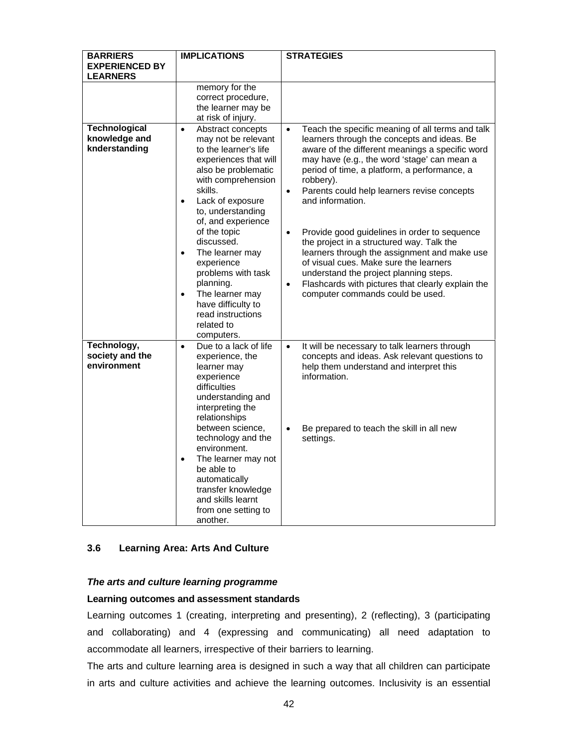| <b>BARRIERS</b>                                        | <b>IMPLICATIONS</b>                                                                                                                                                                                                                                                             | <b>STRATEGIES</b>                                                                                                                                                                                                                                                                                                                                                                                                                                                                                                     |
|--------------------------------------------------------|---------------------------------------------------------------------------------------------------------------------------------------------------------------------------------------------------------------------------------------------------------------------------------|-----------------------------------------------------------------------------------------------------------------------------------------------------------------------------------------------------------------------------------------------------------------------------------------------------------------------------------------------------------------------------------------------------------------------------------------------------------------------------------------------------------------------|
| <b>EXPERIENCED BY</b>                                  |                                                                                                                                                                                                                                                                                 |                                                                                                                                                                                                                                                                                                                                                                                                                                                                                                                       |
| <b>LEARNERS</b>                                        |                                                                                                                                                                                                                                                                                 |                                                                                                                                                                                                                                                                                                                                                                                                                                                                                                                       |
|                                                        | memory for the<br>correct procedure,<br>the learner may be<br>at risk of injury.                                                                                                                                                                                                |                                                                                                                                                                                                                                                                                                                                                                                                                                                                                                                       |
| <b>Technological</b><br>knowledge and<br>knderstanding | Abstract concepts<br>$\bullet$<br>may not be relevant<br>to the learner's life<br>experiences that will<br>also be problematic<br>with comprehension<br>skills.<br>Lack of exposure<br>to, understanding<br>of, and experience<br>of the topic<br>discussed.<br>The learner may | Teach the specific meaning of all terms and talk<br>$\bullet$<br>learners through the concepts and ideas. Be<br>aware of the different meanings a specific word<br>may have (e.g., the word 'stage' can mean a<br>period of time, a platform, a performance, a<br>robbery).<br>Parents could help learners revise concepts<br>$\bullet$<br>and information.<br>Provide good guidelines in order to sequence<br>$\bullet$<br>the project in a structured way. Talk the<br>learners through the assignment and make use |
|                                                        | experience<br>problems with task<br>planning.<br>The learner may<br>$\bullet$<br>have difficulty to<br>read instructions<br>related to<br>computers.                                                                                                                            | of visual cues. Make sure the learners<br>understand the project planning steps.<br>Flashcards with pictures that clearly explain the<br>$\bullet$<br>computer commands could be used.                                                                                                                                                                                                                                                                                                                                |
| Technology,<br>society and the<br>environment          | Due to a lack of life<br>$\bullet$<br>experience, the<br>learner may<br>experience<br>difficulties<br>understanding and<br>interpreting the<br>relationships<br>between science,                                                                                                | It will be necessary to talk learners through<br>$\bullet$<br>concepts and ideas. Ask relevant questions to<br>help them understand and interpret this<br>information.<br>Be prepared to teach the skill in all new<br>$\bullet$                                                                                                                                                                                                                                                                                      |
|                                                        | technology and the<br>environment.<br>The learner may not<br>$\bullet$<br>be able to<br>automatically<br>transfer knowledge<br>and skills learnt<br>from one setting to<br>another.                                                                                             | settings.                                                                                                                                                                                                                                                                                                                                                                                                                                                                                                             |

# **3.6 Learning Area: Arts And Culture**

#### *The arts and culture learning programme*

#### **Learning outcomes and assessment standards**

Learning outcomes 1 (creating, interpreting and presenting), 2 (reflecting), 3 (participating and collaborating) and 4 (expressing and communicating) all need adaptation to accommodate all learners, irrespective of their barriers to learning.

The arts and culture learning area is designed in such a way that all children can participate in arts and culture activities and achieve the learning outcomes. Inclusivity is an essential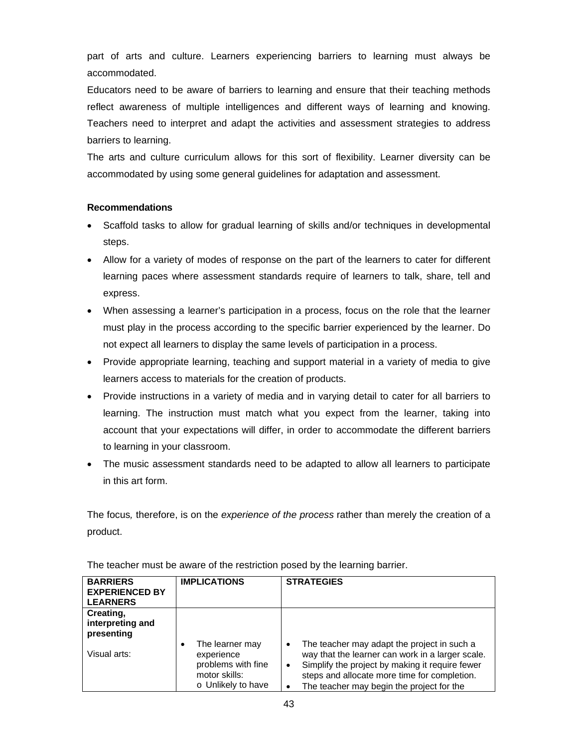part of arts and culture. Learners experiencing barriers to learning must always be accommodated.

Educators need to be aware of barriers to learning and ensure that their teaching methods reflect awareness of multiple intelligences and different ways of learning and knowing. Teachers need to interpret and adapt the activities and assessment strategies to address barriers to learning.

The arts and culture curriculum allows for this sort of flexibility. Learner diversity can be accommodated by using some general guidelines for adaptation and assessment.

# **Recommendations**

- Scaffold tasks to allow for gradual learning of skills and/or techniques in developmental steps.
- Allow for a variety of modes of response on the part of the learners to cater for different learning paces where assessment standards require of learners to talk, share, tell and express.
- When assessing a learner's participation in a process, focus on the role that the learner must play in the process according to the specific barrier experienced by the learner. Do not expect all learners to display the same levels of participation in a process.
- Provide appropriate learning, teaching and support material in a variety of media to give learners access to materials for the creation of products.
- Provide instructions in a variety of media and in varying detail to cater for all barriers to learning. The instruction must match what you expect from the learner, taking into account that your expectations will differ, in order to accommodate the different barriers to learning in your classroom.
- The music assessment standards need to be adapted to allow all learners to participate in this art form.

The focus*,* therefore, is on the *experience of the process* rather than merely the creation of a product.

| <b>BARRIERS</b><br><b>EXPERIENCED BY</b><br><b>LEARNERS</b> | <b>IMPLICATIONS</b>                                                                        | <b>STRATEGIES</b>                                                                                                                                                                                                                                         |
|-------------------------------------------------------------|--------------------------------------------------------------------------------------------|-----------------------------------------------------------------------------------------------------------------------------------------------------------------------------------------------------------------------------------------------------------|
| Creating,<br>interpreting and<br>presenting                 |                                                                                            |                                                                                                                                                                                                                                                           |
| Visual arts:                                                | The learner may<br>experience<br>problems with fine<br>motor skills:<br>○ Unlikely to have | The teacher may adapt the project in such a<br>٠<br>way that the learner can work in a larger scale.<br>Simplify the project by making it require fewer<br>٠<br>steps and allocate more time for completion.<br>The teacher may begin the project for the |

The teacher must be aware of the restriction posed by the learning barrier.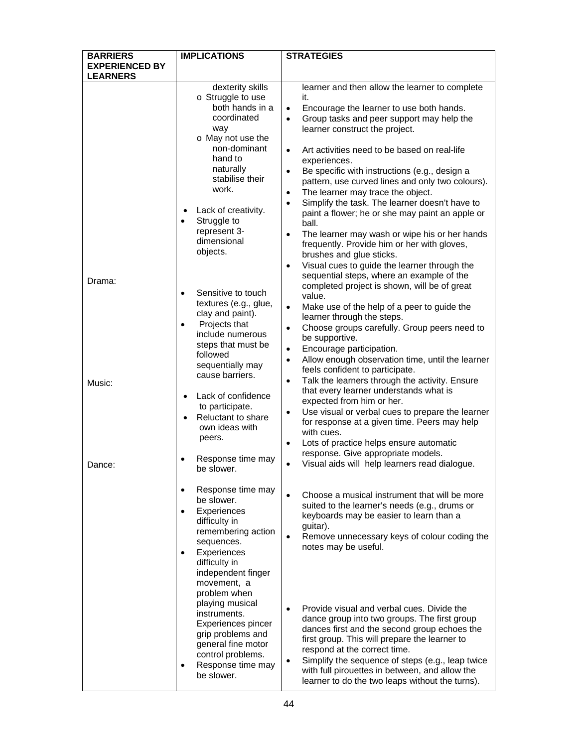| <b>BARRIERS</b>                          | <b>IMPLICATIONS</b>                                                                                                                                                                                | <b>STRATEGIES</b>                                                                                                                                                                                                                                                                                                                                                                                                            |
|------------------------------------------|----------------------------------------------------------------------------------------------------------------------------------------------------------------------------------------------------|------------------------------------------------------------------------------------------------------------------------------------------------------------------------------------------------------------------------------------------------------------------------------------------------------------------------------------------------------------------------------------------------------------------------------|
| <b>EXPERIENCED BY</b><br><b>LEARNERS</b> |                                                                                                                                                                                                    |                                                                                                                                                                                                                                                                                                                                                                                                                              |
|                                          | dexterity skills                                                                                                                                                                                   | learner and then allow the learner to complete                                                                                                                                                                                                                                                                                                                                                                               |
|                                          | o Struggle to use<br>both hands in a<br>coordinated<br>way<br>o May not use the<br>non-dominant<br>hand to<br>naturally<br>stabilise their                                                         | it.<br>Encourage the learner to use both hands.<br>$\bullet$<br>Group tasks and peer support may help the<br>$\bullet$<br>learner construct the project.<br>Art activities need to be based on real-life<br>$\bullet$<br>experiences.<br>Be specific with instructions (e.g., design a<br>$\bullet$<br>pattern, use curved lines and only two colours).                                                                      |
|                                          | work.<br>Lack of creativity.<br>Struggle to<br>represent 3-<br>dimensional<br>objects.                                                                                                             | The learner may trace the object.<br>$\bullet$<br>Simplify the task. The learner doesn't have to<br>$\bullet$<br>paint a flower; he or she may paint an apple or<br>ball.<br>The learner may wash or wipe his or her hands<br>$\bullet$<br>frequently. Provide him or her with gloves,<br>brushes and glue sticks.<br>Visual cues to guide the learner through the<br>$\bullet$<br>sequential steps, where an example of the |
| Drama:                                   | Sensitive to touch<br>$\bullet$<br>textures (e.g., glue,<br>clay and paint).<br>Projects that<br>include numerous                                                                                  | completed project is shown, will be of great<br>value.<br>$\bullet$<br>Make use of the help of a peer to guide the<br>learner through the steps.<br>Choose groups carefully. Group peers need to<br>$\bullet$                                                                                                                                                                                                                |
| Music:                                   | steps that must be<br>followed<br>sequentially may<br>cause barriers.                                                                                                                              | be supportive.<br>Encourage participation.<br>$\bullet$<br>Allow enough observation time, until the learner<br>$\bullet$<br>feels confident to participate.<br>Talk the learners through the activity. Ensure<br>$\bullet$                                                                                                                                                                                                   |
|                                          | Lack of confidence<br>to participate.<br>Reluctant to share<br>own ideas with<br>peers.                                                                                                            | that every learner understands what is<br>expected from him or her.<br>Use visual or verbal cues to prepare the learner<br>٠<br>for response at a given time. Peers may help<br>with cues.<br>Lots of practice helps ensure automatic<br>$\bullet$<br>response. Give appropriate models.                                                                                                                                     |
| Dance:                                   | Response time may<br>be slower.                                                                                                                                                                    | Visual aids will help learners read dialogue.<br>$\bullet$                                                                                                                                                                                                                                                                                                                                                                   |
|                                          | Response time may<br>be slower.<br>Experiences<br>$\bullet$<br>difficulty in<br>remembering action<br>sequences.<br>Experiences<br>$\bullet$<br>difficulty in<br>independent finger<br>movement, a | Choose a musical instrument that will be more<br>$\bullet$<br>suited to the learner's needs (e.g., drums or<br>keyboards may be easier to learn than a<br>guitar).<br>Remove unnecessary keys of colour coding the<br>$\bullet$<br>notes may be useful.                                                                                                                                                                      |
|                                          | problem when<br>playing musical<br>instruments.<br>Experiences pincer<br>grip problems and<br>general fine motor<br>control problems.<br>Response time may<br>be slower.                           | Provide visual and verbal cues. Divide the<br>$\bullet$<br>dance group into two groups. The first group<br>dances first and the second group echoes the<br>first group. This will prepare the learner to<br>respond at the correct time.<br>Simplify the sequence of steps (e.g., leap twice<br>$\bullet$<br>with full pirouettes in between, and allow the<br>learner to do the two leaps without the turns).               |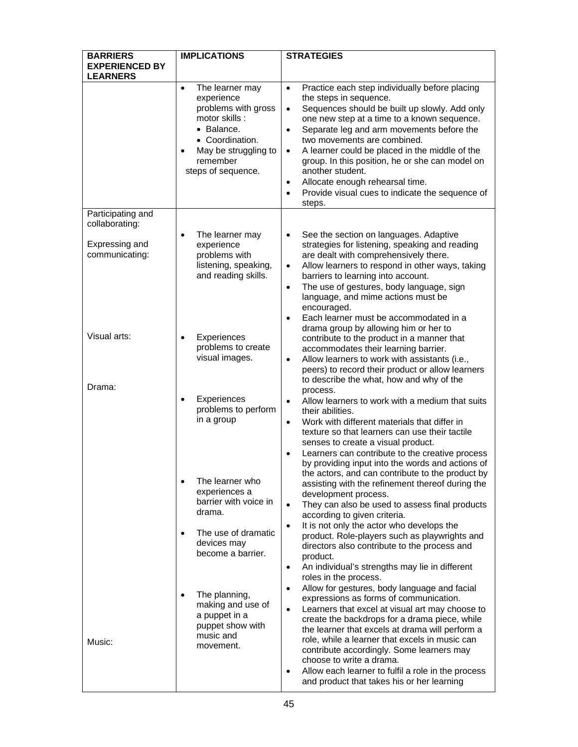| <b>BARRIERS</b>                                                         | <b>IMPLICATIONS</b>                                                                                                                                                           | <b>STRATEGIES</b>                                                                                                                                                                                                                                                                                                                                                                                                                                                                                                                                           |
|-------------------------------------------------------------------------|-------------------------------------------------------------------------------------------------------------------------------------------------------------------------------|-------------------------------------------------------------------------------------------------------------------------------------------------------------------------------------------------------------------------------------------------------------------------------------------------------------------------------------------------------------------------------------------------------------------------------------------------------------------------------------------------------------------------------------------------------------|
| <b>EXPERIENCED BY</b><br><b>LEARNERS</b>                                |                                                                                                                                                                               |                                                                                                                                                                                                                                                                                                                                                                                                                                                                                                                                                             |
|                                                                         | The learner may<br>$\bullet$<br>experience<br>problems with gross<br>motor skills:<br>• Balance.<br>• Coordination.<br>May be struggling to<br>remember<br>steps of sequence. | Practice each step individually before placing<br>$\bullet$<br>the steps in sequence.<br>Sequences should be built up slowly. Add only<br>$\bullet$<br>one new step at a time to a known sequence.<br>Separate leg and arm movements before the<br>$\bullet$<br>two movements are combined.<br>A learner could be placed in the middle of the<br>$\bullet$<br>group. In this position, he or she can model on<br>another student.<br>Allocate enough rehearsal time.<br>$\bullet$<br>Provide visual cues to indicate the sequence of<br>$\bullet$<br>steps. |
| Participating and<br>collaborating:<br>Expressing and<br>communicating: | The learner may<br>experience<br>problems with<br>listening, speaking,<br>and reading skills.                                                                                 | See the section on languages. Adaptive<br>$\bullet$<br>strategies for listening, speaking and reading<br>are dealt with comprehensively there.<br>Allow learners to respond in other ways, taking<br>$\bullet$<br>barriers to learning into account.<br>The use of gestures, body language, sign<br>$\bullet$<br>language, and mime actions must be<br>encouraged.<br>Each learner must be accommodated in a<br>$\bullet$<br>drama group by allowing him or her to                                                                                          |
| Visual arts:                                                            | Experiences<br>$\bullet$<br>problems to create<br>visual images.                                                                                                              | contribute to the product in a manner that<br>accommodates their learning barrier.<br>Allow learners to work with assistants (i.e.,<br>$\bullet$<br>peers) to record their product or allow learners<br>to describe the what, how and why of the                                                                                                                                                                                                                                                                                                            |
| Drama:                                                                  | Experiences<br>$\bullet$<br>problems to perform<br>in a group                                                                                                                 | process.<br>Allow learners to work with a medium that suits<br>$\bullet$<br>their abilities.<br>Work with different materials that differ in<br>$\bullet$<br>texture so that learners can use their tactile<br>senses to create a visual product.<br>Learners can contribute to the creative process<br>$\bullet$<br>by providing input into the words and actions of                                                                                                                                                                                       |
|                                                                         | The learner who<br>$\bullet$<br>experiences a<br>barrier with voice in<br>drama.                                                                                              | the actors, and can contribute to the product by<br>assisting with the refinement thereof during the<br>development process.<br>They can also be used to assess final products<br>$\bullet$<br>according to given criteria.                                                                                                                                                                                                                                                                                                                                 |
|                                                                         | The use of dramatic<br>$\bullet$<br>devices may<br>become a barrier.                                                                                                          | It is not only the actor who develops the<br>$\bullet$<br>product. Role-players such as playwrights and<br>directors also contribute to the process and<br>product.<br>An individual's strengths may lie in different<br>$\bullet$<br>roles in the process.                                                                                                                                                                                                                                                                                                 |
| Music:                                                                  | The planning,<br>making and use of<br>a puppet in a<br>puppet show with<br>music and<br>movement.                                                                             | Allow for gestures, body language and facial<br>$\bullet$<br>expressions as forms of communication.<br>Learners that excel at visual art may choose to<br>$\bullet$<br>create the backdrops for a drama piece, while<br>the learner that excels at drama will perform a<br>role, while a learner that excels in music can<br>contribute accordingly. Some learners may<br>choose to write a drama.<br>Allow each learner to fulfil a role in the process<br>$\bullet$<br>and product that takes his or her learning                                         |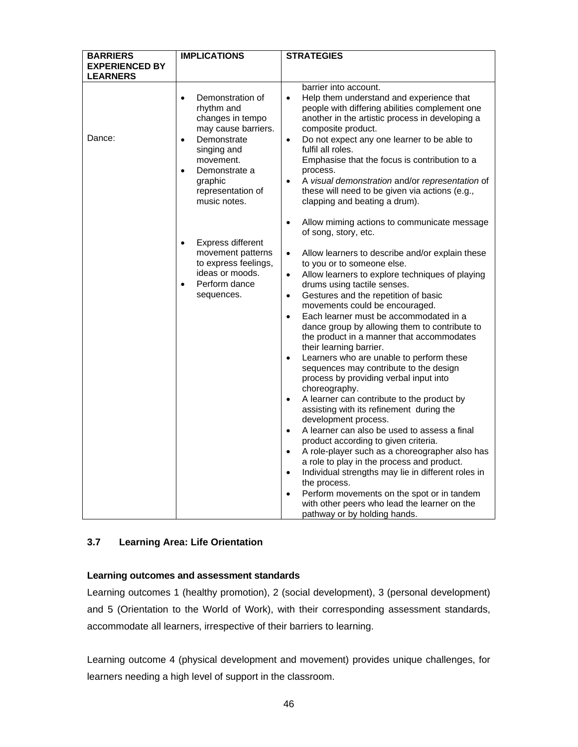| <b>BARRIERS</b>       | <b>IMPLICATIONS</b>                                                                                                                                                                                                          | <b>STRATEGIES</b>                                                                                                                                                                                                                                                                                                                                                                                                                                                                                                                                                                                                                                                                                                                                                                                                                                                                                                                                                                                                                                                                                                                                                                                                                                                                                 |
|-----------------------|------------------------------------------------------------------------------------------------------------------------------------------------------------------------------------------------------------------------------|---------------------------------------------------------------------------------------------------------------------------------------------------------------------------------------------------------------------------------------------------------------------------------------------------------------------------------------------------------------------------------------------------------------------------------------------------------------------------------------------------------------------------------------------------------------------------------------------------------------------------------------------------------------------------------------------------------------------------------------------------------------------------------------------------------------------------------------------------------------------------------------------------------------------------------------------------------------------------------------------------------------------------------------------------------------------------------------------------------------------------------------------------------------------------------------------------------------------------------------------------------------------------------------------------|
| <b>EXPERIENCED BY</b> |                                                                                                                                                                                                                              |                                                                                                                                                                                                                                                                                                                                                                                                                                                                                                                                                                                                                                                                                                                                                                                                                                                                                                                                                                                                                                                                                                                                                                                                                                                                                                   |
| <b>LEARNERS</b>       |                                                                                                                                                                                                                              |                                                                                                                                                                                                                                                                                                                                                                                                                                                                                                                                                                                                                                                                                                                                                                                                                                                                                                                                                                                                                                                                                                                                                                                                                                                                                                   |
| Dance:                | Demonstration of<br>$\bullet$<br>rhythm and<br>changes in tempo<br>may cause barriers.<br>Demonstrate<br>$\bullet$<br>singing and<br>movement.<br>Demonstrate a<br>$\bullet$<br>graphic<br>representation of<br>music notes. | barrier into account.<br>Help them understand and experience that<br>$\bullet$<br>people with differing abilities complement one<br>another in the artistic process in developing a<br>composite product.<br>Do not expect any one learner to be able to<br>$\bullet$<br>fulfil all roles.<br>Emphasise that the focus is contribution to a<br>process.<br>A visual demonstration and/or representation of<br>$\bullet$<br>these will need to be given via actions (e.g.,<br>clapping and beating a drum).                                                                                                                                                                                                                                                                                                                                                                                                                                                                                                                                                                                                                                                                                                                                                                                        |
|                       | <b>Express different</b><br>$\bullet$<br>movement patterns<br>to express feelings,<br>ideas or moods.<br>Perform dance<br>$\bullet$<br>sequences.                                                                            | Allow miming actions to communicate message<br>$\bullet$<br>of song, story, etc.<br>Allow learners to describe and/or explain these<br>$\bullet$<br>to you or to someone else.<br>Allow learners to explore techniques of playing<br>$\bullet$<br>drums using tactile senses.<br>Gestures and the repetition of basic<br>$\bullet$<br>movements could be encouraged.<br>Each learner must be accommodated in a<br>$\bullet$<br>dance group by allowing them to contribute to<br>the product in a manner that accommodates<br>their learning barrier.<br>Learners who are unable to perform these<br>$\bullet$<br>sequences may contribute to the design<br>process by providing verbal input into<br>choreography.<br>A learner can contribute to the product by<br>$\bullet$<br>assisting with its refinement during the<br>development process.<br>A learner can also be used to assess a final<br>$\bullet$<br>product according to given criteria.<br>A role-player such as a choreographer also has<br>$\bullet$<br>a role to play in the process and product.<br>Individual strengths may lie in different roles in<br>$\bullet$<br>the process.<br>Perform movements on the spot or in tandem<br>$\bullet$<br>with other peers who lead the learner on the<br>pathway or by holding hands. |

# **3.7 Learning Area: Life Orientation**

# **Learning outcomes and assessment standards**

Learning outcomes 1 (healthy promotion), 2 (social development), 3 (personal development) and 5 (Orientation to the World of Work), with their corresponding assessment standards, accommodate all learners, irrespective of their barriers to learning.

Learning outcome 4 (physical development and movement) provides unique challenges, for learners needing a high level of support in the classroom.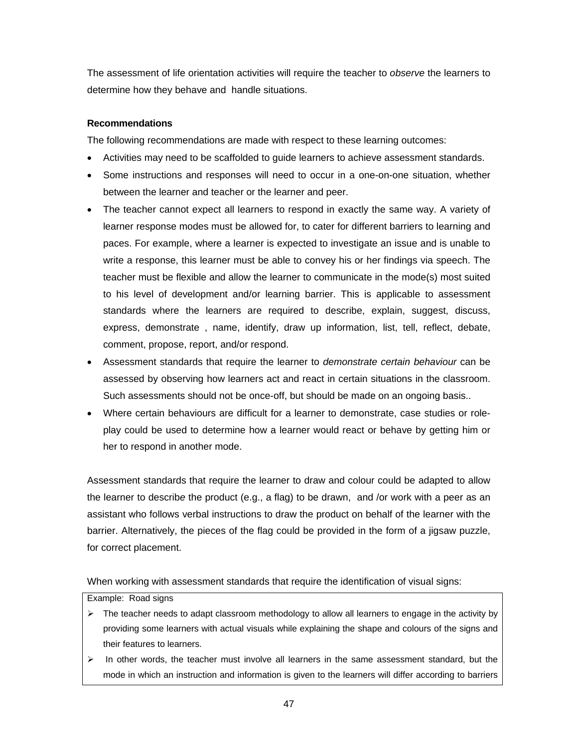The assessment of life orientation activities will require the teacher to *observe* the learners to determine how they behave and handle situations.

# **Recommendations**

The following recommendations are made with respect to these learning outcomes:

- Activities may need to be scaffolded to guide learners to achieve assessment standards.
- Some instructions and responses will need to occur in a one-on-one situation, whether between the learner and teacher or the learner and peer.
- The teacher cannot expect all learners to respond in exactly the same way. A variety of learner response modes must be allowed for, to cater for different barriers to learning and paces. For example, where a learner is expected to investigate an issue and is unable to write a response, this learner must be able to convey his or her findings via speech. The teacher must be flexible and allow the learner to communicate in the mode(s) most suited to his level of development and/or learning barrier. This is applicable to assessment standards where the learners are required to describe, explain, suggest, discuss, express, demonstrate , name, identify, draw up information, list, tell, reflect, debate, comment, propose, report, and/or respond.
- Assessment standards that require the learner to *demonstrate certain behaviour* can be assessed by observing how learners act and react in certain situations in the classroom. Such assessments should not be once-off, but should be made on an ongoing basis..
- Where certain behaviours are difficult for a learner to demonstrate, case studies or roleplay could be used to determine how a learner would react or behave by getting him or her to respond in another mode.

Assessment standards that require the learner to draw and colour could be adapted to allow the learner to describ*e* the product (e.g., a flag) to be drawn, and /or work with a peer as an assistant who follows verbal instructions to draw the product on behalf of the learner with the barrier. Alternatively, the pieces of the flag could be provided in the form of a jigsaw puzzle, for correct placement.

When working with assessment standards that require the identification of visual signs:

#### Example: Road signs

- $\triangleright$  The teacher needs to adapt classroom methodology to allow all learners to engage in the activity by providing some learners with actual visuals while explaining the shape and colours of the signs and their features to learners.
- $\triangleright$  In other words, the teacher must involve all learners in the same assessment standard, but the mode in which an instruction and information is given to the learners will differ according to barriers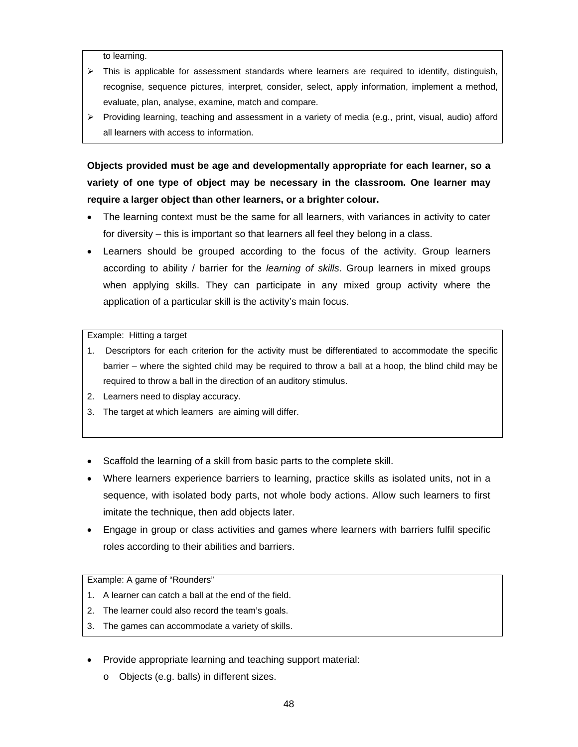to learning.

- $\triangleright$  This is applicable for assessment standards where learners are required to identify, distinguish, recognise, sequence pictures, interpret, consider, select, apply information, implement a method, evaluate, plan, analyse, examine, match and compare.
- $\triangleright$  Providing learning, teaching and assessment in a variety of media (e.g., print, visual, audio) afford all learners with access to information.

**Objects provided must be age and developmentally appropriate for each learner, so a variety of one type of object may be necessary in the classroom. One learner may require a larger object than other learners, or a brighter colour.** 

- The learning context must be the same for all learners, with variances in activity to cater for diversity – this is important so that learners all feel they belong in a class.
- Learners should be grouped according to the focus of the activity. Group learners according to ability / barrier for the *learning of skills*. Group learners in mixed groups when applying skills. They can participate in any mixed group activity where the application of a particular skill is the activity's main focus.

Example: Hitting a target

- 1. Descriptors for each criterion for the activity must be differentiated to accommodate the specific barrier – where the sighted child may be required to throw a ball at a hoop, the blind child may be required to throw a ball in the direction of an auditory stimulus.
- 2. Learners need to display accuracy.
- 3. The target at which learners are aiming will differ.
- Scaffold the learning of a skill from basic parts to the complete skill.
- Where learners experience barriers to learning, practice skills as isolated units, not in a sequence, with isolated body parts, not whole body actions. Allow such learners to first imitate the technique, then add objects later.
- Engage in group or class activities and games where learners with barriers fulfil specific roles according to their abilities and barriers.

Example: A game of "Rounders"

- 1. A learner can catch a ball at the end of the field.
- 2. The learner could also record the team's goals.
- 3. The games can accommodate a variety of skills.
- Provide appropriate learning and teaching support material:
	- o Objects (e.g. balls) in different sizes.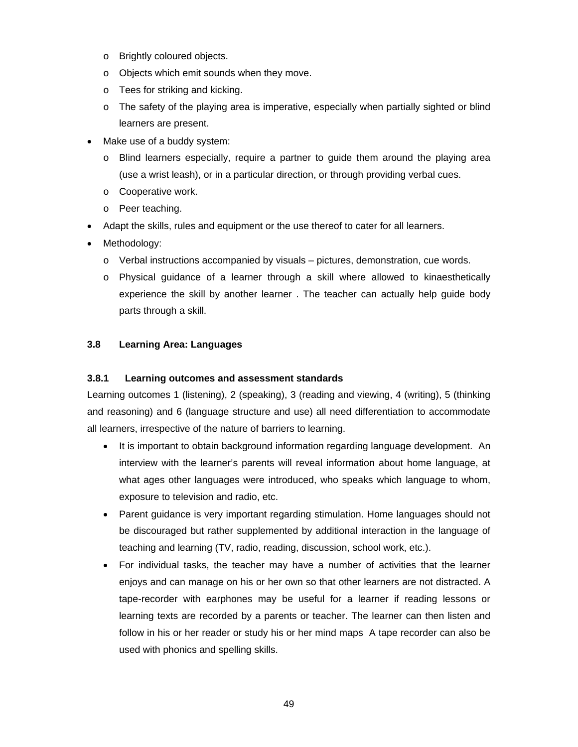- o Brightly coloured objects.
- o Objects which emit sounds when they move.
- o Tees for striking and kicking.
- $\circ$  The safety of the playing area is imperative, especially when partially sighted or blind learners are present.
- Make use of a buddy system:
	- o Blind learners especially, require a partner to guide them around the playing area (use a wrist leash), or in a particular direction, or through providing verbal cues.
	- o Cooperative work.
	- o Peer teaching.
- Adapt the skills, rules and equipment or the use thereof to cater for all learners.
- Methodology:
	- $\circ$  Verbal instructions accompanied by visuals pictures, demonstration, cue words.
	- o Physical guidance of a learner through a skill where allowed to kinaesthetically experience the skill by another learner . The teacher can actually help guide body parts through a skill.

# **3.8 Learning Area: Languages**

# **3.8.1 Learning outcomes and assessment standards**

Learning outcomes 1 (listening), 2 (speaking), 3 (reading and viewing, 4 (writing), 5 (thinking and reasoning) and 6 (language structure and use) all need differentiation to accommodate all learners, irrespective of the nature of barriers to learning.

- It is important to obtain background information regarding language development. An interview with the learner's parents will reveal information about home language, at what ages other languages were introduced, who speaks which language to whom, exposure to television and radio, etc.
- Parent guidance is very important regarding stimulation. Home languages should not be discouraged but rather supplemented by additional interaction in the language of teaching and learning (TV, radio, reading, discussion, school work, etc.).
- For individual tasks, the teacher may have a number of activities that the learner enjoys and can manage on his or her own so that other learners are not distracted. A tape-recorder with earphones may be useful for a learner if reading lessons or learning texts are recorded by a parents or teacher. The learner can then listen and follow in his or her reader or study his or her mind maps A tape recorder can also be used with phonics and spelling skills.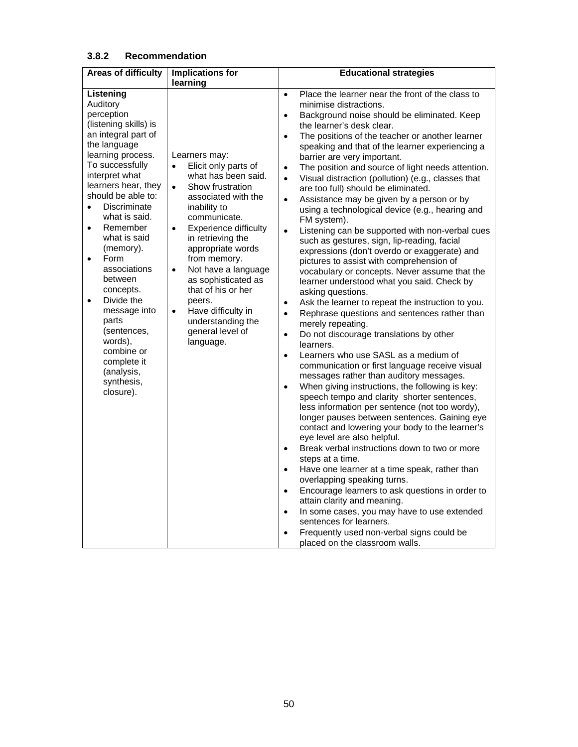# **3.8.2 Recommendation**

| <b>Areas of difficulty</b> | <b>Implications for</b>                   | <b>Educational strategies</b>                                                                                   |
|----------------------------|-------------------------------------------|-----------------------------------------------------------------------------------------------------------------|
|                            | learning                                  |                                                                                                                 |
| Listening                  |                                           | Place the learner near the front of the class to<br>$\bullet$                                                   |
| Auditory<br>perception     |                                           | minimise distractions.                                                                                          |
| (listening skills) is      |                                           | Background noise should be eliminated. Keep<br>$\bullet$                                                        |
| an integral part of        |                                           | the learner's desk clear.                                                                                       |
| the language               |                                           | The positions of the teacher or another learner<br>$\bullet$<br>speaking and that of the learner experiencing a |
| learning process.          | Learners may:                             | barrier are very important.                                                                                     |
| To successfully            | Elicit only parts of<br>$\bullet$         | The position and source of light needs attention.<br>$\bullet$                                                  |
| interpret what             | what has been said.                       | Visual distraction (pollution) (e.g., classes that<br>$\bullet$                                                 |
| learners hear, they        | Show frustration<br>$\bullet$             | are too full) should be eliminated.                                                                             |
| should be able to:         | associated with the                       | Assistance may be given by a person or by<br>$\bullet$                                                          |
| Discriminate<br>$\bullet$  | inability to                              | using a technological device (e.g., hearing and                                                                 |
| what is said.              | communicate.                              | FM system).                                                                                                     |
| Remember<br>$\bullet$      | <b>Experience difficulty</b><br>$\bullet$ | Listening can be supported with non-verbal cues<br>$\bullet$                                                    |
| what is said               | in retrieving the                         | such as gestures, sign, lip-reading, facial                                                                     |
| (memory).                  | appropriate words                         | expressions (don't overdo or exaggerate) and                                                                    |
| Form<br>$\bullet$          | from memory.                              | pictures to assist with comprehension of                                                                        |
| associations               | Not have a language<br>$\bullet$          | vocabulary or concepts. Never assume that the                                                                   |
| between<br>concepts.       | as sophisticated as<br>that of his or her | learner understood what you said. Check by                                                                      |
| Divide the<br>$\bullet$    | peers.                                    | asking questions.                                                                                               |
| message into               | Have difficulty in<br>$\bullet$           | Ask the learner to repeat the instruction to you.<br>$\bullet$                                                  |
| parts                      | understanding the                         | Rephrase questions and sentences rather than<br>$\bullet$<br>merely repeating.                                  |
| (sentences,                | general level of                          | Do not discourage translations by other<br>$\bullet$                                                            |
| words).                    | language.                                 | learners.                                                                                                       |
| combine or                 |                                           | Learners who use SASL as a medium of<br>$\bullet$                                                               |
| complete it<br>(analysis,  |                                           | communication or first language receive visual                                                                  |
| synthesis,                 |                                           | messages rather than auditory messages.                                                                         |
| closure).                  |                                           | When giving instructions, the following is key:<br>$\bullet$                                                    |
|                            |                                           | speech tempo and clarity shorter sentences,                                                                     |
|                            |                                           | less information per sentence (not too wordy),                                                                  |
|                            |                                           | longer pauses between sentences. Gaining eye                                                                    |
|                            |                                           | contact and lowering your body to the learner's<br>eye level are also helpful.                                  |
|                            |                                           | Break verbal instructions down to two or more<br>$\bullet$                                                      |
|                            |                                           | steps at a time.                                                                                                |
|                            |                                           | Have one learner at a time speak, rather than<br>$\bullet$                                                      |
|                            |                                           | overlapping speaking turns.                                                                                     |
|                            |                                           | Encourage learners to ask questions in order to<br>$\bullet$                                                    |
|                            |                                           | attain clarity and meaning.                                                                                     |
|                            |                                           | In some cases, you may have to use extended<br>$\bullet$                                                        |
|                            |                                           | sentences for learners.                                                                                         |
|                            |                                           | Frequently used non-verbal signs could be<br>$\bullet$                                                          |
|                            |                                           | placed on the classroom walls.                                                                                  |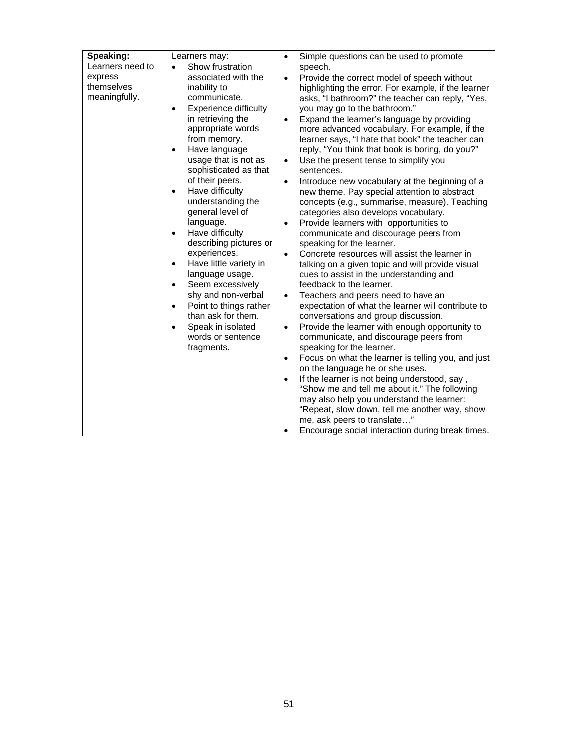| Speaking:        | Learners may:                       | $\bullet$                                                       |
|------------------|-------------------------------------|-----------------------------------------------------------------|
| Learners need to | Show frustration<br>$\bullet$       | Simple questions can be used to promote<br>speech.              |
| express          | associated with the                 | Provide the correct model of speech without<br>$\bullet$        |
| themselves       | inability to                        | highlighting the error. For example, if the learner             |
| meaningfully.    | communicate.                        |                                                                 |
|                  | $\bullet$                           | asks, "I bathroom?" the teacher can reply, "Yes,                |
|                  | <b>Experience difficulty</b>        | you may go to the bathroom."                                    |
|                  | in retrieving the                   | Expand the learner's language by providing<br>$\bullet$         |
|                  | appropriate words<br>from memory.   | more advanced vocabulary. For example, if the                   |
|                  |                                     | learner says, "I hate that book" the teacher can                |
|                  | Have language<br>$\bullet$          | reply, "You think that book is boring, do you?"                 |
|                  | usage that is not as                | Use the present tense to simplify you<br>$\bullet$              |
|                  | sophisticated as that               | sentences.                                                      |
|                  | of their peers.                     | Introduce new vocabulary at the beginning of a<br>$\bullet$     |
|                  | Have difficulty<br>$\bullet$        | new theme. Pay special attention to abstract                    |
|                  | understanding the                   | concepts (e.g., summarise, measure). Teaching                   |
|                  | general level of                    | categories also develops vocabulary.                            |
|                  | language.                           | Provide learners with opportunities to<br>$\bullet$             |
|                  | Have difficulty<br>$\bullet$        | communicate and discourage peers from                           |
|                  | describing pictures or              | speaking for the learner.                                       |
|                  | experiences.                        | Concrete resources will assist the learner in<br>$\bullet$      |
|                  | Have little variety in<br>$\bullet$ | talking on a given topic and will provide visual                |
|                  | language usage.                     | cues to assist in the understanding and                         |
|                  | Seem excessively<br>$\bullet$       | feedback to the learner.                                        |
|                  | shy and non-verbal                  | Teachers and peers need to have an<br>$\bullet$                 |
|                  | Point to things rather<br>$\bullet$ | expectation of what the learner will contribute to              |
|                  | than ask for them.                  | conversations and group discussion.                             |
|                  | Speak in isolated<br>$\bullet$      | Provide the learner with enough opportunity to<br>$\bullet$     |
|                  | words or sentence                   | communicate, and discourage peers from                          |
|                  | fragments.                          | speaking for the learner.                                       |
|                  |                                     | Focus on what the learner is telling you, and just<br>$\bullet$ |
|                  |                                     | on the language he or she uses.                                 |
|                  |                                     | If the learner is not being understood, say,<br>$\bullet$       |
|                  |                                     | "Show me and tell me about it." The following                   |
|                  |                                     | may also help you understand the learner:                       |
|                  |                                     | "Repeat, slow down, tell me another way, show                   |
|                  |                                     | me, ask peers to translate"                                     |
|                  |                                     | Encourage social interaction during break times.<br>$\bullet$   |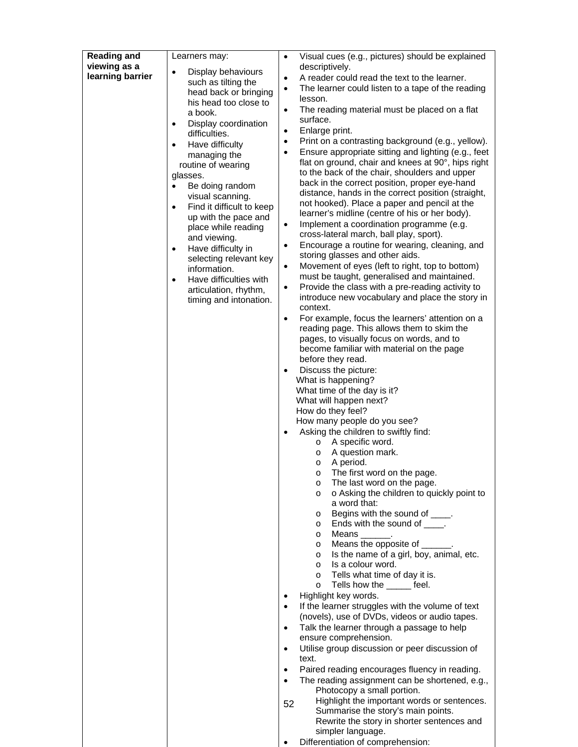| <b>Reading and</b> | Learners may:                                       | Visual cues (e.g., pictures) should be explained<br>$\bullet$                                                          |
|--------------------|-----------------------------------------------------|------------------------------------------------------------------------------------------------------------------------|
| viewing as a       | Display behaviours<br>$\bullet$                     | descriptively.                                                                                                         |
| learning barrier   | such as tilting the                                 | A reader could read the text to the learner.<br>٠                                                                      |
|                    | head back or bringing                               | The learner could listen to a tape of the reading<br>$\bullet$<br>lesson.                                              |
|                    | his head too close to                               | The reading material must be placed on a flat<br>٠                                                                     |
|                    | a book.<br>Display coordination<br>$\bullet$        | surface.                                                                                                               |
|                    | difficulties.                                       | Enlarge print.<br>٠                                                                                                    |
|                    | Have difficulty<br>$\bullet$                        | Print on a contrasting background (e.g., yellow).<br>$\bullet$                                                         |
|                    | managing the                                        | Ensure appropriate sitting and lighting (e.g., feet<br>$\bullet$<br>flat on ground, chair and knees at 90°, hips right |
|                    | routine of wearing<br>glasses.                      | to the back of the chair, shoulders and upper                                                                          |
|                    | Be doing random<br>$\bullet$                        | back in the correct position, proper eye-hand                                                                          |
|                    | visual scanning.                                    | distance, hands in the correct position (straight,                                                                     |
|                    | Find it difficult to keep<br>$\bullet$              | not hooked). Place a paper and pencil at the<br>learner's midline (centre of his or her body).                         |
|                    | up with the pace and<br>place while reading         | Implement a coordination programme (e.g.<br>$\bullet$                                                                  |
|                    | and viewing.                                        | cross-lateral march, ball play, sport).                                                                                |
|                    | Have difficulty in<br>$\bullet$                     | Encourage a routine for wearing, cleaning, and<br>$\bullet$                                                            |
|                    | selecting relevant key                              | storing glasses and other aids.<br>Movement of eyes (left to right, top to bottom)<br>٠                                |
|                    | information.<br>Have difficulties with<br>$\bullet$ | must be taught, generalised and maintained.                                                                            |
|                    | articulation, rhythm,                               | Provide the class with a pre-reading activity to<br>٠                                                                  |
|                    | timing and intonation.                              | introduce new vocabulary and place the story in<br>context.                                                            |
|                    |                                                     | For example, focus the learners' attention on a<br>$\bullet$                                                           |
|                    |                                                     | reading page. This allows them to skim the                                                                             |
|                    |                                                     | pages, to visually focus on words, and to                                                                              |
|                    |                                                     | become familiar with material on the page<br>before they read.                                                         |
|                    |                                                     | Discuss the picture:                                                                                                   |
|                    |                                                     | What is happening?                                                                                                     |
|                    |                                                     | What time of the day is it?                                                                                            |
|                    |                                                     | What will happen next?<br>How do they feel?                                                                            |
|                    |                                                     | How many people do you see?                                                                                            |
|                    |                                                     | Asking the children to swiftly find:                                                                                   |
|                    |                                                     | A specific word.<br>$\circ$<br>A question mark.<br>$\circ$                                                             |
|                    |                                                     | A period.<br>$\circ$                                                                                                   |
|                    |                                                     | The first word on the page.<br>O                                                                                       |
|                    |                                                     | The last word on the page.<br>$\circ$                                                                                  |
|                    |                                                     | o Asking the children to quickly point to<br>$\circ$<br>a word that:                                                   |
|                    |                                                     | Begins with the sound of ____.<br>$\circ$                                                                              |
|                    |                                                     | Ends with the sound of _____.<br>$\circ$                                                                               |
|                    |                                                     | Means.<br>$\circ$<br>Means the opposite of _______.<br>$\circ$                                                         |
|                    |                                                     | Is the name of a girl, boy, animal, etc.<br>$\circ$                                                                    |
|                    |                                                     | Is a colour word.<br>$\circ$                                                                                           |
|                    |                                                     | Tells what time of day it is.<br>$\circ$<br>Tells how the feel.                                                        |
|                    |                                                     | $\circ$<br>Highlight key words.                                                                                        |
|                    |                                                     | If the learner struggles with the volume of text<br>$\bullet$                                                          |
|                    |                                                     | (novels), use of DVDs, videos or audio tapes.                                                                          |
|                    |                                                     | Talk the learner through a passage to help<br>$\bullet$<br>ensure comprehension.                                       |
|                    |                                                     | Utilise group discussion or peer discussion of<br>$\bullet$                                                            |
|                    |                                                     | text.                                                                                                                  |
|                    |                                                     | Paired reading encourages fluency in reading.                                                                          |
|                    |                                                     | The reading assignment can be shortened, e.g.,<br>$\bullet$<br>Photocopy a small portion.                              |
|                    |                                                     |                                                                                                                        |
|                    |                                                     | Highlight the important words or sentences.                                                                            |
|                    |                                                     | 52<br>Summarise the story's main points.<br>Rewrite the story in shorter sentences and                                 |

Differentiation of comprehension: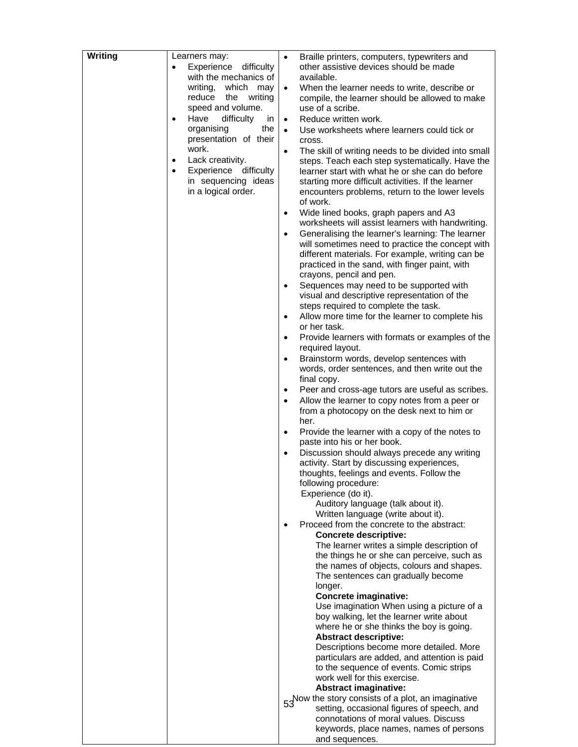| Writing | Learners may:<br>Experience<br>difficulty<br>$\bullet$ | Braille printers, computers, typewriters and<br>$\bullet$<br>other assistive devices should be made |
|---------|--------------------------------------------------------|-----------------------------------------------------------------------------------------------------|
|         | with the mechanics of                                  | available.                                                                                          |
|         | writing,<br>which may                                  | When the learner needs to write, describe or<br>$\bullet$                                           |
|         | reduce<br>the<br>writing                               | compile, the learner should be allowed to make                                                      |
|         | speed and volume.                                      | use of a scribe.                                                                                    |
|         | Have<br>difficulty<br>in<br>$\bullet$                  | Reduce written work.<br>$\bullet$                                                                   |
|         | the<br>organising                                      | Use worksheets where learners could tick or<br>$\bullet$                                            |
|         | presentation of their                                  | cross.                                                                                              |
|         | work.                                                  | The skill of writing needs to be divided into small<br>$\bullet$                                    |
|         | Lack creativity.<br>$\bullet$                          | steps. Teach each step systematically. Have the                                                     |
|         | Experience<br>difficulty<br>$\bullet$                  | learner start with what he or she can do before                                                     |
|         | in sequencing ideas                                    | starting more difficult activities. If the learner                                                  |
|         | in a logical order.                                    | encounters problems, return to the lower levels                                                     |
|         |                                                        | of work.                                                                                            |
|         |                                                        | Wide lined books, graph papers and A3<br>$\bullet$                                                  |
|         |                                                        | worksheets will assist learners with handwriting.                                                   |
|         |                                                        | Generalising the learner's learning: The learner<br>$\bullet$                                       |
|         |                                                        | will sometimes need to practice the concept with                                                    |
|         |                                                        | different materials. For example, writing can be                                                    |
|         |                                                        | practiced in the sand, with finger paint, with                                                      |
|         |                                                        | crayons, pencil and pen.                                                                            |
|         |                                                        | Sequences may need to be supported with<br>$\bullet$                                                |
|         |                                                        | visual and descriptive representation of the                                                        |
|         |                                                        | steps required to complete the task.                                                                |
|         |                                                        | Allow more time for the learner to complete his<br>$\bullet$                                        |
|         |                                                        | or her task.                                                                                        |
|         |                                                        | Provide learners with formats or examples of the<br>$\bullet$                                       |
|         |                                                        | required layout.                                                                                    |
|         |                                                        | Brainstorm words, develop sentences with<br>$\bullet$                                               |
|         |                                                        | words, order sentences, and then write out the<br>final copy.                                       |
|         |                                                        | Peer and cross-age tutors are useful as scribes.<br>$\bullet$                                       |
|         |                                                        | Allow the learner to copy notes from a peer or<br>$\bullet$                                         |
|         |                                                        | from a photocopy on the desk next to him or                                                         |
|         |                                                        | her.                                                                                                |
|         |                                                        | Provide the learner with a copy of the notes to<br>$\bullet$                                        |
|         |                                                        | paste into his or her book.                                                                         |
|         |                                                        | Discussion should always precede any writing<br>$\bullet$                                           |
|         |                                                        | activity. Start by discussing experiences,                                                          |
|         |                                                        | thoughts, feelings and events. Follow the                                                           |
|         |                                                        | following procedure:                                                                                |
|         |                                                        | Experience (do it).                                                                                 |
|         |                                                        | Auditory language (talk about it).                                                                  |
|         |                                                        | Written language (write about it).                                                                  |
|         |                                                        | Proceed from the concrete to the abstract:<br>$\bullet$                                             |
|         |                                                        | <b>Concrete descriptive:</b><br>The learner writes a simple description of                          |
|         |                                                        | the things he or she can perceive, such as                                                          |
|         |                                                        | the names of objects, colours and shapes.                                                           |
|         |                                                        | The sentences can gradually become                                                                  |
|         |                                                        | longer.                                                                                             |
|         |                                                        | Concrete imaginative:                                                                               |
|         |                                                        | Use imagination When using a picture of a                                                           |
|         |                                                        | boy walking, let the learner write about                                                            |
|         |                                                        | where he or she thinks the boy is going.                                                            |
|         |                                                        | <b>Abstract descriptive:</b>                                                                        |
|         |                                                        | Descriptions become more detailed. More                                                             |
|         |                                                        | particulars are added, and attention is paid                                                        |
|         |                                                        | to the sequence of events. Comic strips                                                             |
|         |                                                        | work well for this exercise.<br><b>Abstract imaginative:</b>                                        |
|         |                                                        | 53 Now the story consists of a plot, an imaginative                                                 |
|         |                                                        | setting, occasional figures of speech, and                                                          |
|         |                                                        | connotations of moral values. Discuss                                                               |
|         |                                                        | keywords, place names, names of persons                                                             |
|         |                                                        | and sequences.                                                                                      |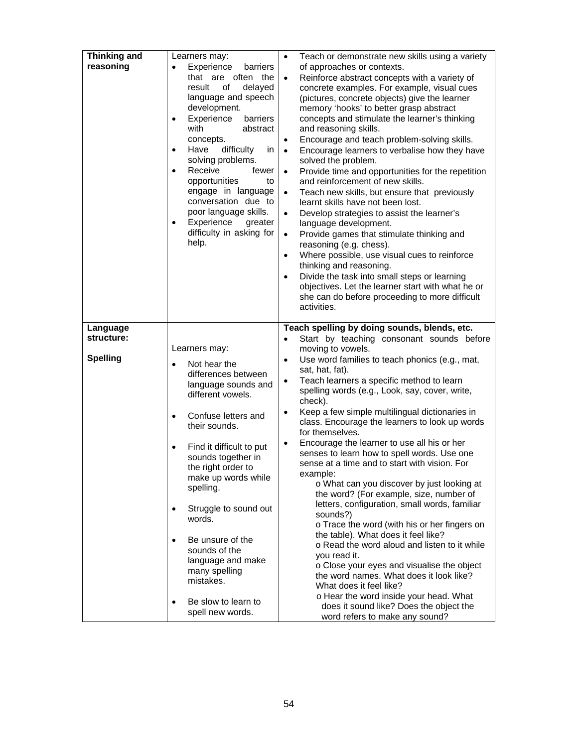| <b>Thinking and</b><br>reasoning | Learners may:<br>Experience<br>$\bullet$<br>barriers<br>that are often the<br>delayed<br>result<br>οf<br>language and speech<br>development.<br>Experience<br>barriers<br>$\bullet$<br>with<br>abstract<br>concepts.<br>difficulty<br>Have<br>in.<br>$\bullet$<br>solving problems.<br>Receive<br>fewer<br>$\bullet$<br>opportunities<br>to<br>engage in language<br>conversation due to<br>poor language skills.<br>Experience<br>greater<br>$\bullet$<br>difficulty in asking for<br>help. | Teach or demonstrate new skills using a variety<br>$\bullet$<br>of approaches or contexts.<br>Reinforce abstract concepts with a variety of<br>$\bullet$<br>concrete examples. For example, visual cues<br>(pictures, concrete objects) give the learner<br>memory 'hooks' to better grasp abstract<br>concepts and stimulate the learner's thinking<br>and reasoning skills.<br>Encourage and teach problem-solving skills.<br>$\bullet$<br>Encourage learners to verbalise how they have<br>$\bullet$<br>solved the problem.<br>Provide time and opportunities for the repetition<br>$\bullet$<br>and reinforcement of new skills.<br>Teach new skills, but ensure that previously<br>$\bullet$<br>learnt skills have not been lost.<br>Develop strategies to assist the learner's<br>$\bullet$<br>language development.<br>Provide games that stimulate thinking and<br>$\bullet$<br>reasoning (e.g. chess).<br>Where possible, use visual cues to reinforce<br>$\bullet$<br>thinking and reasoning.<br>Divide the task into small steps or learning<br>$\bullet$<br>objectives. Let the learner start with what he or<br>she can do before proceeding to more difficult<br>activities. |
|----------------------------------|----------------------------------------------------------------------------------------------------------------------------------------------------------------------------------------------------------------------------------------------------------------------------------------------------------------------------------------------------------------------------------------------------------------------------------------------------------------------------------------------|--------------------------------------------------------------------------------------------------------------------------------------------------------------------------------------------------------------------------------------------------------------------------------------------------------------------------------------------------------------------------------------------------------------------------------------------------------------------------------------------------------------------------------------------------------------------------------------------------------------------------------------------------------------------------------------------------------------------------------------------------------------------------------------------------------------------------------------------------------------------------------------------------------------------------------------------------------------------------------------------------------------------------------------------------------------------------------------------------------------------------------------------------------------------------------------------|
| Language                         |                                                                                                                                                                                                                                                                                                                                                                                                                                                                                              | Teach spelling by doing sounds, blends, etc.                                                                                                                                                                                                                                                                                                                                                                                                                                                                                                                                                                                                                                                                                                                                                                                                                                                                                                                                                                                                                                                                                                                                               |
| structure:                       |                                                                                                                                                                                                                                                                                                                                                                                                                                                                                              | Start by teaching consonant sounds before<br>$\bullet$                                                                                                                                                                                                                                                                                                                                                                                                                                                                                                                                                                                                                                                                                                                                                                                                                                                                                                                                                                                                                                                                                                                                     |
| <b>Spelling</b>                  | Learners may:<br>Not hear the<br>Ċ<br>differences between<br>language sounds and<br>different vowels.<br>Confuse letters and<br>$\bullet$<br>their sounds.<br>Find it difficult to put<br>$\bullet$<br>sounds together in<br>the right order to<br>make up words while<br>spelling.<br>Struggle to sound out<br>$\bullet$<br>words.<br>Be unsure of the<br>$\bullet$<br>sounds of the<br>language and make<br>many spelling<br>mistakes.                                                     | moving to vowels.<br>Use word families to teach phonics (e.g., mat,<br>$\bullet$<br>sat, hat, fat).<br>Teach learners a specific method to learn<br>$\bullet$<br>spelling words (e.g., Look, say, cover, write,<br>check).<br>Keep a few simple multilingual dictionaries in<br>$\bullet$<br>class. Encourage the learners to look up words<br>for themselves.<br>Encourage the learner to use all his or her<br>$\bullet$<br>senses to learn how to spell words. Use one<br>sense at a time and to start with vision. For<br>example:<br>o What can you discover by just looking at<br>the word? (For example, size, number of<br>letters, configuration, small words, familiar<br>sounds?)<br>o Trace the word (with his or her fingers on<br>the table). What does it feel like?<br>o Read the word aloud and listen to it while<br>you read it.<br>o Close your eyes and visualise the object<br>the word names. What does it look like?<br>What does it feel like?<br>o Hear the word inside your head. What                                                                                                                                                                          |
|                                  | Be slow to learn to<br>٠<br>spell new words.                                                                                                                                                                                                                                                                                                                                                                                                                                                 | does it sound like? Does the object the<br>word refers to make any sound?                                                                                                                                                                                                                                                                                                                                                                                                                                                                                                                                                                                                                                                                                                                                                                                                                                                                                                                                                                                                                                                                                                                  |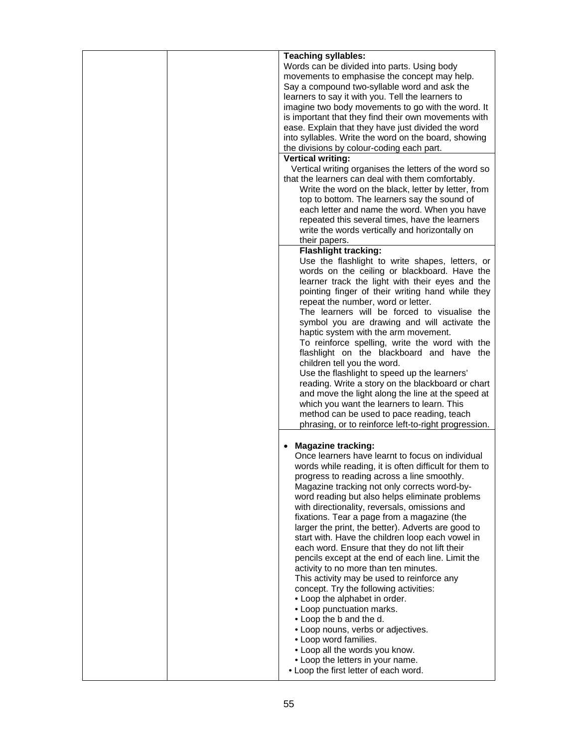| <b>Teaching syllables:</b>                             |
|--------------------------------------------------------|
| Words can be divided into parts. Using body            |
|                                                        |
| movements to emphasise the concept may help.           |
| Say a compound two-syllable word and ask the           |
| learners to say it with you. Tell the learners to      |
|                                                        |
| imagine two body movements to go with the word. It     |
| is important that they find their own movements with   |
| ease. Explain that they have just divided the word     |
|                                                        |
| into syllables. Write the word on the board, showing   |
| the divisions by colour-coding each part.              |
| <b>Vertical writing:</b>                               |
|                                                        |
| Vertical writing organises the letters of the word so  |
| that the learners can deal with them comfortably.      |
| Write the word on the black, letter by letter, from    |
| top to bottom. The learners say the sound of           |
|                                                        |
| each letter and name the word. When you have           |
| repeated this several times, have the learners         |
| write the words vertically and horizontally on         |
|                                                        |
| their papers.                                          |
| <b>Flashlight tracking:</b>                            |
| Use the flashlight to write shapes, letters, or        |
|                                                        |
| words on the ceiling or blackboard. Have the           |
| learner track the light with their eyes and the        |
| pointing finger of their writing hand while they       |
| repeat the number, word or letter.                     |
|                                                        |
| The learners will be forced to visualise the           |
| symbol you are drawing and will activate the           |
| haptic system with the arm movement.                   |
|                                                        |
| To reinforce spelling, write the word with the         |
| flashlight on the blackboard and have the              |
| children tell you the word.                            |
|                                                        |
| Use the flashlight to speed up the learners'           |
| reading. Write a story on the blackboard or chart      |
| and move the light along the line at the speed at      |
| which you want the learners to learn. This             |
|                                                        |
| method can be used to pace reading, teach              |
| phrasing, or to reinforce left-to-right progression.   |
|                                                        |
| <b>Magazine tracking:</b>                              |
|                                                        |
| Once learners have learnt to focus on individual       |
| words while reading, it is often difficult for them to |
| progress to reading across a line smoothly.            |
| Magazine tracking not only corrects word-by-           |
|                                                        |
| word reading but also helps eliminate problems         |
| with directionality, reversals, omissions and          |
| fixations. Tear a page from a magazine (the            |
|                                                        |
| larger the print, the better). Adverts are good to     |
| start with. Have the children loop each vowel in       |
| each word. Ensure that they do not lift their          |
|                                                        |
| pencils except at the end of each line. Limit the      |
| activity to no more than ten minutes.                  |
| This activity may be used to reinforce any             |
| concept. Try the following activities:                 |
|                                                        |
| • Loop the alphabet in order.                          |
| • Loop punctuation marks.                              |
| • Loop the b and the d.                                |
|                                                        |
| • Loop nouns, verbs or adjectives.                     |
| • Loop word families.                                  |
| • Loop all the words you know.                         |
| • Loop the letters in your name.                       |
|                                                        |
| • Loop the first letter of each word.                  |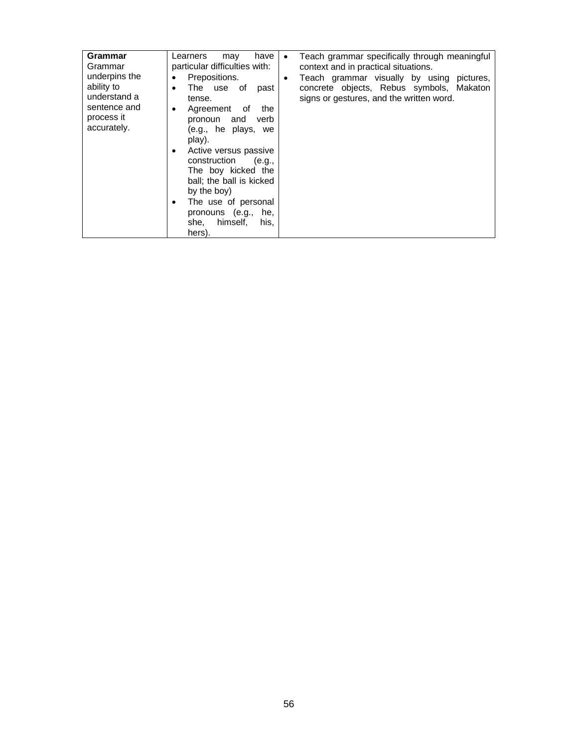| Grammar<br>Grammar<br>underpins the<br>ability to<br>understand a<br>sentence and<br>process it<br>accurately. | have<br>Learners<br>may<br>particular difficulties with:<br>Prepositions.<br>The use of<br>past<br>$\bullet$<br>tense.<br>Agreement<br>the<br>of<br>٠<br>pronoun and<br>verb<br>(e.g., he plays,<br>we<br>play).<br>Active versus passive<br>٠<br>construction<br>(e.g.,<br>The boy kicked the<br>ball; the ball is kicked<br>by the boy)<br>The use of personal<br>٠ | Teach grammar specifically through meaningful<br>context and in practical situations.<br>Teach grammar visually by using<br>pictures,<br>$\bullet$<br>concrete objects, Rebus symbols, Makaton<br>signs or gestures, and the written word. |
|----------------------------------------------------------------------------------------------------------------|-----------------------------------------------------------------------------------------------------------------------------------------------------------------------------------------------------------------------------------------------------------------------------------------------------------------------------------------------------------------------|--------------------------------------------------------------------------------------------------------------------------------------------------------------------------------------------------------------------------------------------|
|                                                                                                                | pronouns (e.g.,<br>he,<br>himself,<br>she,<br>his,<br>hers).                                                                                                                                                                                                                                                                                                          |                                                                                                                                                                                                                                            |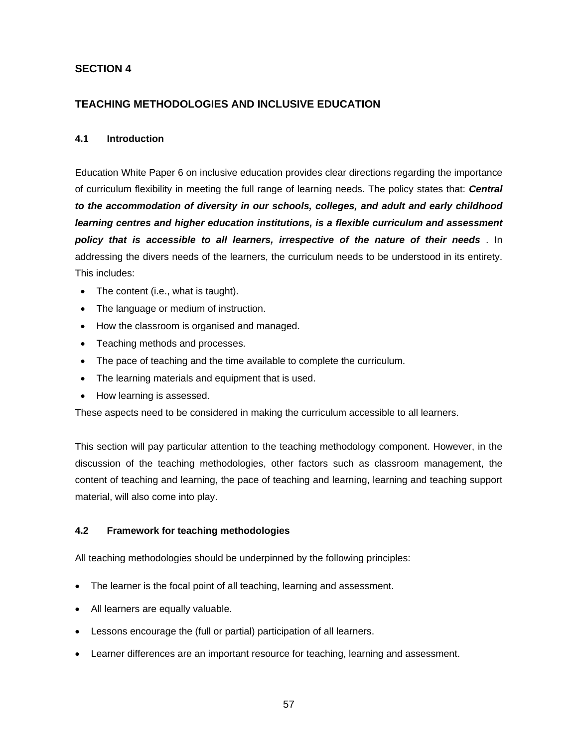# **SECTION 4**

# **TEACHING METHODOLOGIES AND INCLUSIVE EDUCATION**

### **4.1 Introduction**

Education White Paper 6 on inclusive education provides clear directions regarding the importance of curriculum flexibility in meeting the full range of learning needs. The policy states that: *Central to the accommodation of diversity in our schools, colleges, and adult and early childhood learning centres and higher education institutions, is a flexible curriculum and assessment policy that is accessible to all learners, irrespective of the nature of their needs* . In addressing the divers needs of the learners, the curriculum needs to be understood in its entirety. This includes:

- The content (i.e., what is taught).
- The language or medium of instruction.
- How the classroom is organised and managed.
- Teaching methods and processes.
- The pace of teaching and the time available to complete the curriculum.
- The learning materials and equipment that is used.
- How learning is assessed.

These aspects need to be considered in making the curriculum accessible to all learners.

This section will pay particular attention to the teaching methodology component. However, in the discussion of the teaching methodologies, other factors such as classroom management, the content of teaching and learning, the pace of teaching and learning, learning and teaching support material, will also come into play.

# **4.2 Framework for teaching methodologies**

All teaching methodologies should be underpinned by the following principles:

- The learner is the focal point of all teaching, learning and assessment.
- All learners are equally valuable.
- Lessons encourage the (full or partial) participation of all learners.
- Learner differences are an important resource for teaching, learning and assessment.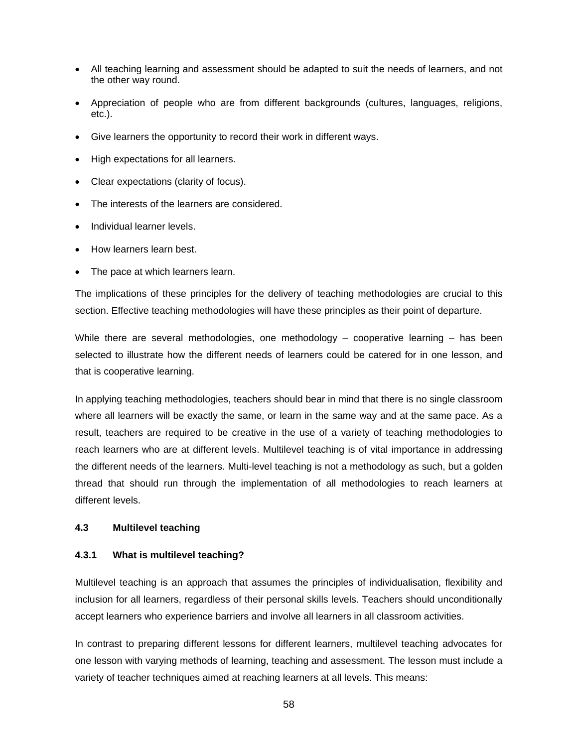- All teaching learning and assessment should be adapted to suit the needs of learners, and not the other way round.
- Appreciation of people who are from different backgrounds (cultures, languages, religions, etc.).
- Give learners the opportunity to record their work in different ways.
- High expectations for all learners.
- Clear expectations (clarity of focus).
- The interests of the learners are considered.
- Individual learner levels.
- How learners learn best.
- The pace at which learners learn.

The implications of these principles for the delivery of teaching methodologies are crucial to this section. Effective teaching methodologies will have these principles as their point of departure.

While there are several methodologies, one methodology  $-$  cooperative learning  $-$  has been selected to illustrate how the different needs of learners could be catered for in one lesson, and that is cooperative learning.

In applying teaching methodologies, teachers should bear in mind that there is no single classroom where all learners will be exactly the same, or learn in the same way and at the same pace. As a result, teachers are required to be creative in the use of a variety of teaching methodologies to reach learners who are at different levels. Multilevel teaching is of vital importance in addressing the different needs of the learners. Multi-level teaching is not a methodology as such, but a golden thread that should run through the implementation of all methodologies to reach learners at different levels.

# **4.3 Multilevel teaching**

#### **4.3.1 What is multilevel teaching?**

Multilevel teaching is an approach that assumes the principles of individualisation, flexibility and inclusion for all learners, regardless of their personal skills levels. Teachers should unconditionally accept learners who experience barriers and involve all learners in all classroom activities.

In contrast to preparing different lessons for different learners, multilevel teaching advocates for one lesson with varying methods of learning, teaching and assessment. The lesson must include a variety of teacher techniques aimed at reaching learners at all levels. This means: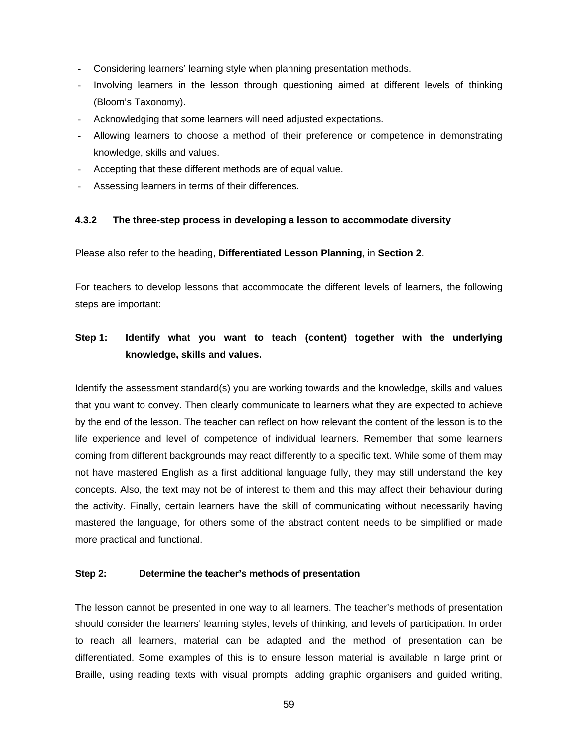- Considering learners' learning style when planning presentation methods.
- Involving learners in the lesson through questioning aimed at different levels of thinking (Bloom's Taxonomy).
- Acknowledging that some learners will need adjusted expectations.
- Allowing learners to choose a method of their preference or competence in demonstrating knowledge, skills and values.
- Accepting that these different methods are of equal value.
- Assessing learners in terms of their differences.

#### **4.3.2 The three-step process in developing a lesson to accommodate diversity**

Please also refer to the heading, **Differentiated Lesson Planning**, in **Section 2**.

For teachers to develop lessons that accommodate the different levels of learners, the following steps are important:

# **Step 1: Identify what you want to teach (content) together with the underlying knowledge, skills and values.**

Identify the assessment standard(s) you are working towards and the knowledge, skills and values that you want to convey. Then clearly communicate to learners what they are expected to achieve by the end of the lesson. The teacher can reflect on how relevant the content of the lesson is to the life experience and level of competence of individual learners. Remember that some learners coming from different backgrounds may react differently to a specific text. While some of them may not have mastered English as a first additional language fully, they may still understand the key concepts. Also, the text may not be of interest to them and this may affect their behaviour during the activity. Finally, certain learners have the skill of communicating without necessarily having mastered the language, for others some of the abstract content needs to be simplified or made more practical and functional.

#### **Step 2: Determine the teacher's methods of presentation**

The lesson cannot be presented in one way to all learners. The teacher's methods of presentation should consider the learners' learning styles, levels of thinking, and levels of participation. In order to reach all learners, material can be adapted and the method of presentation can be differentiated. Some examples of this is to ensure lesson material is available in large print or Braille, using reading texts with visual prompts, adding graphic organisers and guided writing,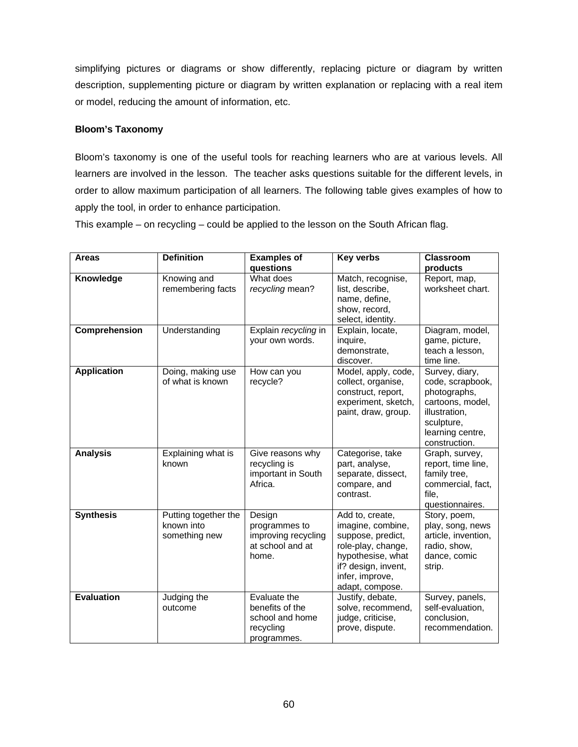simplifying pictures or diagrams or show differently, replacing picture or diagram by written description, supplementing picture or diagram by written explanation or replacing with a real item or model, reducing the amount of information, etc.

### **Bloom's Taxonomy**

Bloom's taxonomy is one of the useful tools for reaching learners who are at various levels. All learners are involved in the lesson. The teacher asks questions suitable for the different levels, in order to allow maximum participation of all learners. The following table gives examples of how to apply the tool, in order to enhance participation.

This example – on recycling – could be applied to the lesson on the South African flag.

| <b>Areas</b>       | <b>Definition</b>                                   | <b>Examples of</b><br>questions                                                | <b>Key verbs</b>                                                                                                                                                  | <b>Classroom</b><br>products                                                                                                               |
|--------------------|-----------------------------------------------------|--------------------------------------------------------------------------------|-------------------------------------------------------------------------------------------------------------------------------------------------------------------|--------------------------------------------------------------------------------------------------------------------------------------------|
| Knowledge          | Knowing and<br>remembering facts                    | What does<br>recycling mean?                                                   | Match, recognise,<br>list, describe,<br>name, define,<br>show, record,<br>select, identity.                                                                       | Report, map,<br>worksheet chart.                                                                                                           |
| Comprehension      | Understanding                                       | Explain recycling in<br>your own words.                                        | Explain, locate,<br>inquire,<br>demonstrate,<br>discover.                                                                                                         | Diagram, model,<br>game, picture,<br>teach a lesson,<br>time line.                                                                         |
| <b>Application</b> | Doing, making use<br>of what is known               | How can you<br>recycle?                                                        | Model, apply, code,<br>collect, organise,<br>construct, report,<br>experiment, sketch,<br>paint, draw, group.                                                     | Survey, diary,<br>code, scrapbook,<br>photographs,<br>cartoons, model,<br>illustration,<br>sculpture,<br>learning centre,<br>construction. |
| <b>Analysis</b>    | Explaining what is<br>known                         | Give reasons why<br>recycling is<br>important in South<br>Africa.              | Categorise, take<br>part, analyse,<br>separate, dissect,<br>compare, and<br>contrast.                                                                             | Graph, survey,<br>report, time line,<br>family tree,<br>commercial, fact,<br>file,<br>questionnaires.                                      |
| <b>Synthesis</b>   | Putting together the<br>known into<br>something new | Design<br>programmes to<br>improving recycling<br>at school and at<br>home.    | Add to, create,<br>imagine, combine,<br>suppose, predict,<br>role-play, change,<br>hypothesise, what<br>if? design, invent,<br>infer, improve,<br>adapt, compose. | Story, poem,<br>play, song, news<br>article, invention,<br>radio, show,<br>dance, comic<br>strip.                                          |
| <b>Evaluation</b>  | Judging the<br>outcome                              | Evaluate the<br>benefits of the<br>school and home<br>recycling<br>programmes. | Justify, debate,<br>solve, recommend,<br>judge, criticise,<br>prove, dispute.                                                                                     | Survey, panels,<br>self-evaluation,<br>conclusion,<br>recommendation.                                                                      |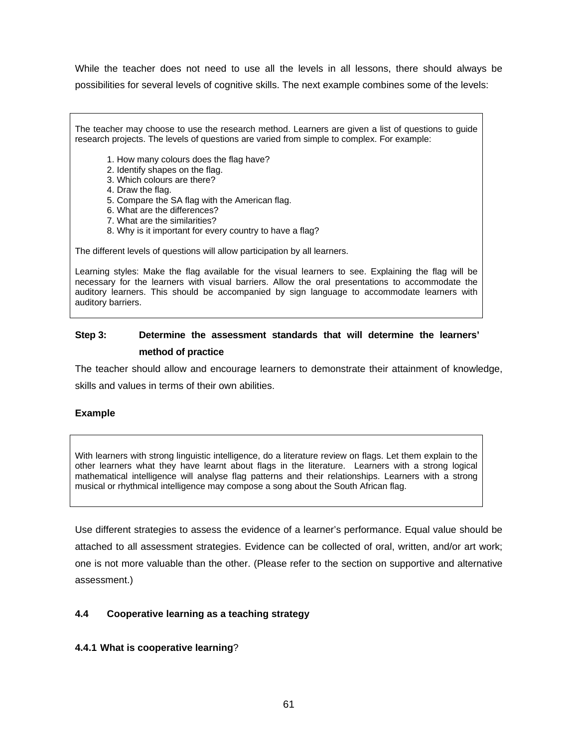While the teacher does not need to use all the levels in all lessons, there should always be possibilities for several levels of cognitive skills. The next example combines some of the levels:

The teacher may choose to use the research method. Learners are given a list of questions to guide research projects. The levels of questions are varied from simple to complex. For example:

- 1. How many colours does the flag have?
- 2. Identify shapes on the flag.
- 3. Which colours are there?
- 4. Draw the flag.
- 5. Compare the SA flag with the American flag.
- 6. What are the differences?
- 7. What are the similarities?
- 8. Why is it important for every country to have a flag?

The different levels of questions will allow participation by all learners.

Learning styles: Make the flag available for the visual learners to see. Explaining the flag will be necessary for the learners with visual barriers. Allow the oral presentations to accommodate the auditory learners. This should be accompanied by sign language to accommodate learners with auditory barriers.

# **Step 3: Determine the assessment standards that will determine the learners' method of practice**

The teacher should allow and encourage learners to demonstrate their attainment of knowledge,

skills and values in terms of their own abilities.

# **Example**

With learners with strong linguistic intelligence, do a literature review on flags. Let them explain to the other learners what they have learnt about flags in the literature. Learners with a strong logical mathematical intelligence will analyse flag patterns and their relationships. Learners with a strong musical or rhythmical intelligence may compose a song about the South African flag.

Use different strategies to assess the evidence of a learner's performance. Equal value should be attached to all assessment strategies. Evidence can be collected of oral, written, and/or art work; one is not more valuable than the other. (Please refer to the section on supportive and alternative assessment.)

# **4.4 Cooperative learning as a teaching strategy**

#### **4.4.1 What is cooperative learning**?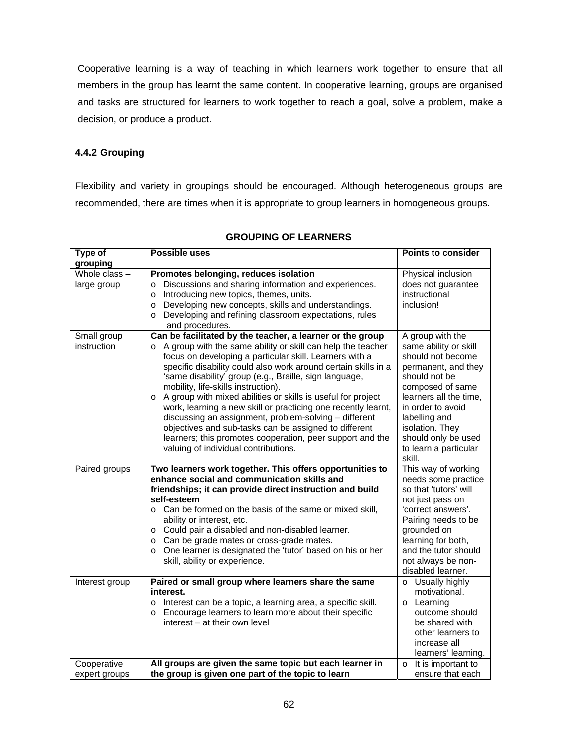Cooperative learning is a way of teaching in which learners work together to ensure that all members in the group has learnt the same content. In cooperative learning, groups are organised and tasks are structured for learners to work together to reach a goal, solve a problem, make a decision, or produce a product.

# **4.4.2 Grouping**

Flexibility and variety in groupings should be encouraged. Although heterogeneous groups are recommended, there are times when it is appropriate to group learners in homogeneous groups.

| Type of                      | Possible uses                                                                                                                                                                                                                                                                                                                                                                                                                                                                                                                                                                                                                                                                                                               | <b>Points to consider</b>                                                                                                                                                                                                                                               |
|------------------------------|-----------------------------------------------------------------------------------------------------------------------------------------------------------------------------------------------------------------------------------------------------------------------------------------------------------------------------------------------------------------------------------------------------------------------------------------------------------------------------------------------------------------------------------------------------------------------------------------------------------------------------------------------------------------------------------------------------------------------------|-------------------------------------------------------------------------------------------------------------------------------------------------------------------------------------------------------------------------------------------------------------------------|
| grouping                     |                                                                                                                                                                                                                                                                                                                                                                                                                                                                                                                                                                                                                                                                                                                             |                                                                                                                                                                                                                                                                         |
| Whole class -<br>large group | Promotes belonging, reduces isolation<br>Discussions and sharing information and experiences.<br>$\circ$<br>Introducing new topics, themes, units.<br>$\circ$<br>Developing new concepts, skills and understandings.<br>$\Omega$<br>Developing and refining classroom expectations, rules<br>$\Omega$<br>and procedures.                                                                                                                                                                                                                                                                                                                                                                                                    | Physical inclusion<br>does not guarantee<br>instructional<br>inclusion!                                                                                                                                                                                                 |
| Small group<br>instruction   | Can be facilitated by the teacher, a learner or the group<br>o A group with the same ability or skill can help the teacher<br>focus on developing a particular skill. Learners with a<br>specific disability could also work around certain skills in a<br>'same disability' group (e.g., Braille, sign language,<br>mobility, life-skills instruction).<br>A group with mixed abilities or skills is useful for project<br>$\circ$<br>work, learning a new skill or practicing one recently learnt,<br>discussing an assignment, problem-solving - different<br>objectives and sub-tasks can be assigned to different<br>learners; this promotes cooperation, peer support and the<br>valuing of individual contributions. | A group with the<br>same ability or skill<br>should not become<br>permanent, and they<br>should not be<br>composed of same<br>learners all the time,<br>in order to avoid<br>labelling and<br>isolation. They<br>should only be used<br>to learn a particular<br>skill. |
| Paired groups                | Two learners work together. This offers opportunities to<br>enhance social and communication skills and<br>friendships; it can provide direct instruction and build<br>self-esteem<br>o Can be formed on the basis of the same or mixed skill,<br>ability or interest, etc.<br>o Could pair a disabled and non-disabled learner.<br>o Can be grade mates or cross-grade mates.<br>o One learner is designated the 'tutor' based on his or her<br>skill, ability or experience.                                                                                                                                                                                                                                              | This way of working<br>needs some practice<br>so that 'tutors' will<br>not just pass on<br>'correct answers'.<br>Pairing needs to be<br>grounded on<br>learning for both,<br>and the tutor should<br>not always be non-<br>disabled learner.                            |
| Interest group               | Paired or small group where learners share the same<br>interest.<br>o Interest can be a topic, a learning area, a specific skill.<br>Encourage learners to learn more about their specific<br>$\circ$<br>interest – at their own level                                                                                                                                                                                                                                                                                                                                                                                                                                                                                      | o Usually highly<br>motivational.<br>o Learning<br>outcome should<br>be shared with<br>other learners to<br>increase all<br>learners' learning.                                                                                                                         |
| Cooperative                  | All groups are given the same topic but each learner in                                                                                                                                                                                                                                                                                                                                                                                                                                                                                                                                                                                                                                                                     | It is important to<br>$\circ$                                                                                                                                                                                                                                           |
| expert groups                | the group is given one part of the topic to learn                                                                                                                                                                                                                                                                                                                                                                                                                                                                                                                                                                                                                                                                           | ensure that each                                                                                                                                                                                                                                                        |

# **GROUPING OF LEARNERS**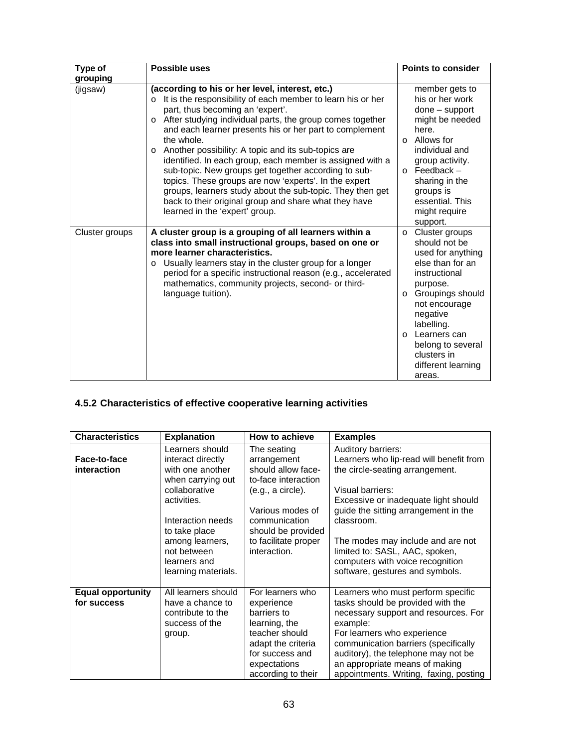| Type of        | <b>Possible uses</b>                                                                                                                                                                                                                                                                                                                                                                                                                                                                                                                                                                                                                                                                                                    | <b>Points to consider</b>                                                                                                                                                                                                                                                                   |
|----------------|-------------------------------------------------------------------------------------------------------------------------------------------------------------------------------------------------------------------------------------------------------------------------------------------------------------------------------------------------------------------------------------------------------------------------------------------------------------------------------------------------------------------------------------------------------------------------------------------------------------------------------------------------------------------------------------------------------------------------|---------------------------------------------------------------------------------------------------------------------------------------------------------------------------------------------------------------------------------------------------------------------------------------------|
| grouping       |                                                                                                                                                                                                                                                                                                                                                                                                                                                                                                                                                                                                                                                                                                                         |                                                                                                                                                                                                                                                                                             |
| (jigsaw)       | (according to his or her level, interest, etc.)<br>It is the responsibility of each member to learn his or her<br>$\Omega$<br>part, thus becoming an 'expert'.<br>After studying individual parts, the group comes together<br>$\circ$<br>and each learner presents his or her part to complement<br>the whole.<br>Another possibility: A topic and its sub-topics are<br>$\circ$<br>identified. In each group, each member is assigned with a<br>sub-topic. New groups get together according to sub-<br>topics. These groups are now 'experts'. In the expert<br>groups, learners study about the sub-topic. They then get<br>back to their original group and share what they have<br>learned in the 'expert' group. | member gets to<br>his or her work<br>$done - support$<br>might be needed<br>here.<br>Allows for<br>$\Omega$<br>individual and<br>group activity.<br>Feedback –<br>$\Omega$<br>sharing in the<br>groups is<br>essential. This<br>might require<br>support.                                   |
| Cluster groups | A cluster group is a grouping of all learners within a<br>class into small instructional groups, based on one or<br>more learner characteristics.<br>Usually learners stay in the cluster group for a longer<br>$\Omega$<br>period for a specific instructional reason (e.g., accelerated<br>mathematics, community projects, second- or third-<br>language tuition).                                                                                                                                                                                                                                                                                                                                                   | Cluster groups<br>$\circ$<br>should not be<br>used for anything<br>else than for an<br>instructional<br>purpose.<br>Groupings should<br>$\Omega$<br>not encourage<br>negative<br>labelling.<br>Learners can<br>$\Omega$<br>belong to several<br>clusters in<br>different learning<br>areas. |

# **4.5.2 Characteristics of effective cooperative learning activities**

| <b>Characteristics</b>                  | <b>Explanation</b>                                                                                                                                                                                                           | How to achieve                                                                                                                                                                                  | <b>Examples</b>                                                                                                                                                                                                                                                                                                                                                  |
|-----------------------------------------|------------------------------------------------------------------------------------------------------------------------------------------------------------------------------------------------------------------------------|-------------------------------------------------------------------------------------------------------------------------------------------------------------------------------------------------|------------------------------------------------------------------------------------------------------------------------------------------------------------------------------------------------------------------------------------------------------------------------------------------------------------------------------------------------------------------|
| Face-to-face<br>interaction             | Learners should<br>interact directly<br>with one another<br>when carrying out<br>collaborative<br>activities.<br>Interaction needs<br>to take place<br>among learners,<br>not between<br>learners and<br>learning materials. | The seating<br>arrangement<br>should allow face-<br>to-face interaction<br>(e.g., a circle).<br>Various modes of<br>communication<br>should be provided<br>to facilitate proper<br>interaction. | Auditory barriers:<br>Learners who lip-read will benefit from<br>the circle-seating arrangement.<br>Visual barriers:<br>Excessive or inadequate light should<br>guide the sitting arrangement in the<br>classroom.<br>The modes may include and are not<br>limited to: SASL, AAC, spoken,<br>computers with voice recognition<br>software, gestures and symbols. |
| <b>Equal opportunity</b><br>for success | All learners should<br>have a chance to<br>contribute to the<br>success of the<br>group.                                                                                                                                     | For learners who<br>experience<br>barriers to<br>learning, the<br>teacher should<br>adapt the criteria<br>for success and<br>expectations<br>according to their                                 | Learners who must perform specific<br>tasks should be provided with the<br>necessary support and resources. For<br>example:<br>For learners who experience<br>communication barriers (specifically<br>auditory), the telephone may not be<br>an appropriate means of making<br>appointments. Writing, faxing, posting                                            |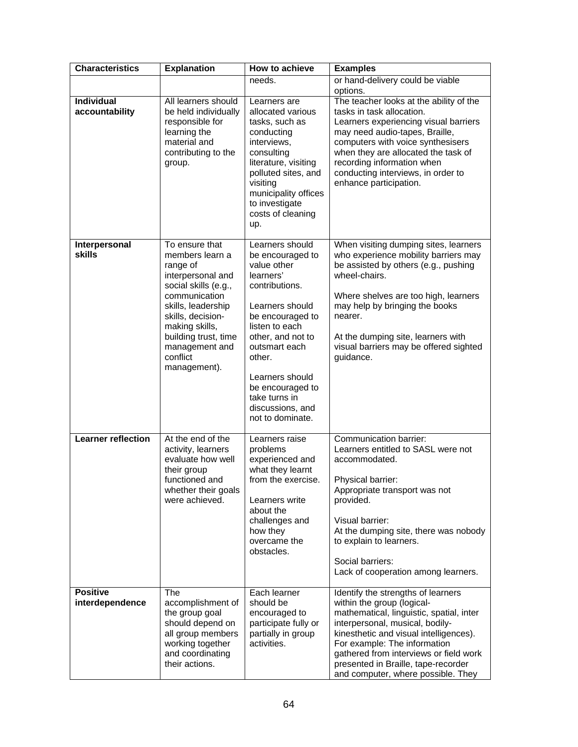| <b>Characteristics</b>              | <b>Explanation</b>                                                                                                                                                                                                                             | How to achieve                                                                                                                                                                                                                                                                             | <b>Examples</b>                                                                                                                                                                                                                                                                                                                                  |
|-------------------------------------|------------------------------------------------------------------------------------------------------------------------------------------------------------------------------------------------------------------------------------------------|--------------------------------------------------------------------------------------------------------------------------------------------------------------------------------------------------------------------------------------------------------------------------------------------|--------------------------------------------------------------------------------------------------------------------------------------------------------------------------------------------------------------------------------------------------------------------------------------------------------------------------------------------------|
|                                     |                                                                                                                                                                                                                                                | needs.                                                                                                                                                                                                                                                                                     | or hand-delivery could be viable<br>options.                                                                                                                                                                                                                                                                                                     |
| <b>Individual</b><br>accountability | All learners should<br>be held individually<br>responsible for<br>learning the<br>material and<br>contributing to the<br>group.                                                                                                                | Learners are<br>allocated various<br>tasks, such as<br>conducting<br>interviews,<br>consulting<br>literature, visiting<br>polluted sites, and<br>visiting<br>municipality offices<br>to investigate<br>costs of cleaning<br>up.                                                            | The teacher looks at the ability of the<br>tasks in task allocation.<br>Learners experiencing visual barriers<br>may need audio-tapes, Braille,<br>computers with voice synthesisers<br>when they are allocated the task of<br>recording information when<br>conducting interviews, in order to<br>enhance participation.                        |
| Interpersonal<br>skills             | To ensure that<br>members learn a<br>range of<br>interpersonal and<br>social skills (e.g.,<br>communication<br>skills, leadership<br>skills, decision-<br>making skills,<br>building trust, time<br>management and<br>conflict<br>management). | Learners should<br>be encouraged to<br>value other<br>learners'<br>contributions.<br>Learners should<br>be encouraged to<br>listen to each<br>other, and not to<br>outsmart each<br>other.<br>Learners should<br>be encouraged to<br>take turns in<br>discussions, and<br>not to dominate. | When visiting dumping sites, learners<br>who experience mobility barriers may<br>be assisted by others (e.g., pushing<br>wheel-chairs.<br>Where shelves are too high, learners<br>may help by bringing the books<br>nearer.<br>At the dumping site, learners with<br>visual barriers may be offered sighted<br>guidance.                         |
| <b>Learner reflection</b>           | At the end of the<br>activity, learners<br>evaluate how well<br>their group<br>functioned and<br>whether their goals<br>were achieved.                                                                                                         | Learners raise<br>problems<br>experienced and<br>what they learnt<br>from the exercise.<br>Learners write<br>about the<br>challenges and<br>how they<br>overcame the<br>obstacles.                                                                                                         | Communication barrier:<br>Learners entitled to SASL were not<br>accommodated.<br>Physical barrier:<br>Appropriate transport was not<br>provided.<br>Visual barrier:<br>At the dumping site, there was nobody<br>to explain to learners.<br>Social barriers:<br>Lack of cooperation among learners.                                               |
| <b>Positive</b><br>interdependence  | The<br>accomplishment of<br>the group goal<br>should depend on<br>all group members<br>working together<br>and coordinating<br>their actions.                                                                                                  | Each learner<br>should be<br>encouraged to<br>participate fully or<br>partially in group<br>activities.                                                                                                                                                                                    | Identify the strengths of learners<br>within the group (logical-<br>mathematical, linguistic, spatial, inter<br>interpersonal, musical, bodily-<br>kinesthetic and visual intelligences).<br>For example: The information<br>gathered from interviews or field work<br>presented in Braille, tape-recorder<br>and computer, where possible. They |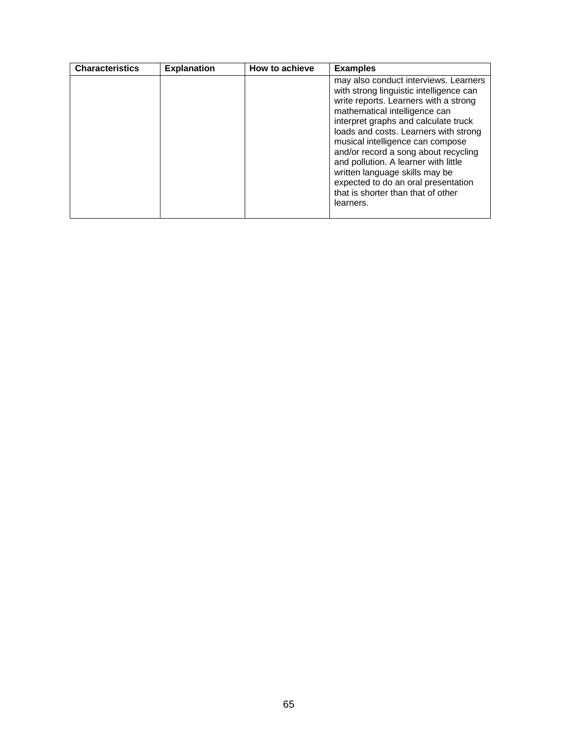| <b>Characteristics</b> | <b>Explanation</b> | How to achieve | <b>Examples</b>                                                                                                                                                                                                                                                                                                                                                                                                                                                                             |
|------------------------|--------------------|----------------|---------------------------------------------------------------------------------------------------------------------------------------------------------------------------------------------------------------------------------------------------------------------------------------------------------------------------------------------------------------------------------------------------------------------------------------------------------------------------------------------|
|                        |                    |                | may also conduct interviews. Learners<br>with strong linguistic intelligence can<br>write reports. Learners with a strong<br>mathematical intelligence can<br>interpret graphs and calculate truck<br>loads and costs. Learners with strong<br>musical intelligence can compose<br>and/or record a song about recycling<br>and pollution. A learner with little<br>written language skills may be<br>expected to do an oral presentation<br>that is shorter than that of other<br>learners. |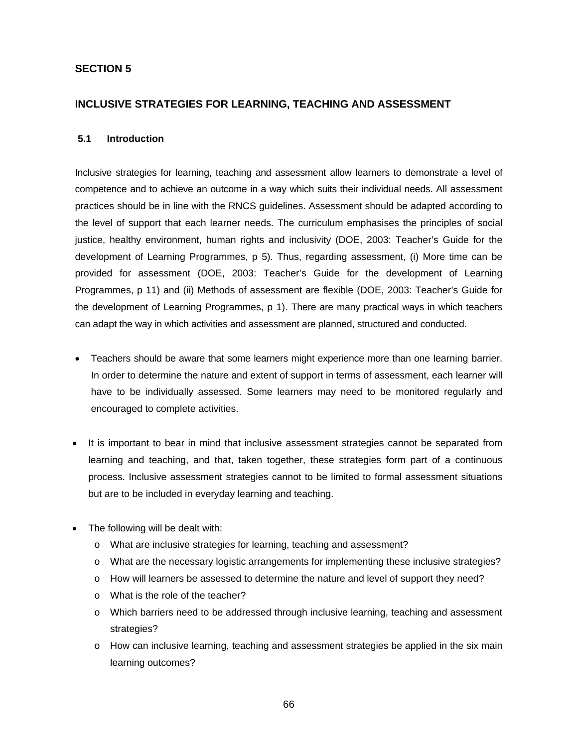# **SECTION 5**

# **INCLUSIVE STRATEGIES FOR LEARNING, TEACHING AND ASSESSMENT**

#### **5.1 Introduction**

Inclusive strategies for learning, teaching and assessment allow learners to demonstrate a level of competence and to achieve an outcome in a way which suits their individual needs. All assessment practices should be in line with the RNCS guidelines. Assessment should be adapted according to the level of support that each learner needs. The curriculum emphasises the principles of social justice, healthy environment, human rights and inclusivity (DOE, 2003: Teacher's Guide for the development of Learning Programmes, p 5). Thus, regarding assessment, (i) More time can be provided for assessment (DOE, 2003: Teacher's Guide for the development of Learning Programmes, p 11) and (ii) Methods of assessment are flexible (DOE, 2003: Teacher's Guide for the development of Learning Programmes, p 1). There are many practical ways in which teachers can adapt the way in which activities and assessment are planned, structured and conducted.

- Teachers should be aware that some learners might experience more than one learning barrier. In order to determine the nature and extent of support in terms of assessment, each learner will have to be individually assessed. Some learners may need to be monitored regularly and encouraged to complete activities.
- It is important to bear in mind that inclusive assessment strategies cannot be separated from learning and teaching, and that, taken together, these strategies form part of a continuous process. Inclusive assessment strategies cannot to be limited to formal assessment situations but are to be included in everyday learning and teaching.
- The following will be dealt with:
	- o What are inclusive strategies for learning, teaching and assessment?
	- o What are the necessary logistic arrangements for implementing these inclusive strategies?
	- o How will learners be assessed to determine the nature and level of support they need?
	- o What is the role of the teacher?
	- o Which barriers need to be addressed through inclusive learning, teaching and assessment strategies?
	- o How can inclusive learning, teaching and assessment strategies be applied in the six main learning outcomes?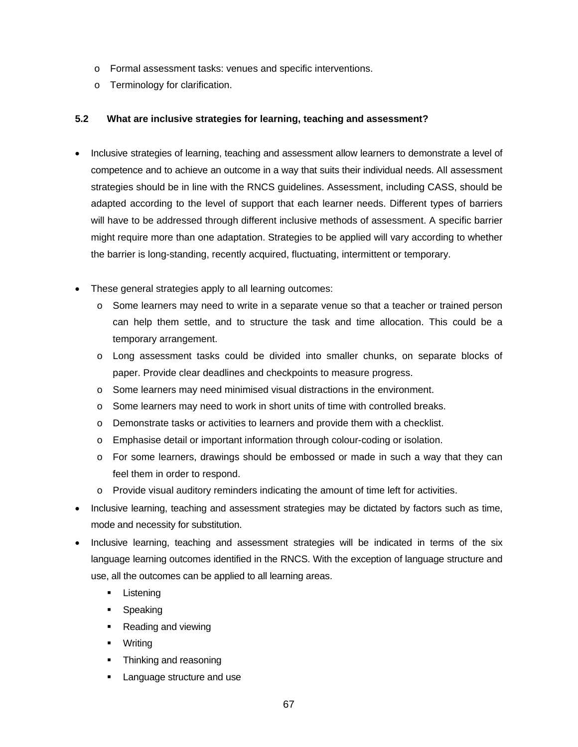- o Formal assessment tasks: venues and specific interventions.
- o Terminology for clarification.

# **5.2 What are inclusive strategies for learning, teaching and assessment?**

- Inclusive strategies of learning, teaching and assessment allow learners to demonstrate a level of competence and to achieve an outcome in a way that suits their individual needs. All assessment strategies should be in line with the RNCS guidelines. Assessment, including CASS, should be adapted according to the level of support that each learner needs. Different types of barriers will have to be addressed through different inclusive methods of assessment. A specific barrier might require more than one adaptation. Strategies to be applied will vary according to whether the barrier is long-standing, recently acquired, fluctuating, intermittent or temporary.
- These general strategies apply to all learning outcomes:
	- o Some learners may need to write in a separate venue so that a teacher or trained person can help them settle, and to structure the task and time allocation. This could be a temporary arrangement.
	- o Long assessment tasks could be divided into smaller chunks, on separate blocks of paper. Provide clear deadlines and checkpoints to measure progress.
	- o Some learners may need minimised visual distractions in the environment.
	- $\circ$  Some learners may need to work in short units of time with controlled breaks.
	- o Demonstrate tasks or activities to learners and provide them with a checklist.
	- o Emphasise detail or important information through colour-coding or isolation.
	- o For some learners, drawings should be embossed or made in such a way that they can feel them in order to respond.
	- $\circ$  Provide visual auditory reminders indicating the amount of time left for activities.
- Inclusive learning, teaching and assessment strategies may be dictated by factors such as time, mode and necessity for substitution.
- Inclusive learning, teaching and assessment strategies will be indicated in terms of the six language learning outcomes identified in the RNCS. With the exception of language structure and use, all the outcomes can be applied to all learning areas.
	- Listening
	- Speaking
	- Reading and viewing
	- **Writing**
	- Thinking and reasoning
	- Language structure and use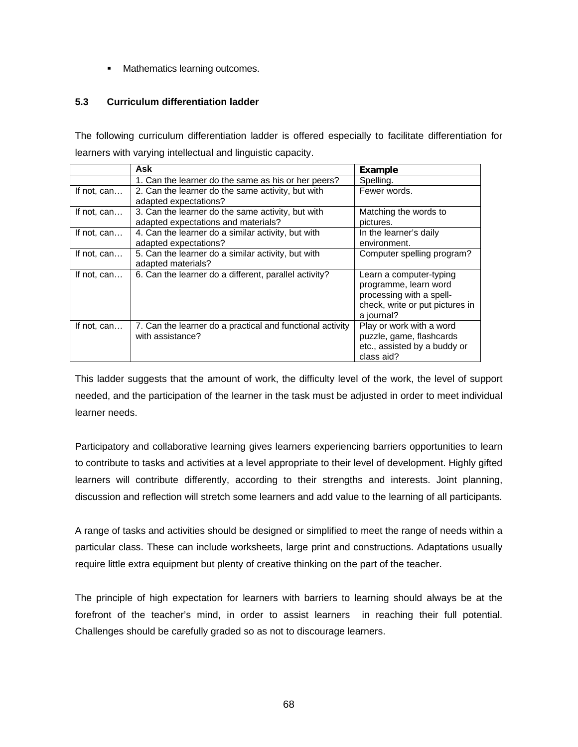**Mathematics learning outcomes.** 

# **5.3 Curriculum differentiation ladder**

The following curriculum differentiation ladder is offered especially to facilitate differentiation for learners with varying intellectual and linguistic capacity.

|             | Ask                                                       | Example                         |
|-------------|-----------------------------------------------------------|---------------------------------|
|             | 1. Can the learner do the same as his or her peers?       | Spelling.                       |
| If not, can | 2. Can the learner do the same activity, but with         | Fewer words.                    |
|             | adapted expectations?                                     |                                 |
| If not, can | 3. Can the learner do the same activity, but with         | Matching the words to           |
|             | adapted expectations and materials?                       | pictures.                       |
| If not, can | 4. Can the learner do a similar activity, but with        | In the learner's daily          |
|             | adapted expectations?                                     | environment.                    |
| If not, can | 5. Can the learner do a similar activity, but with        | Computer spelling program?      |
|             | adapted materials?                                        |                                 |
| If not, can | 6. Can the learner do a different, parallel activity?     | Learn a computer-typing         |
|             |                                                           | programme, learn word           |
|             |                                                           | processing with a spell-        |
|             |                                                           | check, write or put pictures in |
|             |                                                           | a journal?                      |
| If not, can | 7. Can the learner do a practical and functional activity | Play or work with a word        |
|             | with assistance?                                          | puzzle, game, flashcards        |
|             |                                                           | etc., assisted by a buddy or    |
|             |                                                           | class aid?                      |

This ladder suggests that the amount of work, the difficulty level of the work, the level of support needed, and the participation of the learner in the task must be adjusted in order to meet individual learner needs.

Participatory and collaborative learning gives learners experiencing barriers opportunities to learn to contribute to tasks and activities at a level appropriate to their level of development. Highly gifted learners will contribute differently, according to their strengths and interests. Joint planning, discussion and reflection will stretch some learners and add value to the learning of all participants.

A range of tasks and activities should be designed or simplified to meet the range of needs within a particular class. These can include worksheets, large print and constructions. Adaptations usually require little extra equipment but plenty of creative thinking on the part of the teacher.

The principle of high expectation for learners with barriers to learning should always be at the forefront of the teacher's mind, in order to assist learners in reaching their full potential. Challenges should be carefully graded so as not to discourage learners.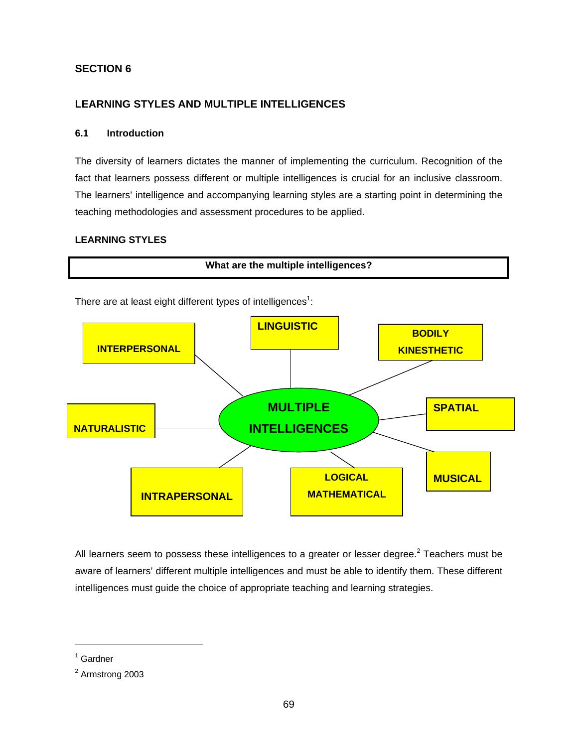# **SECTION 6**

# **LEARNING STYLES AND MULTIPLE INTELLIGENCES**

# **6.1 Introduction**

The diversity of learners dictates the manner of implementing the curriculum. Recognition of the fact that learners possess different or multiple intelligences is crucial for an inclusive classroom. The learners' intelligence and accompanying learning styles are a starting point in determining the teaching methodologies and assessment procedures to be applied.

# **LEARNING STYLES**



All learners seem to possess these intelligences to a greater or lesser degree.<sup>2</sup> Teachers must be aware of learners' different multiple intelligences and must be able to identify them. These different intelligences must guide the choice of appropriate teaching and learning strategies.

 $\overline{a}$ 

<sup>&</sup>lt;sup>1</sup> Gardner

<sup>&</sup>lt;sup>2</sup> Armstrong 2003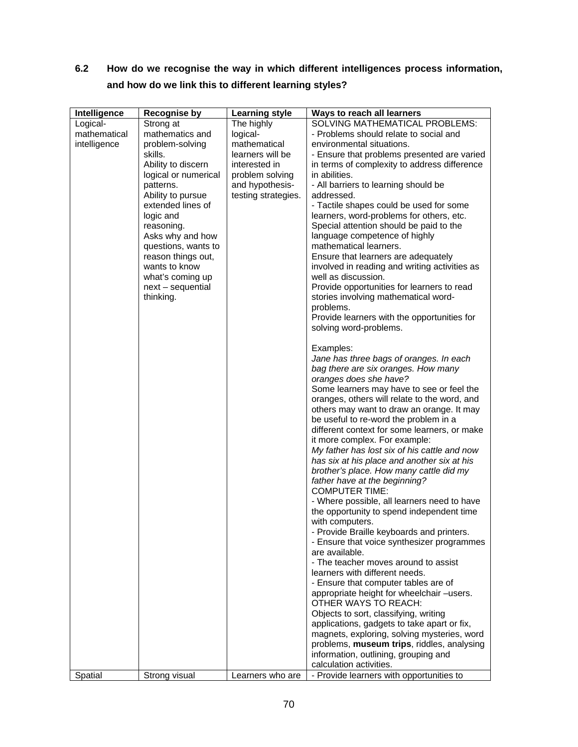# **6.2 How do we recognise the way in which different intelligences process information, and how do we link this to different learning styles?**

| <b>SOLVING MATHEMATICAL PROBLEMS:</b><br>Logical-<br>Strong at<br>The highly<br>mathematical<br>mathematics and<br>logical-<br>- Problems should relate to social and<br>mathematical<br>intelligence<br>problem-solving<br>environmental situations.<br>skills.<br>learners will be<br>- Ensure that problems presented are varied<br>in terms of complexity to address difference<br>Ability to discern<br>interested in<br>logical or numerical<br>problem solving<br>in abilities.<br>and hypothesis-<br>patterns.<br>- All barriers to learning should be<br>Ability to pursue<br>testing strategies.<br>addressed.<br>extended lines of<br>- Tactile shapes could be used for some<br>logic and<br>learners, word-problems for others, etc.<br>Special attention should be paid to the<br>reasoning.<br>Asks why and how<br>language competence of highly<br>questions, wants to<br>mathematical learners.<br>Ensure that learners are adequately<br>reason things out,<br>wants to know<br>involved in reading and writing activities as |  |
|-------------------------------------------------------------------------------------------------------------------------------------------------------------------------------------------------------------------------------------------------------------------------------------------------------------------------------------------------------------------------------------------------------------------------------------------------------------------------------------------------------------------------------------------------------------------------------------------------------------------------------------------------------------------------------------------------------------------------------------------------------------------------------------------------------------------------------------------------------------------------------------------------------------------------------------------------------------------------------------------------------------------------------------------------|--|
|                                                                                                                                                                                                                                                                                                                                                                                                                                                                                                                                                                                                                                                                                                                                                                                                                                                                                                                                                                                                                                                 |  |
|                                                                                                                                                                                                                                                                                                                                                                                                                                                                                                                                                                                                                                                                                                                                                                                                                                                                                                                                                                                                                                                 |  |
|                                                                                                                                                                                                                                                                                                                                                                                                                                                                                                                                                                                                                                                                                                                                                                                                                                                                                                                                                                                                                                                 |  |
|                                                                                                                                                                                                                                                                                                                                                                                                                                                                                                                                                                                                                                                                                                                                                                                                                                                                                                                                                                                                                                                 |  |
|                                                                                                                                                                                                                                                                                                                                                                                                                                                                                                                                                                                                                                                                                                                                                                                                                                                                                                                                                                                                                                                 |  |
|                                                                                                                                                                                                                                                                                                                                                                                                                                                                                                                                                                                                                                                                                                                                                                                                                                                                                                                                                                                                                                                 |  |
|                                                                                                                                                                                                                                                                                                                                                                                                                                                                                                                                                                                                                                                                                                                                                                                                                                                                                                                                                                                                                                                 |  |
|                                                                                                                                                                                                                                                                                                                                                                                                                                                                                                                                                                                                                                                                                                                                                                                                                                                                                                                                                                                                                                                 |  |
|                                                                                                                                                                                                                                                                                                                                                                                                                                                                                                                                                                                                                                                                                                                                                                                                                                                                                                                                                                                                                                                 |  |
|                                                                                                                                                                                                                                                                                                                                                                                                                                                                                                                                                                                                                                                                                                                                                                                                                                                                                                                                                                                                                                                 |  |
|                                                                                                                                                                                                                                                                                                                                                                                                                                                                                                                                                                                                                                                                                                                                                                                                                                                                                                                                                                                                                                                 |  |
|                                                                                                                                                                                                                                                                                                                                                                                                                                                                                                                                                                                                                                                                                                                                                                                                                                                                                                                                                                                                                                                 |  |
|                                                                                                                                                                                                                                                                                                                                                                                                                                                                                                                                                                                                                                                                                                                                                                                                                                                                                                                                                                                                                                                 |  |
|                                                                                                                                                                                                                                                                                                                                                                                                                                                                                                                                                                                                                                                                                                                                                                                                                                                                                                                                                                                                                                                 |  |
|                                                                                                                                                                                                                                                                                                                                                                                                                                                                                                                                                                                                                                                                                                                                                                                                                                                                                                                                                                                                                                                 |  |
| well as discussion.<br>what's coming up                                                                                                                                                                                                                                                                                                                                                                                                                                                                                                                                                                                                                                                                                                                                                                                                                                                                                                                                                                                                         |  |
| Provide opportunities for learners to read<br>next - sequential                                                                                                                                                                                                                                                                                                                                                                                                                                                                                                                                                                                                                                                                                                                                                                                                                                                                                                                                                                                 |  |
| stories involving mathematical word-<br>thinking.                                                                                                                                                                                                                                                                                                                                                                                                                                                                                                                                                                                                                                                                                                                                                                                                                                                                                                                                                                                               |  |
| problems.                                                                                                                                                                                                                                                                                                                                                                                                                                                                                                                                                                                                                                                                                                                                                                                                                                                                                                                                                                                                                                       |  |
| Provide learners with the opportunities for                                                                                                                                                                                                                                                                                                                                                                                                                                                                                                                                                                                                                                                                                                                                                                                                                                                                                                                                                                                                     |  |
| solving word-problems.                                                                                                                                                                                                                                                                                                                                                                                                                                                                                                                                                                                                                                                                                                                                                                                                                                                                                                                                                                                                                          |  |
| Examples:                                                                                                                                                                                                                                                                                                                                                                                                                                                                                                                                                                                                                                                                                                                                                                                                                                                                                                                                                                                                                                       |  |
| Jane has three bags of oranges. In each                                                                                                                                                                                                                                                                                                                                                                                                                                                                                                                                                                                                                                                                                                                                                                                                                                                                                                                                                                                                         |  |
| bag there are six oranges. How many                                                                                                                                                                                                                                                                                                                                                                                                                                                                                                                                                                                                                                                                                                                                                                                                                                                                                                                                                                                                             |  |
| oranges does she have?                                                                                                                                                                                                                                                                                                                                                                                                                                                                                                                                                                                                                                                                                                                                                                                                                                                                                                                                                                                                                          |  |
| Some learners may have to see or feel the                                                                                                                                                                                                                                                                                                                                                                                                                                                                                                                                                                                                                                                                                                                                                                                                                                                                                                                                                                                                       |  |
| oranges, others will relate to the word, and                                                                                                                                                                                                                                                                                                                                                                                                                                                                                                                                                                                                                                                                                                                                                                                                                                                                                                                                                                                                    |  |
| others may want to draw an orange. It may                                                                                                                                                                                                                                                                                                                                                                                                                                                                                                                                                                                                                                                                                                                                                                                                                                                                                                                                                                                                       |  |
| be useful to re-word the problem in a                                                                                                                                                                                                                                                                                                                                                                                                                                                                                                                                                                                                                                                                                                                                                                                                                                                                                                                                                                                                           |  |
| different context for some learners, or make                                                                                                                                                                                                                                                                                                                                                                                                                                                                                                                                                                                                                                                                                                                                                                                                                                                                                                                                                                                                    |  |
| it more complex. For example:                                                                                                                                                                                                                                                                                                                                                                                                                                                                                                                                                                                                                                                                                                                                                                                                                                                                                                                                                                                                                   |  |
| My father has lost six of his cattle and now                                                                                                                                                                                                                                                                                                                                                                                                                                                                                                                                                                                                                                                                                                                                                                                                                                                                                                                                                                                                    |  |
| has six at his place and another six at his                                                                                                                                                                                                                                                                                                                                                                                                                                                                                                                                                                                                                                                                                                                                                                                                                                                                                                                                                                                                     |  |
| brother's place. How many cattle did my                                                                                                                                                                                                                                                                                                                                                                                                                                                                                                                                                                                                                                                                                                                                                                                                                                                                                                                                                                                                         |  |
| father have at the beginning?                                                                                                                                                                                                                                                                                                                                                                                                                                                                                                                                                                                                                                                                                                                                                                                                                                                                                                                                                                                                                   |  |
| <b>COMPUTER TIME:</b>                                                                                                                                                                                                                                                                                                                                                                                                                                                                                                                                                                                                                                                                                                                                                                                                                                                                                                                                                                                                                           |  |
| - Where possible, all learners need to have                                                                                                                                                                                                                                                                                                                                                                                                                                                                                                                                                                                                                                                                                                                                                                                                                                                                                                                                                                                                     |  |
| the opportunity to spend independent time                                                                                                                                                                                                                                                                                                                                                                                                                                                                                                                                                                                                                                                                                                                                                                                                                                                                                                                                                                                                       |  |
| with computers.                                                                                                                                                                                                                                                                                                                                                                                                                                                                                                                                                                                                                                                                                                                                                                                                                                                                                                                                                                                                                                 |  |
| - Provide Braille keyboards and printers.                                                                                                                                                                                                                                                                                                                                                                                                                                                                                                                                                                                                                                                                                                                                                                                                                                                                                                                                                                                                       |  |
| - Ensure that voice synthesizer programmes                                                                                                                                                                                                                                                                                                                                                                                                                                                                                                                                                                                                                                                                                                                                                                                                                                                                                                                                                                                                      |  |
| are available.                                                                                                                                                                                                                                                                                                                                                                                                                                                                                                                                                                                                                                                                                                                                                                                                                                                                                                                                                                                                                                  |  |
| - The teacher moves around to assist                                                                                                                                                                                                                                                                                                                                                                                                                                                                                                                                                                                                                                                                                                                                                                                                                                                                                                                                                                                                            |  |
| learners with different needs.                                                                                                                                                                                                                                                                                                                                                                                                                                                                                                                                                                                                                                                                                                                                                                                                                                                                                                                                                                                                                  |  |
| - Ensure that computer tables are of                                                                                                                                                                                                                                                                                                                                                                                                                                                                                                                                                                                                                                                                                                                                                                                                                                                                                                                                                                                                            |  |
| appropriate height for wheelchair -users.                                                                                                                                                                                                                                                                                                                                                                                                                                                                                                                                                                                                                                                                                                                                                                                                                                                                                                                                                                                                       |  |
| OTHER WAYS TO REACH:                                                                                                                                                                                                                                                                                                                                                                                                                                                                                                                                                                                                                                                                                                                                                                                                                                                                                                                                                                                                                            |  |
| Objects to sort, classifying, writing                                                                                                                                                                                                                                                                                                                                                                                                                                                                                                                                                                                                                                                                                                                                                                                                                                                                                                                                                                                                           |  |
| applications, gadgets to take apart or fix,                                                                                                                                                                                                                                                                                                                                                                                                                                                                                                                                                                                                                                                                                                                                                                                                                                                                                                                                                                                                     |  |
| magnets, exploring, solving mysteries, word                                                                                                                                                                                                                                                                                                                                                                                                                                                                                                                                                                                                                                                                                                                                                                                                                                                                                                                                                                                                     |  |
| problems, museum trips, riddles, analysing                                                                                                                                                                                                                                                                                                                                                                                                                                                                                                                                                                                                                                                                                                                                                                                                                                                                                                                                                                                                      |  |
| information, outlining, grouping and<br>calculation activities.                                                                                                                                                                                                                                                                                                                                                                                                                                                                                                                                                                                                                                                                                                                                                                                                                                                                                                                                                                                 |  |
| - Provide learners with opportunities to<br>Spatial<br>Strong visual<br>Learners who are                                                                                                                                                                                                                                                                                                                                                                                                                                                                                                                                                                                                                                                                                                                                                                                                                                                                                                                                                        |  |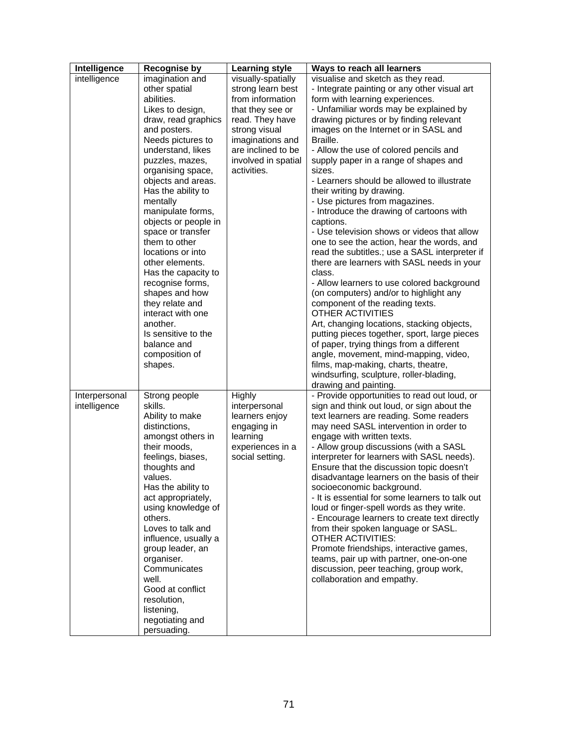| Intelligence  | <b>Recognise by</b>                       | <b>Learning style</b>               | Ways to reach all learners                                                           |
|---------------|-------------------------------------------|-------------------------------------|--------------------------------------------------------------------------------------|
| intelligence  | imagination and                           | visually-spatially                  | visualise and sketch as they read.                                                   |
|               | other spatial                             | strong learn best                   | - Integrate painting or any other visual art                                         |
|               | abilities.                                | from information                    | form with learning experiences.                                                      |
|               | Likes to design,                          | that they see or                    | - Unfamiliar words may be explained by                                               |
|               | draw, read graphics                       | read. They have                     | drawing pictures or by finding relevant                                              |
|               | and posters.                              | strong visual                       | images on the Internet or in SASL and                                                |
|               | Needs pictures to                         | imaginations and                    | Braille.                                                                             |
|               | understand, likes                         | are inclined to be                  | - Allow the use of colored pencils and                                               |
|               | puzzles, mazes,                           | involved in spatial                 | supply paper in a range of shapes and                                                |
|               | organising space,                         | activities.                         | sizes.                                                                               |
|               | objects and areas.                        |                                     | - Learners should be allowed to illustrate                                           |
|               | Has the ability to                        |                                     | their writing by drawing.                                                            |
|               | mentally                                  |                                     | - Use pictures from magazines.                                                       |
|               | manipulate forms,                         |                                     | - Introduce the drawing of cartoons with<br>captions.                                |
|               | objects or people in<br>space or transfer |                                     | - Use television shows or videos that allow                                          |
|               | them to other                             |                                     | one to see the action, hear the words, and                                           |
|               | locations or into                         |                                     | read the subtitles.; use a SASL interpreter if                                       |
|               | other elements.                           |                                     | there are learners with SASL needs in your                                           |
|               | Has the capacity to                       |                                     | class.                                                                               |
|               | recognise forms,                          |                                     | - Allow learners to use colored background                                           |
|               | shapes and how                            |                                     | (on computers) and/or to highlight any                                               |
|               | they relate and                           |                                     | component of the reading texts.                                                      |
|               | interact with one                         |                                     | OTHER ACTIVITIES                                                                     |
|               | another.                                  |                                     | Art, changing locations, stacking objects,                                           |
|               | Is sensitive to the                       |                                     | putting pieces together, sport, large pieces                                         |
|               | balance and                               |                                     | of paper, trying things from a different                                             |
|               | composition of                            |                                     | angle, movement, mind-mapping, video,                                                |
|               | shapes.                                   |                                     | films, map-making, charts, theatre,                                                  |
|               |                                           |                                     | windsurfing, sculpture, roller-blading,                                              |
|               |                                           |                                     | drawing and painting.                                                                |
| Interpersonal | Strong people                             | <b>Highly</b>                       | - Provide opportunities to read out loud, or                                         |
| intelligence  | skills.                                   | interpersonal                       | sign and think out loud, or sign about the                                           |
|               | Ability to make                           | learners enjoy                      | text learners are reading. Some readers                                              |
|               | distinctions,                             | engaging in                         | may need SASL intervention in order to                                               |
|               | amongst others in<br>their moods,         | learning                            | engage with written texts.                                                           |
|               | feelings, biases,                         | experiences in a<br>social setting. | - Allow group discussions (with a SASL<br>interpreter for learners with SASL needs). |
|               | thoughts and                              |                                     | Ensure that the discussion topic doesn't                                             |
|               | values.                                   |                                     | disadvantage learners on the basis of their                                          |
|               | Has the ability to                        |                                     | socioeconomic background.                                                            |
|               | act appropriately,                        |                                     | - It is essential for some learners to talk out                                      |
|               | using knowledge of                        |                                     | loud or finger-spell words as they write.                                            |
|               | others.                                   |                                     | - Encourage learners to create text directly                                         |
|               | Loves to talk and                         |                                     | from their spoken language or SASL.                                                  |
|               | influence, usually a                      |                                     | <b>OTHER ACTIVITIES:</b>                                                             |
|               | group leader, an                          |                                     | Promote friendships, interactive games,                                              |
|               | organiser.                                |                                     | teams, pair up with partner, one-on-one                                              |
|               | Communicates                              |                                     | discussion, peer teaching, group work,                                               |
|               | well.                                     |                                     | collaboration and empathy.                                                           |
|               | Good at conflict                          |                                     |                                                                                      |
|               | resolution,                               |                                     |                                                                                      |
|               | listening,                                |                                     |                                                                                      |
|               | negotiating and                           |                                     |                                                                                      |
|               | persuading.                               |                                     |                                                                                      |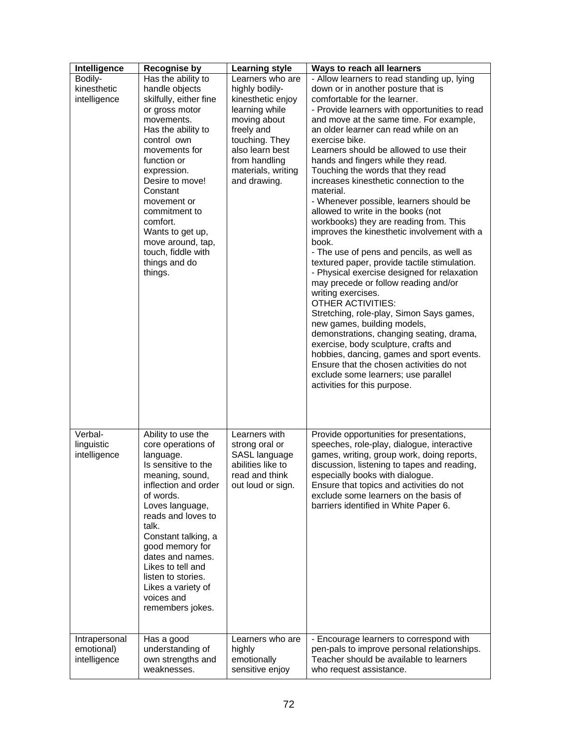| Intelligence                                | <b>Recognise by</b>                                                                                                                                                                                                                                                                                                                                                    | <b>Learning style</b>                                                                                                                                                                               | Ways to reach all learners                                                                                                                                                                                                                                                                                                                                                                                                                                                                                                                                                                                                                                                                                                                                                                                                                                                                                                                                                                                                                                                                                                                                                                              |
|---------------------------------------------|------------------------------------------------------------------------------------------------------------------------------------------------------------------------------------------------------------------------------------------------------------------------------------------------------------------------------------------------------------------------|-----------------------------------------------------------------------------------------------------------------------------------------------------------------------------------------------------|---------------------------------------------------------------------------------------------------------------------------------------------------------------------------------------------------------------------------------------------------------------------------------------------------------------------------------------------------------------------------------------------------------------------------------------------------------------------------------------------------------------------------------------------------------------------------------------------------------------------------------------------------------------------------------------------------------------------------------------------------------------------------------------------------------------------------------------------------------------------------------------------------------------------------------------------------------------------------------------------------------------------------------------------------------------------------------------------------------------------------------------------------------------------------------------------------------|
| Bodily-<br>kinesthetic<br>intelligence      | $\overline{H}$ as the ability to<br>handle objects<br>skilfully, either fine<br>or gross motor<br>movements.<br>Has the ability to<br>control own<br>movements for<br>function or<br>expression.<br>Desire to move!<br>Constant<br>movement or<br>commitment to<br>comfort.<br>Wants to get up,<br>move around, tap,<br>touch, fiddle with<br>things and do<br>things. | Learners who are<br>highly bodily-<br>kinesthetic enjoy<br>learning while<br>moving about<br>freely and<br>touching. They<br>also learn best<br>from handling<br>materials, writing<br>and drawing. | - Allow learners to read standing up, lying<br>down or in another posture that is<br>comfortable for the learner.<br>- Provide learners with opportunities to read<br>and move at the same time. For example,<br>an older learner can read while on an<br>exercise bike.<br>Learners should be allowed to use their<br>hands and fingers while they read.<br>Touching the words that they read<br>increases kinesthetic connection to the<br>material.<br>- Whenever possible, learners should be<br>allowed to write in the books (not<br>workbooks) they are reading from. This<br>improves the kinesthetic involvement with a<br>book.<br>- The use of pens and pencils, as well as<br>textured paper, provide tactile stimulation.<br>- Physical exercise designed for relaxation<br>may precede or follow reading and/or<br>writing exercises.<br>OTHER ACTIVITIES:<br>Stretching, role-play, Simon Says games,<br>new games, building models,<br>demonstrations, changing seating, drama,<br>exercise, body sculpture, crafts and<br>hobbies, dancing, games and sport events.<br>Ensure that the chosen activities do not<br>exclude some learners; use parallel<br>activities for this purpose. |
| Verbal-<br>linguistic<br>intelligence       | Ability to use the<br>core operations of<br>language.<br>Is sensitive to the<br>meaning, sound,<br>inflection and order<br>of words.<br>Loves language,<br>reads and loves to<br>talk.<br>Constant talking, a<br>good memory for<br>dates and names.<br>Likes to tell and<br>listen to stories.<br>Likes a variety of<br>voices and<br>remembers jokes.                | Learners with<br>strong oral or<br>SASL language<br>abilities like to<br>read and think<br>out loud or sign.                                                                                        | Provide opportunities for presentations,<br>speeches, role-play, dialogue, interactive<br>games, writing, group work, doing reports,<br>discussion, listening to tapes and reading,<br>especially books with dialogue.<br>Ensure that topics and activities do not<br>exclude some learners on the basis of<br>barriers identified in White Paper 6.                                                                                                                                                                                                                                                                                                                                                                                                                                                                                                                                                                                                                                                                                                                                                                                                                                                    |
| Intrapersonal<br>emotional)<br>intelligence | Has a good<br>understanding of<br>own strengths and<br>weaknesses.                                                                                                                                                                                                                                                                                                     | Learners who are<br>highly<br>emotionally<br>sensitive enjoy                                                                                                                                        | - Encourage learners to correspond with<br>pen-pals to improve personal relationships.<br>Teacher should be available to learners<br>who request assistance.                                                                                                                                                                                                                                                                                                                                                                                                                                                                                                                                                                                                                                                                                                                                                                                                                                                                                                                                                                                                                                            |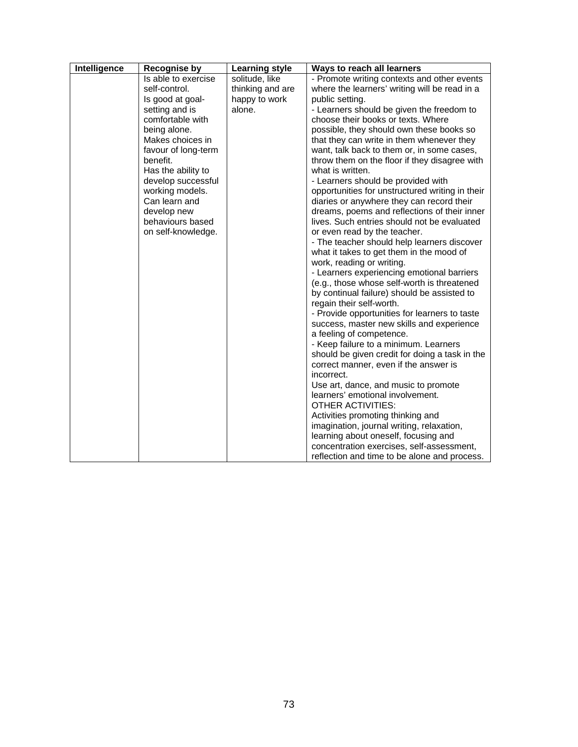| Intelligence | <b>Recognise by</b> | <b>Learning style</b> | Ways to reach all learners                      |
|--------------|---------------------|-----------------------|-------------------------------------------------|
|              | Is able to exercise | solitude, like        | - Promote writing contexts and other events     |
|              | self-control.       | thinking and are      | where the learners' writing will be read in a   |
|              | Is good at goal-    | happy to work         | public setting.                                 |
|              | setting and is      | alone.                | - Learners should be given the freedom to       |
|              | comfortable with    |                       | choose their books or texts. Where              |
|              | being alone.        |                       | possible, they should own these books so        |
|              | Makes choices in    |                       | that they can write in them whenever they       |
|              | favour of long-term |                       | want, talk back to them or, in some cases,      |
|              | benefit.            |                       | throw them on the floor if they disagree with   |
|              | Has the ability to  |                       | what is written.                                |
|              | develop successful  |                       | - Learners should be provided with              |
|              | working models.     |                       | opportunities for unstructured writing in their |
|              | Can learn and       |                       | diaries or anywhere they can record their       |
|              | develop new         |                       | dreams, poems and reflections of their inner    |
|              | behaviours based    |                       | lives. Such entries should not be evaluated     |
|              | on self-knowledge.  |                       | or even read by the teacher.                    |
|              |                     |                       | - The teacher should help learners discover     |
|              |                     |                       | what it takes to get them in the mood of        |
|              |                     |                       | work, reading or writing.                       |
|              |                     |                       | - Learners experiencing emotional barriers      |
|              |                     |                       | (e.g., those whose self-worth is threatened     |
|              |                     |                       | by continual failure) should be assisted to     |
|              |                     |                       | regain their self-worth.                        |
|              |                     |                       | - Provide opportunities for learners to taste   |
|              |                     |                       | success, master new skills and experience       |
|              |                     |                       | a feeling of competence.                        |
|              |                     |                       | - Keep failure to a minimum. Learners           |
|              |                     |                       | should be given credit for doing a task in the  |
|              |                     |                       | correct manner, even if the answer is           |
|              |                     |                       | incorrect.                                      |
|              |                     |                       | Use art, dance, and music to promote            |
|              |                     |                       | learners' emotional involvement.                |
|              |                     |                       | <b>OTHER ACTIVITIES:</b>                        |
|              |                     |                       | Activities promoting thinking and               |
|              |                     |                       | imagination, journal writing, relaxation,       |
|              |                     |                       | learning about oneself, focusing and            |
|              |                     |                       | concentration exercises, self-assessment,       |
|              |                     |                       | reflection and time to be alone and process.    |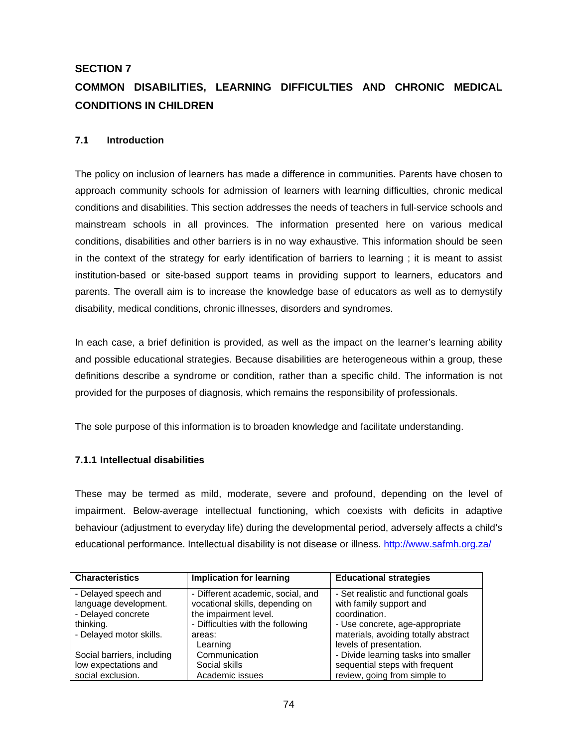# **SECTION 7**

# **COMMON DISABILITIES, LEARNING DIFFICULTIES AND CHRONIC MEDICAL CONDITIONS IN CHILDREN**

# **7.1 Introduction**

The policy on inclusion of learners has made a difference in communities. Parents have chosen to approach community schools for admission of learners with learning difficulties, chronic medical conditions and disabilities. This section addresses the needs of teachers in full-service schools and mainstream schools in all provinces. The information presented here on various medical conditions, disabilities and other barriers is in no way exhaustive. This information should be seen in the context of the strategy for early identification of barriers to learning ; it is meant to assist institution-based or site-based support teams in providing support to learners, educators and parents. The overall aim is to increase the knowledge base of educators as well as to demystify disability, medical conditions, chronic illnesses, disorders and syndromes.

In each case, a brief definition is provided, as well as the impact on the learner's learning ability and possible educational strategies. Because disabilities are heterogeneous within a group, these definitions describe a syndrome or condition, rather than a specific child. The information is not provided for the purposes of diagnosis, which remains the responsibility of professionals.

The sole purpose of this information is to broaden knowledge and facilitate understanding.

# **7.1.1 Intellectual disabilities**

These may be termed as mild, moderate, severe and profound, depending on the level of impairment. Below-average intellectual functioning, which coexists with deficits in adaptive behaviour (adjustment to everyday life) during the developmental period, adversely affects a child's educational performance. Intellectual disability is not disease or illness. http://www.safmh.org.za/

| <b>Characteristics</b>     | <b>Implication for learning</b>   | <b>Educational strategies</b>        |
|----------------------------|-----------------------------------|--------------------------------------|
| - Delayed speech and       | - Different academic, social, and | - Set realistic and functional goals |
| language development.      | vocational skills, depending on   | with family support and              |
| - Delayed concrete         | the impairment level.             | coordination.                        |
| thinking.                  | - Difficulties with the following | - Use concrete, age-appropriate      |
| - Delayed motor skills.    | areas:                            | materials, avoiding totally abstract |
|                            | Learning                          | levels of presentation.              |
| Social barriers, including | Communication                     | - Divide learning tasks into smaller |
| low expectations and       | Social skills                     | sequential steps with frequent       |
| social exclusion.          | Academic issues                   | review, going from simple to         |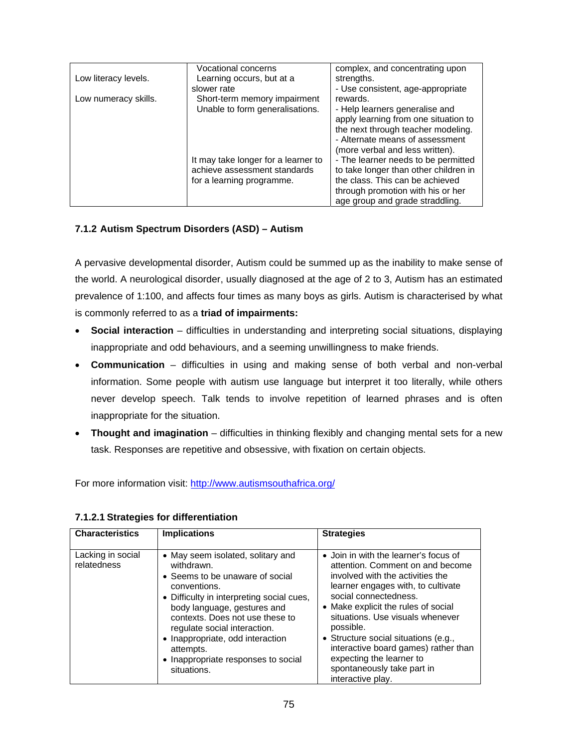|                      | <b>Vocational concerns</b>          | complex, and concentrating upon       |
|----------------------|-------------------------------------|---------------------------------------|
| Low literacy levels. | Learning occurs, but at a           | strengths.                            |
|                      | slower rate                         | - Use consistent, age-appropriate     |
| Low numeracy skills. | Short-term memory impairment        | rewards.                              |
|                      | Unable to form generalisations.     | - Help learners generalise and        |
|                      |                                     | apply learning from one situation to  |
|                      |                                     | the next through teacher modeling.    |
|                      |                                     | - Alternate means of assessment       |
|                      |                                     | (more verbal and less written).       |
|                      | It may take longer for a learner to | - The learner needs to be permitted   |
|                      | achieve assessment standards        | to take longer than other children in |
|                      | for a learning programme.           | the class. This can be achieved       |
|                      |                                     | through promotion with his or her     |
|                      |                                     | age group and grade straddling.       |

# **7.1.2 Autism Spectrum Disorders (ASD) – Autism**

A pervasive developmental disorder, Autism could be summed up as the inability to make sense of the world. A neurological disorder, usually diagnosed at the age of 2 to 3, Autism has an estimated prevalence of 1:100, and affects four times as many boys as girls. Autism is characterised by what is commonly referred to as a **triad of impairments:** 

- **Social interaction** difficulties in understanding and interpreting social situations, displaying inappropriate and odd behaviours, and a seeming unwillingness to make friends.
- **Communication**  difficulties in using and making sense of both verbal and non-verbal information. Some people with autism use language but interpret it too literally, while others never develop speech. Talk tends to involve repetition of learned phrases and is often inappropriate for the situation.
- **Thought and imagination** difficulties in thinking flexibly and changing mental sets for a new task. Responses are repetitive and obsessive, with fixation on certain objects.

For more information visit: http://www.autismsouthafrica.org/

| <b>Characteristics</b>           | <b>Implications</b>                                                                                                                                                                                                                                                                                                                                      | <b>Strategies</b>                                                                                                                                                                                                                                                                                                                                                                                                                   |
|----------------------------------|----------------------------------------------------------------------------------------------------------------------------------------------------------------------------------------------------------------------------------------------------------------------------------------------------------------------------------------------------------|-------------------------------------------------------------------------------------------------------------------------------------------------------------------------------------------------------------------------------------------------------------------------------------------------------------------------------------------------------------------------------------------------------------------------------------|
|                                  |                                                                                                                                                                                                                                                                                                                                                          |                                                                                                                                                                                                                                                                                                                                                                                                                                     |
| Lacking in social<br>relatedness | • May seem isolated, solitary and<br>withdrawn.<br>• Seems to be unaware of social<br>conventions.<br>• Difficulty in interpreting social cues,<br>body language, gestures and<br>contexts. Does not use these to<br>regulate social interaction.<br>• Inappropriate, odd interaction<br>attempts.<br>• Inappropriate responses to social<br>situations. | • Join in with the learner's focus of<br>attention. Comment on and become<br>involved with the activities the<br>learner engages with, to cultivate<br>social connectedness.<br>• Make explicit the rules of social<br>situations. Use visuals whenever<br>possible.<br>• Structure social situations (e.g.,<br>interactive board games) rather than<br>expecting the learner to<br>spontaneously take part in<br>interactive play. |

### **7.1.2.1 Strategies for differentiation**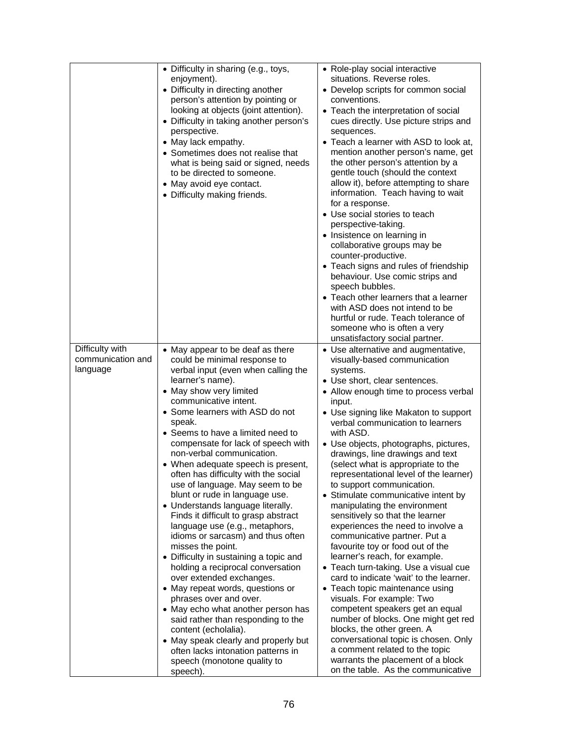|                                                  | • Difficulty in sharing (e.g., toys,<br>enjoyment).<br>• Difficulty in directing another<br>person's attention by pointing or<br>looking at objects (joint attention).<br>• Difficulty in taking another person's<br>perspective.<br>• May lack empathy.<br>• Sometimes does not realise that<br>what is being said or signed, needs<br>to be directed to someone.<br>• May avoid eye contact.<br>• Difficulty making friends.                                                                                                                                                                                                                                                                                                                                                                                                                                                                                                                                                                                                                                         | • Role-play social interactive<br>situations. Reverse roles.<br>• Develop scripts for common social<br>conventions.<br>• Teach the interpretation of social<br>cues directly. Use picture strips and<br>sequences.<br>• Teach a learner with ASD to look at,<br>mention another person's name, get<br>the other person's attention by a<br>gentle touch (should the context<br>allow it), before attempting to share<br>information. Teach having to wait<br>for a response.<br>• Use social stories to teach<br>perspective-taking.<br>• Insistence on learning in<br>collaborative groups may be<br>counter-productive.<br>• Teach signs and rules of friendship<br>behaviour. Use comic strips and<br>speech bubbles.<br>• Teach other learners that a learner<br>with ASD does not intend to be<br>hurtful or rude. Teach tolerance of<br>someone who is often a very<br>unsatisfactory social partner.                                                                                                                                                                                                                  |
|--------------------------------------------------|------------------------------------------------------------------------------------------------------------------------------------------------------------------------------------------------------------------------------------------------------------------------------------------------------------------------------------------------------------------------------------------------------------------------------------------------------------------------------------------------------------------------------------------------------------------------------------------------------------------------------------------------------------------------------------------------------------------------------------------------------------------------------------------------------------------------------------------------------------------------------------------------------------------------------------------------------------------------------------------------------------------------------------------------------------------------|------------------------------------------------------------------------------------------------------------------------------------------------------------------------------------------------------------------------------------------------------------------------------------------------------------------------------------------------------------------------------------------------------------------------------------------------------------------------------------------------------------------------------------------------------------------------------------------------------------------------------------------------------------------------------------------------------------------------------------------------------------------------------------------------------------------------------------------------------------------------------------------------------------------------------------------------------------------------------------------------------------------------------------------------------------------------------------------------------------------------------|
| Difficulty with<br>communication and<br>language | • May appear to be deaf as there<br>could be minimal response to<br>verbal input (even when calling the<br>learner's name).<br>• May show very limited<br>communicative intent.<br>• Some learners with ASD do not<br>speak.<br>• Seems to have a limited need to<br>compensate for lack of speech with<br>non-verbal communication.<br>• When adequate speech is present,<br>often has difficulty with the social<br>use of language. May seem to be<br>blunt or rude in language use.<br>• Understands language literally.<br>Finds it difficult to grasp abstract<br>language use (e.g., metaphors,<br>idioms or sarcasm) and thus often<br>misses the point.<br>• Difficulty in sustaining a topic and<br>holding a reciprocal conversation<br>over extended exchanges.<br>• May repeat words, questions or<br>phrases over and over.<br>• May echo what another person has<br>said rather than responding to the<br>content (echolalia).<br>• May speak clearly and properly but<br>often lacks intonation patterns in<br>speech (monotone quality to<br>speech). | • Use alternative and augmentative,<br>visually-based communication<br>systems.<br>• Use short, clear sentences.<br>• Allow enough time to process verbal<br>input.<br>• Use signing like Makaton to support<br>verbal communication to learners<br>with ASD.<br>• Use objects, photographs, pictures,<br>drawings, line drawings and text<br>(select what is appropriate to the<br>representational level of the learner)<br>to support communication.<br>• Stimulate communicative intent by<br>manipulating the environment<br>sensitively so that the learner<br>experiences the need to involve a<br>communicative partner. Put a<br>favourite toy or food out of the<br>learner's reach, for example.<br>• Teach turn-taking. Use a visual cue<br>card to indicate 'wait' to the learner.<br>• Teach topic maintenance using<br>visuals. For example: Two<br>competent speakers get an equal<br>number of blocks. One might get red<br>blocks, the other green. A<br>conversational topic is chosen. Only<br>a comment related to the topic<br>warrants the placement of a block<br>on the table. As the communicative |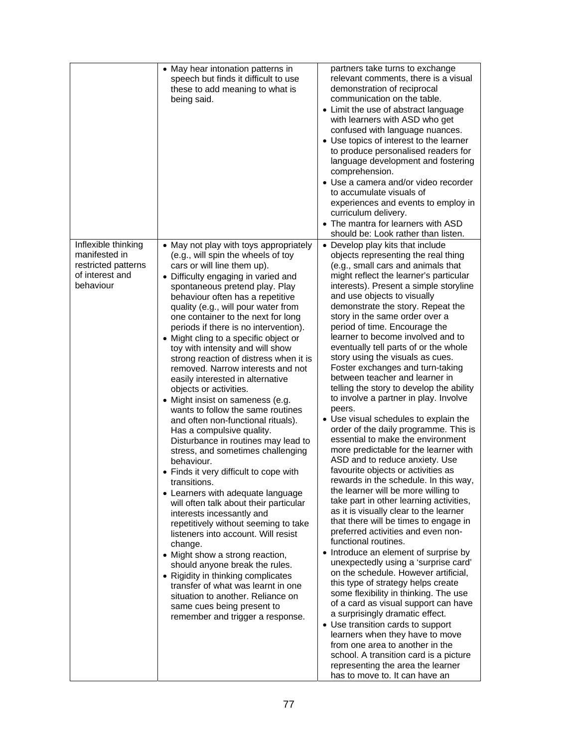|                                                                                             | • May hear intonation patterns in<br>speech but finds it difficult to use<br>these to add meaning to what is<br>being said.                                                                                                                                                                                                                                                                                                                                                                                                                                                                                                                                                                                                                                                                                                                                                                                                                                                                                                                                                                                                                                                                                                                                                                                                            | partners take turns to exchange<br>relevant comments, there is a visual<br>demonstration of reciprocal<br>communication on the table.<br>• Limit the use of abstract language<br>with learners with ASD who get<br>confused with language nuances.<br>• Use topics of interest to the learner<br>to produce personalised readers for<br>language development and fostering<br>comprehension.<br>• Use a camera and/or video recorder<br>to accumulate visuals of<br>experiences and events to employ in<br>curriculum delivery.                                                                                                                                                                                                                                                                                                                                                                                                                                                                                                                                                                                                                                                                                                                                                                                                                                                                                                                                                                                                                                                                                                                                    |
|---------------------------------------------------------------------------------------------|----------------------------------------------------------------------------------------------------------------------------------------------------------------------------------------------------------------------------------------------------------------------------------------------------------------------------------------------------------------------------------------------------------------------------------------------------------------------------------------------------------------------------------------------------------------------------------------------------------------------------------------------------------------------------------------------------------------------------------------------------------------------------------------------------------------------------------------------------------------------------------------------------------------------------------------------------------------------------------------------------------------------------------------------------------------------------------------------------------------------------------------------------------------------------------------------------------------------------------------------------------------------------------------------------------------------------------------|--------------------------------------------------------------------------------------------------------------------------------------------------------------------------------------------------------------------------------------------------------------------------------------------------------------------------------------------------------------------------------------------------------------------------------------------------------------------------------------------------------------------------------------------------------------------------------------------------------------------------------------------------------------------------------------------------------------------------------------------------------------------------------------------------------------------------------------------------------------------------------------------------------------------------------------------------------------------------------------------------------------------------------------------------------------------------------------------------------------------------------------------------------------------------------------------------------------------------------------------------------------------------------------------------------------------------------------------------------------------------------------------------------------------------------------------------------------------------------------------------------------------------------------------------------------------------------------------------------------------------------------------------------------------|
|                                                                                             |                                                                                                                                                                                                                                                                                                                                                                                                                                                                                                                                                                                                                                                                                                                                                                                                                                                                                                                                                                                                                                                                                                                                                                                                                                                                                                                                        | • The mantra for learners with ASD<br>should be: Look rather than listen.                                                                                                                                                                                                                                                                                                                                                                                                                                                                                                                                                                                                                                                                                                                                                                                                                                                                                                                                                                                                                                                                                                                                                                                                                                                                                                                                                                                                                                                                                                                                                                                          |
| Inflexible thinking<br>manifested in<br>restricted patterns<br>of interest and<br>behaviour | • May not play with toys appropriately<br>(e.g., will spin the wheels of toy<br>cars or will line them up).<br>• Difficulty engaging in varied and<br>spontaneous pretend play. Play<br>behaviour often has a repetitive<br>quality (e.g., will pour water from<br>one container to the next for long<br>periods if there is no intervention).<br>• Might cling to a specific object or<br>toy with intensity and will show<br>strong reaction of distress when it is<br>removed. Narrow interests and not<br>easily interested in alternative<br>objects or activities.<br>• Might insist on sameness (e.g.<br>wants to follow the same routines<br>and often non-functional rituals).<br>Has a compulsive quality.<br>Disturbance in routines may lead to<br>stress, and sometimes challenging<br>behaviour.<br>• Finds it very difficult to cope with<br>transitions.<br>• Learners with adequate language<br>will often talk about their particular<br>interests incessantly and<br>repetitively without seeming to take<br>listeners into account. Will resist<br>change.<br>• Might show a strong reaction,<br>should anyone break the rules.<br>• Rigidity in thinking complicates<br>transfer of what was learnt in one<br>situation to another. Reliance on<br>same cues being present to<br>remember and trigger a response. | • Develop play kits that include<br>objects representing the real thing<br>(e.g., small cars and animals that<br>might reflect the learner's particular<br>interests). Present a simple storyline<br>and use objects to visually<br>demonstrate the story. Repeat the<br>story in the same order over a<br>period of time. Encourage the<br>learner to become involved and to<br>eventually tell parts of or the whole<br>story using the visuals as cues.<br>Foster exchanges and turn-taking<br>between teacher and learner in<br>telling the story to develop the ability<br>to involve a partner in play. Involve<br>peers.<br>• Use visual schedules to explain the<br>order of the daily programme. This is<br>essential to make the environment<br>more predictable for the learner with<br>ASD and to reduce anxiety. Use<br>favourite objects or activities as<br>rewards in the schedule. In this way,<br>the learner will be more willing to<br>take part in other learning activities,<br>as it is visually clear to the learner<br>that there will be times to engage in<br>preferred activities and even non-<br>functional routines.<br>• Introduce an element of surprise by<br>unexpectedly using a 'surprise card'<br>on the schedule. However artificial,<br>this type of strategy helps create<br>some flexibility in thinking. The use<br>of a card as visual support can have<br>a surprisingly dramatic effect.<br>• Use transition cards to support<br>learners when they have to move<br>from one area to another in the<br>school. A transition card is a picture<br>representing the area the learner<br>has to move to. It can have an |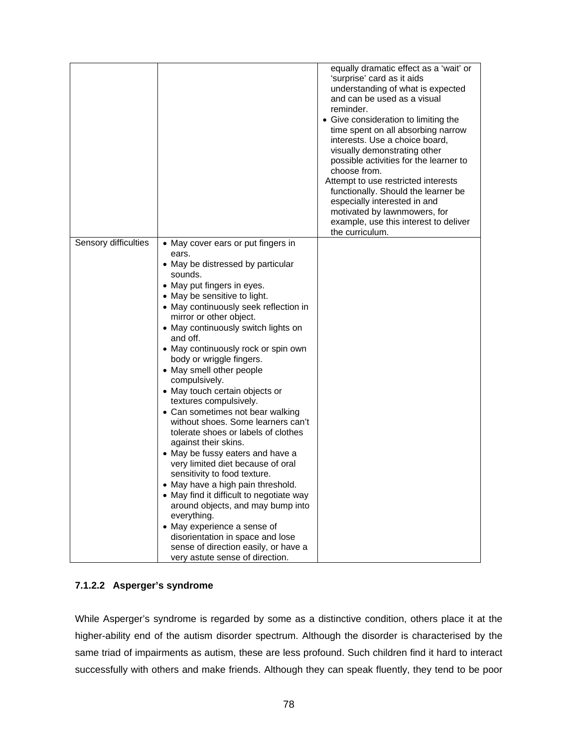|                      |                                                            | equally dramatic effect as a 'wait' or<br>'surprise' card as it aids<br>understanding of what is expected<br>and can be used as a visual<br>reminder.<br>• Give consideration to limiting the<br>time spent on all absorbing narrow<br>interests. Use a choice board,<br>visually demonstrating other<br>possible activities for the learner to<br>choose from.<br>Attempt to use restricted interests<br>functionally. Should the learner be<br>especially interested in and<br>motivated by lawnmowers, for<br>example, use this interest to deliver<br>the curriculum. |
|----------------------|------------------------------------------------------------|---------------------------------------------------------------------------------------------------------------------------------------------------------------------------------------------------------------------------------------------------------------------------------------------------------------------------------------------------------------------------------------------------------------------------------------------------------------------------------------------------------------------------------------------------------------------------|
| Sensory difficulties | • May cover ears or put fingers in                         |                                                                                                                                                                                                                                                                                                                                                                                                                                                                                                                                                                           |
|                      | ears.                                                      |                                                                                                                                                                                                                                                                                                                                                                                                                                                                                                                                                                           |
|                      | • May be distressed by particular                          |                                                                                                                                                                                                                                                                                                                                                                                                                                                                                                                                                                           |
|                      | sounds.                                                    |                                                                                                                                                                                                                                                                                                                                                                                                                                                                                                                                                                           |
|                      | • May put fingers in eyes.                                 |                                                                                                                                                                                                                                                                                                                                                                                                                                                                                                                                                                           |
|                      | • May be sensitive to light.                               |                                                                                                                                                                                                                                                                                                                                                                                                                                                                                                                                                                           |
|                      | • May continuously seek reflection in                      |                                                                                                                                                                                                                                                                                                                                                                                                                                                                                                                                                                           |
|                      | mirror or other object.                                    |                                                                                                                                                                                                                                                                                                                                                                                                                                                                                                                                                                           |
|                      | • May continuously switch lights on                        |                                                                                                                                                                                                                                                                                                                                                                                                                                                                                                                                                                           |
|                      | and off.                                                   |                                                                                                                                                                                                                                                                                                                                                                                                                                                                                                                                                                           |
|                      | • May continuously rock or spin own                        |                                                                                                                                                                                                                                                                                                                                                                                                                                                                                                                                                                           |
|                      | body or wriggle fingers.                                   |                                                                                                                                                                                                                                                                                                                                                                                                                                                                                                                                                                           |
|                      | • May smell other people                                   |                                                                                                                                                                                                                                                                                                                                                                                                                                                                                                                                                                           |
|                      | compulsively.                                              |                                                                                                                                                                                                                                                                                                                                                                                                                                                                                                                                                                           |
|                      | • May touch certain objects or                             |                                                                                                                                                                                                                                                                                                                                                                                                                                                                                                                                                                           |
|                      | textures compulsively.<br>• Can sometimes not bear walking |                                                                                                                                                                                                                                                                                                                                                                                                                                                                                                                                                                           |
|                      | without shoes. Some learners can't                         |                                                                                                                                                                                                                                                                                                                                                                                                                                                                                                                                                                           |
|                      | tolerate shoes or labels of clothes                        |                                                                                                                                                                                                                                                                                                                                                                                                                                                                                                                                                                           |
|                      | against their skins.                                       |                                                                                                                                                                                                                                                                                                                                                                                                                                                                                                                                                                           |
|                      | • May be fussy eaters and have a                           |                                                                                                                                                                                                                                                                                                                                                                                                                                                                                                                                                                           |
|                      | very limited diet because of oral                          |                                                                                                                                                                                                                                                                                                                                                                                                                                                                                                                                                                           |
|                      | sensitivity to food texture.                               |                                                                                                                                                                                                                                                                                                                                                                                                                                                                                                                                                                           |
|                      | • May have a high pain threshold.                          |                                                                                                                                                                                                                                                                                                                                                                                                                                                                                                                                                                           |
|                      | • May find it difficult to negotiate way                   |                                                                                                                                                                                                                                                                                                                                                                                                                                                                                                                                                                           |
|                      | around objects, and may bump into                          |                                                                                                                                                                                                                                                                                                                                                                                                                                                                                                                                                                           |
|                      | everything.                                                |                                                                                                                                                                                                                                                                                                                                                                                                                                                                                                                                                                           |
|                      | • May experience a sense of                                |                                                                                                                                                                                                                                                                                                                                                                                                                                                                                                                                                                           |
|                      | disorientation in space and lose                           |                                                                                                                                                                                                                                                                                                                                                                                                                                                                                                                                                                           |
|                      | sense of direction easily, or have a                       |                                                                                                                                                                                                                                                                                                                                                                                                                                                                                                                                                                           |
|                      | very astute sense of direction.                            |                                                                                                                                                                                                                                                                                                                                                                                                                                                                                                                                                                           |

# **7.1.2.2 Asperger's syndrome**

While Asperger's syndrome is regarded by some as a distinctive condition, others place it at the higher-ability end of the autism disorder spectrum. Although the disorder is characterised by the same triad of impairments as autism, these are less profound. Such children find it hard to interact successfully with others and make friends. Although they can speak fluently, they tend to be poor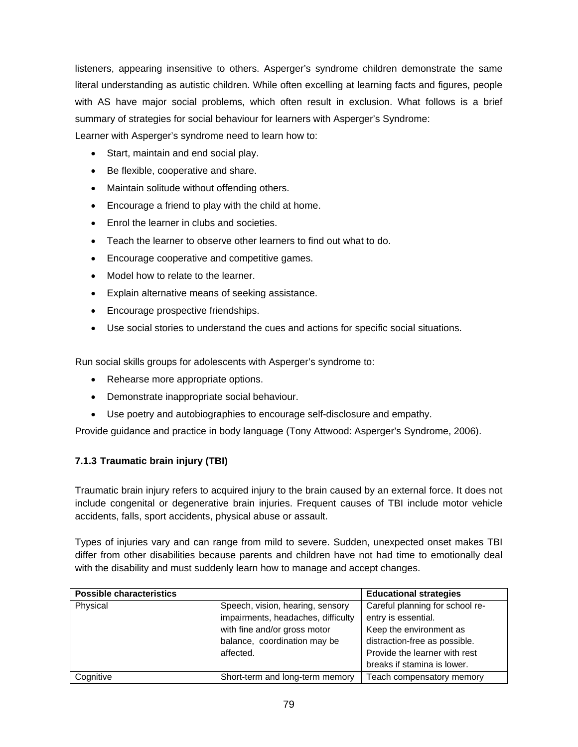listeners, appearing insensitive to others. Asperger's syndrome children demonstrate the same literal understanding as autistic children. While often excelling at learning facts and figures, people with AS have major social problems, which often result in exclusion. What follows is a brief summary of strategies for social behaviour for learners with Asperger's Syndrome:

Learner with Asperger's syndrome need to learn how to:

- Start, maintain and end social play.
- Be flexible, cooperative and share.
- Maintain solitude without offending others.
- Encourage a friend to play with the child at home.
- **Enrol the learner in clubs and societies.**
- Teach the learner to observe other learners to find out what to do.
- Encourage cooperative and competitive games.
- Model how to relate to the learner.
- Explain alternative means of seeking assistance.
- Encourage prospective friendships.
- Use social stories to understand the cues and actions for specific social situations.

Run social skills groups for adolescents with Asperger's syndrome to:

- Rehearse more appropriate options.
- Demonstrate inappropriate social behaviour.
- Use poetry and autobiographies to encourage self-disclosure and empathy.

Provide guidance and practice in body language (Tony Attwood: Asperger's Syndrome, 2006).

# **7.1.3 Traumatic brain injury (TBI)**

Traumatic brain injury refers to acquired injury to the brain caused by an external force. It does not include congenital or degenerative brain injuries. Frequent causes of TBI include motor vehicle accidents, falls, sport accidents, physical abuse or assault.

Types of injuries vary and can range from mild to severe. Sudden, unexpected onset makes TBI differ from other disabilities because parents and children have not had time to emotionally deal with the disability and must suddenly learn how to manage and accept changes.

| <b>Possible characteristics</b> |                                    | <b>Educational strategies</b>   |
|---------------------------------|------------------------------------|---------------------------------|
| Physical                        | Speech, vision, hearing, sensory   | Careful planning for school re- |
|                                 | impairments, headaches, difficulty | entry is essential.             |
|                                 | with fine and/or gross motor       | Keep the environment as         |
|                                 | balance, coordination may be       | distraction-free as possible.   |
|                                 | affected.                          | Provide the learner with rest   |
|                                 |                                    | breaks if stamina is lower.     |
| Cognitive                       | Short-term and long-term memory    | Teach compensatory memory       |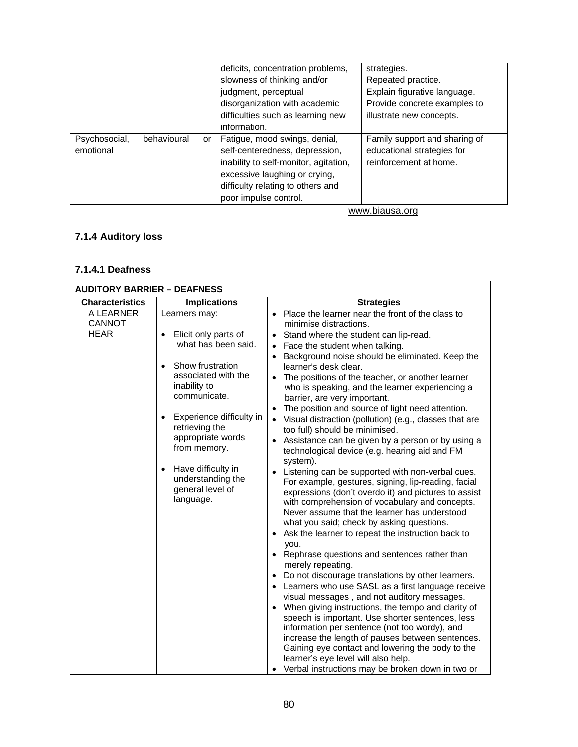|                            |             |    | deficits, concentration problems,<br>slowness of thinking and/or<br>judgment, perceptual<br>disorganization with academic<br>difficulties such as learning new<br>information.                          | strategies.<br>Repeated practice.<br>Explain figurative language.<br>Provide concrete examples to<br>illustrate new concepts. |
|----------------------------|-------------|----|---------------------------------------------------------------------------------------------------------------------------------------------------------------------------------------------------------|-------------------------------------------------------------------------------------------------------------------------------|
| Psychosocial,<br>emotional | behavioural | or | Fatigue, mood swings, denial,<br>self-centeredness, depression,<br>inability to self-monitor, agitation,<br>excessive laughing or crying,<br>difficulty relating to others and<br>poor impulse control. | Family support and sharing of<br>educational strategies for<br>reinforcement at home.                                         |

www.biausa.org

# **7.1.4 Auditory loss**

### **7.1.4.1 Deafness**

| <b>AUDITORY BARRIER - DEAFNESS</b>        |                                                                                                                                                                                                                                                                                                                     |                                                                                                                                                                                                                                                                                                                                                                                                                                                                                                                                                                                                                                                                                                                                                                                                                                                                                                                                                                                                                                                                                                                                                                                                                                                                                                                                                                                                                                                                                                                                                                                                                                                                      |
|-------------------------------------------|---------------------------------------------------------------------------------------------------------------------------------------------------------------------------------------------------------------------------------------------------------------------------------------------------------------------|----------------------------------------------------------------------------------------------------------------------------------------------------------------------------------------------------------------------------------------------------------------------------------------------------------------------------------------------------------------------------------------------------------------------------------------------------------------------------------------------------------------------------------------------------------------------------------------------------------------------------------------------------------------------------------------------------------------------------------------------------------------------------------------------------------------------------------------------------------------------------------------------------------------------------------------------------------------------------------------------------------------------------------------------------------------------------------------------------------------------------------------------------------------------------------------------------------------------------------------------------------------------------------------------------------------------------------------------------------------------------------------------------------------------------------------------------------------------------------------------------------------------------------------------------------------------------------------------------------------------------------------------------------------------|
| <b>Characteristics</b>                    | <b>Implications</b>                                                                                                                                                                                                                                                                                                 | <b>Strategies</b>                                                                                                                                                                                                                                                                                                                                                                                                                                                                                                                                                                                                                                                                                                                                                                                                                                                                                                                                                                                                                                                                                                                                                                                                                                                                                                                                                                                                                                                                                                                                                                                                                                                    |
| A LEARNER<br><b>CANNOT</b><br><b>HEAR</b> | Learners may:<br>Elicit only parts of<br>what has been said.<br>Show frustration<br>associated with the<br>inability to<br>communicate.<br>Experience difficulty in<br>$\bullet$<br>retrieving the<br>appropriate words<br>from memory.<br>Have difficulty in<br>understanding the<br>general level of<br>language. | • Place the learner near the front of the class to<br>minimise distractions.<br>Stand where the student can lip-read.<br>Face the student when talking.<br>Background noise should be eliminated. Keep the<br>learner's desk clear.<br>The positions of the teacher, or another learner<br>who is speaking, and the learner experiencing a<br>barrier, are very important.<br>The position and source of light need attention.<br>$\bullet$<br>Visual distraction (pollution) (e.g., classes that are<br>$\bullet$<br>too full) should be minimised.<br>Assistance can be given by a person or by using a<br>technological device (e.g. hearing aid and FM<br>system).<br>Listening can be supported with non-verbal cues.<br>For example, gestures, signing, lip-reading, facial<br>expressions (don't overdo it) and pictures to assist<br>with comprehension of vocabulary and concepts.<br>Never assume that the learner has understood<br>what you said; check by asking questions.<br>Ask the learner to repeat the instruction back to<br>you.<br>• Rephrase questions and sentences rather than<br>merely repeating.<br>Do not discourage translations by other learners.<br>$\bullet$<br>• Learners who use SASL as a first language receive<br>visual messages, and not auditory messages.<br>When giving instructions, the tempo and clarity of<br>speech is important. Use shorter sentences, less<br>information per sentence (not too wordy), and<br>increase the length of pauses between sentences.<br>Gaining eye contact and lowering the body to the<br>learner's eye level will also help.<br>• Verbal instructions may be broken down in two or |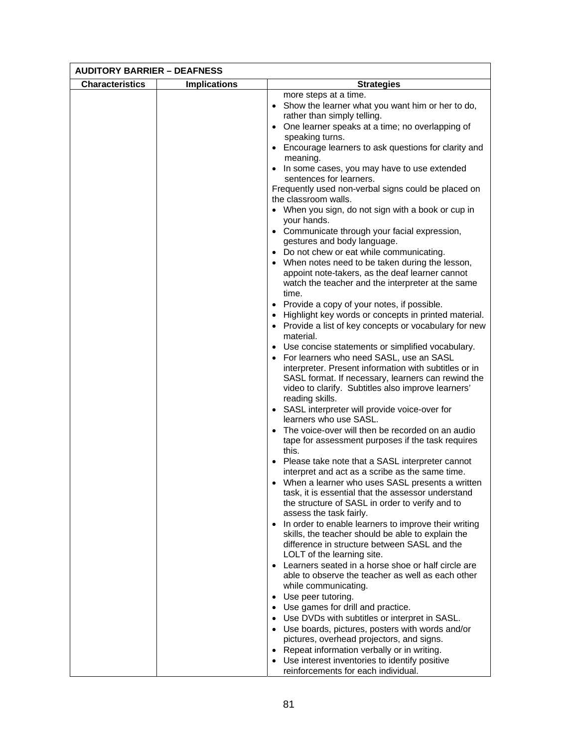| <b>AUDITORY BARRIER - DEAFNESS</b> |                     |                                                                                   |
|------------------------------------|---------------------|-----------------------------------------------------------------------------------|
| <b>Characteristics</b>             | <b>Implications</b> | <b>Strategies</b>                                                                 |
|                                    |                     | more steps at a time.                                                             |
|                                    |                     | • Show the learner what you want him or her to do,                                |
|                                    |                     | rather than simply telling.                                                       |
|                                    |                     | • One learner speaks at a time; no overlapping of                                 |
|                                    |                     | speaking turns.<br>• Encourage learners to ask questions for clarity and          |
|                                    |                     | meaning.                                                                          |
|                                    |                     | • In some cases, you may have to use extended                                     |
|                                    |                     | sentences for learners.                                                           |
|                                    |                     | Frequently used non-verbal signs could be placed on                               |
|                                    |                     | the classroom walls.                                                              |
|                                    |                     | • When you sign, do not sign with a book or cup in                                |
|                                    |                     | your hands.                                                                       |
|                                    |                     | • Communicate through your facial expression,<br>gestures and body language.      |
|                                    |                     | • Do not chew or eat while communicating.                                         |
|                                    |                     | • When notes need to be taken during the lesson,                                  |
|                                    |                     | appoint note-takers, as the deaf learner cannot                                   |
|                                    |                     | watch the teacher and the interpreter at the same                                 |
|                                    |                     | time.                                                                             |
|                                    |                     | • Provide a copy of your notes, if possible.                                      |
|                                    |                     | • Highlight key words or concepts in printed material.                            |
|                                    |                     | • Provide a list of key concepts or vocabulary for new<br>material.               |
|                                    |                     | • Use concise statements or simplified vocabulary.                                |
|                                    |                     | • For learners who need SASL, use an SASL                                         |
|                                    |                     | interpreter. Present information with subtitles or in                             |
|                                    |                     | SASL format. If necessary, learners can rewind the                                |
|                                    |                     | video to clarify. Subtitles also improve learners'                                |
|                                    |                     | reading skills.                                                                   |
|                                    |                     | • SASL interpreter will provide voice-over for                                    |
|                                    |                     | learners who use SASL.<br>• The voice-over will then be recorded on an audio      |
|                                    |                     | tape for assessment purposes if the task requires                                 |
|                                    |                     | this.                                                                             |
|                                    |                     | • Please take note that a SASL interpreter cannot                                 |
|                                    |                     | interpret and act as a scribe as the same time.                                   |
|                                    |                     | • When a learner who uses SASL presents a written                                 |
|                                    |                     | task, it is essential that the assessor understand                                |
|                                    |                     | the structure of SASL in order to verify and to                                   |
|                                    |                     | assess the task fairly.<br>• In order to enable learners to improve their writing |
|                                    |                     | skills, the teacher should be able to explain the                                 |
|                                    |                     | difference in structure between SASL and the                                      |
|                                    |                     | LOLT of the learning site.                                                        |
|                                    |                     | • Learners seated in a horse shoe or half circle are                              |
|                                    |                     | able to observe the teacher as well as each other                                 |
|                                    |                     | while communicating.                                                              |
|                                    |                     | • Use peer tutoring.<br>• Use games for drill and practice.                       |
|                                    |                     | • Use DVDs with subtitles or interpret in SASL.                                   |
|                                    |                     | • Use boards, pictures, posters with words and/or                                 |
|                                    |                     | pictures, overhead projectors, and signs.                                         |
|                                    |                     | • Repeat information verbally or in writing.                                      |
|                                    |                     | • Use interest inventories to identify positive                                   |
|                                    |                     | reinforcements for each individual.                                               |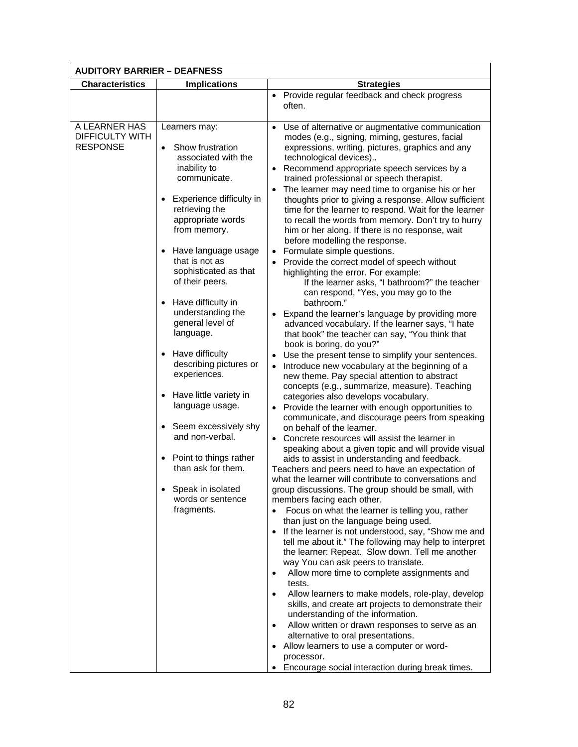| <b>AUDITORY BARRIER - DEAFNESS</b>                         |                                                                                                                                                                                                                                                                                                                                                                                                                                                                                                                                                                                                                                                    |                                                                                                                                                                                                                                                                                                                                                                                                                                                                                                                                                                                                                                                                                                                                                                                                                                                                                                                                                                                                                                                                                                                                                                                                                                                                                                                                                                                                                                                                                                                                                                                                                                                                                                                                                                                                                                                                                                                                                                                                                                                                                                                                                                                                                                                                                                                                                                                                                                                                                                          |
|------------------------------------------------------------|----------------------------------------------------------------------------------------------------------------------------------------------------------------------------------------------------------------------------------------------------------------------------------------------------------------------------------------------------------------------------------------------------------------------------------------------------------------------------------------------------------------------------------------------------------------------------------------------------------------------------------------------------|----------------------------------------------------------------------------------------------------------------------------------------------------------------------------------------------------------------------------------------------------------------------------------------------------------------------------------------------------------------------------------------------------------------------------------------------------------------------------------------------------------------------------------------------------------------------------------------------------------------------------------------------------------------------------------------------------------------------------------------------------------------------------------------------------------------------------------------------------------------------------------------------------------------------------------------------------------------------------------------------------------------------------------------------------------------------------------------------------------------------------------------------------------------------------------------------------------------------------------------------------------------------------------------------------------------------------------------------------------------------------------------------------------------------------------------------------------------------------------------------------------------------------------------------------------------------------------------------------------------------------------------------------------------------------------------------------------------------------------------------------------------------------------------------------------------------------------------------------------------------------------------------------------------------------------------------------------------------------------------------------------------------------------------------------------------------------------------------------------------------------------------------------------------------------------------------------------------------------------------------------------------------------------------------------------------------------------------------------------------------------------------------------------------------------------------------------------------------------------------------------------|
| <b>Characteristics</b>                                     | <b>Implications</b>                                                                                                                                                                                                                                                                                                                                                                                                                                                                                                                                                                                                                                | <b>Strategies</b>                                                                                                                                                                                                                                                                                                                                                                                                                                                                                                                                                                                                                                                                                                                                                                                                                                                                                                                                                                                                                                                                                                                                                                                                                                                                                                                                                                                                                                                                                                                                                                                                                                                                                                                                                                                                                                                                                                                                                                                                                                                                                                                                                                                                                                                                                                                                                                                                                                                                                        |
|                                                            |                                                                                                                                                                                                                                                                                                                                                                                                                                                                                                                                                                                                                                                    | • Provide regular feedback and check progress<br>often.                                                                                                                                                                                                                                                                                                                                                                                                                                                                                                                                                                                                                                                                                                                                                                                                                                                                                                                                                                                                                                                                                                                                                                                                                                                                                                                                                                                                                                                                                                                                                                                                                                                                                                                                                                                                                                                                                                                                                                                                                                                                                                                                                                                                                                                                                                                                                                                                                                                  |
| A LEARNER HAS<br><b>DIFFICULTY WITH</b><br><b>RESPONSE</b> | Learners may:<br>Show frustration<br>$\bullet$<br>associated with the<br>inability to<br>communicate.<br>Experience difficulty in<br>retrieving the<br>appropriate words<br>from memory.<br>Have language usage<br>that is not as<br>sophisticated as that<br>of their peers.<br>Have difficulty in<br>understanding the<br>general level of<br>language.<br>Have difficulty<br>describing pictures or<br>experiences.<br>Have little variety in<br>$\bullet$<br>language usage.<br>• Seem excessively shy<br>and non-verbal.<br>Point to things rather<br>$\bullet$<br>than ask for them.<br>Speak in isolated<br>words or sentence<br>fragments. | • Use of alternative or augmentative communication<br>modes (e.g., signing, miming, gestures, facial<br>expressions, writing, pictures, graphics and any<br>technological devices)<br>• Recommend appropriate speech services by a<br>trained professional or speech therapist.<br>The learner may need time to organise his or her<br>thoughts prior to giving a response. Allow sufficient<br>time for the learner to respond. Wait for the learner<br>to recall the words from memory. Don't try to hurry<br>him or her along. If there is no response, wait<br>before modelling the response.<br>• Formulate simple questions.<br>Provide the correct model of speech without<br>highlighting the error. For example:<br>If the learner asks, "I bathroom?" the teacher<br>can respond, "Yes, you may go to the<br>bathroom."<br>• Expand the learner's language by providing more<br>advanced vocabulary. If the learner says, "I hate<br>that book" the teacher can say, "You think that<br>book is boring, do you?"<br>Use the present tense to simplify your sentences.<br>Introduce new vocabulary at the beginning of a<br>$\bullet$<br>new theme. Pay special attention to abstract<br>concepts (e.g., summarize, measure). Teaching<br>categories also develops vocabulary.<br>• Provide the learner with enough opportunities to<br>communicate, and discourage peers from speaking<br>on behalf of the learner.<br>• Concrete resources will assist the learner in<br>speaking about a given topic and will provide visual<br>aids to assist in understanding and feedback.<br>Teachers and peers need to have an expectation of<br>what the learner will contribute to conversations and<br>group discussions. The group should be small, with<br>members facing each other.<br>Focus on what the learner is telling you, rather<br>than just on the language being used.<br>If the learner is not understood, say, "Show me and<br>$\bullet$<br>tell me about it." The following may help to interpret<br>the learner: Repeat. Slow down. Tell me another<br>way You can ask peers to translate.<br>Allow more time to complete assignments and<br>٠<br>tests.<br>Allow learners to make models, role-play, develop<br>$\bullet$<br>skills, and create art projects to demonstrate their<br>understanding of the information.<br>Allow written or drawn responses to serve as an<br>٠<br>alternative to oral presentations.<br>• Allow learners to use a computer or word-<br>processor. |
|                                                            |                                                                                                                                                                                                                                                                                                                                                                                                                                                                                                                                                                                                                                                    | Encourage social interaction during break times.                                                                                                                                                                                                                                                                                                                                                                                                                                                                                                                                                                                                                                                                                                                                                                                                                                                                                                                                                                                                                                                                                                                                                                                                                                                                                                                                                                                                                                                                                                                                                                                                                                                                                                                                                                                                                                                                                                                                                                                                                                                                                                                                                                                                                                                                                                                                                                                                                                                         |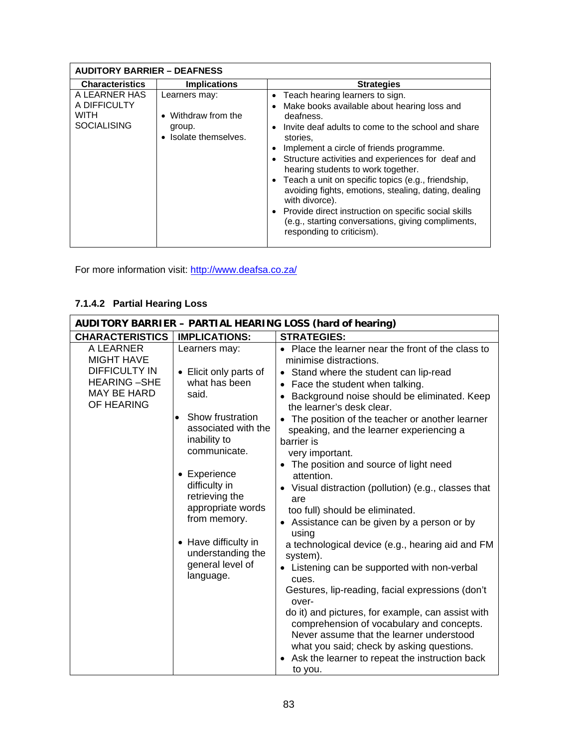| <b>AUDITORY BARRIER - DEAFNESS</b>                          |                                                                                    |                                                                                                                                                                                                                                                                                                                                                                                                                                                                                                                                                                                                    |
|-------------------------------------------------------------|------------------------------------------------------------------------------------|----------------------------------------------------------------------------------------------------------------------------------------------------------------------------------------------------------------------------------------------------------------------------------------------------------------------------------------------------------------------------------------------------------------------------------------------------------------------------------------------------------------------------------------------------------------------------------------------------|
| <b>Characteristics</b>                                      | <b>Implications</b>                                                                | <b>Strategies</b>                                                                                                                                                                                                                                                                                                                                                                                                                                                                                                                                                                                  |
| A LEARNER HAS<br>A DIFFICULTY<br>WITH<br><b>SOCIALISING</b> | Learners may:<br>Withdraw from the<br>$\bullet$<br>group.<br>• Isolate themselves. | Teach hearing learners to sign.<br>$\bullet$<br>Make books available about hearing loss and<br>deafness.<br>Invite deaf adults to come to the school and share<br>stories.<br>Implement a circle of friends programme.<br>• Structure activities and experiences for deaf and<br>hearing students to work together.<br>• Teach a unit on specific topics (e.g., friendship,<br>avoiding fights, emotions, stealing, dating, dealing<br>with divorce).<br>• Provide direct instruction on specific social skills<br>(e.g., starting conversations, giving compliments,<br>responding to criticism). |

For more information visit: http://www.deafsa.co.za/

# **7.1.4.2 Partial Hearing Loss**

| <b>AUDITORY BARRIER - PARTIAL HEARING LOSS (hard of hearing)</b>                                                 |                                                                                                                                                                                                                                                                                                                                 |                                                                                                                                                                                                                                                                                                                                                                                                                                                                                                                                                                                                                                                                                                                                                                                                                                                                                                                                                                                                                                  |  |
|------------------------------------------------------------------------------------------------------------------|---------------------------------------------------------------------------------------------------------------------------------------------------------------------------------------------------------------------------------------------------------------------------------------------------------------------------------|----------------------------------------------------------------------------------------------------------------------------------------------------------------------------------------------------------------------------------------------------------------------------------------------------------------------------------------------------------------------------------------------------------------------------------------------------------------------------------------------------------------------------------------------------------------------------------------------------------------------------------------------------------------------------------------------------------------------------------------------------------------------------------------------------------------------------------------------------------------------------------------------------------------------------------------------------------------------------------------------------------------------------------|--|
| <b>CHARACTERISTICS</b>                                                                                           | <b>IMPLICATIONS:</b>                                                                                                                                                                                                                                                                                                            | <b>STRATEGIES:</b>                                                                                                                                                                                                                                                                                                                                                                                                                                                                                                                                                                                                                                                                                                                                                                                                                                                                                                                                                                                                               |  |
| A LEARNER<br><b>MIGHT HAVE</b><br><b>DIFFICULTY IN</b><br><b>HEARING-SHE</b><br><b>MAY BE HARD</b><br>OF HEARING | Learners may:<br>• Elicit only parts of<br>what has been<br>said.<br>Show frustration<br>$\bullet$<br>associated with the<br>inability to<br>communicate.<br>• Experience<br>difficulty in<br>retrieving the<br>appropriate words<br>from memory.<br>• Have difficulty in<br>understanding the<br>general level of<br>language. | Place the learner near the front of the class to<br>minimise distractions.<br>• Stand where the student can lip-read<br>Face the student when talking.<br>Background noise should be eliminated. Keep<br>the learner's desk clear.<br>The position of the teacher or another learner<br>speaking, and the learner experiencing a<br>barrier is<br>very important.<br>• The position and source of light need<br>attention.<br>• Visual distraction (pollution) (e.g., classes that<br>are<br>too full) should be eliminated.<br>• Assistance can be given by a person or by<br>using<br>a technological device (e.g., hearing aid and FM<br>system).<br>Listening can be supported with non-verbal<br>cues.<br>Gestures, lip-reading, facial expressions (don't<br>over-<br>do it) and pictures, for example, can assist with<br>comprehension of vocabulary and concepts.<br>Never assume that the learner understood<br>what you said; check by asking questions.<br>Ask the learner to repeat the instruction back<br>to you. |  |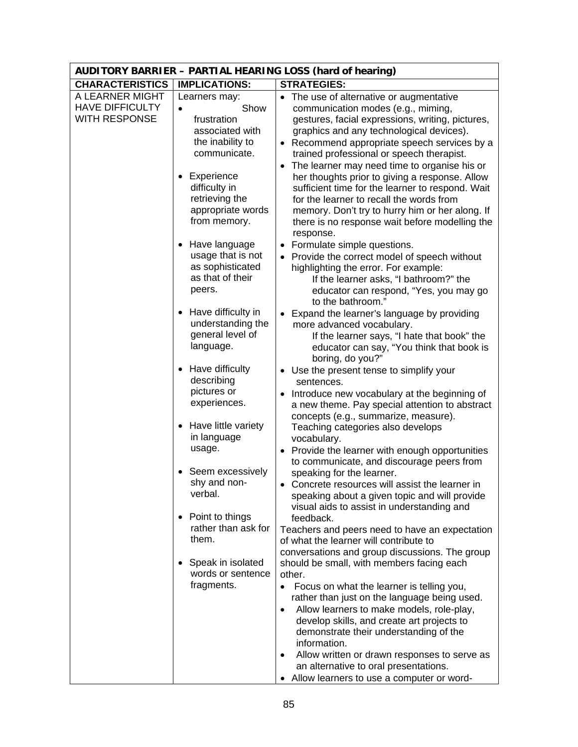|                                                                   | <b>AUDITORY BARRIER - PARTIAL HEARING LOSS (hard of hearing)</b>                                         |                                                                                                                                                                                                                                                                                                                                                                                                                                                                              |  |  |
|-------------------------------------------------------------------|----------------------------------------------------------------------------------------------------------|------------------------------------------------------------------------------------------------------------------------------------------------------------------------------------------------------------------------------------------------------------------------------------------------------------------------------------------------------------------------------------------------------------------------------------------------------------------------------|--|--|
| <b>CHARACTERISTICS</b>                                            | <b>IMPLICATIONS:</b>                                                                                     | <b>STRATEGIES:</b>                                                                                                                                                                                                                                                                                                                                                                                                                                                           |  |  |
| A LEARNER MIGHT<br><b>HAVE DIFFICULTY</b><br><b>WITH RESPONSE</b> | Learners may:<br>Show<br>$\bullet$<br>frustration<br>associated with<br>the inability to<br>communicate. | The use of alternative or augmentative<br>$\bullet$<br>communication modes (e.g., miming,<br>gestures, facial expressions, writing, pictures,<br>graphics and any technological devices).<br>• Recommend appropriate speech services by a<br>trained professional or speech therapist.                                                                                                                                                                                       |  |  |
|                                                                   | Experience<br>difficulty in<br>retrieving the<br>appropriate words<br>from memory.                       | The learner may need time to organise his or<br>$\bullet$<br>her thoughts prior to giving a response. Allow<br>sufficient time for the learner to respond. Wait<br>for the learner to recall the words from<br>memory. Don't try to hurry him or her along. If<br>there is no response wait before modelling the<br>response.                                                                                                                                                |  |  |
|                                                                   | Have language<br>usage that is not<br>as sophisticated<br>as that of their<br>peers.                     | • Formulate simple questions.<br>• Provide the correct model of speech without<br>highlighting the error. For example:<br>If the learner asks, "I bathroom?" the<br>educator can respond, "Yes, you may go<br>to the bathroom."                                                                                                                                                                                                                                              |  |  |
|                                                                   | Have difficulty in<br>understanding the<br>general level of<br>language.                                 | • Expand the learner's language by providing<br>more advanced vocabulary.<br>If the learner says, "I hate that book" the<br>educator can say, "You think that book is<br>boring, do you?"                                                                                                                                                                                                                                                                                    |  |  |
|                                                                   | Have difficulty<br>describing<br>pictures or<br>experiences.                                             | • Use the present tense to simplify your<br>sentences.<br>Introduce new vocabulary at the beginning of<br>a new theme. Pay special attention to abstract<br>concepts (e.g., summarize, measure).                                                                                                                                                                                                                                                                             |  |  |
|                                                                   | Have little variety<br>in language<br>usage.                                                             | Teaching categories also develops<br>vocabulary.<br>Provide the learner with enough opportunities<br>$\bullet$<br>to communicate, and discourage peers from                                                                                                                                                                                                                                                                                                                  |  |  |
|                                                                   | Seem excessively<br>shy and non-<br>verbal.                                                              | speaking for the learner.<br>Concrete resources will assist the learner in<br>speaking about a given topic and will provide<br>visual aids to assist in understanding and                                                                                                                                                                                                                                                                                                    |  |  |
|                                                                   | Point to things<br>rather than ask for<br>them.                                                          | feedback.<br>Teachers and peers need to have an expectation<br>of what the learner will contribute to<br>conversations and group discussions. The group                                                                                                                                                                                                                                                                                                                      |  |  |
|                                                                   | Speak in isolated<br>words or sentence<br>fragments.                                                     | should be small, with members facing each<br>other.<br>Focus on what the learner is telling you,<br>$\bullet$<br>rather than just on the language being used.<br>Allow learners to make models, role-play,<br>$\bullet$<br>develop skills, and create art projects to<br>demonstrate their understanding of the<br>information.<br>Allow written or drawn responses to serve as<br>٠<br>an alternative to oral presentations.<br>• Allow learners to use a computer or word- |  |  |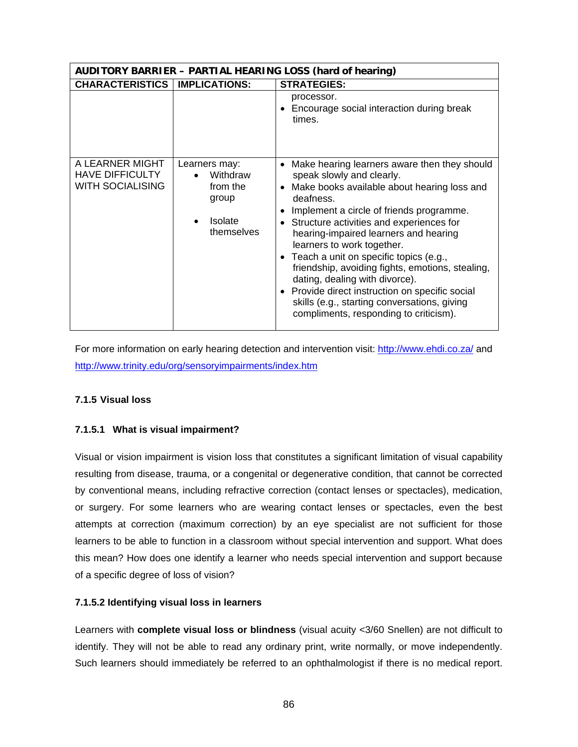| <b>AUDITORY BARRIER - PARTIAL HEARING LOSS (hard of hearing)</b>     |                                                                                |                                                                                                                                                                                                                                                                                                                                                                                                                                                                                                                                                                                     |
|----------------------------------------------------------------------|--------------------------------------------------------------------------------|-------------------------------------------------------------------------------------------------------------------------------------------------------------------------------------------------------------------------------------------------------------------------------------------------------------------------------------------------------------------------------------------------------------------------------------------------------------------------------------------------------------------------------------------------------------------------------------|
| <b>CHARACTERISTICS   IMPLICATIONS:</b>                               | <b>STRATEGIES:</b>                                                             |                                                                                                                                                                                                                                                                                                                                                                                                                                                                                                                                                                                     |
|                                                                      |                                                                                | processor.<br>• Encourage social interaction during break<br>times.                                                                                                                                                                                                                                                                                                                                                                                                                                                                                                                 |
| A LEARNER MIGHT<br><b>HAVE DIFFICULTY</b><br><b>WITH SOCIALISING</b> | Learners may:<br>Withdraw<br>from the<br>group<br><b>Isolate</b><br>themselves | Make hearing learners aware then they should<br>speak slowly and clearly.<br>Make books available about hearing loss and<br>deafness.<br>Implement a circle of friends programme.<br>Structure activities and experiences for<br>hearing-impaired learners and hearing<br>learners to work together.<br>• Teach a unit on specific topics (e.g.,<br>friendship, avoiding fights, emotions, stealing,<br>dating, dealing with divorce).<br>• Provide direct instruction on specific social<br>skills (e.g., starting conversations, giving<br>compliments, responding to criticism). |

For more information on early hearing detection and intervention visit: http://www.ehdi.co.za/ and http://www.trinity.edu/org/sensoryimpairments/index.htm

### **7.1.5 Visual loss**

### **7.1.5.1 What is visual impairment?**

Visual or vision impairment is vision loss that constitutes a significant limitation of visual capability resulting from disease, trauma, or a congenital or degenerative condition, that cannot be corrected by conventional means, including refractive correction (contact lenses or spectacles), medication, or surgery. For some learners who are wearing contact lenses or spectacles, even the best attempts at correction (maximum correction) by an eye specialist are not sufficient for those learners to be able to function in a classroom without special intervention and support. What does this mean? How does one identify a learner who needs special intervention and support because of a specific degree of loss of vision?

### **7.1.5.2 Identifying visual loss in learners**

Learners with **complete visual loss or blindness** (visual acuity <3/60 Snellen) are not difficult to identify. They will not be able to read any ordinary print, write normally, or move independently. Such learners should immediately be referred to an ophthalmologist if there is no medical report.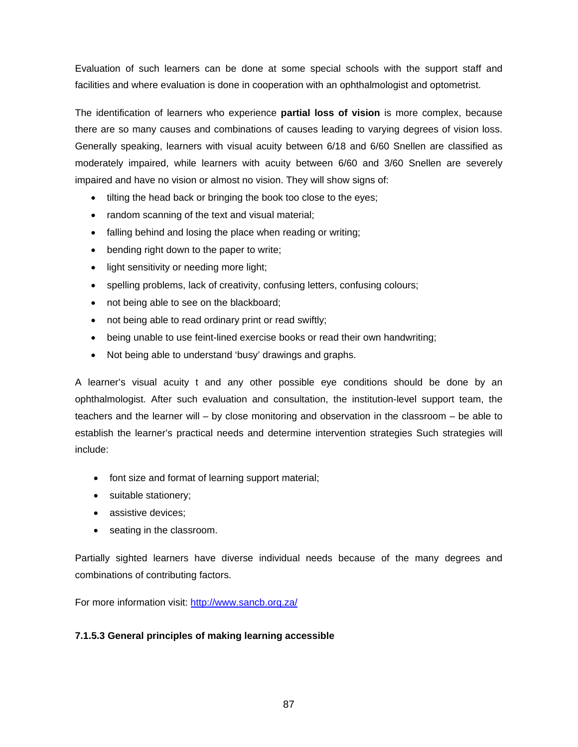Evaluation of such learners can be done at some special schools with the support staff and facilities and where evaluation is done in cooperation with an ophthalmologist and optometrist.

The identification of learners who experience **partial loss of vision** is more complex, because there are so many causes and combinations of causes leading to varying degrees of vision loss. Generally speaking, learners with visual acuity between 6/18 and 6/60 Snellen are classified as moderately impaired, while learners with acuity between 6/60 and 3/60 Snellen are severely impaired and have no vision or almost no vision. They will show signs of:

- tilting the head back or bringing the book too close to the eyes;
- random scanning of the text and visual material;
- falling behind and losing the place when reading or writing;
- bending right down to the paper to write;
- light sensitivity or needing more light;
- spelling problems, lack of creativity, confusing letters, confusing colours;
- not being able to see on the blackboard;
- not being able to read ordinary print or read swiftly;
- being unable to use feint-lined exercise books or read their own handwriting;
- Not being able to understand 'busy' drawings and graphs.

A learner's visual acuity t and any other possible eye conditions should be done by an ophthalmologist. After such evaluation and consultation, the institution-level support team, the teachers and the learner will – by close monitoring and observation in the classroom – be able to establish the learner's practical needs and determine intervention strategies Such strategies will include:

- font size and format of learning support material;
- suitable stationery;
- assistive devices:
- seating in the classroom.

Partially sighted learners have diverse individual needs because of the many degrees and combinations of contributing factors.

For more information visit: http://www.sancb.org.za/

### **7.1.5.3 General principles of making learning accessible**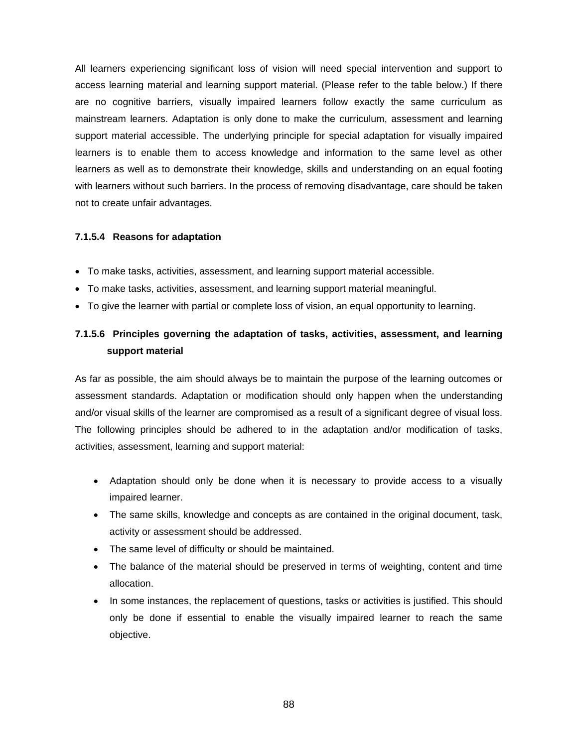All learners experiencing significant loss of vision will need special intervention and support to access learning material and learning support material. (Please refer to the table below.) If there are no cognitive barriers, visually impaired learners follow exactly the same curriculum as mainstream learners. Adaptation is only done to make the curriculum, assessment and learning support material accessible. The underlying principle for special adaptation for visually impaired learners is to enable them to access knowledge and information to the same level as other learners as well as to demonstrate their knowledge, skills and understanding on an equal footing with learners without such barriers. In the process of removing disadvantage, care should be taken not to create unfair advantages.

#### **7.1.5.4 Reasons for adaptation**

- To make tasks, activities, assessment, and learning support material accessible.
- To make tasks, activities, assessment, and learning support material meaningful.
- To give the learner with partial or complete loss of vision, an equal opportunity to learning.

# **7.1.5.6 Principles governing the adaptation of tasks, activities, assessment, and learning support material**

As far as possible, the aim should always be to maintain the purpose of the learning outcomes or assessment standards. Adaptation or modification should only happen when the understanding and/or visual skills of the learner are compromised as a result of a significant degree of visual loss. The following principles should be adhered to in the adaptation and/or modification of tasks, activities, assessment, learning and support material:

- Adaptation should only be done when it is necessary to provide access to a visually impaired learner.
- The same skills, knowledge and concepts as are contained in the original document, task, activity or assessment should be addressed.
- The same level of difficulty or should be maintained.
- The balance of the material should be preserved in terms of weighting, content and time allocation.
- In some instances, the replacement of questions, tasks or activities is justified. This should only be done if essential to enable the visually impaired learner to reach the same objective.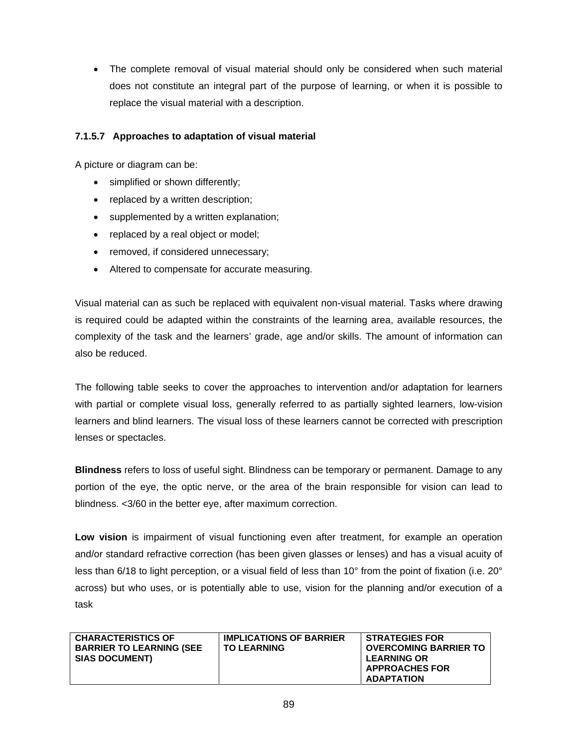The complete removal of visual material should only be considered when such material does not constitute an integral part of the purpose of learning, or when it is possible to replace the visual material with a description.

# **7.1.5.7 Approaches to adaptation of visual material**

A picture or diagram can be:

- simplified or shown differently;
- replaced by a written description;
- supplemented by a written explanation;
- replaced by a real object or model;
- removed, if considered unnecessary;
- Altered to compensate for accurate measuring.

Visual material can as such be replaced with equivalent non-visual material. Tasks where drawing is required could be adapted within the constraints of the learning area, available resources, the complexity of the task and the learners' grade, age and/or skills. The amount of information can also be reduced.

The following table seeks to cover the approaches to intervention and/or adaptation for learners with partial or complete visual loss, generally referred to as partially sighted learners, low-vision learners and blind learners. The visual loss of these learners cannot be corrected with prescription lenses or spectacles.

**Blindness** refers to loss of useful sight. Blindness can be temporary or permanent. Damage to any portion of the eye, the optic nerve, or the area of the brain responsible for vision can lead to blindness. <3/60 in the better eye, after maximum correction.

**Low vision** is impairment of visual functioning even after treatment, for example an operation and/or standard refractive correction (has been given glasses or lenses) and has a visual acuity of less than 6/18 to light perception, or a visual field of less than 10° from the point of fixation (i.e. 20° across) but who uses, or is potentially able to use, vision for the planning and/or execution of a task

| <b>CHARACTERISTICS OF</b><br><b>BARRIER TO LEARNING (SEE</b><br><b>SIAS DOCUMENT)</b> | <b>IMPLICATIONS OF BARRIER</b><br><b>TO LEARNING</b> | <b>STRATEGIES FOR</b><br><b>OVERCOMING BARRIER TO</b><br><b>LEARNING OR</b> |
|---------------------------------------------------------------------------------------|------------------------------------------------------|-----------------------------------------------------------------------------|
|                                                                                       |                                                      | <b>APPROACHES FOR</b>                                                       |
|                                                                                       |                                                      | ADAPTATION                                                                  |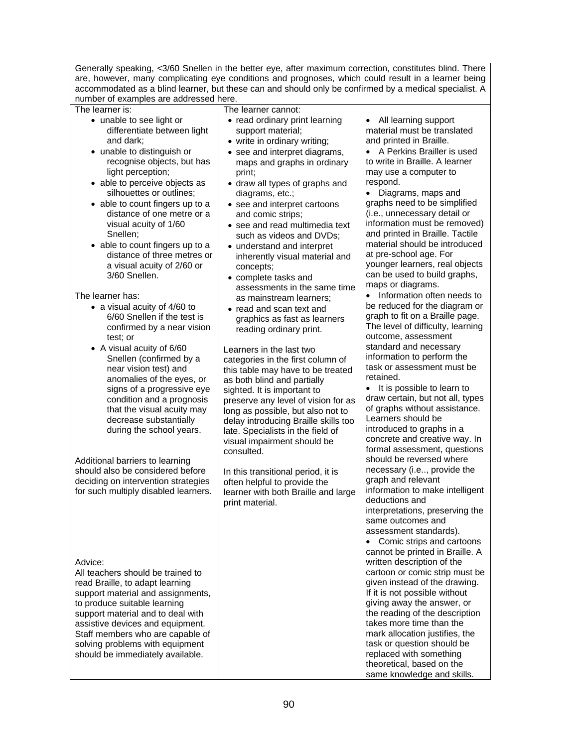| Generally speaking, <3/60 Snellen in the better eye, after maximum correction, constitutes blind. There<br>are, however, many complicating eye conditions and prognoses, which could result in a learner being                                                                                                                                                                                                           |                                                                                                                                                                                                                                                                                                                                                                                                                                                                                                                                    |                                                                                                                                                                                                                                                                                                                                                                                                                                                                                                                          |  |  |
|--------------------------------------------------------------------------------------------------------------------------------------------------------------------------------------------------------------------------------------------------------------------------------------------------------------------------------------------------------------------------------------------------------------------------|------------------------------------------------------------------------------------------------------------------------------------------------------------------------------------------------------------------------------------------------------------------------------------------------------------------------------------------------------------------------------------------------------------------------------------------------------------------------------------------------------------------------------------|--------------------------------------------------------------------------------------------------------------------------------------------------------------------------------------------------------------------------------------------------------------------------------------------------------------------------------------------------------------------------------------------------------------------------------------------------------------------------------------------------------------------------|--|--|
| accommodated as a blind learner, but these can and should only be confirmed by a medical specialist. A                                                                                                                                                                                                                                                                                                                   |                                                                                                                                                                                                                                                                                                                                                                                                                                                                                                                                    |                                                                                                                                                                                                                                                                                                                                                                                                                                                                                                                          |  |  |
| number of examples are addressed here.<br>The learner is:<br>The learner cannot:                                                                                                                                                                                                                                                                                                                                         |                                                                                                                                                                                                                                                                                                                                                                                                                                                                                                                                    |                                                                                                                                                                                                                                                                                                                                                                                                                                                                                                                          |  |  |
| • unable to see light or<br>differentiate between light<br>and dark;<br>• unable to distinguish or<br>recognise objects, but has<br>light perception;<br>• able to perceive objects as<br>silhouettes or outlines;<br>• able to count fingers up to a<br>distance of one metre or a<br>visual acuity of 1/60<br>Snellen;<br>• able to count fingers up to a<br>distance of three metres or<br>a visual acuity of 2/60 or | • read ordinary print learning<br>support material;<br>• write in ordinary writing;<br>• see and interpret diagrams,<br>maps and graphs in ordinary<br>print;<br>• draw all types of graphs and<br>diagrams, etc.;<br>• see and interpret cartoons<br>and comic strips;<br>• see and read multimedia text<br>such as videos and DVDs;<br>• understand and interpret<br>inherently visual material and<br>concepts;                                                                                                                 | All learning support<br>material must be translated<br>and printed in Braille.<br>• A Perkins Brailler is used<br>to write in Braille. A learner<br>may use a computer to<br>respond.<br>• Diagrams, maps and<br>graphs need to be simplified<br>(i.e., unnecessary detail or<br>information must be removed)<br>and printed in Braille. Tactile<br>material should be introduced<br>at pre-school age. For<br>younger learners, real objects                                                                            |  |  |
| 3/60 Snellen.<br>The learner has:<br>• a visual acuity of 4/60 to<br>6/60 Snellen if the test is<br>confirmed by a near vision<br>test; or<br>• A visual acuity of 6/60<br>Snellen (confirmed by a<br>near vision test) and<br>anomalies of the eyes, or<br>signs of a progressive eye<br>condition and a prognosis<br>that the visual acuity may<br>decrease substantially<br>during the school years.                  | • complete tasks and<br>assessments in the same time<br>as mainstream learners;<br>• read and scan text and<br>graphics as fast as learners<br>reading ordinary print.<br>Learners in the last two<br>categories in the first column of<br>this table may have to be treated<br>as both blind and partially<br>sighted. It is important to<br>preserve any level of vision for as<br>long as possible, but also not to<br>delay introducing Braille skills too<br>late. Specialists in the field of<br>visual impairment should be | can be used to build graphs,<br>maps or diagrams.<br>• Information often needs to<br>be reduced for the diagram or<br>graph to fit on a Braille page.<br>The level of difficulty, learning<br>outcome, assessment<br>standard and necessary<br>information to perform the<br>task or assessment must be<br>retained.<br>It is possible to learn to<br>$\bullet$<br>draw certain, but not all, types<br>of graphs without assistance.<br>Learners should be<br>introduced to graphs in a<br>concrete and creative way. In |  |  |
| Additional barriers to learning<br>should also be considered before<br>deciding on intervention strategies<br>for such multiply disabled learners.                                                                                                                                                                                                                                                                       | consulted.<br>In this transitional period, it is<br>often helpful to provide the<br>learner with both Braille and large<br>print material.                                                                                                                                                                                                                                                                                                                                                                                         | formal assessment, questions<br>should be reversed where<br>necessary (i.e, provide the<br>graph and relevant<br>information to make intelligent<br>deductions and<br>interpretations, preserving the<br>same outcomes and<br>assessment standards).<br>• Comic strips and cartoons<br>cannot be printed in Braille. A                                                                                                                                                                                                   |  |  |
| Advice:<br>All teachers should be trained to<br>read Braille, to adapt learning<br>support material and assignments,<br>to produce suitable learning<br>support material and to deal with<br>assistive devices and equipment.<br>Staff members who are capable of<br>solving problems with equipment<br>should be immediately available.                                                                                 |                                                                                                                                                                                                                                                                                                                                                                                                                                                                                                                                    | written description of the<br>cartoon or comic strip must be<br>given instead of the drawing.<br>If it is not possible without<br>giving away the answer, or<br>the reading of the description<br>takes more time than the<br>mark allocation justifies, the<br>task or question should be<br>replaced with something<br>theoretical, based on the<br>same knowledge and skills.                                                                                                                                         |  |  |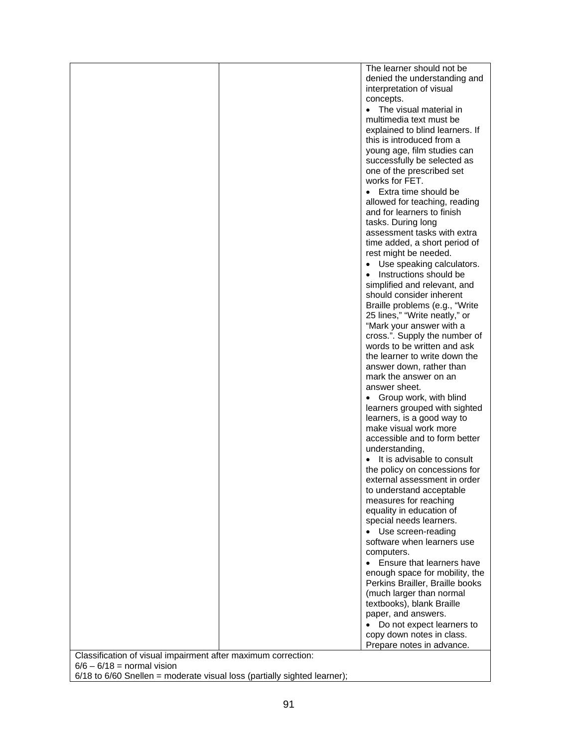|                                                                                               | The learner should not be               |
|-----------------------------------------------------------------------------------------------|-----------------------------------------|
|                                                                                               | denied the understanding and            |
|                                                                                               | interpretation of visual                |
|                                                                                               | concepts.                               |
|                                                                                               | The visual material in<br>$\bullet$     |
|                                                                                               | multimedia text must be                 |
|                                                                                               |                                         |
|                                                                                               | explained to blind learners. If         |
|                                                                                               | this is introduced from a               |
|                                                                                               | young age, film studies can             |
|                                                                                               | successfully be selected as             |
|                                                                                               | one of the prescribed set               |
|                                                                                               | works for FET.                          |
|                                                                                               | Extra time should be                    |
|                                                                                               | allowed for teaching, reading           |
|                                                                                               |                                         |
|                                                                                               | and for learners to finish              |
|                                                                                               | tasks. During long                      |
|                                                                                               | assessment tasks with extra             |
|                                                                                               | time added, a short period of           |
|                                                                                               | rest might be needed.                   |
|                                                                                               | Use speaking calculators.<br>$\bullet$  |
|                                                                                               | Instructions should be<br>$\bullet$     |
|                                                                                               | simplified and relevant, and            |
|                                                                                               |                                         |
|                                                                                               | should consider inherent                |
|                                                                                               | Braille problems (e.g., "Write"         |
|                                                                                               | 25 lines," "Write neatly," or           |
|                                                                                               | "Mark your answer with a                |
|                                                                                               | cross.". Supply the number of           |
|                                                                                               | words to be written and ask             |
|                                                                                               | the learner to write down the           |
|                                                                                               | answer down, rather than                |
|                                                                                               | mark the answer on an                   |
|                                                                                               |                                         |
|                                                                                               | answer sheet.                           |
|                                                                                               | • Group work, with blind                |
|                                                                                               | learners grouped with sighted           |
|                                                                                               | learners, is a good way to              |
|                                                                                               | make visual work more                   |
|                                                                                               | accessible and to form better           |
|                                                                                               | understanding,                          |
|                                                                                               | It is advisable to consult<br>$\bullet$ |
|                                                                                               |                                         |
|                                                                                               | the policy on concessions for           |
|                                                                                               | external assessment in order            |
|                                                                                               | to understand acceptable                |
|                                                                                               | measures for reaching                   |
|                                                                                               | equality in education of                |
|                                                                                               | special needs learners.                 |
|                                                                                               | Use screen-reading<br>$\bullet$         |
|                                                                                               | software when learners use              |
|                                                                                               | computers.                              |
|                                                                                               |                                         |
|                                                                                               | • Ensure that learners have             |
|                                                                                               | enough space for mobility, the          |
|                                                                                               | Perkins Brailler, Braille books         |
|                                                                                               | (much larger than normal                |
|                                                                                               | textbooks), blank Braille               |
|                                                                                               | paper, and answers.                     |
|                                                                                               | Do not expect learners to               |
|                                                                                               |                                         |
|                                                                                               | copy down notes in class.               |
|                                                                                               | Prepare notes in advance.               |
| Classification of visual impairment after maximum correction:<br>$6/6 - 6/18 =$ normal vision |                                         |

6/18 to 6/60 Snellen = moderate visual loss (partially sighted learner);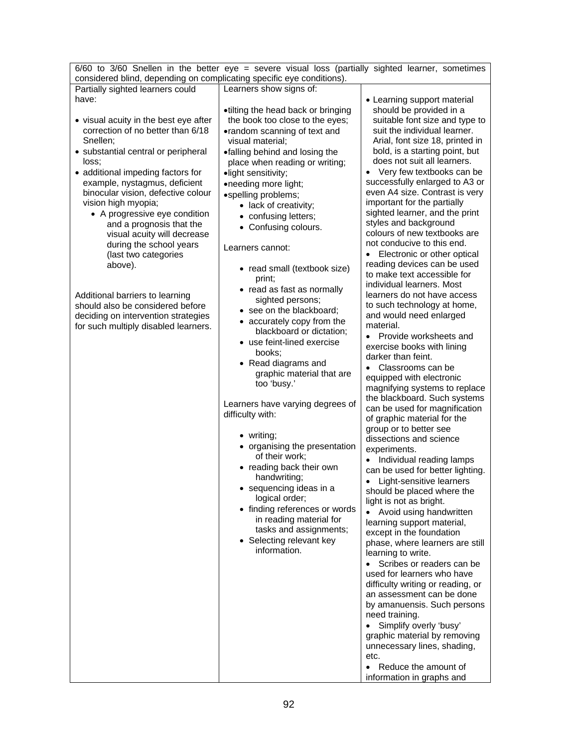| $6/60$ to $3/60$ Snellen in the better eye = severe visual loss (partially sighted learner, sometimes |                                                                       |                                                             |  |  |
|-------------------------------------------------------------------------------------------------------|-----------------------------------------------------------------------|-------------------------------------------------------------|--|--|
| considered blind, depending on complicating specific eye conditions).                                 |                                                                       |                                                             |  |  |
| Partially sighted learners could                                                                      | Learners show signs of:                                               |                                                             |  |  |
| have:                                                                                                 |                                                                       | • Learning support material<br>should be provided in a      |  |  |
| • visual acuity in the best eye after                                                                 | •tilting the head back or bringing<br>the book too close to the eyes; | suitable font size and type to                              |  |  |
| correction of no better than 6/18                                                                     | •random scanning of text and                                          | suit the individual learner.                                |  |  |
| Snellen;                                                                                              | visual material;                                                      | Arial, font size 18, printed in                             |  |  |
| • substantial central or peripheral                                                                   | •falling behind and losing the                                        | bold, is a starting point, but                              |  |  |
| loss:                                                                                                 | place when reading or writing;                                        | does not suit all learners.                                 |  |  |
| • additional impeding factors for                                                                     | ·light sensitivity;                                                   | • Very few textbooks can be                                 |  |  |
| example, nystagmus, deficient                                                                         | •needing more light;                                                  | successfully enlarged to A3 or                              |  |  |
| binocular vision, defective colour                                                                    | •spelling problems;                                                   | even A4 size. Contrast is very                              |  |  |
| vision high myopia;                                                                                   | • lack of creativity;                                                 | important for the partially                                 |  |  |
| • A progressive eye condition                                                                         | • confusing letters;                                                  | sighted learner, and the print<br>styles and background     |  |  |
| and a prognosis that the                                                                              | • Confusing colours.                                                  | colours of new textbooks are                                |  |  |
| visual acuity will decrease<br>during the school years                                                |                                                                       | not conducive to this end.                                  |  |  |
| (last two categories                                                                                  | Learners cannot:                                                      | Electronic or other optical                                 |  |  |
| above).                                                                                               |                                                                       | reading devices can be used                                 |  |  |
|                                                                                                       | • read small (textbook size)<br>print;                                | to make text accessible for                                 |  |  |
|                                                                                                       | • read as fast as normally                                            | individual learners. Most                                   |  |  |
| Additional barriers to learning                                                                       | sighted persons;                                                      | learners do not have access                                 |  |  |
| should also be considered before                                                                      | • see on the blackboard;                                              | to such technology at home,                                 |  |  |
| deciding on intervention strategies                                                                   | • accurately copy from the                                            | and would need enlarged<br>material.                        |  |  |
| for such multiply disabled learners.                                                                  | blackboard or dictation;                                              | Provide worksheets and<br>$\bullet$                         |  |  |
|                                                                                                       | • use feint-lined exercise                                            | exercise books with lining                                  |  |  |
|                                                                                                       | books;                                                                | darker than feint.                                          |  |  |
|                                                                                                       | • Read diagrams and                                                   | Classrooms can be<br>$\bullet$                              |  |  |
|                                                                                                       | graphic material that are                                             | equipped with electronic                                    |  |  |
|                                                                                                       | too 'busy.'                                                           | magnifying systems to replace                               |  |  |
|                                                                                                       | Learners have varying degrees of                                      | the blackboard. Such systems                                |  |  |
|                                                                                                       | difficulty with:                                                      | can be used for magnification                               |  |  |
|                                                                                                       |                                                                       | of graphic material for the<br>group or to better see       |  |  |
|                                                                                                       | • writing;                                                            | dissections and science                                     |  |  |
|                                                                                                       | • organising the presentation                                         | experiments.                                                |  |  |
|                                                                                                       | of their work;                                                        | Individual reading lamps<br>$\bullet$                       |  |  |
|                                                                                                       | • reading back their own                                              | can be used for better lighting.                            |  |  |
|                                                                                                       | handwriting;                                                          | Light-sensitive learners<br>$\bullet$                       |  |  |
|                                                                                                       | $\bullet$ sequencing ideas in a                                       | should be placed where the                                  |  |  |
|                                                                                                       | logical order;<br>• finding references or words                       | light is not as bright.                                     |  |  |
|                                                                                                       | in reading material for                                               | Avoid using handwritten<br>$\bullet$                        |  |  |
|                                                                                                       | tasks and assignments;                                                | learning support material,                                  |  |  |
|                                                                                                       | • Selecting relevant key                                              | except in the foundation<br>phase, where learners are still |  |  |
|                                                                                                       | information.                                                          | learning to write.                                          |  |  |
|                                                                                                       |                                                                       | Scribes or readers can be<br>$\bullet$                      |  |  |
|                                                                                                       |                                                                       | used for learners who have                                  |  |  |
|                                                                                                       |                                                                       | difficulty writing or reading, or                           |  |  |
|                                                                                                       |                                                                       | an assessment can be done                                   |  |  |
|                                                                                                       |                                                                       | by amanuensis. Such persons                                 |  |  |
|                                                                                                       |                                                                       | need training.                                              |  |  |
|                                                                                                       |                                                                       | Simplify overly 'busy'<br>$\bullet$                         |  |  |
|                                                                                                       |                                                                       | graphic material by removing<br>unnecessary lines, shading, |  |  |
|                                                                                                       |                                                                       | etc.                                                        |  |  |
|                                                                                                       |                                                                       | Reduce the amount of<br>$\bullet$                           |  |  |
|                                                                                                       |                                                                       | information in graphs and                                   |  |  |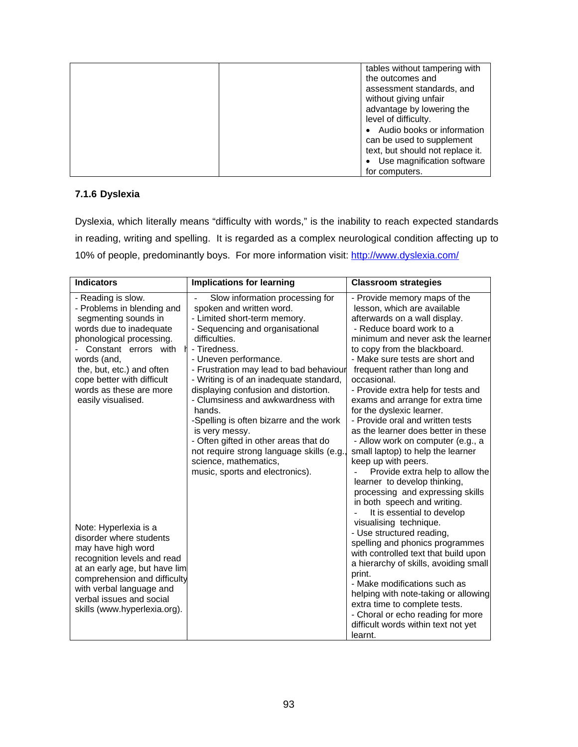| tables without tampering with<br>the outcomes and<br>assessment standards, and<br>without giving unfair<br>advantage by lowering the<br>level of difficulty.<br>Audio books or information |
|--------------------------------------------------------------------------------------------------------------------------------------------------------------------------------------------|
| can be used to supplement                                                                                                                                                                  |
| text, but should not replace it.<br>Use magnification software                                                                                                                             |
| for computers.                                                                                                                                                                             |

# **7.1.6 Dyslexia**

Dyslexia, which literally means "difficulty with words," is the inability to reach expected standards in reading, writing and spelling. It is regarded as a complex neurological condition affecting up to 10% of people, predominantly boys. For more information visit: http://www.dyslexia.com/

| <b>Indicators</b>                                                                                                                                                                                                                                                                  | <b>Implications for learning</b>                                                                                                                                                                                                                                                                                                                                                                                                                                                                                                                                                    | <b>Classroom strategies</b>                                                                                                                                                                                                                                                                                                                                                                                                                                                                                                                                                                                                                                                                                                             |
|------------------------------------------------------------------------------------------------------------------------------------------------------------------------------------------------------------------------------------------------------------------------------------|-------------------------------------------------------------------------------------------------------------------------------------------------------------------------------------------------------------------------------------------------------------------------------------------------------------------------------------------------------------------------------------------------------------------------------------------------------------------------------------------------------------------------------------------------------------------------------------|-----------------------------------------------------------------------------------------------------------------------------------------------------------------------------------------------------------------------------------------------------------------------------------------------------------------------------------------------------------------------------------------------------------------------------------------------------------------------------------------------------------------------------------------------------------------------------------------------------------------------------------------------------------------------------------------------------------------------------------------|
| - Reading is slow.<br>- Problems in blending and<br>segmenting sounds in<br>words due to inadequate<br>phonological processing.<br>Constant errors with<br>words (and,<br>the, but, etc.) and often<br>cope better with difficult<br>words as these are more<br>easily visualised. | Slow information processing for<br>spoken and written word.<br>- Limited short-term memory.<br>- Sequencing and organisational<br>difficulties.<br>- Tiredness.<br>- Uneven performance.<br>- Frustration may lead to bad behaviour<br>- Writing is of an inadequate standard,<br>displaying confusion and distortion.<br>- Clumsiness and awkwardness with<br>hands.<br>-Spelling is often bizarre and the work<br>is very messy.<br>- Often gifted in other areas that do<br>not require strong language skills (e.g.<br>science, mathematics,<br>music, sports and electronics). | - Provide memory maps of the<br>lesson, which are available<br>afterwards on a wall display.<br>- Reduce board work to a<br>minimum and never ask the learner<br>to copy from the blackboard.<br>- Make sure tests are short and<br>frequent rather than long and<br>occasional.<br>- Provide extra help for tests and<br>exams and arrange for extra time<br>for the dyslexic learner.<br>- Provide oral and written tests<br>as the learner does better in these<br>- Allow work on computer (e.g., a<br>small laptop) to help the learner<br>keep up with peers.<br>Provide extra help to allow the<br>learner to develop thinking,<br>processing and expressing skills<br>in both speech and writing.<br>It is essential to develop |
| Note: Hyperlexia is a<br>disorder where students<br>may have high word<br>recognition levels and read<br>at an early age, but have lim<br>comprehension and difficulty<br>with verbal language and<br>verbal issues and social<br>skills (www.hyperlexia.org).                     |                                                                                                                                                                                                                                                                                                                                                                                                                                                                                                                                                                                     | visualising technique.<br>- Use structured reading,<br>spelling and phonics programmes<br>with controlled text that build upon<br>a hierarchy of skills, avoiding small<br>print.<br>- Make modifications such as<br>helping with note-taking or allowing<br>extra time to complete tests.<br>- Choral or echo reading for more<br>difficult words within text not yet<br>learnt.                                                                                                                                                                                                                                                                                                                                                       |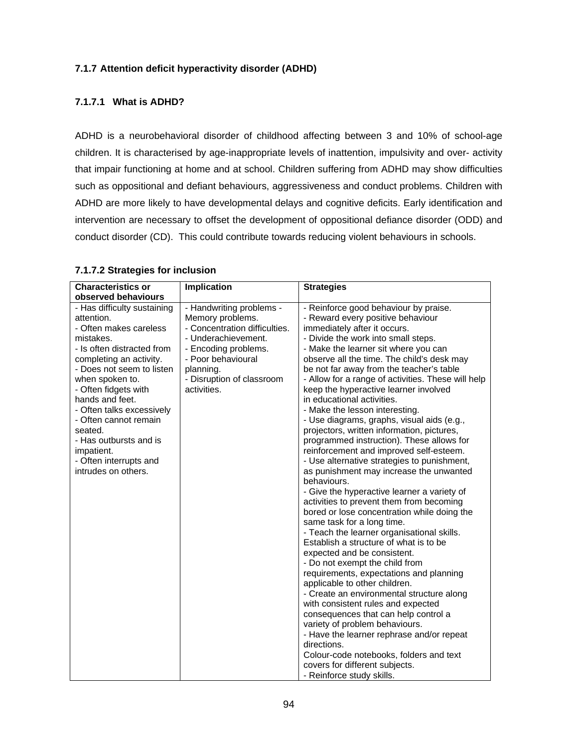# **7.1.7 Attention deficit hyperactivity disorder (ADHD)**

# **7.1.7.1 What is ADHD?**

ADHD is a neurobehavioral disorder of childhood affecting between 3 and 10% of school-age children. It is characterised by age-inappropriate levels of inattention, impulsivity and over- activity that impair functioning at home and at school. Children suffering from ADHD may show difficulties such as oppositional and defiant behaviours, aggressiveness and conduct problems. Children with ADHD are more likely to have developmental delays and cognitive deficits. Early identification and intervention are necessary to offset the development of oppositional defiance disorder (ODD) and conduct disorder (CD). This could contribute towards reducing violent behaviours in schools.

| <b>Characteristics or</b><br>observed behaviours                                                                                                                                                                                                                                                                                                                                               | Implication                                                                                                                                                                                                 | <b>Strategies</b>                                                                                                                                                                                                                                                                                                                                                                                                                                                                                                                                                                                                                                                                                                                                                                                                                                                                                                                                                                                                                                                                                                                                                                                                                                                                                                                                                                                                                                                                               |
|------------------------------------------------------------------------------------------------------------------------------------------------------------------------------------------------------------------------------------------------------------------------------------------------------------------------------------------------------------------------------------------------|-------------------------------------------------------------------------------------------------------------------------------------------------------------------------------------------------------------|-------------------------------------------------------------------------------------------------------------------------------------------------------------------------------------------------------------------------------------------------------------------------------------------------------------------------------------------------------------------------------------------------------------------------------------------------------------------------------------------------------------------------------------------------------------------------------------------------------------------------------------------------------------------------------------------------------------------------------------------------------------------------------------------------------------------------------------------------------------------------------------------------------------------------------------------------------------------------------------------------------------------------------------------------------------------------------------------------------------------------------------------------------------------------------------------------------------------------------------------------------------------------------------------------------------------------------------------------------------------------------------------------------------------------------------------------------------------------------------------------|
| - Has difficulty sustaining<br>attention.<br>- Often makes careless<br>mistakes.<br>- Is often distracted from<br>completing an activity.<br>- Does not seem to listen<br>when spoken to.<br>- Often fidgets with<br>hands and feet.<br>- Often talks excessively<br>- Often cannot remain<br>seated.<br>- Has outbursts and is<br>impatient.<br>- Often interrupts and<br>intrudes on others. | - Handwriting problems -<br>Memory problems.<br>- Concentration difficulties.<br>- Underachievement.<br>- Encoding problems.<br>- Poor behavioural<br>planning.<br>- Disruption of classroom<br>activities. | - Reinforce good behaviour by praise.<br>- Reward every positive behaviour<br>immediately after it occurs.<br>- Divide the work into small steps.<br>- Make the learner sit where you can<br>observe all the time. The child's desk may<br>be not far away from the teacher's table<br>- Allow for a range of activities. These will help<br>keep the hyperactive learner involved<br>in educational activities.<br>- Make the lesson interesting.<br>- Use diagrams, graphs, visual aids (e.g.,<br>projectors, written information, pictures,<br>programmed instruction). These allows for<br>reinforcement and improved self-esteem.<br>- Use alternative strategies to punishment,<br>as punishment may increase the unwanted<br>behaviours.<br>- Give the hyperactive learner a variety of<br>activities to prevent them from becoming<br>bored or lose concentration while doing the<br>same task for a long time.<br>- Teach the learner organisational skills.<br>Establish a structure of what is to be<br>expected and be consistent.<br>- Do not exempt the child from<br>requirements, expectations and planning<br>applicable to other children.<br>- Create an environmental structure along<br>with consistent rules and expected<br>consequences that can help control a<br>variety of problem behaviours.<br>- Have the learner rephrase and/or repeat<br>directions.<br>Colour-code notebooks, folders and text<br>covers for different subjects.<br>- Reinforce study skills. |

### **7.1.7.2 Strategies for inclusion**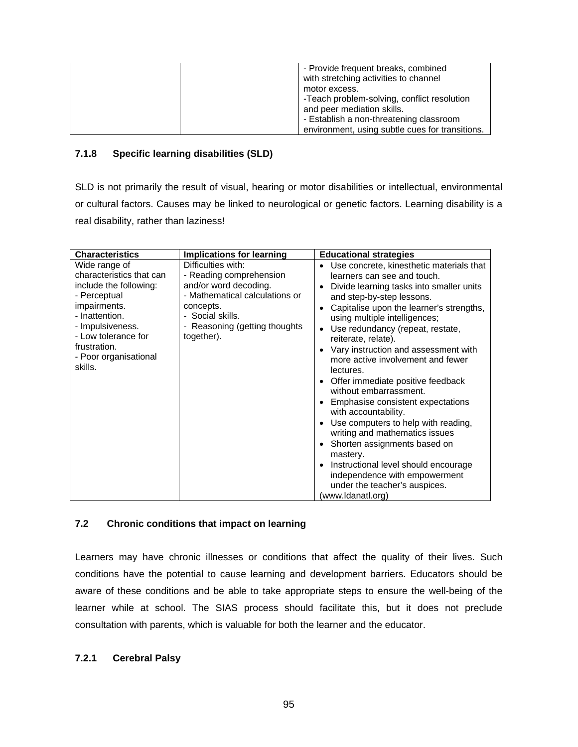| - Provide frequent breaks, combined<br>with stretching activities to channel |
|------------------------------------------------------------------------------|
| motor excess.                                                                |
| -Teach problem-solving, conflict resolution                                  |
| and peer mediation skills.                                                   |
| - Establish a non-threatening classroom                                      |
| environment, using subtle cues for transitions.                              |

# **7.1.8 Specific learning disabilities (SLD)**

SLD is not primarily the result of visual, hearing or motor disabilities or intellectual, environmental or cultural factors. Causes may be linked to neurological or genetic factors. Learning disability is a real disability, rather than laziness!

| <b>Characteristics</b>                                                                                                                                                                                               | <b>Implications for learning</b>                                                                                                                                                         | <b>Educational strategies</b>                                                                                                                                                                                                                                                                                                                                                                                                                                                                                                                                                                                                                                                                                                                                                                                                                 |
|----------------------------------------------------------------------------------------------------------------------------------------------------------------------------------------------------------------------|------------------------------------------------------------------------------------------------------------------------------------------------------------------------------------------|-----------------------------------------------------------------------------------------------------------------------------------------------------------------------------------------------------------------------------------------------------------------------------------------------------------------------------------------------------------------------------------------------------------------------------------------------------------------------------------------------------------------------------------------------------------------------------------------------------------------------------------------------------------------------------------------------------------------------------------------------------------------------------------------------------------------------------------------------|
| Wide range of<br>characteristics that can<br>include the following:<br>- Perceptual<br>impairments.<br>- Inattention.<br>- Impulsiveness.<br>- Low tolerance for<br>frustration.<br>- Poor organisational<br>skills. | Difficulties with:<br>- Reading comprehension<br>and/or word decoding.<br>- Mathematical calculations or<br>concepts.<br>- Social skills.<br>- Reasoning (getting thoughts<br>together). | Use concrete, kinesthetic materials that<br>$\bullet$<br>learners can see and touch.<br>Divide learning tasks into smaller units<br>٠<br>and step-by-step lessons.<br>Capitalise upon the learner's strengths,<br>$\bullet$<br>using multiple intelligences;<br>Use redundancy (repeat, restate,<br>٠<br>reiterate, relate).<br>Vary instruction and assessment with<br>$\bullet$<br>more active involvement and fewer<br>lectures.<br>Offer immediate positive feedback<br>$\bullet$<br>without embarrassment.<br>Emphasise consistent expectations<br>with accountability.<br>Use computers to help with reading,<br>$\bullet$<br>writing and mathematics issues<br>Shorten assignments based on<br>mastery.<br>Instructional level should encourage<br>independence with empowerment<br>under the teacher's auspices.<br>(www.ldanatl.org) |

# **7.2 Chronic conditions that impact on learning**

Learners may have chronic illnesses or conditions that affect the quality of their lives. Such conditions have the potential to cause learning and development barriers. Educators should be aware of these conditions and be able to take appropriate steps to ensure the well-being of the learner while at school. The SIAS process should facilitate this, but it does not preclude consultation with parents, which is valuable for both the learner and the educator.

### **7.2.1 Cerebral Palsy**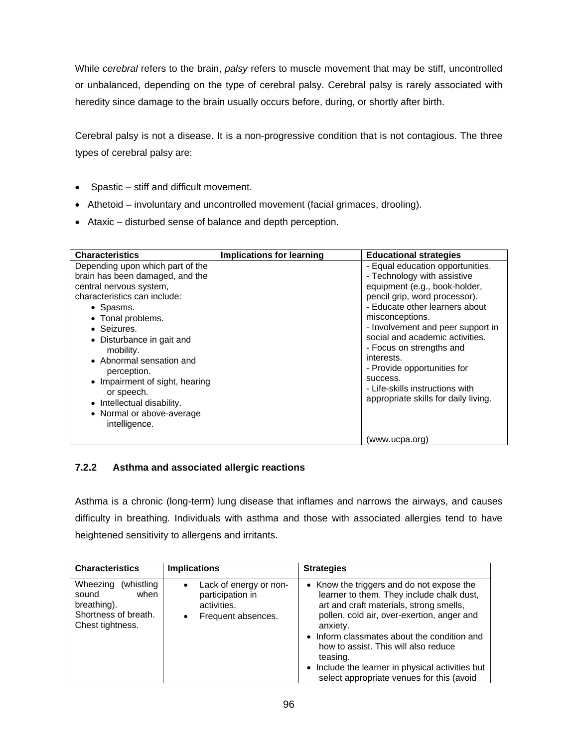While *cerebral* refers to the brain, *palsy* refers to muscle movement that may be stiff, uncontrolled or unbalanced, depending on the type of cerebral palsy. Cerebral palsy is rarely associated with heredity since damage to the brain usually occurs before, during, or shortly after birth.

Cerebral palsy is not a disease. It is a non-progressive condition that is not contagious. The three types of cerebral palsy are:

- Spastic stiff and difficult movement.
- Athetoid involuntary and uncontrolled movement (facial grimaces, drooling).
- Ataxic disturbed sense of balance and depth perception.

| <b>Characteristics</b>                                                                                                                                                                                                                                                                                                                                                                           | <b>Implications for learning</b> | <b>Educational strategies</b>                                                                                                                                                                                                                                                                                                                                                                                                  |
|--------------------------------------------------------------------------------------------------------------------------------------------------------------------------------------------------------------------------------------------------------------------------------------------------------------------------------------------------------------------------------------------------|----------------------------------|--------------------------------------------------------------------------------------------------------------------------------------------------------------------------------------------------------------------------------------------------------------------------------------------------------------------------------------------------------------------------------------------------------------------------------|
| Depending upon which part of the<br>brain has been damaged, and the<br>central nervous system,<br>characteristics can include:<br>• Spasms.<br>• Tonal problems.<br>• Seizures.<br>• Disturbance in gait and<br>mobility.<br>• Abnormal sensation and<br>perception.<br>• Impairment of sight, hearing<br>or speech.<br>• Intellectual disability.<br>• Normal or above-average<br>intelligence. |                                  | - Equal education opportunities.<br>- Technology with assistive<br>equipment (e.g., book-holder,<br>pencil grip, word processor).<br>- Educate other learners about<br>misconceptions.<br>- Involvement and peer support in<br>social and academic activities.<br>- Focus on strengths and<br>interests.<br>- Provide opportunities for<br>success.<br>- Life-skills instructions with<br>appropriate skills for daily living. |
|                                                                                                                                                                                                                                                                                                                                                                                                  |                                  | (www.ucpa.org)                                                                                                                                                                                                                                                                                                                                                                                                                 |

# **7.2.2 Asthma and associated allergic reactions**

Asthma is a chronic (long-term) lung disease that inflames and narrows the airways, and causes difficulty in breathing. Individuals with asthma and those with associated allergies tend to have heightened sensitivity to allergens and irritants.

| <b>Characteristics</b>                                                                              | <b>Implications</b>                                                                                       | <b>Strategies</b>                                                                                                                                                                                                                                                                                                                                                                               |
|-----------------------------------------------------------------------------------------------------|-----------------------------------------------------------------------------------------------------------|-------------------------------------------------------------------------------------------------------------------------------------------------------------------------------------------------------------------------------------------------------------------------------------------------------------------------------------------------------------------------------------------------|
| (whistling)<br>Wheezing<br>when<br>sound<br>breathing).<br>Shortness of breath.<br>Chest tightness. | Lack of energy or non-<br>$\bullet$<br>participation in<br>activities.<br>Frequent absences.<br>$\bullet$ | • Know the triggers and do not expose the<br>learner to them. They include chalk dust,<br>art and craft materials, strong smells,<br>pollen, cold air, over-exertion, anger and<br>anxiety.<br>• Inform classmates about the condition and<br>how to assist. This will also reduce<br>teasing.<br>• Include the learner in physical activities but<br>select appropriate venues for this (avoid |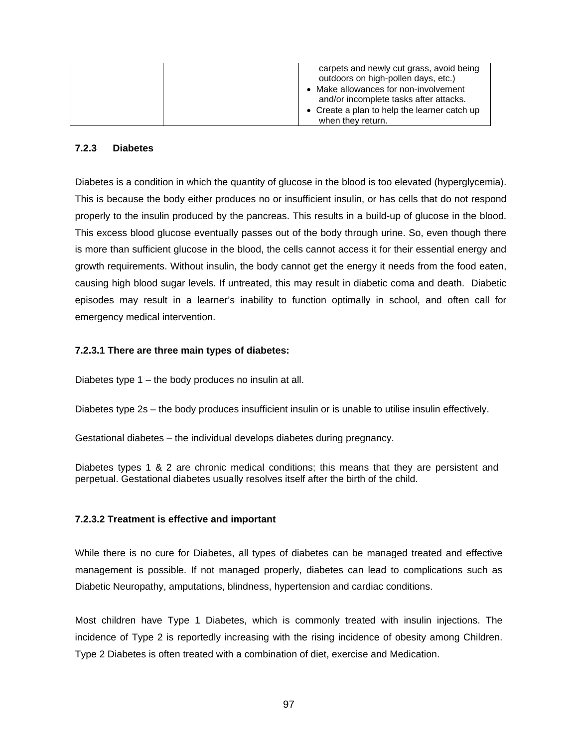| carpets and newly cut grass, avoid being                                     |
|------------------------------------------------------------------------------|
| outdoors on high-pollen days, etc.)<br>• Make allowances for non-involvement |
| and/or incomplete tasks after attacks.                                       |
| • Create a plan to help the learner catch up                                 |
| when they return.                                                            |

#### **7.2.3 Diabetes**

Diabetes is a condition in which the quantity of glucose in the blood is too elevated (hyperglycemia). This is because the body either produces no or insufficient insulin, or has cells that do not respond properly to the insulin produced by the pancreas. This results in a build-up of glucose in the blood. This excess blood glucose eventually passes out of the body through urine. So, even though there is more than sufficient glucose in the blood, the cells cannot access it for their essential energy and growth requirements. Without insulin, the body cannot get the energy it needs from the food eaten, causing high blood sugar levels. If untreated, this may result in diabetic coma and death. Diabetic episodes may result in a learner's inability to function optimally in school, and often call for emergency medical intervention.

#### **7.2.3.1 There are three main types of diabetes:**

Diabetes type 1 – the body produces no insulin at all.

Diabetes type 2s – the body produces insufficient insulin or is unable to utilise insulin effectively.

Gestational diabetes – the individual develops diabetes during pregnancy.

Diabetes types 1 & 2 are chronic medical conditions; this means that they are persistent and perpetual. Gestational diabetes usually resolves itself after the birth of the child.

### **7.2.3.2 Treatment is effective and important**

While there is no cure for Diabetes, all types of diabetes can be managed treated and effective management is possible. If not managed properly, diabetes can lead to complications such as Diabetic Neuropathy, amputations, blindness, hypertension and cardiac conditions.

Most children have Type 1 Diabetes, which is commonly treated with insulin injections. The incidence of Type 2 is reportedly increasing with the rising incidence of obesity among Children. Type 2 Diabetes is often treated with a combination of diet, exercise and Medication.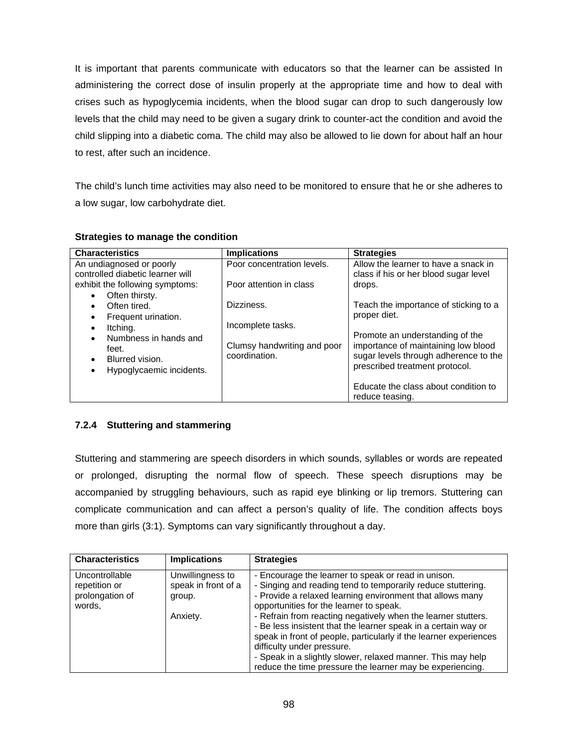It is important that parents communicate with educators so that the learner can be assisted In administering the correct dose of insulin properly at the appropriate time and how to deal with crises such as hypoglycemia incidents, when the blood sugar can drop to such dangerously low levels that the child may need to be given a sugary drink to counter-act the condition and avoid the child slipping into a diabetic coma. The child may also be allowed to lie down for about half an hour to rest, after such an incidence.

The child's lunch time activities may also need to be monitored to ensure that he or she adheres to a low sugar, low carbohydrate diet.

| <b>Characteristics</b>                                                         | <b>Implications</b>                          | <b>Strategies</b>                                                                                              |
|--------------------------------------------------------------------------------|----------------------------------------------|----------------------------------------------------------------------------------------------------------------|
| An undiagnosed or poorly<br>controlled diabetic learner will                   | Poor concentration levels.                   | Allow the learner to have a snack in<br>class if his or her blood sugar level                                  |
| exhibit the following symptoms:<br>Often thirsty.<br>$\bullet$                 | Poor attention in class                      | drops.                                                                                                         |
| Often tired.<br>$\bullet$<br>Frequent urination.<br>$\bullet$                  | Dizziness.                                   | Teach the importance of sticking to a<br>proper diet.                                                          |
| Itching.<br>$\bullet$<br>Numbness in hands and<br>$\bullet$                    | Incomplete tasks.                            | Promote an understanding of the                                                                                |
| feet.<br>Blurred vision.<br>$\bullet$<br>Hypoglycaemic incidents.<br>$\bullet$ | Clumsy handwriting and poor<br>coordination. | importance of maintaining low blood<br>sugar levels through adherence to the<br>prescribed treatment protocol. |
|                                                                                |                                              | Educate the class about condition to<br>reduce teasing.                                                        |

#### **Strategies to manage the condition**

# **7.2.4 Stuttering and stammering**

Stuttering and stammering are speech disorders in which sounds, syllables or words are repeated or prolonged, disrupting the normal flow of speech. These speech disruptions may be accompanied by struggling behaviours, such as rapid eye blinking or lip tremors. Stuttering can complicate communication and can affect a person's quality of life. The condition affects boys more than girls (3:1). Symptoms can vary significantly throughout a day.

| <b>Characteristics</b>                                       | <b>Implications</b>                                           | <b>Strategies</b>                                                                                                                                                                                                                                                                                                                                                                                                                                                                                                                                                                             |
|--------------------------------------------------------------|---------------------------------------------------------------|-----------------------------------------------------------------------------------------------------------------------------------------------------------------------------------------------------------------------------------------------------------------------------------------------------------------------------------------------------------------------------------------------------------------------------------------------------------------------------------------------------------------------------------------------------------------------------------------------|
| Uncontrollable<br>repetition or<br>prolongation of<br>words, | Unwillingness to<br>speak in front of a<br>group.<br>Anxiety. | - Encourage the learner to speak or read in unison.<br>- Singing and reading tend to temporarily reduce stuttering.<br>- Provide a relaxed learning environment that allows many<br>opportunities for the learner to speak.<br>- Refrain from reacting negatively when the learner stutters.<br>- Be less insistent that the learner speak in a certain way or<br>speak in front of people, particularly if the learner experiences<br>difficulty under pressure.<br>- Speak in a slightly slower, relaxed manner. This may help<br>reduce the time pressure the learner may be experiencing. |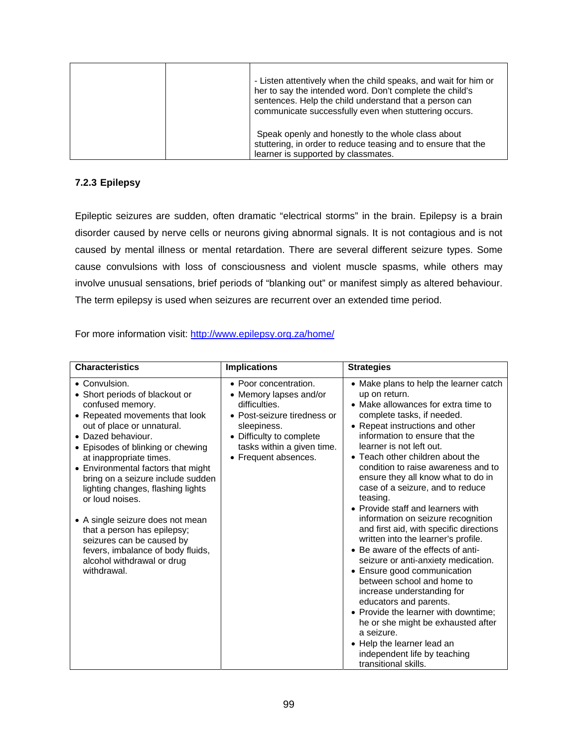| - Listen attentively when the child speaks, and wait for him or<br>her to say the intended word. Don't complete the child's<br>sentences. Help the child understand that a person can<br>communicate successfully even when stuttering occurs. |
|------------------------------------------------------------------------------------------------------------------------------------------------------------------------------------------------------------------------------------------------|
| Speak openly and honestly to the whole class about<br>stuttering, in order to reduce teasing and to ensure that the<br>learner is supported by classmates.                                                                                     |

# **7.2.3 Epilepsy**

Epileptic seizures are sudden, often dramatic "electrical storms" in the brain. Epilepsy is a brain disorder caused by nerve cells or neurons giving abnormal signals. It is not contagious and is not caused by mental illness or mental retardation. There are several different seizure types. Some cause convulsions with loss of consciousness and violent muscle spasms, while others may involve unusual sensations, brief periods of "blanking out" or manifest simply as altered behaviour. The term epilepsy is used when seizures are recurrent over an extended time period.

For more information visit: http://www.epilepsy.org.za/home/

| <b>Characteristics</b>                                                                                                                                                                                                                                                                                                                                                                                                                                                                                                                         | <b>Implications</b>                                                                                                                                                                              | <b>Strategies</b>                                                                                                                                                                                                                                                                                                                                                                                                                                                                                                                                                                                                                                                                                                                                                                                                                                                                                                                               |
|------------------------------------------------------------------------------------------------------------------------------------------------------------------------------------------------------------------------------------------------------------------------------------------------------------------------------------------------------------------------------------------------------------------------------------------------------------------------------------------------------------------------------------------------|--------------------------------------------------------------------------------------------------------------------------------------------------------------------------------------------------|-------------------------------------------------------------------------------------------------------------------------------------------------------------------------------------------------------------------------------------------------------------------------------------------------------------------------------------------------------------------------------------------------------------------------------------------------------------------------------------------------------------------------------------------------------------------------------------------------------------------------------------------------------------------------------------------------------------------------------------------------------------------------------------------------------------------------------------------------------------------------------------------------------------------------------------------------|
| • Convulsion.<br>• Short periods of blackout or<br>confused memory.<br>• Repeated movements that look<br>out of place or unnatural.<br>• Dazed behaviour.<br>• Episodes of blinking or chewing<br>at inappropriate times.<br>• Environmental factors that might<br>bring on a seizure include sudden<br>lighting changes, flashing lights<br>or loud noises.<br>• A single seizure does not mean<br>that a person has epilepsy;<br>seizures can be caused by<br>fevers, imbalance of body fluids,<br>alcohol withdrawal or drug<br>withdrawal. | • Poor concentration.<br>• Memory lapses and/or<br>difficulties.<br>• Post-seizure tiredness or<br>sleepiness.<br>• Difficulty to complete<br>tasks within a given time.<br>• Frequent absences. | • Make plans to help the learner catch<br>up on return.<br>• Make allowances for extra time to<br>complete tasks, if needed.<br>• Repeat instructions and other<br>information to ensure that the<br>learner is not left out.<br>• Teach other children about the<br>condition to raise awareness and to<br>ensure they all know what to do in<br>case of a seizure, and to reduce<br>teasing.<br>• Provide staff and learners with<br>information on seizure recognition<br>and first aid, with specific directions<br>written into the learner's profile.<br>• Be aware of the effects of anti-<br>seizure or anti-anxiety medication.<br>• Ensure good communication<br>between school and home to<br>increase understanding for<br>educators and parents.<br>• Provide the learner with downtime;<br>he or she might be exhausted after<br>a seizure.<br>• Help the learner lead an<br>independent life by teaching<br>transitional skills. |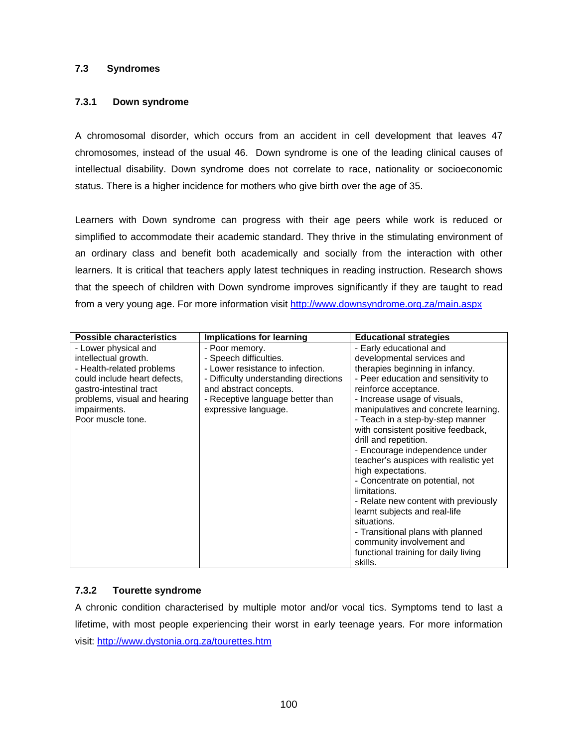### **7.3 Syndromes**

#### **7.3.1 Down syndrome**

A chromosomal disorder, which occurs from an accident in cell development that leaves 47 chromosomes, instead of the usual 46. Down syndrome is one of the leading clinical causes of intellectual disability. Down syndrome does not correlate to race, nationality or socioeconomic status. There is a higher incidence for mothers who give birth over the age of 35.

Learners with Down syndrome can progress with their age peers while work is reduced or simplified to accommodate their academic standard. They thrive in the stimulating environment of an ordinary class and benefit both academically and socially from the interaction with other learners. It is critical that teachers apply latest techniques in reading instruction. Research shows that the speech of children with Down syndrome improves significantly if they are taught to read from a very young age. For more information visit http://www.downsyndrome.org.za/main.aspx

| <b>Possible characteristics</b>                                                                                                                                                                           | <b>Implications for learning</b>                                                                                                                                                                            | <b>Educational strategies</b>                                                                                                                                                                                                                                                                                                                                                                                                                                                                                                                                                                                        |
|-----------------------------------------------------------------------------------------------------------------------------------------------------------------------------------------------------------|-------------------------------------------------------------------------------------------------------------------------------------------------------------------------------------------------------------|----------------------------------------------------------------------------------------------------------------------------------------------------------------------------------------------------------------------------------------------------------------------------------------------------------------------------------------------------------------------------------------------------------------------------------------------------------------------------------------------------------------------------------------------------------------------------------------------------------------------|
| - Lower physical and<br>intellectual growth.<br>- Health-related problems<br>could include heart defects,<br>gastro-intestinal tract<br>problems, visual and hearing<br>impairments.<br>Poor muscle tone. | - Poor memory.<br>- Speech difficulties.<br>- Lower resistance to infection.<br>- Difficulty understanding directions<br>and abstract concepts.<br>- Receptive language better than<br>expressive language. | - Early educational and<br>developmental services and<br>therapies beginning in infancy.<br>- Peer education and sensitivity to<br>reinforce acceptance.<br>- Increase usage of visuals,<br>manipulatives and concrete learning.<br>- Teach in a step-by-step manner<br>with consistent positive feedback,<br>drill and repetition.<br>- Encourage independence under<br>teacher's auspices with realistic yet<br>high expectations.<br>- Concentrate on potential, not<br>limitations.<br>- Relate new content with previously<br>learnt subjects and real-life<br>situations.<br>- Transitional plans with planned |
|                                                                                                                                                                                                           |                                                                                                                                                                                                             | community involvement and<br>functional training for daily living<br>skills.                                                                                                                                                                                                                                                                                                                                                                                                                                                                                                                                         |

#### **7.3.2 Tourette syndrome**

A chronic condition characterised by multiple motor and/or vocal tics. Symptoms tend to last a lifetime, with most people experiencing their worst in early teenage years. For more information visit: http://www.dystonia.org.za/tourettes.htm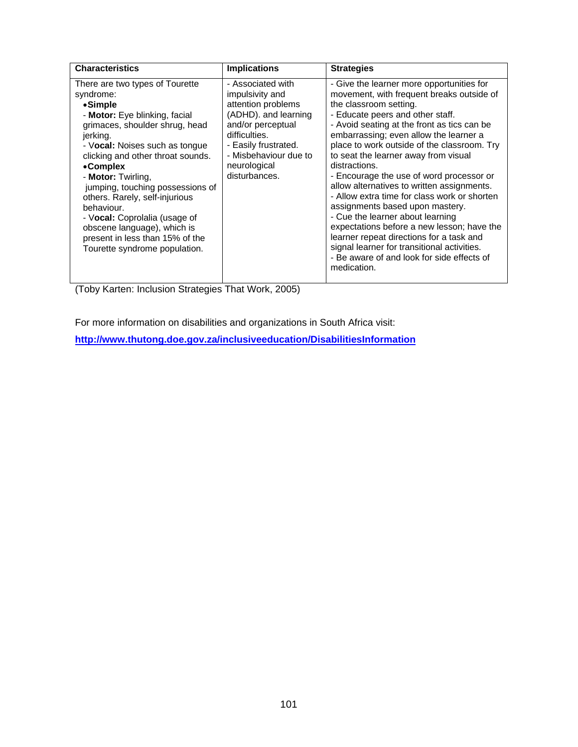| <b>Characteristics</b>            | <b>Implications</b>   | <b>Strategies</b>                            |
|-----------------------------------|-----------------------|----------------------------------------------|
|                                   |                       |                                              |
| There are two types of Tourette   | - Associated with     | - Give the learner more opportunities for    |
| syndrome:                         | impulsivity and       | movement, with frequent breaks outside of    |
| •Simple                           | attention problems    | the classroom setting.                       |
| - Motor: Eye blinking, facial     | (ADHD). and learning  | - Educate peers and other staff.             |
| grimaces, shoulder shrug, head    | and/or perceptual     | - Avoid seating at the front as tics can be  |
| jerking.                          | difficulties.         | embarrassing; even allow the learner a       |
| - Vocal: Noises such as tongue    | - Easily frustrated.  | place to work outside of the classroom. Try  |
| clicking and other throat sounds. | - Misbehaviour due to | to seat the learner away from visual         |
| •Complex                          | neurological          | distractions.                                |
| - Motor: Twirling,                | disturbances.         | - Encourage the use of word processor or     |
| jumping, touching possessions of  |                       | allow alternatives to written assignments.   |
| others. Rarely, self-injurious    |                       | - Allow extra time for class work or shorten |
| behaviour.                        |                       | assignments based upon mastery.              |
| - Vocal: Coprolalia (usage of     |                       | - Cue the learner about learning             |
| obscene language), which is       |                       | expectations before a new lesson; have the   |
| present in less than 15% of the   |                       | learner repeat directions for a task and     |
| Tourette syndrome population.     |                       | signal learner for transitional activities.  |
|                                   |                       | - Be aware of and look for side effects of   |
|                                   |                       | medication.                                  |

(Toby Karten: Inclusion Strategies That Work, 2005)

For more information on disabilities and organizations in South Africa visit:

**http://www.thutong.doe.gov.za/inclusiveeducation/DisabilitiesInformation**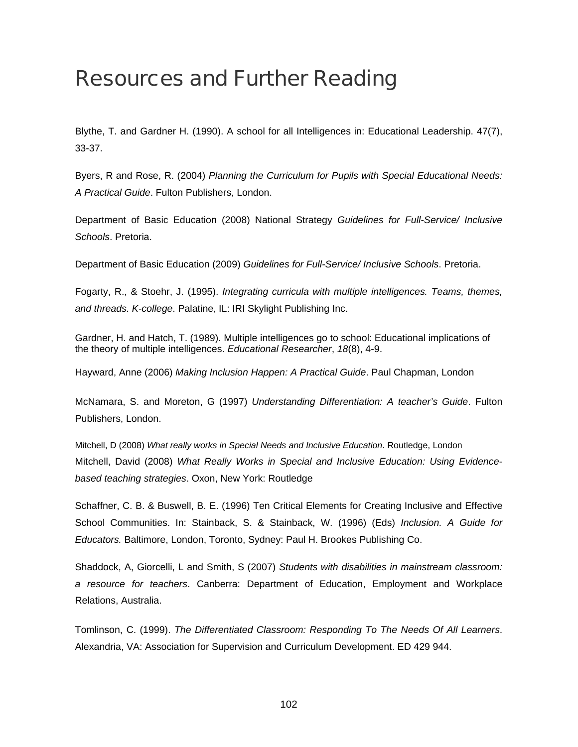# Resources and Further Reading

Blythe, T. and Gardner H. (1990). A school for all Intelligences in: Educational Leadership. 47(7), 33-37.

Byers, R and Rose, R. (2004) *Planning the Curriculum for Pupils with Special Educational Needs: A Practical Guide*. Fulton Publishers, London.

Department of Basic Education (2008) National Strategy *Guidelines for Full-Service/ Inclusive Schools*. Pretoria.

Department of Basic Education (2009) *Guidelines for Full-Service/ Inclusive Schools*. Pretoria.

Fogarty, R., & Stoehr, J. (1995). *Integrating curricula with multiple intelligences. Teams, themes, and threads. K-college*. Palatine, IL: IRI Skylight Publishing Inc.

Gardner, H. and Hatch, T. (1989). Multiple intelligences go to school: Educational implications of the theory of multiple intelligences. *Educational Researcher*, *18*(8), 4-9.

Hayward, Anne (2006) *Making Inclusion Happen: A Practical Guide*. Paul Chapman, London

McNamara, S. and Moreton, G (1997) *Understanding Differentiation: A teacher's Guide*. Fulton Publishers, London.

Mitchell, D (2008) *What really works in Special Needs and Inclusive Education*. Routledge, London Mitchell, David (2008) *What Really Works in Special and Inclusive Education: Using Evidencebased teaching strategies*. Oxon, New York: Routledge

Schaffner, C. B. & Buswell, B. E. (1996) Ten Critical Elements for Creating Inclusive and Effective School Communities. In: Stainback, S. & Stainback, W. (1996) (Eds) *Inclusion. A Guide for Educators.* Baltimore, London, Toronto, Sydney: Paul H. Brookes Publishing Co.

Shaddock, A, Giorcelli, L and Smith, S (2007) *Students with disabilities in mainstream classroom: a resource for teachers*. Canberra: Department of Education, Employment and Workplace Relations, Australia.

Tomlinson, C. (1999). *The Differentiated Classroom: Responding To The Needs Of All Learners*. Alexandria, VA: Association for Supervision and Curriculum Development. ED 429 944.